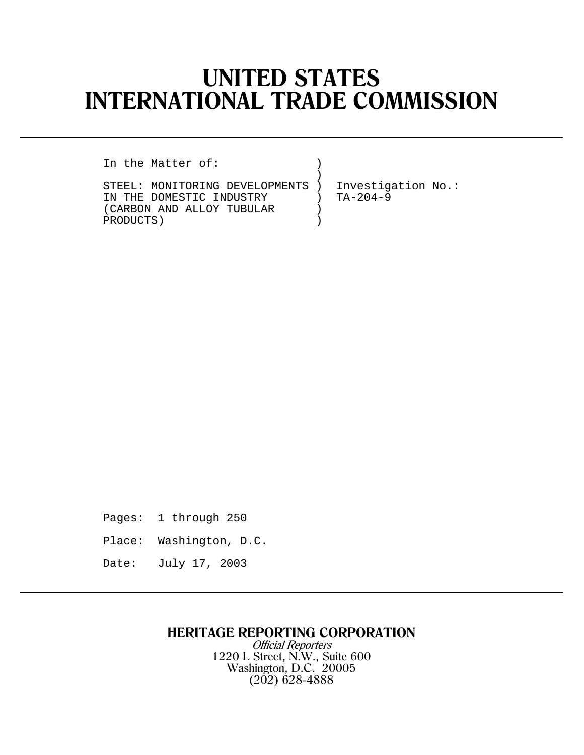# **UNITED STATES INTERNATIONAL TRADE COMMISSION**

In the Matter of:

STEEL: MONITORING DEVELOPMENTS ) Investigation No.: IN THE DOMESTIC INDUSTRY  $(CARBON AND ALLOGY TUBULAR)$ (CARBON AND ALLOY TUBULAR ) PRODUCTS )

 $)$ 

Pages: 1 through 250

Place: Washington, D.C.

Date: July 17, 2003

## **HERITAGE REPORTING CORPORATION**

Official Reporters 1220 L Street, N.W., Suite 600 Washington, D.C. 20005 (202) 628-4888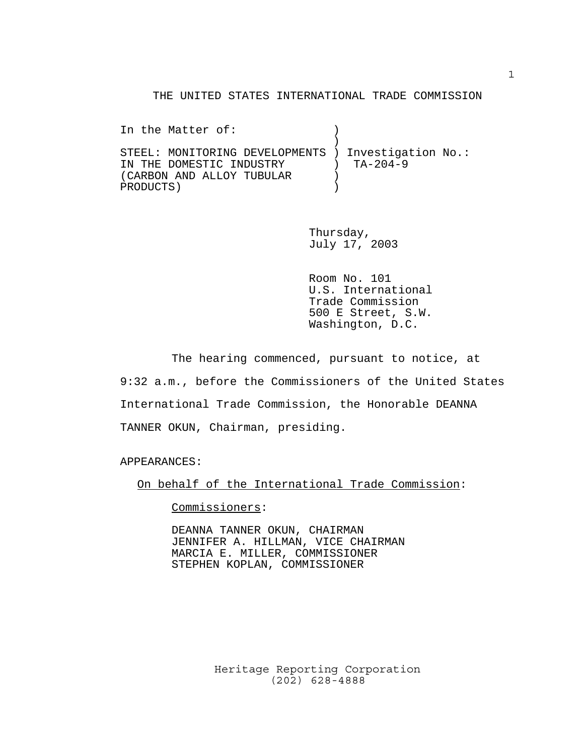#### THE UNITED STATES INTERNATIONAL TRADE COMMISSION

In the Matter of:  $\qquad \qquad$  )  $)$ STEEL: MONITORING DEVELOPMENTS ) Investigation No.: IN THE DOMESTIC INDUSTRY ) TA-204-9 (CARBON AND ALLOY TUBULAR ) PRODUCTS )

> Thursday, July 17, 2003

Room No. 101 U.S. International Trade Commission 500 E Street, S.W. Washington, D.C.

The hearing commenced, pursuant to notice, at 9:32 a.m., before the Commissioners of the United States International Trade Commission, the Honorable DEANNA TANNER OKUN, Chairman, presiding.

APPEARANCES:

On behalf of the International Trade Commission:

Commissioners:

DEANNA TANNER OKUN, CHAIRMAN JENNIFER A. HILLMAN, VICE CHAIRMAN MARCIA E. MILLER, COMMISSIONER STEPHEN KOPLAN, COMMISSIONER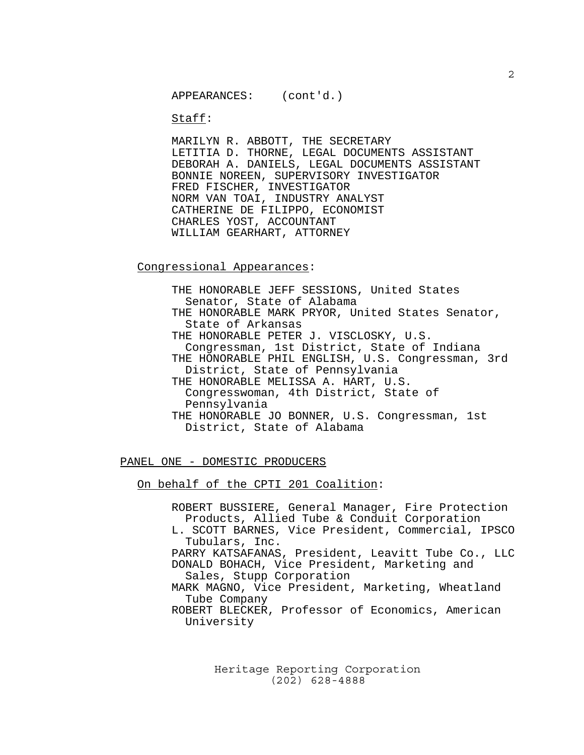Staff:

MARILYN R. ABBOTT, THE SECRETARY LETITIA D. THORNE, LEGAL DOCUMENTS ASSISTANT DEBORAH A. DANIELS, LEGAL DOCUMENTS ASSISTANT BONNIE NOREEN, SUPERVISORY INVESTIGATOR FRED FISCHER, INVESTIGATOR NORM VAN TOAI, INDUSTRY ANALYST CATHERINE DE FILIPPO, ECONOMIST CHARLES YOST, ACCOUNTANT WILLIAM GEARHART, ATTORNEY

Congressional Appearances:

THE HONORABLE JEFF SESSIONS, United States Senator, State of Alabama THE HONORABLE MARK PRYOR, United States Senator, State of Arkansas THE HONORABLE PETER J. VISCLOSKY, U.S. Congressman, 1st District, State of Indiana THE HONORABLE PHIL ENGLISH, U.S. Congressman, 3rd District, State of Pennsylvania THE HONORABLE MELISSA A. HART, U.S. Congresswoman, 4th District, State of Pennsylvania THE HONORABLE JO BONNER, U.S. Congressman, 1st District, State of Alabama

#### PANEL ONE - DOMESTIC PRODUCERS

On behalf of the CPTI 201 Coalition:

ROBERT BUSSIERE, General Manager, Fire Protection Products, Allied Tube & Conduit Corporation L. SCOTT BARNES, Vice President, Commercial, IPSCO Tubulars, Inc. PARRY KATSAFANAS, President, Leavitt Tube Co., LLC DONALD BOHACH, Vice President, Marketing and Sales, Stupp Corporation MARK MAGNO, Vice President, Marketing, Wheatland Tube Company ROBERT BLECKER, Professor of Economics, American University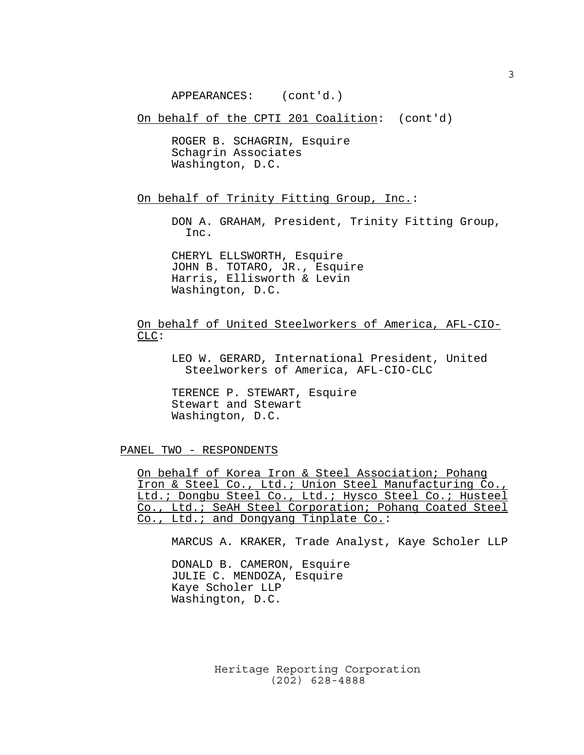APPEARANCES: (cont'd.)

On behalf of the CPTI 201 Coalition: (cont'd)

ROGER B. SCHAGRIN, Esquire Schagrin Associates Washington, D.C.

On behalf of Trinity Fitting Group, Inc.:

DON A. GRAHAM, President, Trinity Fitting Group, Inc.

CHERYL ELLSWORTH, Esquire JOHN B. TOTARO, JR., Esquire Harris, Ellisworth & Levin Washington, D.C.

On behalf of United Steelworkers of America, AFL-CIO-CLC:

LEO W. GERARD, International President, United Steelworkers of America, AFL-CIO-CLC

TERENCE P. STEWART, Esquire Stewart and Stewart Washington, D.C.

PANEL TWO - RESPONDENTS

On behalf of Korea Iron & Steel Association; Pohang Iron & Steel Co., Ltd.; Union Steel Manufacturing Co., Ltd.; Dongbu Steel Co., Ltd.; Hysco Steel Co.; Husteel Co., Ltd.; SeAH Steel Corporation; Pohang Coated Steel Co., Ltd.; and Dongyang Tinplate Co.:

MARCUS A. KRAKER, Trade Analyst, Kaye Scholer LLP

DONALD B. CAMERON, Esquire JULIE C. MENDOZA, Esquire Kaye Scholer LLP Washington, D.C.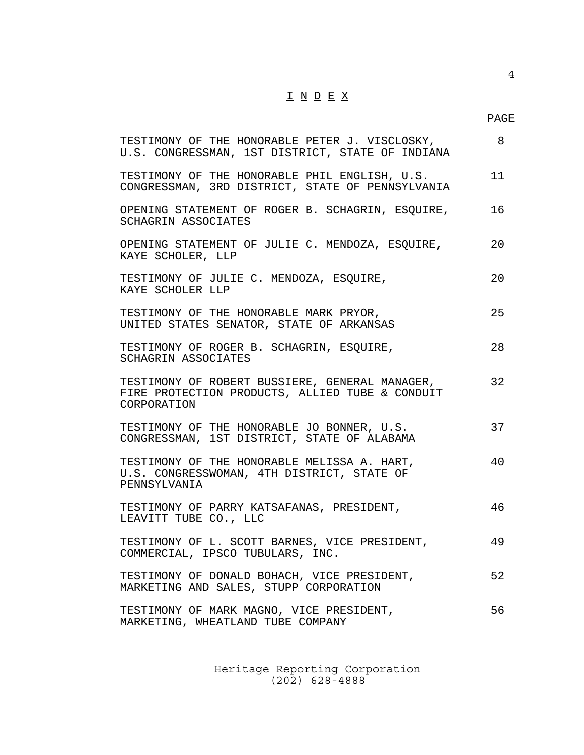## $\underline{\texttt{I}} \ \underline{\texttt{N}} \ \underline{\texttt{D}} \ \underline{\texttt{E}} \ \underline{\texttt{X}}$

4

| TESTIMONY OF THE HONORABLE PETER J. VISCLOSKY,<br>U.S. CONGRESSMAN, 1ST DISTRICT, STATE OF INDIANA               | 8  |
|------------------------------------------------------------------------------------------------------------------|----|
| TESTIMONY OF THE HONORABLE PHIL ENGLISH, U.S.<br>CONGRESSMAN, 3RD DISTRICT, STATE OF PENNSYLVANIA                | 11 |
| OPENING STATEMENT OF ROGER B. SCHAGRIN, ESQUIRE,<br>SCHAGRIN ASSOCIATES                                          | 16 |
| OPENING STATEMENT OF JULIE C. MENDOZA, ESQUIRE,<br>KAYE SCHOLER, LLP                                             | 20 |
| TESTIMONY OF JULIE C. MENDOZA, ESQUIRE,<br>KAYE SCHOLER LLP                                                      | 20 |
| TESTIMONY OF THE HONORABLE MARK PRYOR,<br>UNITED STATES SENATOR, STATE OF ARKANSAS                               | 25 |
| TESTIMONY OF ROGER B. SCHAGRIN, ESQUIRE,<br>SCHAGRIN ASSOCIATES                                                  | 28 |
| TESTIMONY OF ROBERT BUSSIERE, GENERAL MANAGER,<br>FIRE PROTECTION PRODUCTS, ALLIED TUBE & CONDUIT<br>CORPORATION | 32 |
| TESTIMONY OF THE HONORABLE JO BONNER, U.S.<br>CONGRESSMAN, 1ST DISTRICT, STATE OF ALABAMA                        | 37 |
| TESTIMONY OF THE HONORABLE MELISSA A. HART,<br>U.S. CONGRESSWOMAN, 4TH DISTRICT, STATE OF<br>PENNSYLVANIA        | 40 |
| TESTIMONY OF PARRY KATSAFANAS, PRESIDENT,<br>LEAVITT TUBE CO., LLC                                               | 46 |
| TESTIMONY OF L. SCOTT BARNES, VICE PRESIDENT,<br>COMMERCIAL, IPSCO TUBULARS, INC.                                | 49 |
| TESTIMONY OF DONALD BOHACH, VICE PRESIDENT,<br>MARKETING AND SALES, STUPP CORPORATION                            | 52 |
| TESTIMONY OF MARK MAGNO, VICE PRESIDENT,<br>MARKETING, WHEATLAND TUBE COMPANY                                    | 56 |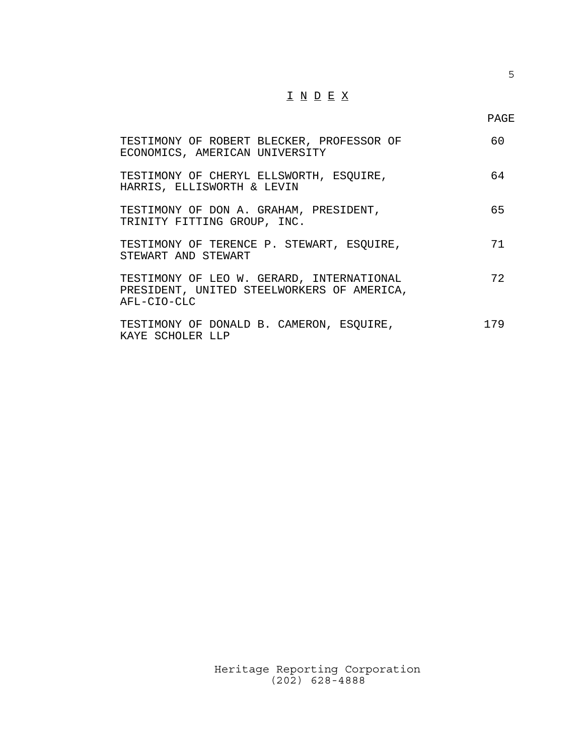## $\underline{\texttt{I}} \ \underline{\texttt{N}} \ \underline{\texttt{D}} \ \underline{\texttt{E}} \ \underline{\texttt{X}}$

| TESTIMONY OF ROBERT BLECKER, PROFESSOR OF<br>ECONOMICS, AMERICAN UNIVERSITY                            | 60  |
|--------------------------------------------------------------------------------------------------------|-----|
| TESTIMONY OF CHERYL ELLSWORTH, ESQUIRE,<br>HARRIS, ELLISWORTH & LEVIN                                  | 64  |
| TESTIMONY OF DON A. GRAHAM, PRESIDENT,<br>TRINITY FITTING GROUP, INC.                                  | 65  |
| TESTIMONY OF TERENCE P. STEWART, ESQUIRE,<br>STEWART AND STEWART                                       | 71  |
| TESTIMONY OF LEO W. GERARD, INTERNATIONAL<br>PRESIDENT, UNITED STEELWORKERS OF AMERICA,<br>AFL-CIO-CLC | 72  |
| TESTIMONY OF DONALD B. CAMERON, ESQUIRE,<br>KAYE SCHOLER LLP                                           | 179 |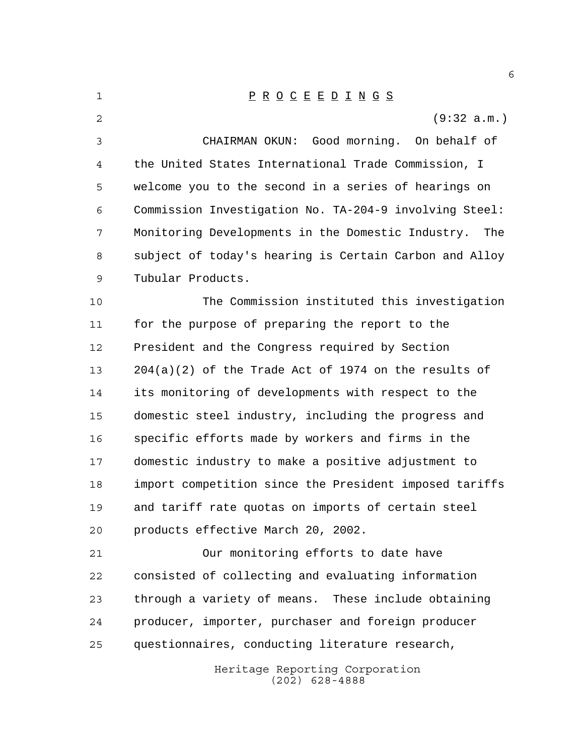Heritage Reporting Corporation (202) 628-4888 P R O C E E D I N G S (9:32 a.m.) CHAIRMAN OKUN: Good morning. On behalf of the United States International Trade Commission, I welcome you to the second in a series of hearings on Commission Investigation No. TA-204-9 involving Steel: Monitoring Developments in the Domestic Industry. The subject of today's hearing is Certain Carbon and Alloy Tubular Products. The Commission instituted this investigation for the purpose of preparing the report to the President and the Congress required by Section 204(a)(2) of the Trade Act of 1974 on the results of its monitoring of developments with respect to the domestic steel industry, including the progress and specific efforts made by workers and firms in the domestic industry to make a positive adjustment to import competition since the President imposed tariffs and tariff rate quotas on imports of certain steel products effective March 20, 2002. Our monitoring efforts to date have consisted of collecting and evaluating information through a variety of means. These include obtaining producer, importer, purchaser and foreign producer questionnaires, conducting literature research,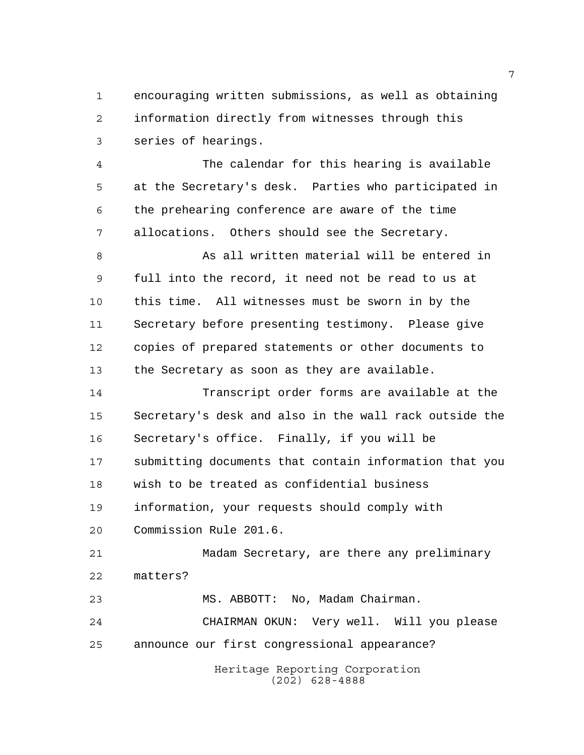encouraging written submissions, as well as obtaining information directly from witnesses through this series of hearings.

 The calendar for this hearing is available at the Secretary's desk. Parties who participated in the prehearing conference are aware of the time allocations. Others should see the Secretary.

8 As all written material will be entered in full into the record, it need not be read to us at this time. All witnesses must be sworn in by the Secretary before presenting testimony. Please give copies of prepared statements or other documents to the Secretary as soon as they are available.

 Transcript order forms are available at the Secretary's desk and also in the wall rack outside the Secretary's office. Finally, if you will be submitting documents that contain information that you wish to be treated as confidential business information, your requests should comply with Commission Rule 201.6.

 Madam Secretary, are there any preliminary matters?

 MS. ABBOTT: No, Madam Chairman. CHAIRMAN OKUN: Very well. Will you please announce our first congressional appearance?

> Heritage Reporting Corporation (202) 628-4888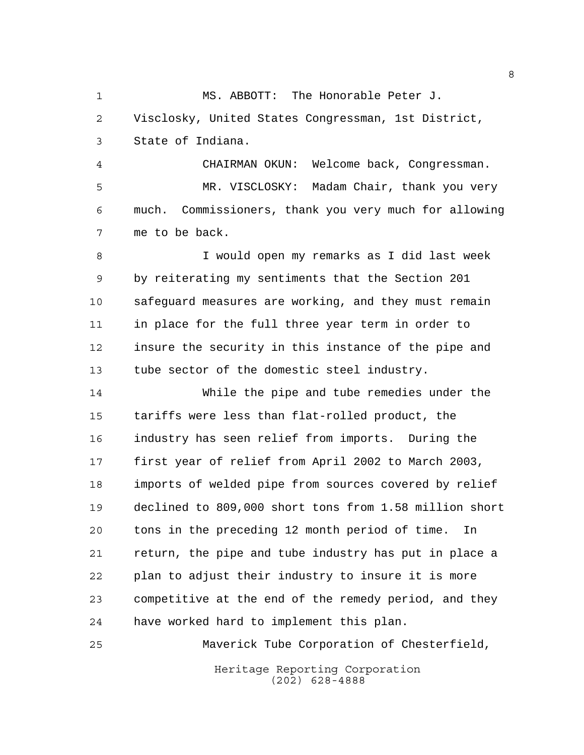MS. ABBOTT: The Honorable Peter J. Visclosky, United States Congressman, 1st District, State of Indiana.

 CHAIRMAN OKUN: Welcome back, Congressman. MR. VISCLOSKY: Madam Chair, thank you very much. Commissioners, thank you very much for allowing me to be back.

 I would open my remarks as I did last week by reiterating my sentiments that the Section 201 safeguard measures are working, and they must remain in place for the full three year term in order to insure the security in this instance of the pipe and tube sector of the domestic steel industry.

 While the pipe and tube remedies under the tariffs were less than flat-rolled product, the industry has seen relief from imports. During the first year of relief from April 2002 to March 2003, imports of welded pipe from sources covered by relief declined to 809,000 short tons from 1.58 million short tons in the preceding 12 month period of time. In return, the pipe and tube industry has put in place a plan to adjust their industry to insure it is more competitive at the end of the remedy period, and they have worked hard to implement this plan.

Maverick Tube Corporation of Chesterfield,

Heritage Reporting Corporation (202) 628-4888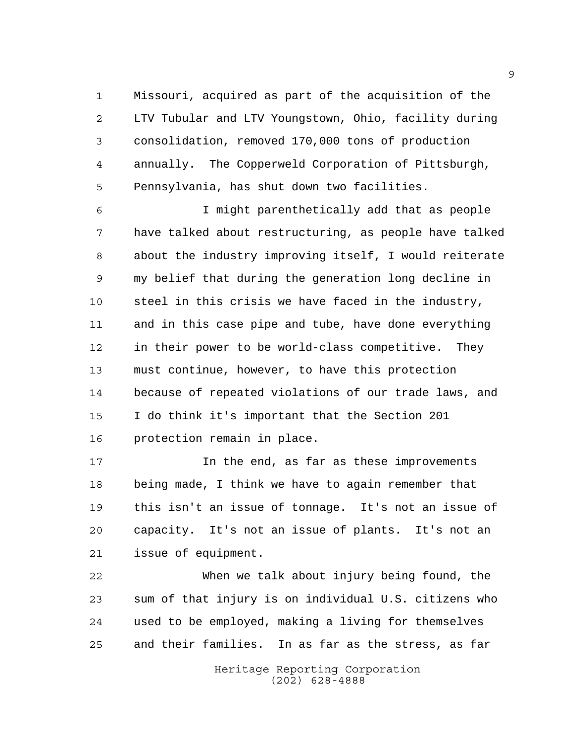Missouri, acquired as part of the acquisition of the LTV Tubular and LTV Youngstown, Ohio, facility during consolidation, removed 170,000 tons of production annually. The Copperweld Corporation of Pittsburgh, Pennsylvania, has shut down two facilities.

 I might parenthetically add that as people have talked about restructuring, as people have talked about the industry improving itself, I would reiterate my belief that during the generation long decline in steel in this crisis we have faced in the industry, and in this case pipe and tube, have done everything in their power to be world-class competitive. They must continue, however, to have this protection because of repeated violations of our trade laws, and I do think it's important that the Section 201 protection remain in place.

 In the end, as far as these improvements being made, I think we have to again remember that this isn't an issue of tonnage. It's not an issue of capacity. It's not an issue of plants. It's not an issue of equipment.

 When we talk about injury being found, the sum of that injury is on individual U.S. citizens who used to be employed, making a living for themselves and their families. In as far as the stress, as far

> Heritage Reporting Corporation (202) 628-4888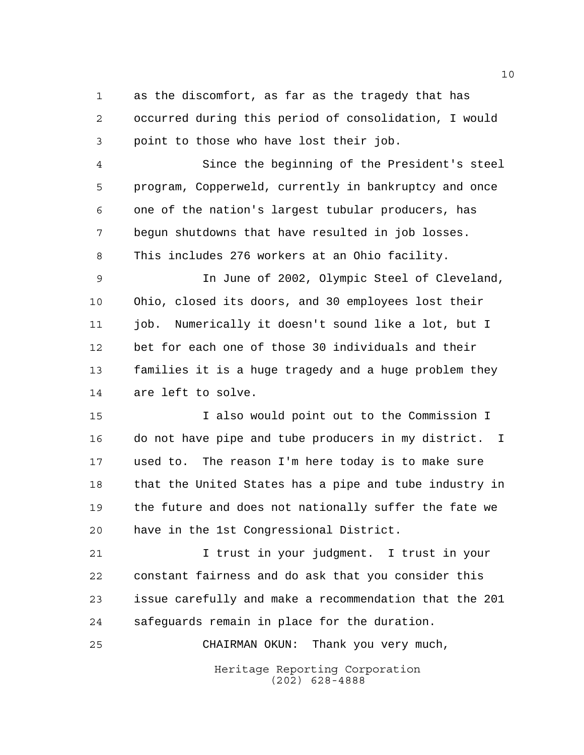as the discomfort, as far as the tragedy that has occurred during this period of consolidation, I would point to those who have lost their job.

 Since the beginning of the President's steel program, Copperweld, currently in bankruptcy and once one of the nation's largest tubular producers, has begun shutdowns that have resulted in job losses. This includes 276 workers at an Ohio facility.

 In June of 2002, Olympic Steel of Cleveland, Ohio, closed its doors, and 30 employees lost their job. Numerically it doesn't sound like a lot, but I bet for each one of those 30 individuals and their families it is a huge tragedy and a huge problem they are left to solve.

 I also would point out to the Commission I do not have pipe and tube producers in my district. I used to. The reason I'm here today is to make sure that the United States has a pipe and tube industry in the future and does not nationally suffer the fate we have in the 1st Congressional District.

 I trust in your judgment. I trust in your constant fairness and do ask that you consider this issue carefully and make a recommendation that the 201 safeguards remain in place for the duration.

CHAIRMAN OKUN: Thank you very much,

Heritage Reporting Corporation (202) 628-4888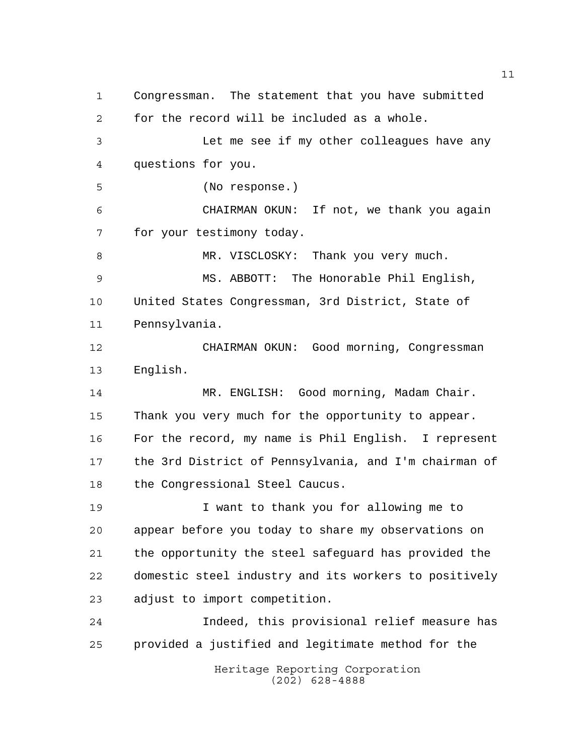Heritage Reporting Corporation (202) 628-4888 Congressman. The statement that you have submitted for the record will be included as a whole. Let me see if my other colleagues have any questions for you. (No response.) CHAIRMAN OKUN: If not, we thank you again for your testimony today. 8 MR. VISCLOSKY: Thank you very much. MS. ABBOTT: The Honorable Phil English, United States Congressman, 3rd District, State of Pennsylvania. CHAIRMAN OKUN: Good morning, Congressman English. MR. ENGLISH: Good morning, Madam Chair. Thank you very much for the opportunity to appear. For the record, my name is Phil English. I represent the 3rd District of Pennsylvania, and I'm chairman of the Congressional Steel Caucus. I want to thank you for allowing me to appear before you today to share my observations on the opportunity the steel safeguard has provided the domestic steel industry and its workers to positively adjust to import competition. Indeed, this provisional relief measure has provided a justified and legitimate method for the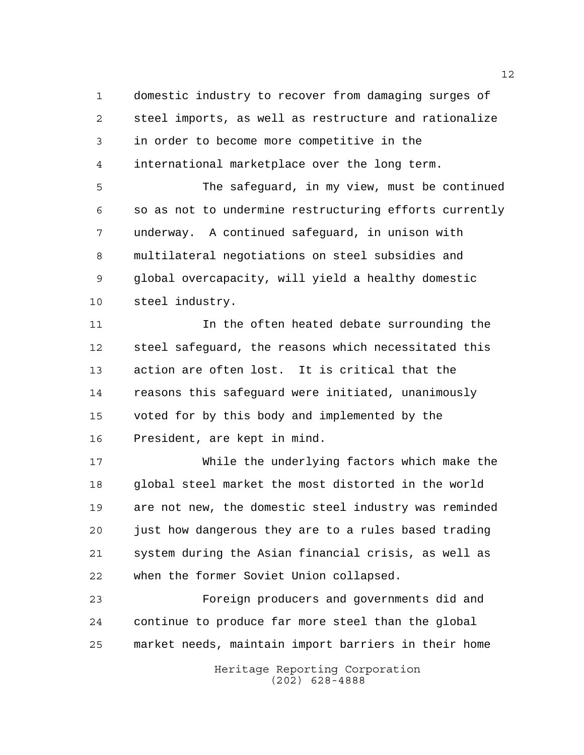domestic industry to recover from damaging surges of steel imports, as well as restructure and rationalize in order to become more competitive in the international marketplace over the long term.

 The safeguard, in my view, must be continued so as not to undermine restructuring efforts currently underway. A continued safeguard, in unison with multilateral negotiations on steel subsidies and global overcapacity, will yield a healthy domestic steel industry.

11 11 In the often heated debate surrounding the steel safeguard, the reasons which necessitated this action are often lost. It is critical that the reasons this safeguard were initiated, unanimously voted for by this body and implemented by the President, are kept in mind.

 While the underlying factors which make the global steel market the most distorted in the world are not new, the domestic steel industry was reminded just how dangerous they are to a rules based trading system during the Asian financial crisis, as well as when the former Soviet Union collapsed.

 Foreign producers and governments did and continue to produce far more steel than the global market needs, maintain import barriers in their home

> Heritage Reporting Corporation (202) 628-4888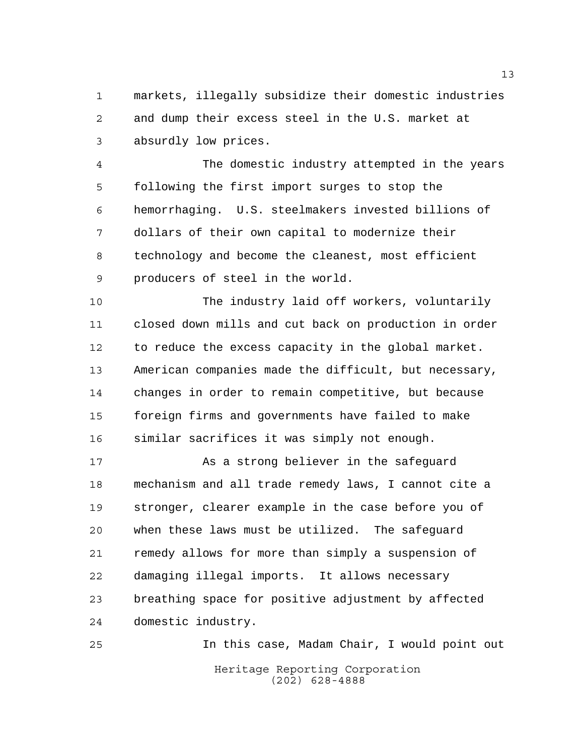markets, illegally subsidize their domestic industries and dump their excess steel in the U.S. market at absurdly low prices.

 The domestic industry attempted in the years following the first import surges to stop the hemorrhaging. U.S. steelmakers invested billions of dollars of their own capital to modernize their technology and become the cleanest, most efficient producers of steel in the world.

 The industry laid off workers, voluntarily closed down mills and cut back on production in order to reduce the excess capacity in the global market. American companies made the difficult, but necessary, changes in order to remain competitive, but because foreign firms and governments have failed to make similar sacrifices it was simply not enough.

 As a strong believer in the safeguard mechanism and all trade remedy laws, I cannot cite a stronger, clearer example in the case before you of when these laws must be utilized. The safeguard remedy allows for more than simply a suspension of damaging illegal imports. It allows necessary breathing space for positive adjustment by affected domestic industry.

Heritage Reporting Corporation (202) 628-4888 In this case, Madam Chair, I would point out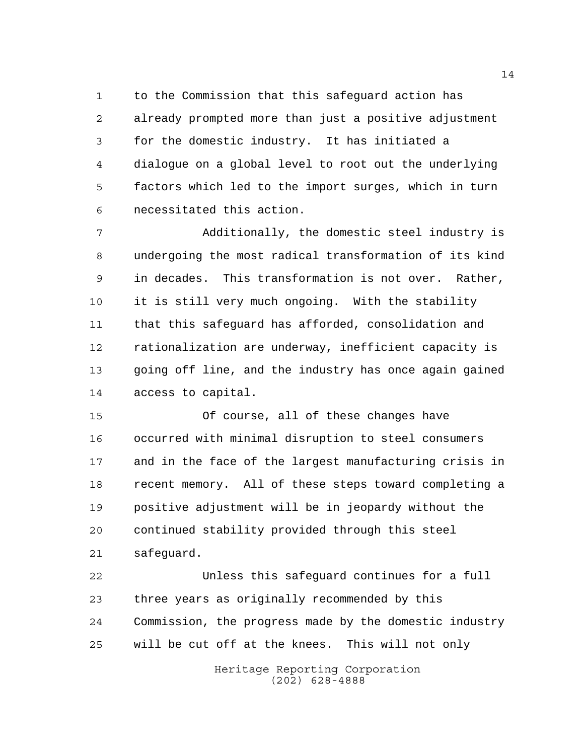to the Commission that this safeguard action has already prompted more than just a positive adjustment for the domestic industry. It has initiated a dialogue on a global level to root out the underlying factors which led to the import surges, which in turn necessitated this action.

 Additionally, the domestic steel industry is undergoing the most radical transformation of its kind in decades. This transformation is not over. Rather, it is still very much ongoing. With the stability that this safeguard has afforded, consolidation and rationalization are underway, inefficient capacity is going off line, and the industry has once again gained access to capital.

 Of course, all of these changes have occurred with minimal disruption to steel consumers and in the face of the largest manufacturing crisis in recent memory. All of these steps toward completing a positive adjustment will be in jeopardy without the continued stability provided through this steel safeguard.

 Unless this safeguard continues for a full three years as originally recommended by this Commission, the progress made by the domestic industry will be cut off at the knees. This will not only

> Heritage Reporting Corporation (202) 628-4888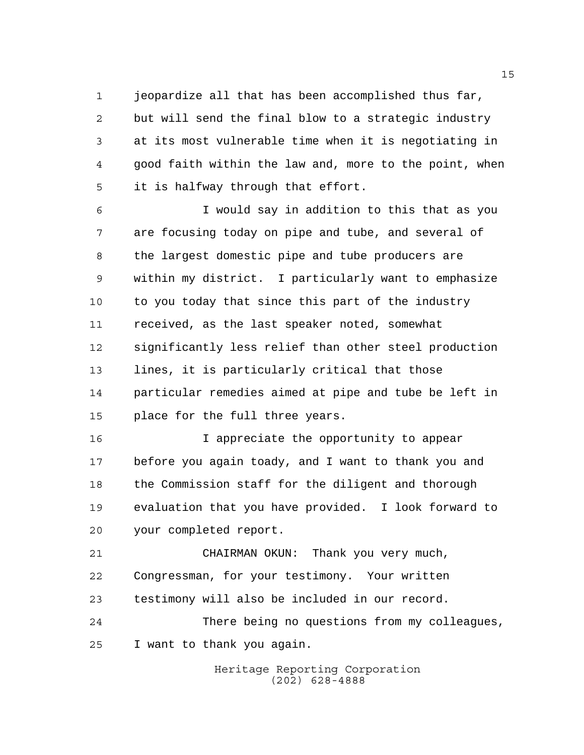jeopardize all that has been accomplished thus far,

 but will send the final blow to a strategic industry at its most vulnerable time when it is negotiating in good faith within the law and, more to the point, when it is halfway through that effort.

 I would say in addition to this that as you are focusing today on pipe and tube, and several of the largest domestic pipe and tube producers are within my district. I particularly want to emphasize to you today that since this part of the industry received, as the last speaker noted, somewhat significantly less relief than other steel production lines, it is particularly critical that those particular remedies aimed at pipe and tube be left in place for the full three years.

 I appreciate the opportunity to appear before you again toady, and I want to thank you and the Commission staff for the diligent and thorough evaluation that you have provided. I look forward to your completed report.

 CHAIRMAN OKUN: Thank you very much, Congressman, for your testimony. Your written testimony will also be included in our record. There being no questions from my colleagues,

I want to thank you again.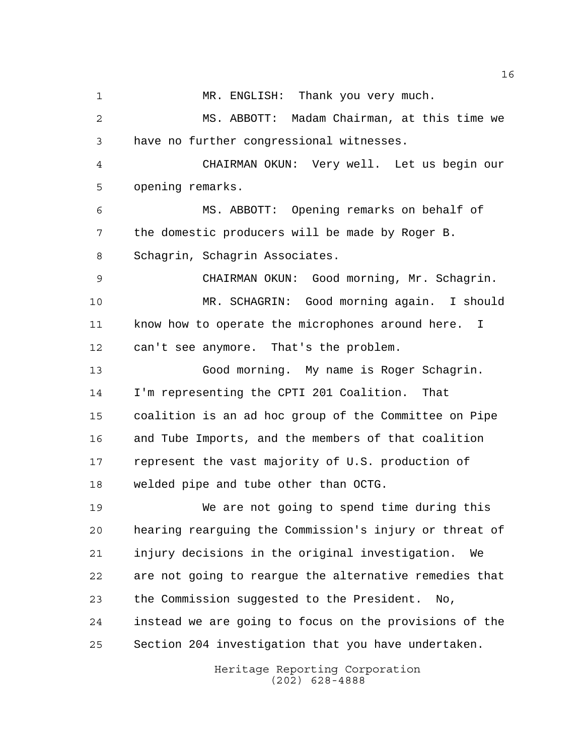MR. ENGLISH: Thank you very much. MS. ABBOTT: Madam Chairman, at this time we have no further congressional witnesses. CHAIRMAN OKUN: Very well. Let us begin our opening remarks. MS. ABBOTT: Opening remarks on behalf of the domestic producers will be made by Roger B. Schagrin, Schagrin Associates. CHAIRMAN OKUN: Good morning, Mr. Schagrin. MR. SCHAGRIN: Good morning again. I should know how to operate the microphones around here. I can't see anymore. That's the problem. Good morning. My name is Roger Schagrin. I'm representing the CPTI 201 Coalition. That coalition is an ad hoc group of the Committee on Pipe and Tube Imports, and the members of that coalition represent the vast majority of U.S. production of welded pipe and tube other than OCTG. We are not going to spend time during this hearing rearguing the Commission's injury or threat of injury decisions in the original investigation. We are not going to reargue the alternative remedies that the Commission suggested to the President. No, instead we are going to focus on the provisions of the Section 204 investigation that you have undertaken.

Heritage Reporting Corporation (202) 628-4888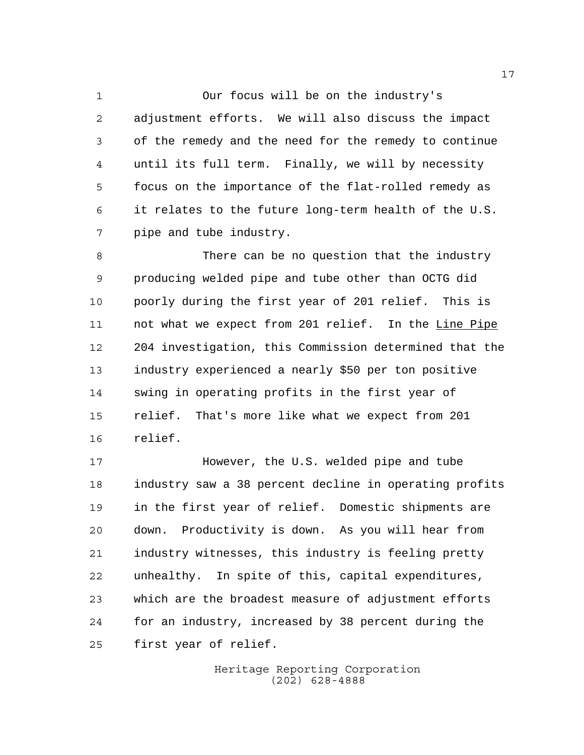Our focus will be on the industry's adjustment efforts. We will also discuss the impact of the remedy and the need for the remedy to continue until its full term. Finally, we will by necessity focus on the importance of the flat-rolled remedy as it relates to the future long-term health of the U.S. pipe and tube industry.

 There can be no question that the industry producing welded pipe and tube other than OCTG did poorly during the first year of 201 relief. This is not what we expect from 201 relief. In the Line Pipe 204 investigation, this Commission determined that the industry experienced a nearly \$50 per ton positive swing in operating profits in the first year of relief. That's more like what we expect from 201 relief.

**However, the U.S. welded pipe and tube**  industry saw a 38 percent decline in operating profits in the first year of relief. Domestic shipments are down. Productivity is down. As you will hear from industry witnesses, this industry is feeling pretty unhealthy. In spite of this, capital expenditures, which are the broadest measure of adjustment efforts for an industry, increased by 38 percent during the first year of relief.

> Heritage Reporting Corporation (202) 628-4888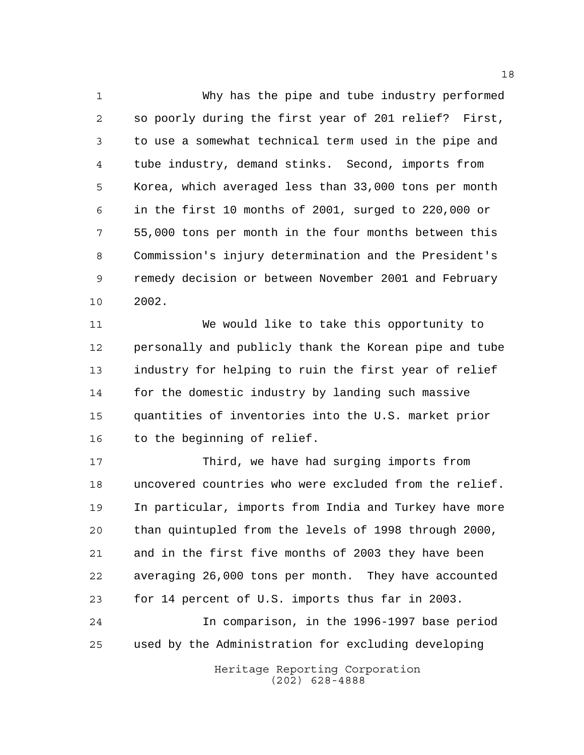Why has the pipe and tube industry performed so poorly during the first year of 201 relief? First, to use a somewhat technical term used in the pipe and tube industry, demand stinks. Second, imports from Korea, which averaged less than 33,000 tons per month in the first 10 months of 2001, surged to 220,000 or 55,000 tons per month in the four months between this Commission's injury determination and the President's remedy decision or between November 2001 and February 2002.

 We would like to take this opportunity to personally and publicly thank the Korean pipe and tube industry for helping to ruin the first year of relief for the domestic industry by landing such massive quantities of inventories into the U.S. market prior 16 to the beginning of relief.

 Third, we have had surging imports from uncovered countries who were excluded from the relief. In particular, imports from India and Turkey have more than quintupled from the levels of 1998 through 2000, and in the first five months of 2003 they have been averaging 26,000 tons per month. They have accounted for 14 percent of U.S. imports thus far in 2003. In comparison, in the 1996-1997 base period used by the Administration for excluding developing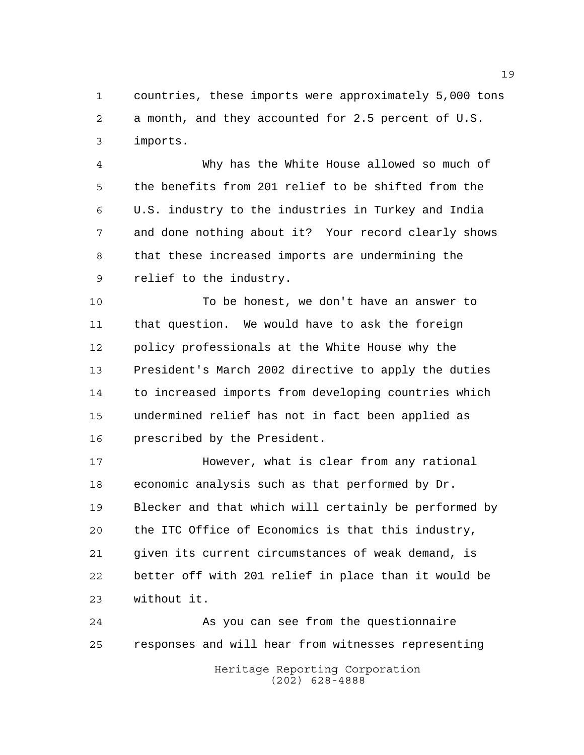countries, these imports were approximately 5,000 tons a month, and they accounted for 2.5 percent of U.S. imports.

 Why has the White House allowed so much of the benefits from 201 relief to be shifted from the U.S. industry to the industries in Turkey and India and done nothing about it? Your record clearly shows that these increased imports are undermining the relief to the industry.

 To be honest, we don't have an answer to that question. We would have to ask the foreign policy professionals at the White House why the President's March 2002 directive to apply the duties to increased imports from developing countries which undermined relief has not in fact been applied as prescribed by the President.

 However, what is clear from any rational economic analysis such as that performed by Dr. Blecker and that which will certainly be performed by the ITC Office of Economics is that this industry, given its current circumstances of weak demand, is better off with 201 relief in place than it would be without it.

Heritage Reporting Corporation (202) 628-4888 As you can see from the questionnaire responses and will hear from witnesses representing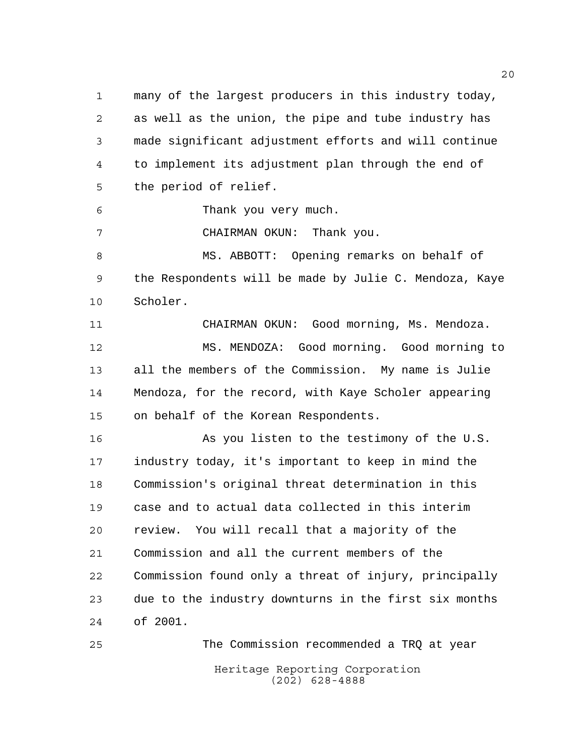many of the largest producers in this industry today, as well as the union, the pipe and tube industry has made significant adjustment efforts and will continue to implement its adjustment plan through the end of the period of relief.

Thank you very much.

CHAIRMAN OKUN: Thank you.

 MS. ABBOTT: Opening remarks on behalf of the Respondents will be made by Julie C. Mendoza, Kaye Scholer.

 CHAIRMAN OKUN: Good morning, Ms. Mendoza. MS. MENDOZA: Good morning. Good morning to all the members of the Commission. My name is Julie Mendoza, for the record, with Kaye Scholer appearing on behalf of the Korean Respondents.

16 As you listen to the testimony of the U.S. industry today, it's important to keep in mind the Commission's original threat determination in this case and to actual data collected in this interim review. You will recall that a majority of the Commission and all the current members of the Commission found only a threat of injury, principally due to the industry downturns in the first six months of 2001.

Heritage Reporting Corporation (202) 628-4888 The Commission recommended a TRQ at year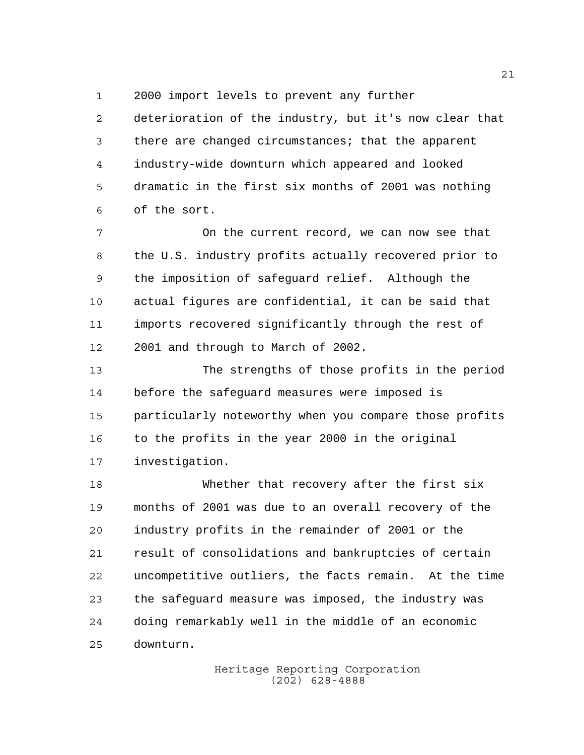2000 import levels to prevent any further

 deterioration of the industry, but it's now clear that there are changed circumstances; that the apparent industry-wide downturn which appeared and looked dramatic in the first six months of 2001 was nothing of the sort.

 On the current record, we can now see that the U.S. industry profits actually recovered prior to the imposition of safeguard relief. Although the actual figures are confidential, it can be said that imports recovered significantly through the rest of 2001 and through to March of 2002.

 The strengths of those profits in the period before the safeguard measures were imposed is particularly noteworthy when you compare those profits to the profits in the year 2000 in the original investigation.

 Whether that recovery after the first six months of 2001 was due to an overall recovery of the industry profits in the remainder of 2001 or the result of consolidations and bankruptcies of certain uncompetitive outliers, the facts remain. At the time the safeguard measure was imposed, the industry was doing remarkably well in the middle of an economic downturn.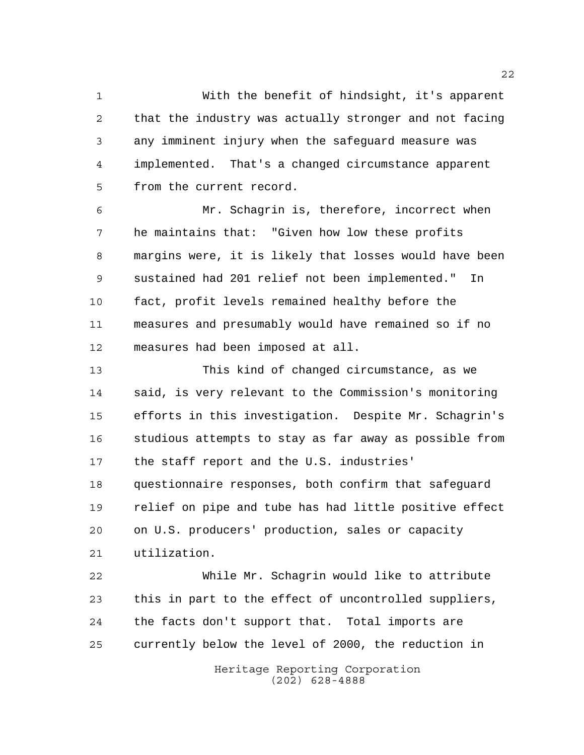With the benefit of hindsight, it's apparent that the industry was actually stronger and not facing any imminent injury when the safeguard measure was implemented. That's a changed circumstance apparent from the current record.

 Mr. Schagrin is, therefore, incorrect when he maintains that: "Given how low these profits margins were, it is likely that losses would have been sustained had 201 relief not been implemented." In fact, profit levels remained healthy before the measures and presumably would have remained so if no measures had been imposed at all.

 This kind of changed circumstance, as we said, is very relevant to the Commission's monitoring efforts in this investigation. Despite Mr. Schagrin's studious attempts to stay as far away as possible from the staff report and the U.S. industries' questionnaire responses, both confirm that safeguard relief on pipe and tube has had little positive effect on U.S. producers' production, sales or capacity utilization. While Mr. Schagrin would like to attribute

 this in part to the effect of uncontrolled suppliers, the facts don't support that. Total imports are currently below the level of 2000, the reduction in

> Heritage Reporting Corporation (202) 628-4888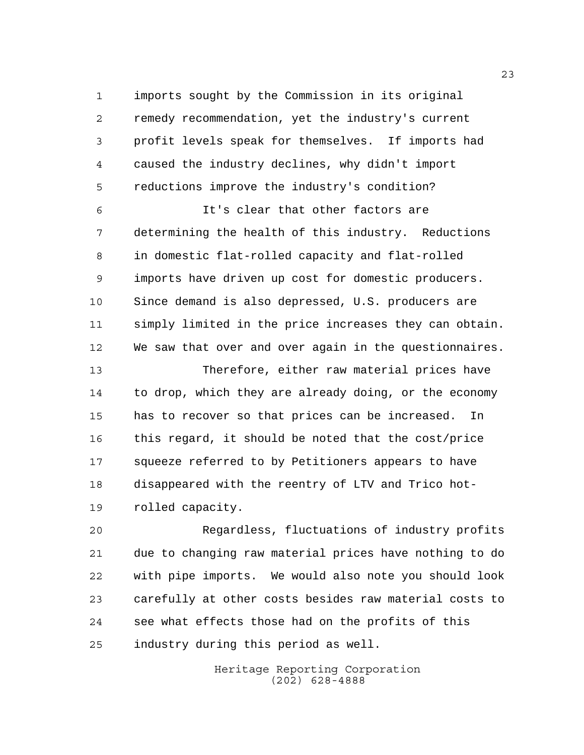imports sought by the Commission in its original remedy recommendation, yet the industry's current profit levels speak for themselves. If imports had caused the industry declines, why didn't import reductions improve the industry's condition?

 It's clear that other factors are determining the health of this industry. Reductions in domestic flat-rolled capacity and flat-rolled imports have driven up cost for domestic producers. Since demand is also depressed, U.S. producers are simply limited in the price increases they can obtain. We saw that over and over again in the questionnaires.

 Therefore, either raw material prices have to drop, which they are already doing, or the economy has to recover so that prices can be increased. In this regard, it should be noted that the cost/price squeeze referred to by Petitioners appears to have disappeared with the reentry of LTV and Trico hot-rolled capacity.

 Regardless, fluctuations of industry profits due to changing raw material prices have nothing to do with pipe imports. We would also note you should look carefully at other costs besides raw material costs to see what effects those had on the profits of this industry during this period as well.

> Heritage Reporting Corporation (202) 628-4888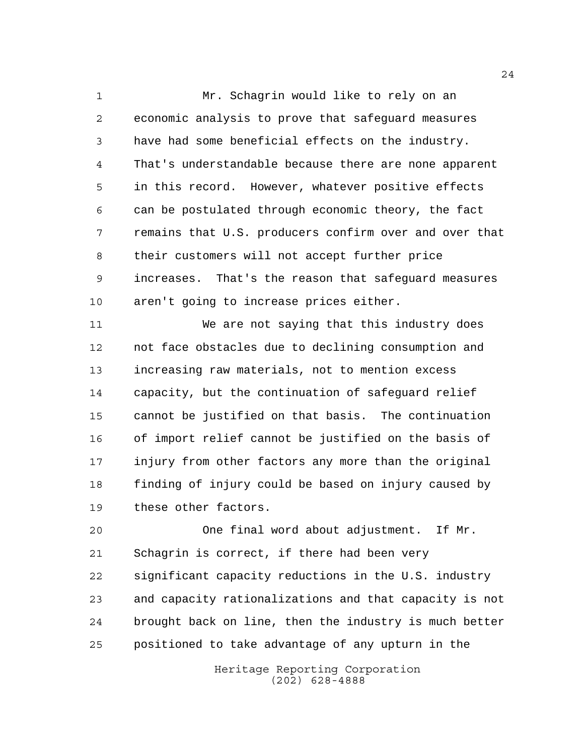Mr. Schagrin would like to rely on an economic analysis to prove that safeguard measures have had some beneficial effects on the industry. That's understandable because there are none apparent in this record. However, whatever positive effects can be postulated through economic theory, the fact remains that U.S. producers confirm over and over that their customers will not accept further price increases. That's the reason that safeguard measures aren't going to increase prices either.

 We are not saying that this industry does not face obstacles due to declining consumption and increasing raw materials, not to mention excess capacity, but the continuation of safeguard relief cannot be justified on that basis. The continuation of import relief cannot be justified on the basis of injury from other factors any more than the original finding of injury could be based on injury caused by these other factors.

 One final word about adjustment. If Mr. Schagrin is correct, if there had been very significant capacity reductions in the U.S. industry and capacity rationalizations and that capacity is not brought back on line, then the industry is much better positioned to take advantage of any upturn in the

> Heritage Reporting Corporation (202) 628-4888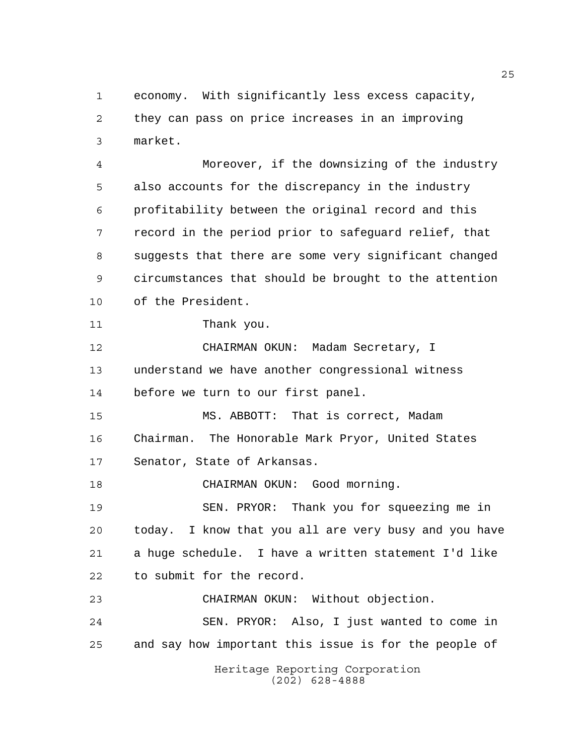economy. With significantly less excess capacity, they can pass on price increases in an improving market.

 Moreover, if the downsizing of the industry also accounts for the discrepancy in the industry profitability between the original record and this record in the period prior to safeguard relief, that suggests that there are some very significant changed circumstances that should be brought to the attention of the President.

```
11 Thank you.
```
 CHAIRMAN OKUN: Madam Secretary, I understand we have another congressional witness before we turn to our first panel.

 MS. ABBOTT: That is correct, Madam Chairman. The Honorable Mark Pryor, United States Senator, State of Arkansas.

18 CHAIRMAN OKUN: Good morning.

 SEN. PRYOR: Thank you for squeezing me in today. I know that you all are very busy and you have a huge schedule. I have a written statement I'd like to submit for the record.

CHAIRMAN OKUN: Without objection.

 SEN. PRYOR: Also, I just wanted to come in and say how important this issue is for the people of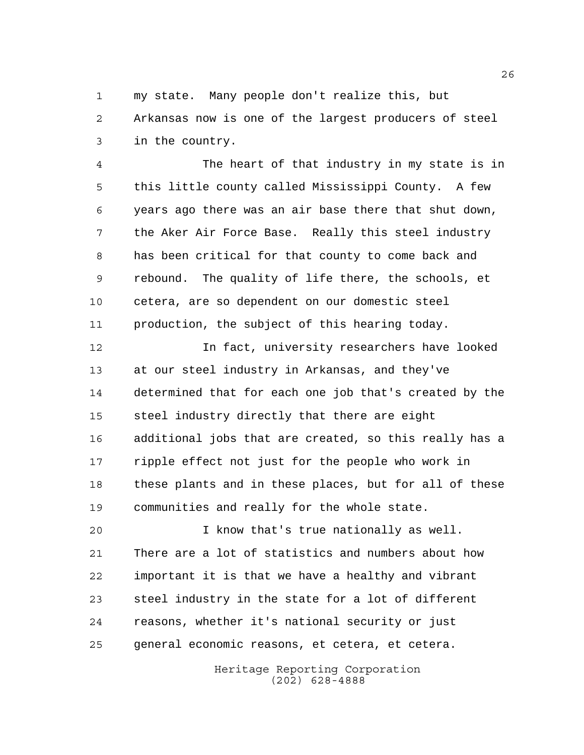my state. Many people don't realize this, but Arkansas now is one of the largest producers of steel in the country.

 The heart of that industry in my state is in this little county called Mississippi County. A few years ago there was an air base there that shut down, the Aker Air Force Base. Really this steel industry has been critical for that county to come back and rebound. The quality of life there, the schools, et cetera, are so dependent on our domestic steel production, the subject of this hearing today.

 In fact, university researchers have looked at our steel industry in Arkansas, and they've determined that for each one job that's created by the steel industry directly that there are eight additional jobs that are created, so this really has a ripple effect not just for the people who work in these plants and in these places, but for all of these communities and really for the whole state.

 I know that's true nationally as well. There are a lot of statistics and numbers about how important it is that we have a healthy and vibrant steel industry in the state for a lot of different reasons, whether it's national security or just general economic reasons, et cetera, et cetera.

> Heritage Reporting Corporation (202) 628-4888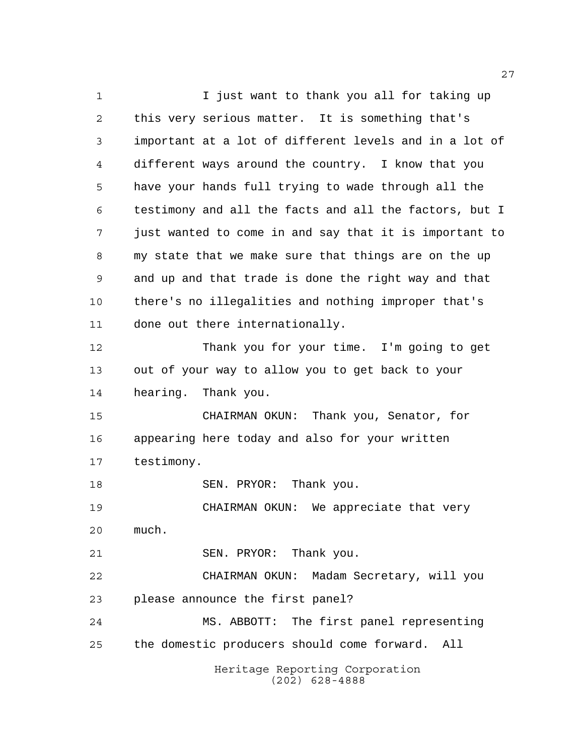Heritage Reporting Corporation (202) 628-4888 1 I just want to thank you all for taking up this very serious matter. It is something that's important at a lot of different levels and in a lot of different ways around the country. I know that you have your hands full trying to wade through all the testimony and all the facts and all the factors, but I just wanted to come in and say that it is important to my state that we make sure that things are on the up and up and that trade is done the right way and that there's no illegalities and nothing improper that's done out there internationally. Thank you for your time. I'm going to get out of your way to allow you to get back to your hearing. Thank you. CHAIRMAN OKUN: Thank you, Senator, for appearing here today and also for your written testimony. 18 SEN. PRYOR: Thank you. CHAIRMAN OKUN: We appreciate that very much. SEN. PRYOR: Thank you. CHAIRMAN OKUN: Madam Secretary, will you please announce the first panel? MS. ABBOTT: The first panel representing the domestic producers should come forward. All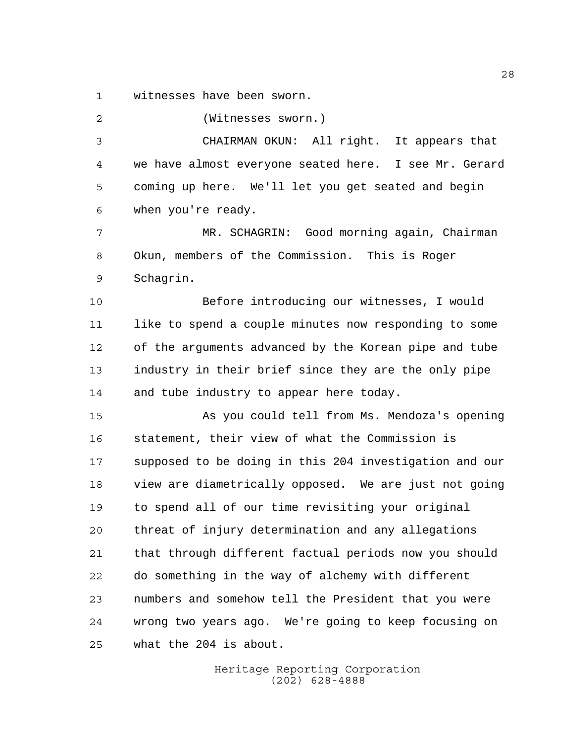witnesses have been sworn.

(Witnesses sworn.)

 CHAIRMAN OKUN: All right. It appears that we have almost everyone seated here. I see Mr. Gerard coming up here. We'll let you get seated and begin when you're ready.

 MR. SCHAGRIN: Good morning again, Chairman Okun, members of the Commission. This is Roger Schagrin.

 Before introducing our witnesses, I would like to spend a couple minutes now responding to some of the arguments advanced by the Korean pipe and tube industry in their brief since they are the only pipe 14 and tube industry to appear here today.

 As you could tell from Ms. Mendoza's opening statement, their view of what the Commission is supposed to be doing in this 204 investigation and our view are diametrically opposed. We are just not going to spend all of our time revisiting your original threat of injury determination and any allegations that through different factual periods now you should do something in the way of alchemy with different numbers and somehow tell the President that you were wrong two years ago. We're going to keep focusing on what the 204 is about.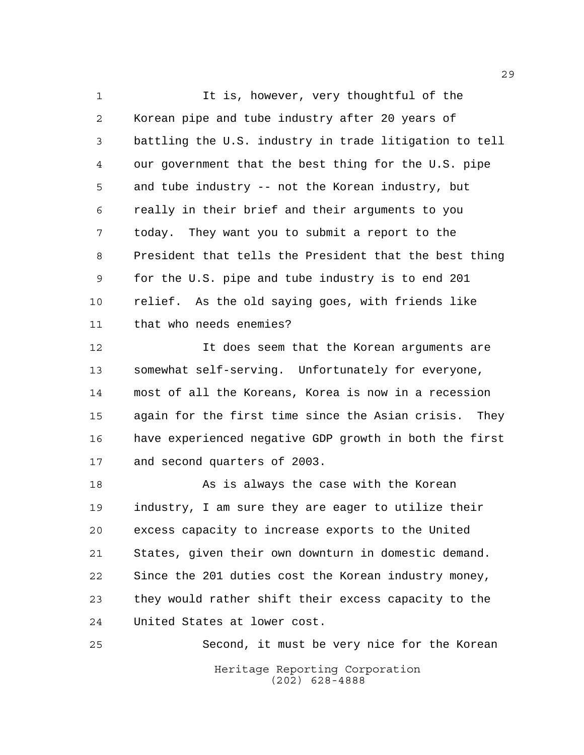1 It is, however, very thoughtful of the Korean pipe and tube industry after 20 years of battling the U.S. industry in trade litigation to tell our government that the best thing for the U.S. pipe and tube industry -- not the Korean industry, but really in their brief and their arguments to you today. They want you to submit a report to the President that tells the President that the best thing for the U.S. pipe and tube industry is to end 201 relief. As the old saying goes, with friends like that who needs enemies?

 It does seem that the Korean arguments are somewhat self-serving. Unfortunately for everyone, most of all the Koreans, Korea is now in a recession again for the first time since the Asian crisis. They have experienced negative GDP growth in both the first and second quarters of 2003.

18 As is always the case with the Korean industry, I am sure they are eager to utilize their excess capacity to increase exports to the United States, given their own downturn in domestic demand. Since the 201 duties cost the Korean industry money, they would rather shift their excess capacity to the United States at lower cost.

Heritage Reporting Corporation (202) 628-4888 Second, it must be very nice for the Korean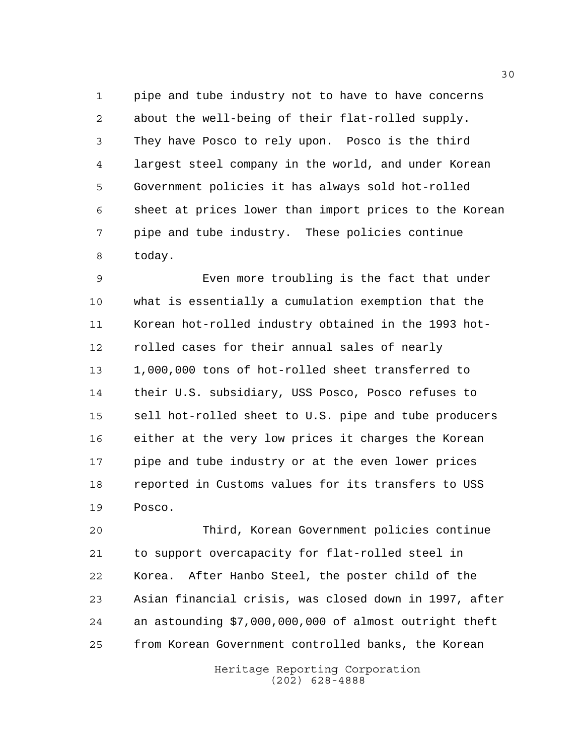pipe and tube industry not to have to have concerns about the well-being of their flat-rolled supply. They have Posco to rely upon. Posco is the third largest steel company in the world, and under Korean Government policies it has always sold hot-rolled sheet at prices lower than import prices to the Korean pipe and tube industry. These policies continue today.

 Even more troubling is the fact that under what is essentially a cumulation exemption that the Korean hot-rolled industry obtained in the 1993 hot- rolled cases for their annual sales of nearly 1,000,000 tons of hot-rolled sheet transferred to their U.S. subsidiary, USS Posco, Posco refuses to sell hot-rolled sheet to U.S. pipe and tube producers either at the very low prices it charges the Korean pipe and tube industry or at the even lower prices reported in Customs values for its transfers to USS Posco.

 Third, Korean Government policies continue to support overcapacity for flat-rolled steel in Korea. After Hanbo Steel, the poster child of the Asian financial crisis, was closed down in 1997, after an astounding \$7,000,000,000 of almost outright theft from Korean Government controlled banks, the Korean

> Heritage Reporting Corporation (202) 628-4888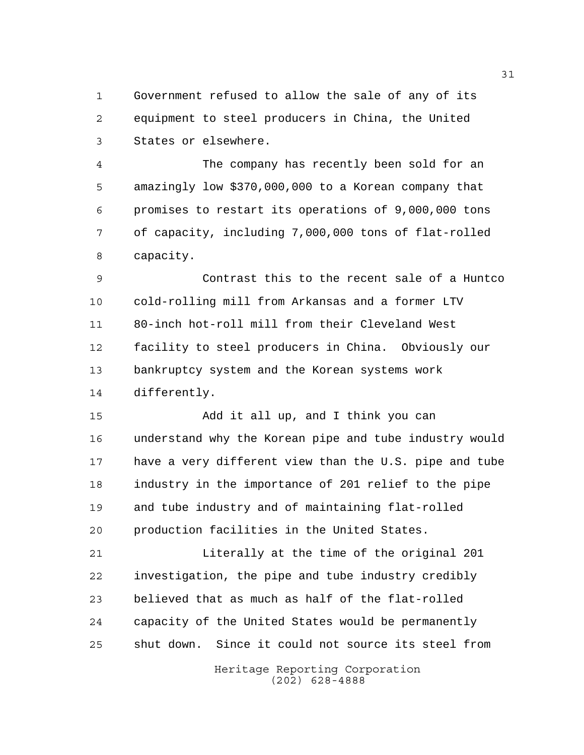Government refused to allow the sale of any of its equipment to steel producers in China, the United States or elsewhere.

 The company has recently been sold for an amazingly low \$370,000,000 to a Korean company that promises to restart its operations of 9,000,000 tons of capacity, including 7,000,000 tons of flat-rolled capacity.

 Contrast this to the recent sale of a Huntco cold-rolling mill from Arkansas and a former LTV 80-inch hot-roll mill from their Cleveland West facility to steel producers in China. Obviously our bankruptcy system and the Korean systems work differently.

 Add it all up, and I think you can understand why the Korean pipe and tube industry would have a very different view than the U.S. pipe and tube industry in the importance of 201 relief to the pipe and tube industry and of maintaining flat-rolled production facilities in the United States.

 Literally at the time of the original 201 investigation, the pipe and tube industry credibly believed that as much as half of the flat-rolled capacity of the United States would be permanently shut down. Since it could not source its steel from

> Heritage Reporting Corporation (202) 628-4888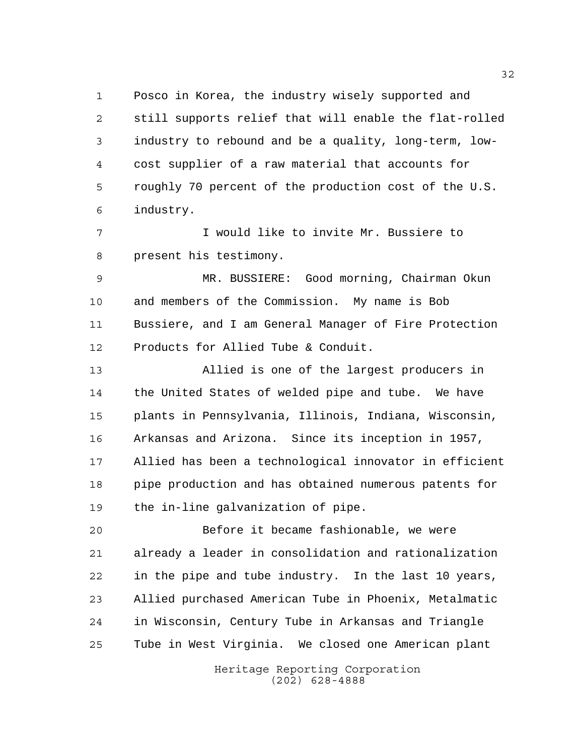Posco in Korea, the industry wisely supported and still supports relief that will enable the flat-rolled industry to rebound and be a quality, long-term, low- cost supplier of a raw material that accounts for roughly 70 percent of the production cost of the U.S. industry.

 I would like to invite Mr. Bussiere to present his testimony.

 MR. BUSSIERE: Good morning, Chairman Okun and members of the Commission. My name is Bob Bussiere, and I am General Manager of Fire Protection Products for Allied Tube & Conduit.

 Allied is one of the largest producers in the United States of welded pipe and tube. We have plants in Pennsylvania, Illinois, Indiana, Wisconsin, Arkansas and Arizona. Since its inception in 1957, Allied has been a technological innovator in efficient pipe production and has obtained numerous patents for the in-line galvanization of pipe.

 Before it became fashionable, we were already a leader in consolidation and rationalization in the pipe and tube industry. In the last 10 years, Allied purchased American Tube in Phoenix, Metalmatic in Wisconsin, Century Tube in Arkansas and Triangle Tube in West Virginia. We closed one American plant

> Heritage Reporting Corporation (202) 628-4888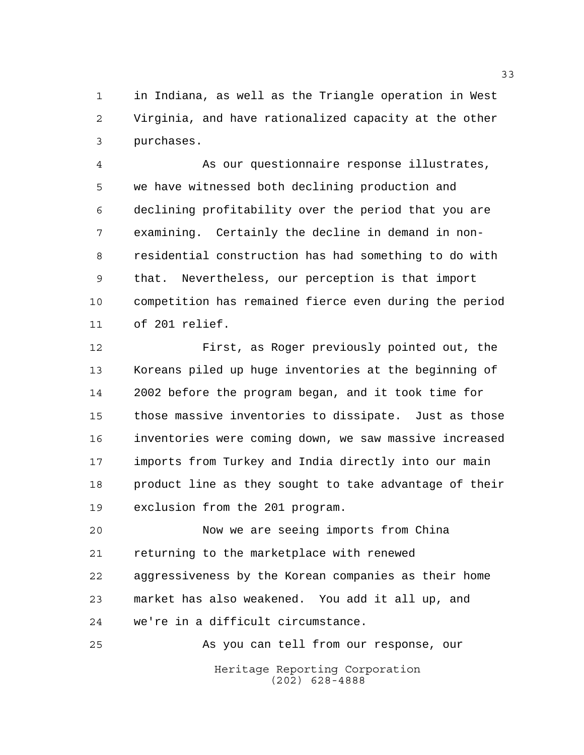in Indiana, as well as the Triangle operation in West Virginia, and have rationalized capacity at the other purchases.

 As our questionnaire response illustrates, we have witnessed both declining production and declining profitability over the period that you are examining. Certainly the decline in demand in non- residential construction has had something to do with that. Nevertheless, our perception is that import competition has remained fierce even during the period of 201 relief.

 First, as Roger previously pointed out, the Koreans piled up huge inventories at the beginning of 2002 before the program began, and it took time for those massive inventories to dissipate. Just as those inventories were coming down, we saw massive increased imports from Turkey and India directly into our main 18 product line as they sought to take advantage of their exclusion from the 201 program.

 Now we are seeing imports from China returning to the marketplace with renewed aggressiveness by the Korean companies as their home market has also weakened. You add it all up, and we're in a difficult circumstance.

Heritage Reporting Corporation (202) 628-4888 As you can tell from our response, our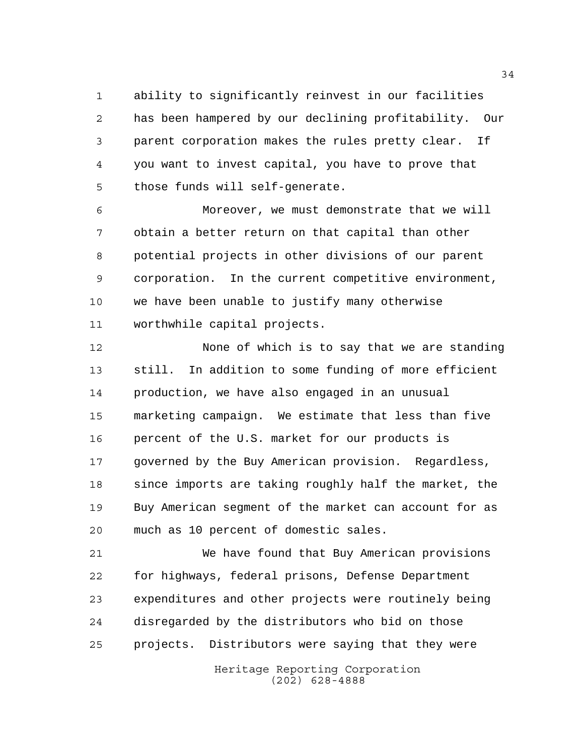ability to significantly reinvest in our facilities has been hampered by our declining profitability. Our parent corporation makes the rules pretty clear. If you want to invest capital, you have to prove that those funds will self-generate.

 Moreover, we must demonstrate that we will obtain a better return on that capital than other potential projects in other divisions of our parent corporation. In the current competitive environment, we have been unable to justify many otherwise worthwhile capital projects.

 None of which is to say that we are standing still. In addition to some funding of more efficient production, we have also engaged in an unusual marketing campaign. We estimate that less than five percent of the U.S. market for our products is governed by the Buy American provision. Regardless, since imports are taking roughly half the market, the Buy American segment of the market can account for as much as 10 percent of domestic sales.

 We have found that Buy American provisions for highways, federal prisons, Defense Department expenditures and other projects were routinely being disregarded by the distributors who bid on those projects. Distributors were saying that they were

> Heritage Reporting Corporation (202) 628-4888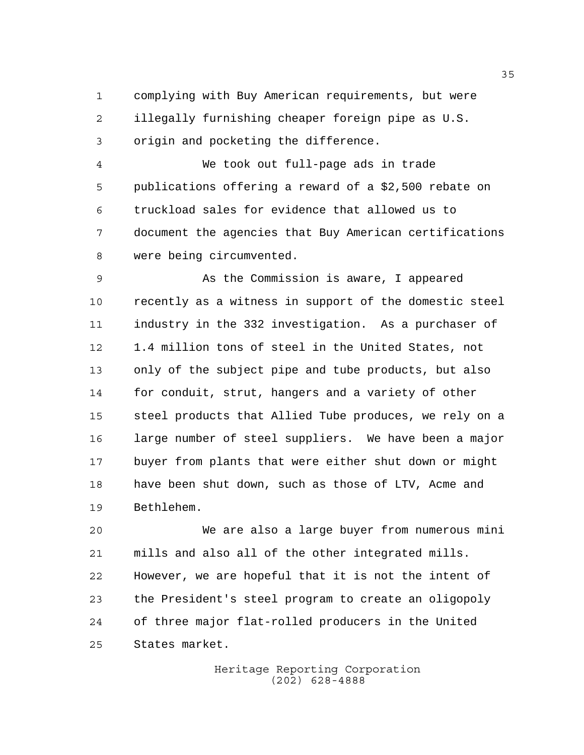complying with Buy American requirements, but were illegally furnishing cheaper foreign pipe as U.S. origin and pocketing the difference.

 We took out full-page ads in trade publications offering a reward of a \$2,500 rebate on truckload sales for evidence that allowed us to document the agencies that Buy American certifications were being circumvented.

 As the Commission is aware, I appeared recently as a witness in support of the domestic steel industry in the 332 investigation. As a purchaser of 1.4 million tons of steel in the United States, not only of the subject pipe and tube products, but also for conduit, strut, hangers and a variety of other steel products that Allied Tube produces, we rely on a large number of steel suppliers. We have been a major buyer from plants that were either shut down or might have been shut down, such as those of LTV, Acme and Bethlehem.

 We are also a large buyer from numerous mini mills and also all of the other integrated mills. However, we are hopeful that it is not the intent of the President's steel program to create an oligopoly of three major flat-rolled producers in the United States market.

> Heritage Reporting Corporation (202) 628-4888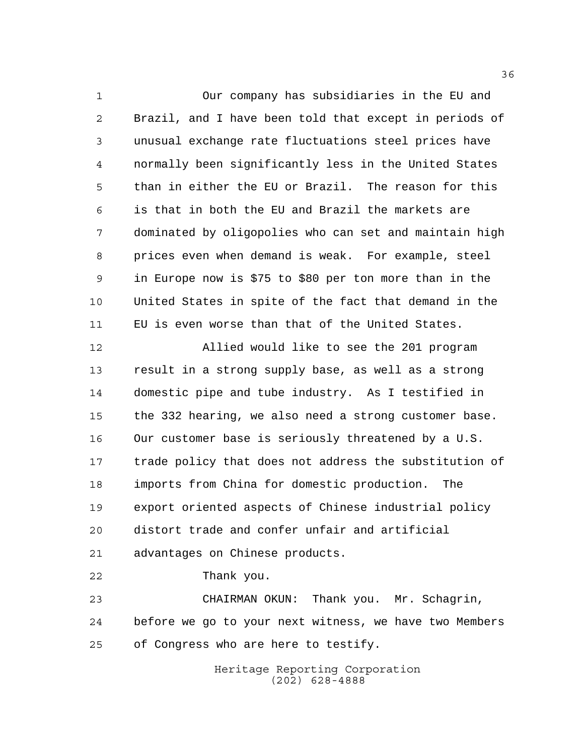Our company has subsidiaries in the EU and Brazil, and I have been told that except in periods of unusual exchange rate fluctuations steel prices have normally been significantly less in the United States than in either the EU or Brazil. The reason for this is that in both the EU and Brazil the markets are dominated by oligopolies who can set and maintain high prices even when demand is weak. For example, steel in Europe now is \$75 to \$80 per ton more than in the United States in spite of the fact that demand in the EU is even worse than that of the United States.

 Allied would like to see the 201 program result in a strong supply base, as well as a strong domestic pipe and tube industry. As I testified in the 332 hearing, we also need a strong customer base. Our customer base is seriously threatened by a U.S. trade policy that does not address the substitution of imports from China for domestic production. The export oriented aspects of Chinese industrial policy distort trade and confer unfair and artificial advantages on Chinese products.

Thank you.

 CHAIRMAN OKUN: Thank you. Mr. Schagrin, before we go to your next witness, we have two Members of Congress who are here to testify.

> Heritage Reporting Corporation (202) 628-4888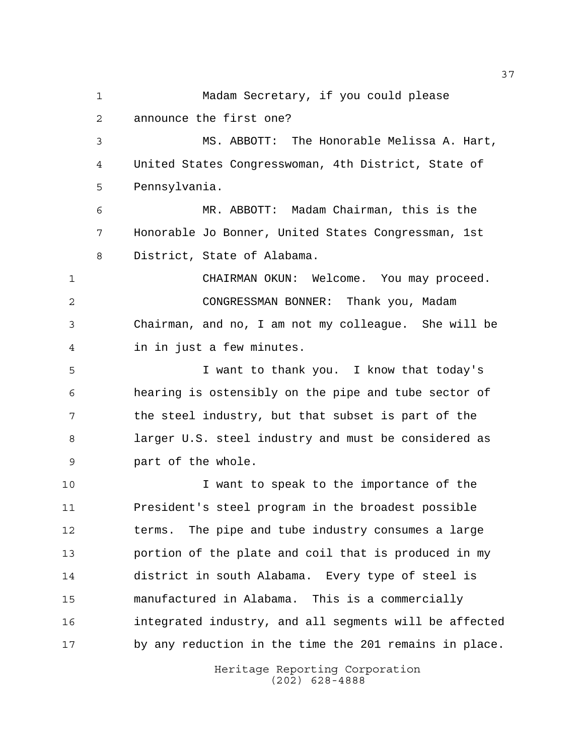Heritage Reporting Corporation Madam Secretary, if you could please announce the first one? MS. ABBOTT: The Honorable Melissa A. Hart, United States Congresswoman, 4th District, State of Pennsylvania. MR. ABBOTT: Madam Chairman, this is the Honorable Jo Bonner, United States Congressman, 1st District, State of Alabama. CHAIRMAN OKUN: Welcome. You may proceed. CONGRESSMAN BONNER: Thank you, Madam Chairman, and no, I am not my colleague. She will be in in just a few minutes. I want to thank you. I know that today's hearing is ostensibly on the pipe and tube sector of the steel industry, but that subset is part of the larger U.S. steel industry and must be considered as part of the whole. I want to speak to the importance of the President's steel program in the broadest possible terms. The pipe and tube industry consumes a large portion of the plate and coil that is produced in my district in south Alabama. Every type of steel is manufactured in Alabama. This is a commercially integrated industry, and all segments will be affected by any reduction in the time the 201 remains in place.

(202) 628-4888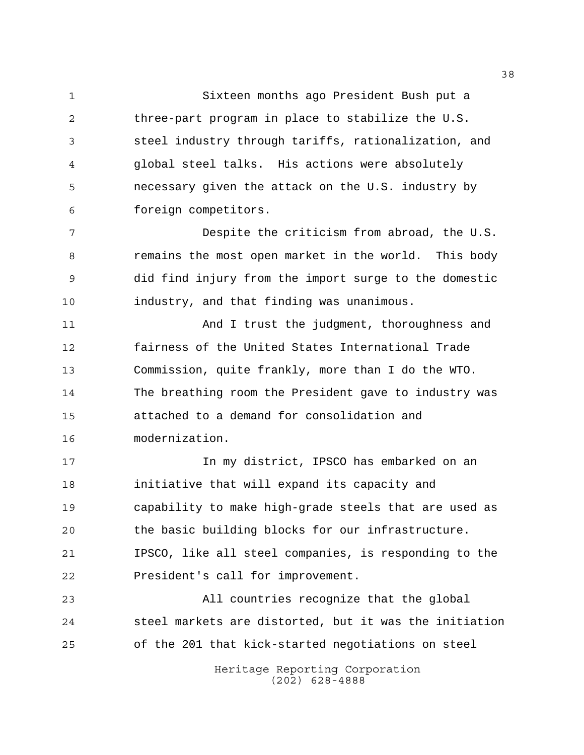Sixteen months ago President Bush put a three-part program in place to stabilize the U.S. steel industry through tariffs, rationalization, and global steel talks. His actions were absolutely necessary given the attack on the U.S. industry by foreign competitors.

 Despite the criticism from abroad, the U.S. remains the most open market in the world. This body did find injury from the import surge to the domestic industry, and that finding was unanimous.

 And I trust the judgment, thoroughness and fairness of the United States International Trade Commission, quite frankly, more than I do the WTO. The breathing room the President gave to industry was attached to a demand for consolidation and modernization.

 In my district, IPSCO has embarked on an initiative that will expand its capacity and capability to make high-grade steels that are used as the basic building blocks for our infrastructure. IPSCO, like all steel companies, is responding to the President's call for improvement.

 All countries recognize that the global steel markets are distorted, but it was the initiation of the 201 that kick-started negotiations on steel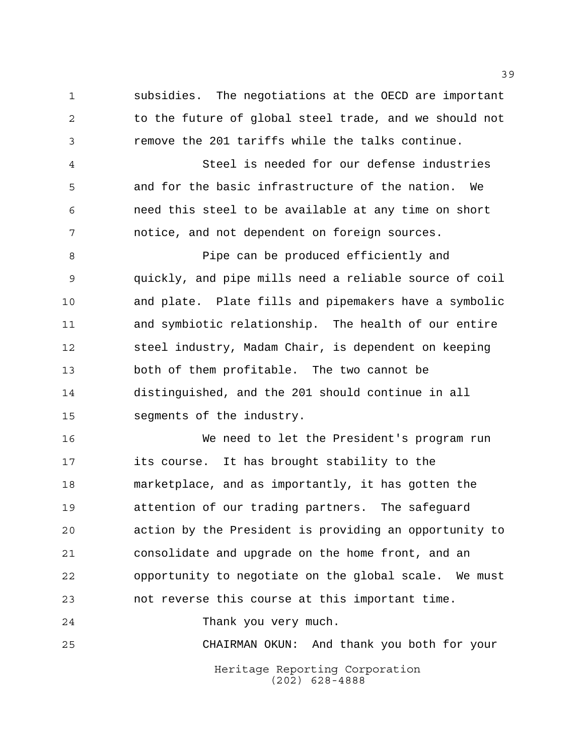subsidies. The negotiations at the OECD are important 2 to the future of global steel trade, and we should not remove the 201 tariffs while the talks continue.

 Steel is needed for our defense industries and for the basic infrastructure of the nation. We need this steel to be available at any time on short notice, and not dependent on foreign sources.

8 Pipe can be produced efficiently and quickly, and pipe mills need a reliable source of coil and plate. Plate fills and pipemakers have a symbolic and symbiotic relationship. The health of our entire steel industry, Madam Chair, is dependent on keeping both of them profitable. The two cannot be distinguished, and the 201 should continue in all segments of the industry.

 We need to let the President's program run its course. It has brought stability to the marketplace, and as importantly, it has gotten the attention of our trading partners. The safeguard action by the President is providing an opportunity to consolidate and upgrade on the home front, and an opportunity to negotiate on the global scale. We must not reverse this course at this important time.

Thank you very much.

CHAIRMAN OKUN: And thank you both for your

Heritage Reporting Corporation (202) 628-4888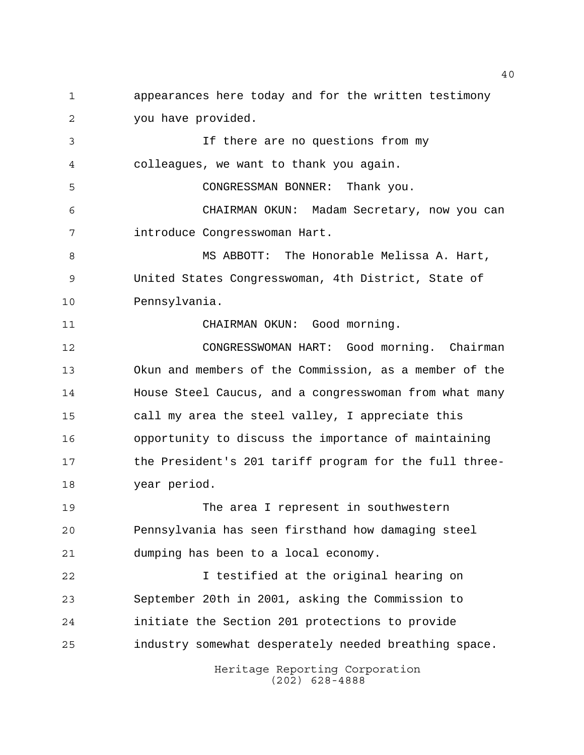appearances here today and for the written testimony you have provided.

 If there are no questions from my colleagues, we want to thank you again.

CONGRESSMAN BONNER: Thank you.

 CHAIRMAN OKUN: Madam Secretary, now you can introduce Congresswoman Hart.

8 MS ABBOTT: The Honorable Melissa A. Hart, United States Congresswoman, 4th District, State of Pennsylvania.

CHAIRMAN OKUN: Good morning.

 CONGRESSWOMAN HART: Good morning. Chairman Okun and members of the Commission, as a member of the House Steel Caucus, and a congresswoman from what many call my area the steel valley, I appreciate this opportunity to discuss the importance of maintaining the President's 201 tariff program for the full three-year period.

 The area I represent in southwestern Pennsylvania has seen firsthand how damaging steel dumping has been to a local economy.

 I testified at the original hearing on September 20th in 2001, asking the Commission to initiate the Section 201 protections to provide industry somewhat desperately needed breathing space.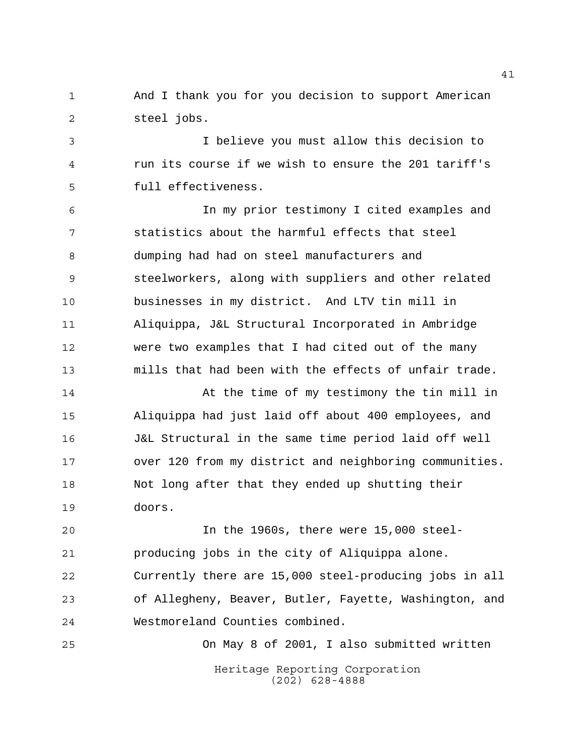And I thank you for you decision to support American steel jobs.

 I believe you must allow this decision to run its course if we wish to ensure the 201 tariff's full effectiveness.

 In my prior testimony I cited examples and statistics about the harmful effects that steel dumping had had on steel manufacturers and steelworkers, along with suppliers and other related businesses in my district. And LTV tin mill in Aliquippa, J&L Structural Incorporated in Ambridge were two examples that I had cited out of the many mills that had been with the effects of unfair trade.

14 At the time of my testimony the tin mill in Aliquippa had just laid off about 400 employees, and J&L Structural in the same time period laid off well over 120 from my district and neighboring communities. Not long after that they ended up shutting their doors.

 In the 1960s, there were 15,000 steel- producing jobs in the city of Aliquippa alone. Currently there are 15,000 steel-producing jobs in all of Allegheny, Beaver, Butler, Fayette, Washington, and Westmoreland Counties combined.

Heritage Reporting Corporation (202) 628-4888 On May 8 of 2001, I also submitted written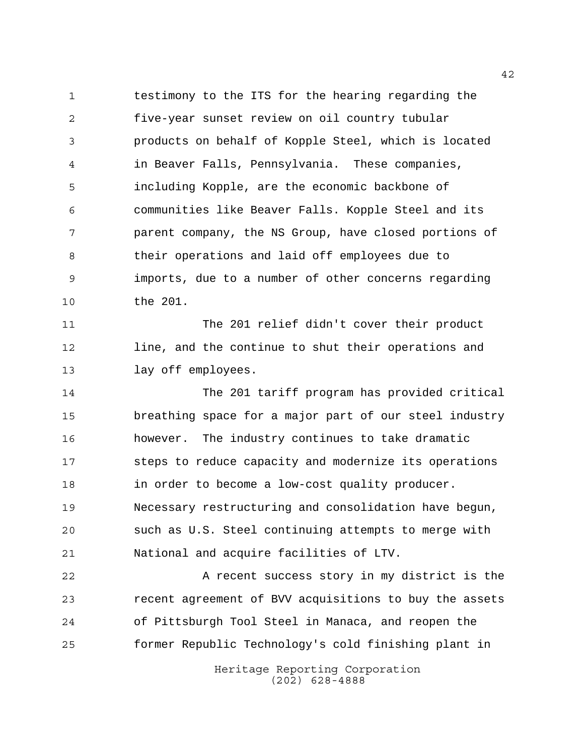testimony to the ITS for the hearing regarding the five-year sunset review on oil country tubular products on behalf of Kopple Steel, which is located in Beaver Falls, Pennsylvania. These companies, including Kopple, are the economic backbone of communities like Beaver Falls. Kopple Steel and its parent company, the NS Group, have closed portions of their operations and laid off employees due to imports, due to a number of other concerns regarding the 201.

 The 201 relief didn't cover their product line, and the continue to shut their operations and lay off employees.

 The 201 tariff program has provided critical breathing space for a major part of our steel industry however. The industry continues to take dramatic steps to reduce capacity and modernize its operations in order to become a low-cost quality producer. Necessary restructuring and consolidation have begun, such as U.S. Steel continuing attempts to merge with National and acquire facilities of LTV.

22 A recent success story in my district is the recent agreement of BVV acquisitions to buy the assets of Pittsburgh Tool Steel in Manaca, and reopen the former Republic Technology's cold finishing plant in

> Heritage Reporting Corporation (202) 628-4888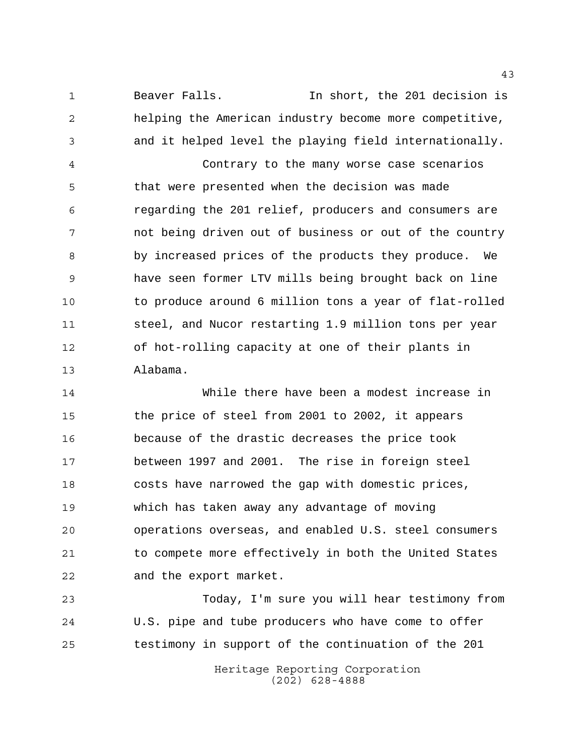Beaver Falls. In short, the 201 decision is helping the American industry become more competitive, and it helped level the playing field internationally.

 Contrary to the many worse case scenarios that were presented when the decision was made regarding the 201 relief, producers and consumers are not being driven out of business or out of the country by increased prices of the products they produce. We have seen former LTV mills being brought back on line to produce around 6 million tons a year of flat-rolled steel, and Nucor restarting 1.9 million tons per year of hot-rolling capacity at one of their plants in Alabama.

 While there have been a modest increase in the price of steel from 2001 to 2002, it appears because of the drastic decreases the price took between 1997 and 2001. The rise in foreign steel costs have narrowed the gap with domestic prices, which has taken away any advantage of moving operations overseas, and enabled U.S. steel consumers to compete more effectively in both the United States and the export market.

 Today, I'm sure you will hear testimony from U.S. pipe and tube producers who have come to offer testimony in support of the continuation of the 201

> Heritage Reporting Corporation (202) 628-4888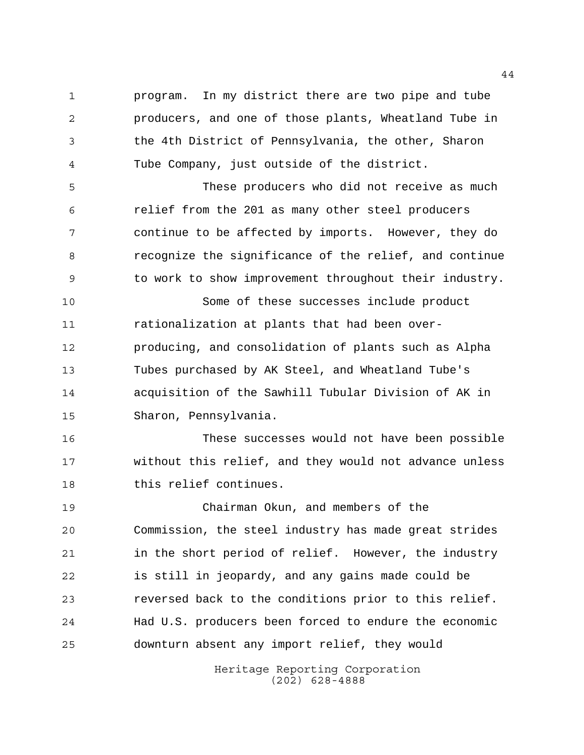program. In my district there are two pipe and tube producers, and one of those plants, Wheatland Tube in the 4th District of Pennsylvania, the other, Sharon Tube Company, just outside of the district.

 These producers who did not receive as much relief from the 201 as many other steel producers continue to be affected by imports. However, they do recognize the significance of the relief, and continue to work to show improvement throughout their industry.

 Some of these successes include product rationalization at plants that had been over- producing, and consolidation of plants such as Alpha Tubes purchased by AK Steel, and Wheatland Tube's acquisition of the Sawhill Tubular Division of AK in Sharon, Pennsylvania.

 These successes would not have been possible without this relief, and they would not advance unless this relief continues.

 Chairman Okun, and members of the Commission, the steel industry has made great strides in the short period of relief. However, the industry is still in jeopardy, and any gains made could be reversed back to the conditions prior to this relief. Had U.S. producers been forced to endure the economic downturn absent any import relief, they would

> Heritage Reporting Corporation (202) 628-4888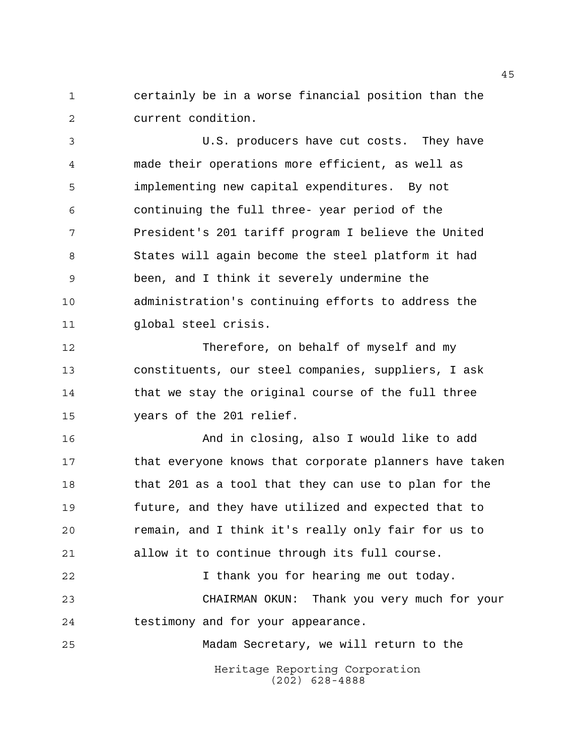certainly be in a worse financial position than the current condition.

 U.S. producers have cut costs. They have made their operations more efficient, as well as implementing new capital expenditures. By not continuing the full three- year period of the President's 201 tariff program I believe the United States will again become the steel platform it had been, and I think it severely undermine the administration's continuing efforts to address the global steel crisis.

 Therefore, on behalf of myself and my constituents, our steel companies, suppliers, I ask that we stay the original course of the full three years of the 201 relief.

 And in closing, also I would like to add that everyone knows that corporate planners have taken 18 that 201 as a tool that they can use to plan for the future, and they have utilized and expected that to remain, and I think it's really only fair for us to allow it to continue through its full course.

 I thank you for hearing me out today. CHAIRMAN OKUN: Thank you very much for your testimony and for your appearance.

Madam Secretary, we will return to the

Heritage Reporting Corporation (202) 628-4888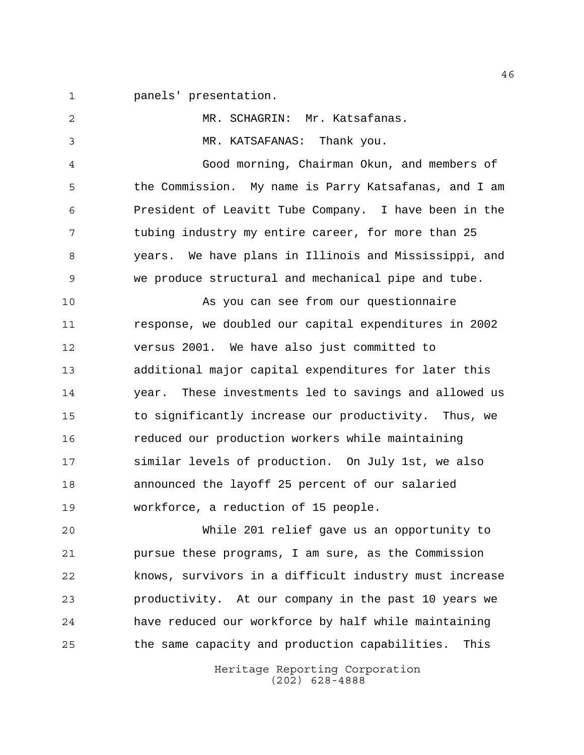panels' presentation.

 MR. SCHAGRIN: Mr. Katsafanas. MR. KATSAFANAS: Thank you. Good morning, Chairman Okun, and members of the Commission. My name is Parry Katsafanas, and I am President of Leavitt Tube Company. I have been in the tubing industry my entire career, for more than 25 years. We have plans in Illinois and Mississippi, and we produce structural and mechanical pipe and tube. As you can see from our questionnaire response, we doubled our capital expenditures in 2002 versus 2001. We have also just committed to additional major capital expenditures for later this year. These investments led to savings and allowed us to significantly increase our productivity. Thus, we reduced our production workers while maintaining similar levels of production. On July 1st, we also announced the layoff 25 percent of our salaried workforce, a reduction of 15 people. While 201 relief gave us an opportunity to pursue these programs, I am sure, as the Commission knows, survivors in a difficult industry must increase productivity. At our company in the past 10 years we

Heritage Reporting Corporation the same capacity and production capabilities. This

have reduced our workforce by half while maintaining

(202) 628-4888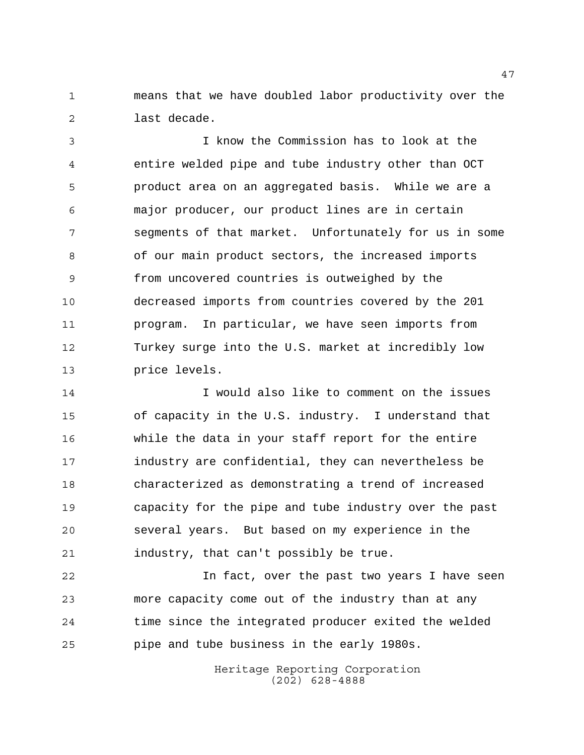means that we have doubled labor productivity over the last decade.

 I know the Commission has to look at the entire welded pipe and tube industry other than OCT product area on an aggregated basis. While we are a major producer, our product lines are in certain segments of that market. Unfortunately for us in some of our main product sectors, the increased imports from uncovered countries is outweighed by the decreased imports from countries covered by the 201 program. In particular, we have seen imports from Turkey surge into the U.S. market at incredibly low price levels.

 I would also like to comment on the issues of capacity in the U.S. industry. I understand that while the data in your staff report for the entire industry are confidential, they can nevertheless be characterized as demonstrating a trend of increased capacity for the pipe and tube industry over the past several years. But based on my experience in the industry, that can't possibly be true.

 In fact, over the past two years I have seen more capacity come out of the industry than at any time since the integrated producer exited the welded pipe and tube business in the early 1980s.

> Heritage Reporting Corporation (202) 628-4888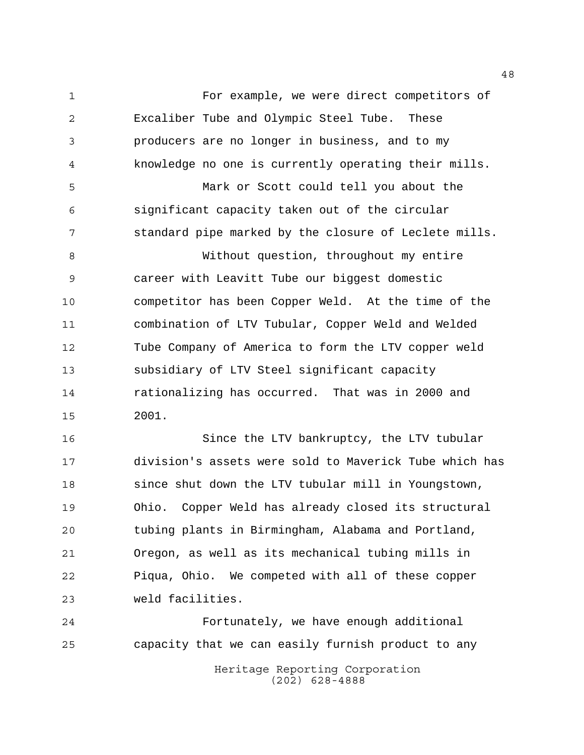For example, we were direct competitors of Excaliber Tube and Olympic Steel Tube. These producers are no longer in business, and to my knowledge no one is currently operating their mills. Mark or Scott could tell you about the

 significant capacity taken out of the circular standard pipe marked by the closure of Leclete mills.

 Without question, throughout my entire career with Leavitt Tube our biggest domestic competitor has been Copper Weld. At the time of the combination of LTV Tubular, Copper Weld and Welded Tube Company of America to form the LTV copper weld subsidiary of LTV Steel significant capacity rationalizing has occurred. That was in 2000 and 2001.

 Since the LTV bankruptcy, the LTV tubular division's assets were sold to Maverick Tube which has since shut down the LTV tubular mill in Youngstown, Ohio. Copper Weld has already closed its structural tubing plants in Birmingham, Alabama and Portland, Oregon, as well as its mechanical tubing mills in Piqua, Ohio. We competed with all of these copper weld facilities.

Heritage Reporting Corporation (202) 628-4888 Fortunately, we have enough additional capacity that we can easily furnish product to any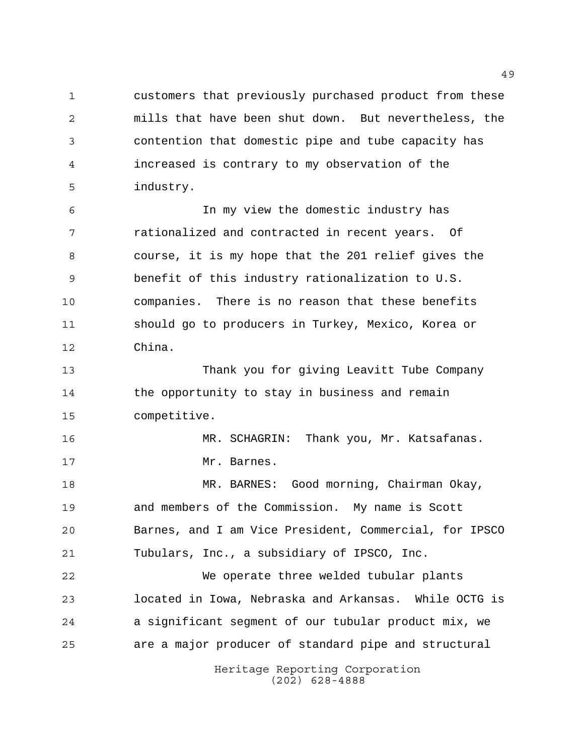customers that previously purchased product from these mills that have been shut down. But nevertheless, the contention that domestic pipe and tube capacity has increased is contrary to my observation of the industry.

 In my view the domestic industry has rationalized and contracted in recent years. Of course, it is my hope that the 201 relief gives the benefit of this industry rationalization to U.S. companies. There is no reason that these benefits should go to producers in Turkey, Mexico, Korea or China.

 Thank you for giving Leavitt Tube Company the opportunity to stay in business and remain competitive.

 MR. SCHAGRIN: Thank you, Mr. Katsafanas. 17 Mr. Barnes.

 MR. BARNES: Good morning, Chairman Okay, and members of the Commission. My name is Scott Barnes, and I am Vice President, Commercial, for IPSCO Tubulars, Inc., a subsidiary of IPSCO, Inc.

 We operate three welded tubular plants located in Iowa, Nebraska and Arkansas. While OCTG is a significant segment of our tubular product mix, we are a major producer of standard pipe and structural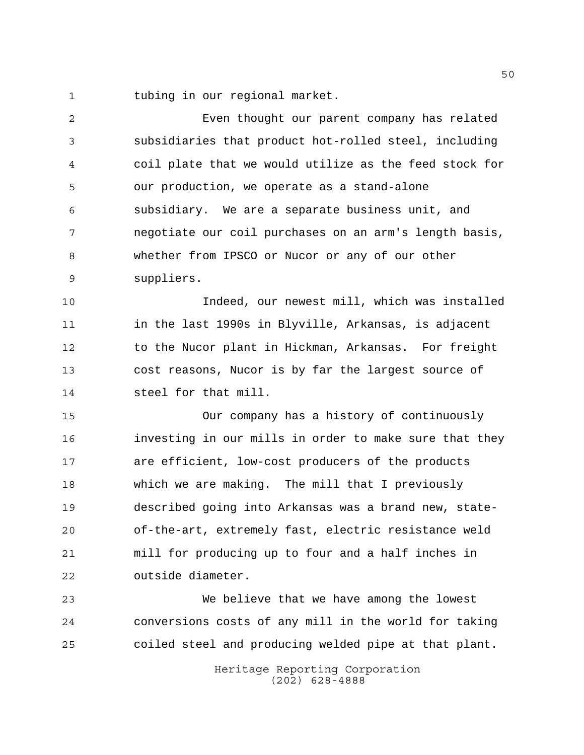tubing in our regional market.

 Even thought our parent company has related subsidiaries that product hot-rolled steel, including coil plate that we would utilize as the feed stock for our production, we operate as a stand-alone subsidiary. We are a separate business unit, and negotiate our coil purchases on an arm's length basis, whether from IPSCO or Nucor or any of our other suppliers.

 Indeed, our newest mill, which was installed in the last 1990s in Blyville, Arkansas, is adjacent to the Nucor plant in Hickman, Arkansas. For freight cost reasons, Nucor is by far the largest source of steel for that mill.

 Our company has a history of continuously investing in our mills in order to make sure that they are efficient, low-cost producers of the products which we are making. The mill that I previously described going into Arkansas was a brand new, state- of-the-art, extremely fast, electric resistance weld mill for producing up to four and a half inches in outside diameter.

 We believe that we have among the lowest conversions costs of any mill in the world for taking coiled steel and producing welded pipe at that plant.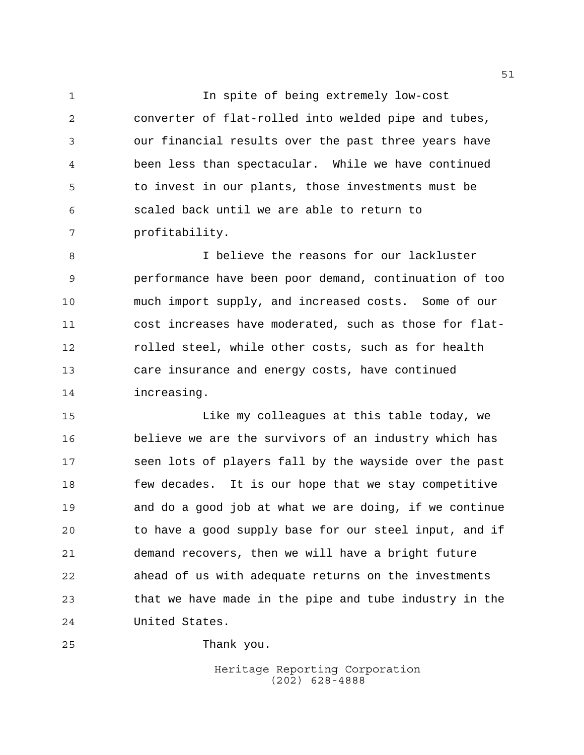In spite of being extremely low-cost converter of flat-rolled into welded pipe and tubes, our financial results over the past three years have been less than spectacular. While we have continued to invest in our plants, those investments must be scaled back until we are able to return to profitability.

 I believe the reasons for our lackluster performance have been poor demand, continuation of too much import supply, and increased costs. Some of our cost increases have moderated, such as those for flat- rolled steel, while other costs, such as for health care insurance and energy costs, have continued increasing.

 Like my colleagues at this table today, we believe we are the survivors of an industry which has seen lots of players fall by the wayside over the past few decades. It is our hope that we stay competitive and do a good job at what we are doing, if we continue to have a good supply base for our steel input, and if demand recovers, then we will have a bright future ahead of us with adequate returns on the investments that we have made in the pipe and tube industry in the United States.

Thank you.

Heritage Reporting Corporation (202) 628-4888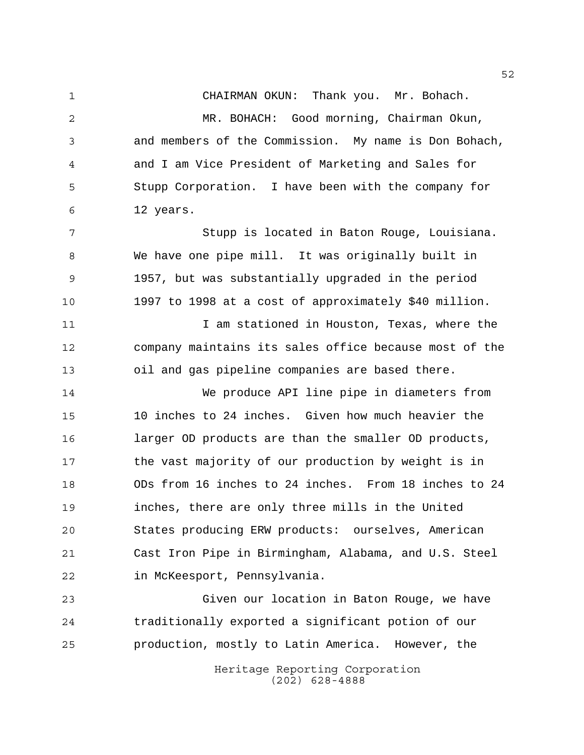CHAIRMAN OKUN: Thank you. Mr. Bohach.

 MR. BOHACH: Good morning, Chairman Okun, and members of the Commission. My name is Don Bohach, and I am Vice President of Marketing and Sales for Stupp Corporation. I have been with the company for 12 years.

 Stupp is located in Baton Rouge, Louisiana. We have one pipe mill. It was originally built in 1957, but was substantially upgraded in the period 1997 to 1998 at a cost of approximately \$40 million.

11 12 I am stationed in Houston, Texas, where the company maintains its sales office because most of the oil and gas pipeline companies are based there.

 We produce API line pipe in diameters from 10 inches to 24 inches. Given how much heavier the larger OD products are than the smaller OD products, 17 the vast majority of our production by weight is in ODs from 16 inches to 24 inches. From 18 inches to 24 inches, there are only three mills in the United States producing ERW products: ourselves, American Cast Iron Pipe in Birmingham, Alabama, and U.S. Steel in McKeesport, Pennsylvania.

 Given our location in Baton Rouge, we have traditionally exported a significant potion of our production, mostly to Latin America. However, the

> Heritage Reporting Corporation (202) 628-4888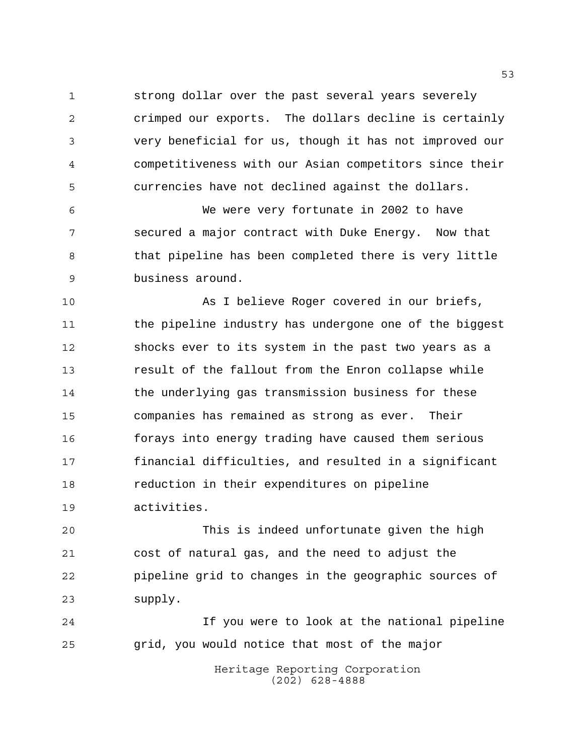strong dollar over the past several years severely crimped our exports. The dollars decline is certainly very beneficial for us, though it has not improved our competitiveness with our Asian competitors since their currencies have not declined against the dollars.

 We were very fortunate in 2002 to have secured a major contract with Duke Energy. Now that 8 that pipeline has been completed there is very little business around.

 As I believe Roger covered in our briefs, the pipeline industry has undergone one of the biggest shocks ever to its system in the past two years as a result of the fallout from the Enron collapse while the underlying gas transmission business for these companies has remained as strong as ever. Their forays into energy trading have caused them serious financial difficulties, and resulted in a significant reduction in their expenditures on pipeline activities.

 This is indeed unfortunate given the high cost of natural gas, and the need to adjust the pipeline grid to changes in the geographic sources of supply.

 If you were to look at the national pipeline grid, you would notice that most of the major

> Heritage Reporting Corporation (202) 628-4888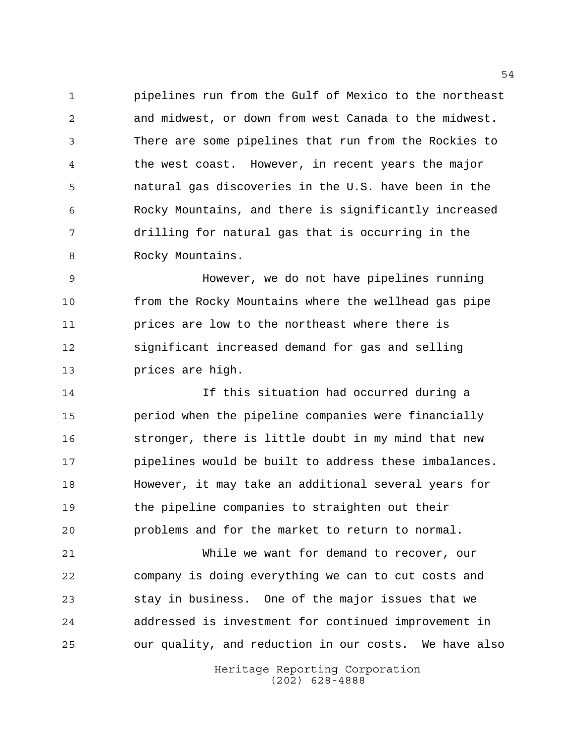pipelines run from the Gulf of Mexico to the northeast and midwest, or down from west Canada to the midwest. There are some pipelines that run from the Rockies to the west coast. However, in recent years the major natural gas discoveries in the U.S. have been in the Rocky Mountains, and there is significantly increased drilling for natural gas that is occurring in the 8 Rocky Mountains.

 However, we do not have pipelines running from the Rocky Mountains where the wellhead gas pipe prices are low to the northeast where there is significant increased demand for gas and selling prices are high.

 If this situation had occurred during a period when the pipeline companies were financially stronger, there is little doubt in my mind that new pipelines would be built to address these imbalances. However, it may take an additional several years for the pipeline companies to straighten out their problems and for the market to return to normal.

 While we want for demand to recover, our company is doing everything we can to cut costs and stay in business. One of the major issues that we addressed is investment for continued improvement in our quality, and reduction in our costs. We have also

> Heritage Reporting Corporation (202) 628-4888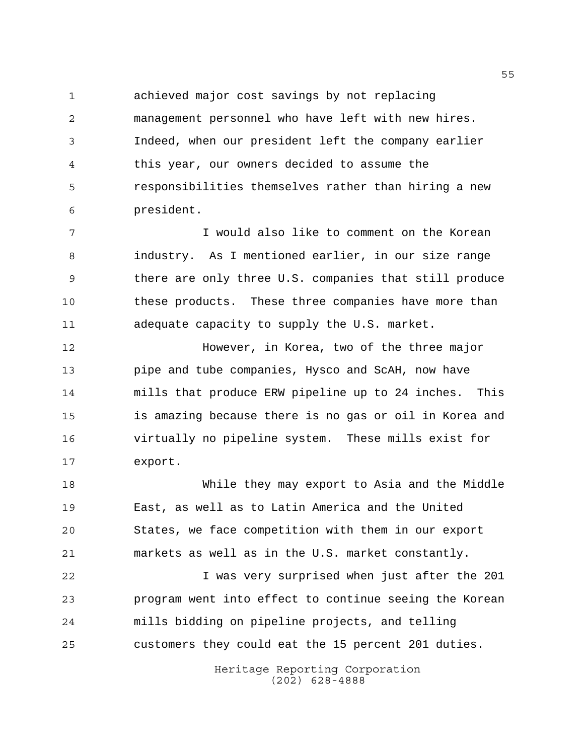achieved major cost savings by not replacing management personnel who have left with new hires. Indeed, when our president left the company earlier this year, our owners decided to assume the responsibilities themselves rather than hiring a new president.

 I would also like to comment on the Korean industry. As I mentioned earlier, in our size range there are only three U.S. companies that still produce these products. These three companies have more than adequate capacity to supply the U.S. market.

 However, in Korea, two of the three major pipe and tube companies, Hysco and ScAH, now have mills that produce ERW pipeline up to 24 inches. This is amazing because there is no gas or oil in Korea and virtually no pipeline system. These mills exist for export.

 While they may export to Asia and the Middle East, as well as to Latin America and the United States, we face competition with them in our export markets as well as in the U.S. market constantly.

 I was very surprised when just after the 201 program went into effect to continue seeing the Korean mills bidding on pipeline projects, and telling customers they could eat the 15 percent 201 duties.

> Heritage Reporting Corporation (202) 628-4888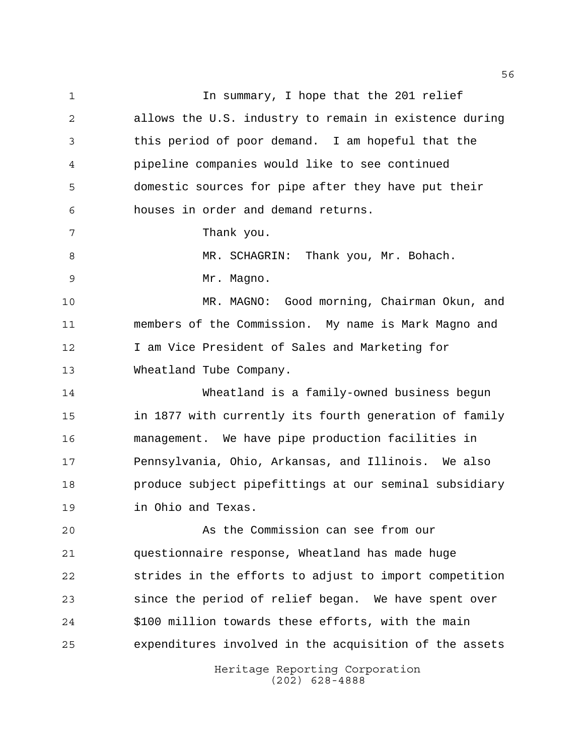Heritage Reporting Corporation 1 1 In summary, I hope that the 201 relief allows the U.S. industry to remain in existence during this period of poor demand. I am hopeful that the pipeline companies would like to see continued domestic sources for pipe after they have put their houses in order and demand returns. Thank you. 8 MR. SCHAGRIN: Thank you, Mr. Bohach. Mr. Magno. MR. MAGNO: Good morning, Chairman Okun, and members of the Commission. My name is Mark Magno and I am Vice President of Sales and Marketing for Wheatland Tube Company. Wheatland is a family-owned business begun in 1877 with currently its fourth generation of family management. We have pipe production facilities in Pennsylvania, Ohio, Arkansas, and Illinois. We also produce subject pipefittings at our seminal subsidiary in Ohio and Texas. As the Commission can see from our questionnaire response, Wheatland has made huge strides in the efforts to adjust to import competition since the period of relief began. We have spent over \$100 million towards these efforts, with the main expenditures involved in the acquisition of the assets

(202) 628-4888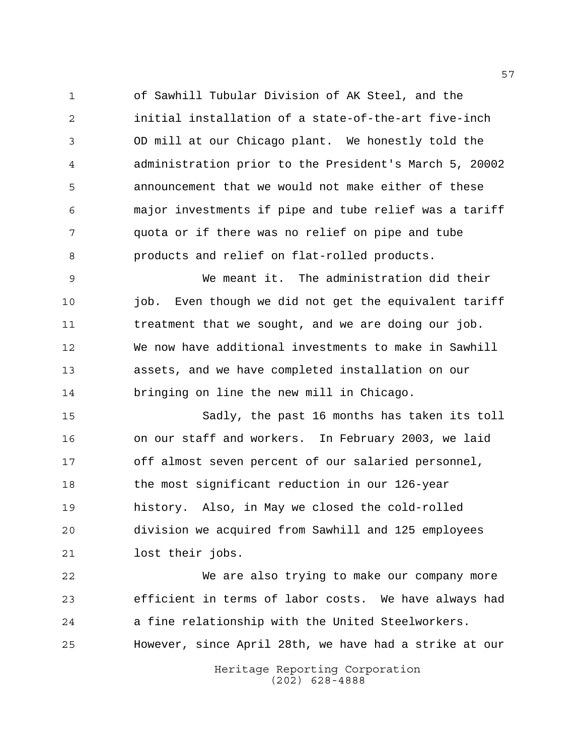of Sawhill Tubular Division of AK Steel, and the initial installation of a state-of-the-art five-inch OD mill at our Chicago plant. We honestly told the administration prior to the President's March 5, 20002 announcement that we would not make either of these major investments if pipe and tube relief was a tariff quota or if there was no relief on pipe and tube products and relief on flat-rolled products.

 We meant it. The administration did their job. Even though we did not get the equivalent tariff treatment that we sought, and we are doing our job. We now have additional investments to make in Sawhill assets, and we have completed installation on our bringing on line the new mill in Chicago.

 Sadly, the past 16 months has taken its toll on our staff and workers. In February 2003, we laid off almost seven percent of our salaried personnel, the most significant reduction in our 126-year history. Also, in May we closed the cold-rolled division we acquired from Sawhill and 125 employees lost their jobs.

 We are also trying to make our company more efficient in terms of labor costs. We have always had a fine relationship with the United Steelworkers. However, since April 28th, we have had a strike at our

> Heritage Reporting Corporation (202) 628-4888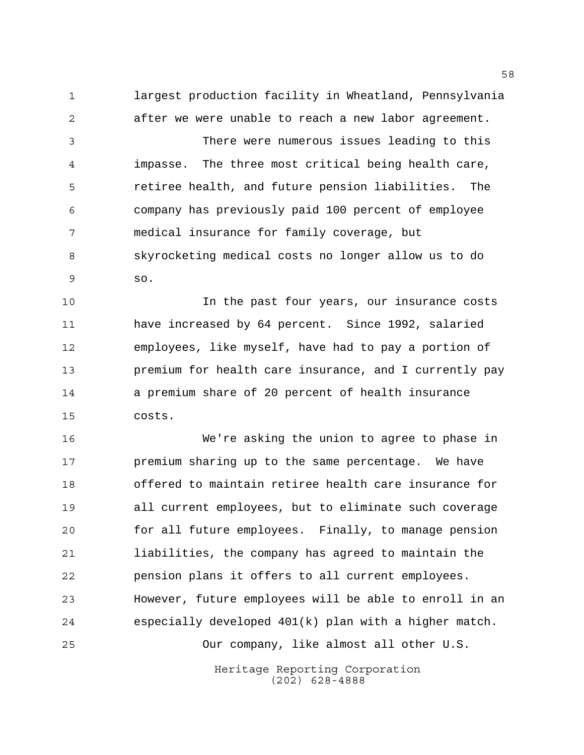largest production facility in Wheatland, Pennsylvania after we were unable to reach a new labor agreement.

 There were numerous issues leading to this impasse. The three most critical being health care, retiree health, and future pension liabilities. The company has previously paid 100 percent of employee medical insurance for family coverage, but skyrocketing medical costs no longer allow us to do so.

 In the past four years, our insurance costs have increased by 64 percent. Since 1992, salaried employees, like myself, have had to pay a portion of premium for health care insurance, and I currently pay a premium share of 20 percent of health insurance costs.

 We're asking the union to agree to phase in premium sharing up to the same percentage. We have offered to maintain retiree health care insurance for all current employees, but to eliminate such coverage for all future employees. Finally, to manage pension liabilities, the company has agreed to maintain the pension plans it offers to all current employees. However, future employees will be able to enroll in an especially developed 401(k) plan with a higher match. Our company, like almost all other U.S.

> Heritage Reporting Corporation (202) 628-4888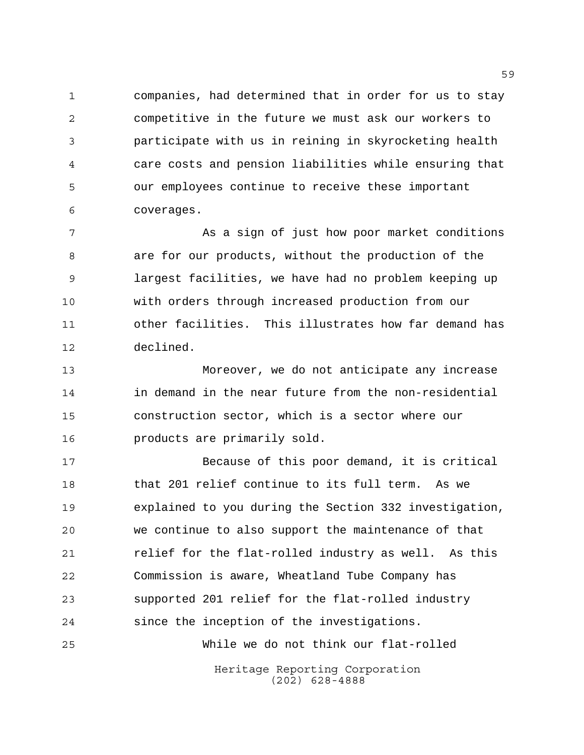companies, had determined that in order for us to stay competitive in the future we must ask our workers to participate with us in reining in skyrocketing health care costs and pension liabilities while ensuring that our employees continue to receive these important coverages.

7 As a sign of just how poor market conditions are for our products, without the production of the largest facilities, we have had no problem keeping up with orders through increased production from our other facilities. This illustrates how far demand has declined.

 Moreover, we do not anticipate any increase in demand in the near future from the non-residential construction sector, which is a sector where our products are primarily sold.

 Because of this poor demand, it is critical that 201 relief continue to its full term. As we explained to you during the Section 332 investigation, we continue to also support the maintenance of that relief for the flat-rolled industry as well. As this Commission is aware, Wheatland Tube Company has supported 201 relief for the flat-rolled industry since the inception of the investigations. While we do not think our flat-rolled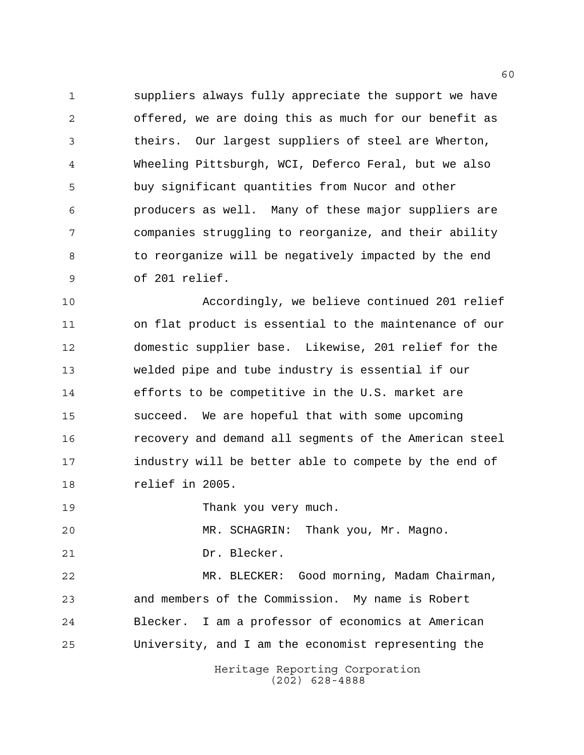suppliers always fully appreciate the support we have offered, we are doing this as much for our benefit as theirs. Our largest suppliers of steel are Wherton, Wheeling Pittsburgh, WCI, Deferco Feral, but we also buy significant quantities from Nucor and other producers as well. Many of these major suppliers are companies struggling to reorganize, and their ability 8 to reorganize will be negatively impacted by the end of 201 relief.

 Accordingly, we believe continued 201 relief on flat product is essential to the maintenance of our domestic supplier base. Likewise, 201 relief for the welded pipe and tube industry is essential if our efforts to be competitive in the U.S. market are succeed. We are hopeful that with some upcoming recovery and demand all segments of the American steel industry will be better able to compete by the end of relief in 2005.

Thank you very much.

MR. SCHAGRIN: Thank you, Mr. Magno.

Dr. Blecker.

 MR. BLECKER: Good morning, Madam Chairman, and members of the Commission. My name is Robert Blecker. I am a professor of economics at American University, and I am the economist representing the

> Heritage Reporting Corporation (202) 628-4888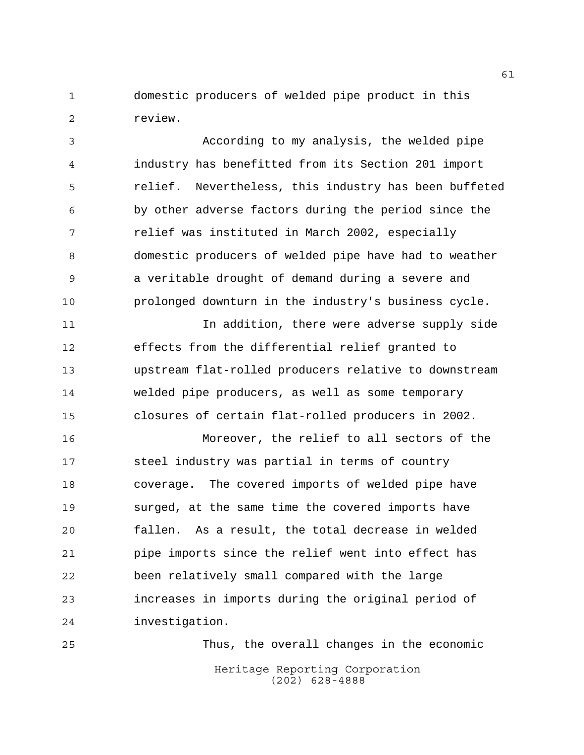domestic producers of welded pipe product in this review.

 According to my analysis, the welded pipe industry has benefitted from its Section 201 import relief. Nevertheless, this industry has been buffeted by other adverse factors during the period since the relief was instituted in March 2002, especially domestic producers of welded pipe have had to weather a veritable drought of demand during a severe and prolonged downturn in the industry's business cycle.

 In addition, there were adverse supply side effects from the differential relief granted to upstream flat-rolled producers relative to downstream welded pipe producers, as well as some temporary closures of certain flat-rolled producers in 2002.

 Moreover, the relief to all sectors of the steel industry was partial in terms of country coverage. The covered imports of welded pipe have surged, at the same time the covered imports have fallen. As a result, the total decrease in welded pipe imports since the relief went into effect has been relatively small compared with the large increases in imports during the original period of investigation.

Heritage Reporting Corporation (202) 628-4888 Thus, the overall changes in the economic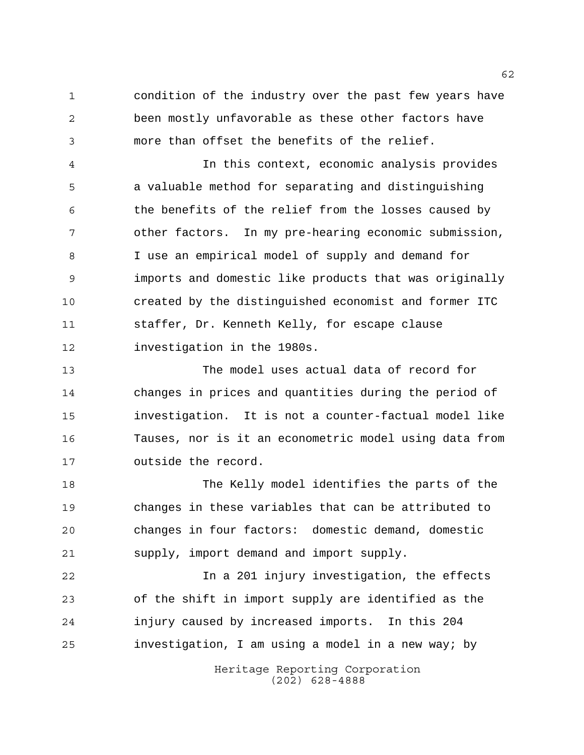condition of the industry over the past few years have been mostly unfavorable as these other factors have more than offset the benefits of the relief.

 In this context, economic analysis provides a valuable method for separating and distinguishing the benefits of the relief from the losses caused by other factors. In my pre-hearing economic submission, I use an empirical model of supply and demand for imports and domestic like products that was originally created by the distinguished economist and former ITC staffer, Dr. Kenneth Kelly, for escape clause investigation in the 1980s.

 The model uses actual data of record for changes in prices and quantities during the period of investigation. It is not a counter-factual model like Tauses, nor is it an econometric model using data from outside the record.

 The Kelly model identifies the parts of the changes in these variables that can be attributed to changes in four factors: domestic demand, domestic supply, import demand and import supply.

 In a 201 injury investigation, the effects of the shift in import supply are identified as the injury caused by increased imports. In this 204 investigation, I am using a model in a new way; by

> Heritage Reporting Corporation (202) 628-4888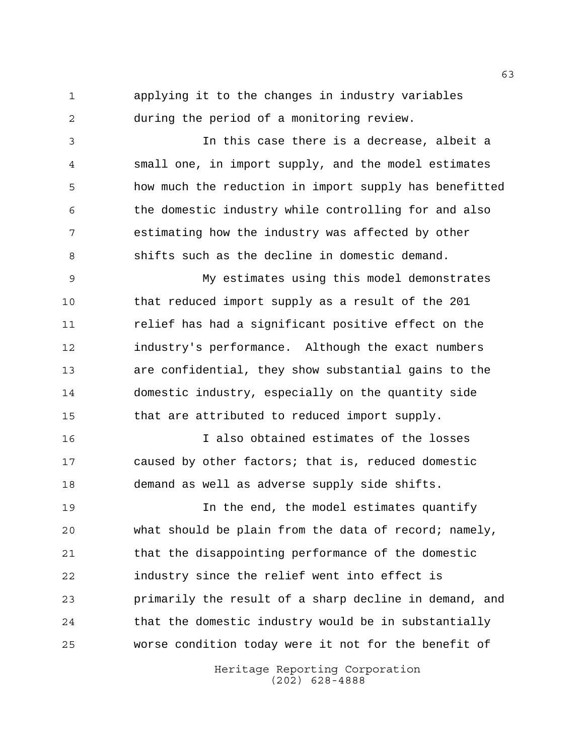applying it to the changes in industry variables during the period of a monitoring review.

 In this case there is a decrease, albeit a small one, in import supply, and the model estimates how much the reduction in import supply has benefitted the domestic industry while controlling for and also estimating how the industry was affected by other shifts such as the decline in domestic demand.

 My estimates using this model demonstrates that reduced import supply as a result of the 201 relief has had a significant positive effect on the industry's performance. Although the exact numbers are confidential, they show substantial gains to the domestic industry, especially on the quantity side that are attributed to reduced import supply.

 I also obtained estimates of the losses caused by other factors; that is, reduced domestic demand as well as adverse supply side shifts.

 In the end, the model estimates quantify what should be plain from the data of record; namely, that the disappointing performance of the domestic industry since the relief went into effect is primarily the result of a sharp decline in demand, and that the domestic industry would be in substantially worse condition today were it not for the benefit of

> Heritage Reporting Corporation (202) 628-4888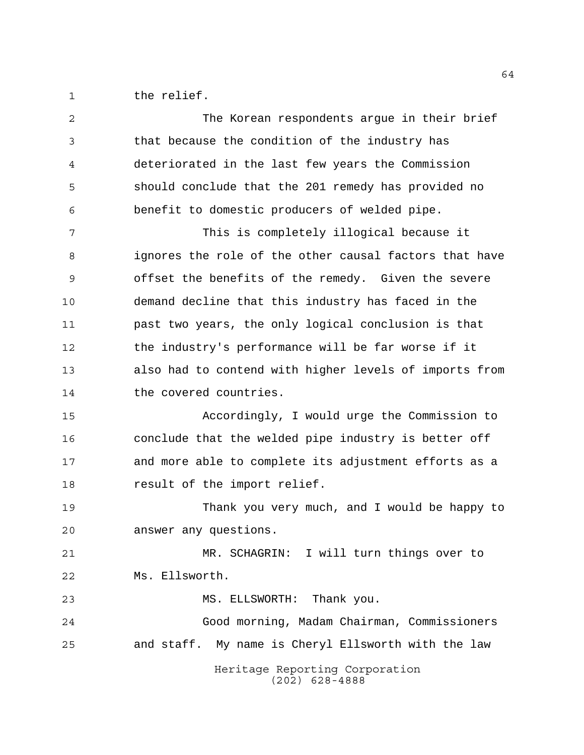1 the relief.

| 2  | The Korean respondents argue in their brief            |
|----|--------------------------------------------------------|
| 3  | that because the condition of the industry has         |
| 4  | deteriorated in the last few years the Commission      |
| 5  | should conclude that the 201 remedy has provided no    |
| 6  | benefit to domestic producers of welded pipe.          |
| 7  | This is completely illogical because it                |
| 8  | ignores the role of the other causal factors that have |
| 9  | offset the benefits of the remedy. Given the severe    |
| 10 | demand decline that this industry has faced in the     |
| 11 | past two years, the only logical conclusion is that    |
| 12 | the industry's performance will be far worse if it     |
| 13 | also had to contend with higher levels of imports from |
| 14 | the covered countries.                                 |
| 15 | Accordingly, I would urge the Commission to            |
| 16 | conclude that the welded pipe industry is better off   |
| 17 | and more able to complete its adjustment efforts as a  |
| 18 | result of the import relief.                           |
| 19 | Thank you very much, and I would be happy to           |
| 20 | answer any questions.                                  |
| 21 | MR. SCHAGRIN: I will turn things over to               |
| 22 | Ms. Ellsworth.                                         |
| 23 | Thank you.<br>MS. ELLSWORTH:                           |
| 24 | Good morning, Madam Chairman, Commissioners            |
| 25 | and staff. My name is Cheryl Ellsworth with the law    |
|    | Heritage Reporting Corporation<br>$(202)$ 628-4888     |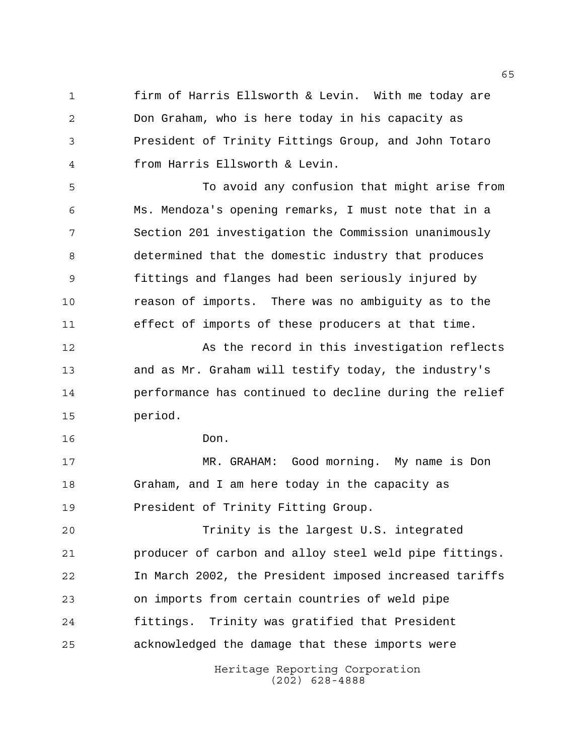firm of Harris Ellsworth & Levin. With me today are Don Graham, who is here today in his capacity as President of Trinity Fittings Group, and John Totaro from Harris Ellsworth & Levin.

 To avoid any confusion that might arise from Ms. Mendoza's opening remarks, I must note that in a Section 201 investigation the Commission unanimously determined that the domestic industry that produces fittings and flanges had been seriously injured by reason of imports. There was no ambiguity as to the effect of imports of these producers at that time.

12 As the record in this investigation reflects and as Mr. Graham will testify today, the industry's performance has continued to decline during the relief period.

Don.

 MR. GRAHAM: Good morning. My name is Don Graham, and I am here today in the capacity as **President of Trinity Fitting Group.** 

 Trinity is the largest U.S. integrated producer of carbon and alloy steel weld pipe fittings. In March 2002, the President imposed increased tariffs on imports from certain countries of weld pipe fittings. Trinity was gratified that President acknowledged the damage that these imports were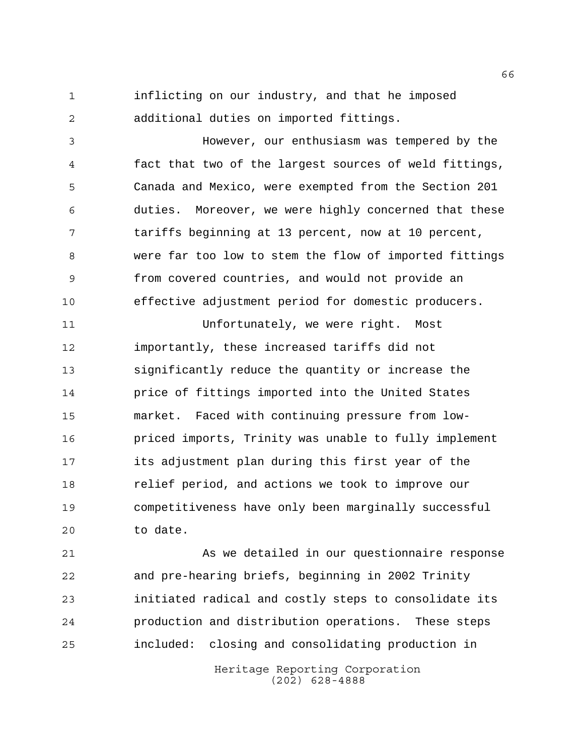inflicting on our industry, and that he imposed additional duties on imported fittings.

 However, our enthusiasm was tempered by the fact that two of the largest sources of weld fittings, Canada and Mexico, were exempted from the Section 201 duties. Moreover, we were highly concerned that these tariffs beginning at 13 percent, now at 10 percent, were far too low to stem the flow of imported fittings from covered countries, and would not provide an effective adjustment period for domestic producers.

 Unfortunately, we were right. Most importantly, these increased tariffs did not significantly reduce the quantity or increase the price of fittings imported into the United States market. Faced with continuing pressure from low- priced imports, Trinity was unable to fully implement its adjustment plan during this first year of the relief period, and actions we took to improve our competitiveness have only been marginally successful to date.

 As we detailed in our questionnaire response and pre-hearing briefs, beginning in 2002 Trinity initiated radical and costly steps to consolidate its production and distribution operations. These steps included: closing and consolidating production in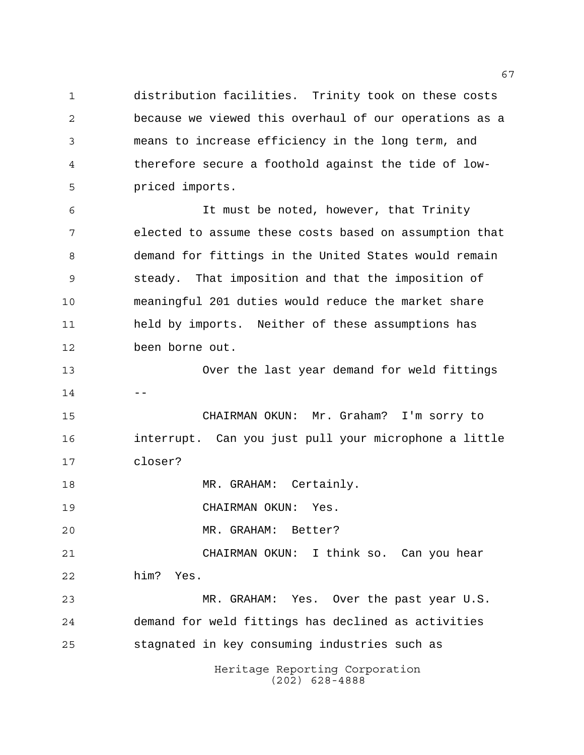distribution facilities. Trinity took on these costs because we viewed this overhaul of our operations as a means to increase efficiency in the long term, and therefore secure a foothold against the tide of low-priced imports.

 It must be noted, however, that Trinity elected to assume these costs based on assumption that demand for fittings in the United States would remain steady. That imposition and that the imposition of meaningful 201 duties would reduce the market share held by imports. Neither of these assumptions has been borne out.

 Over the last year demand for weld fittings 

 CHAIRMAN OKUN: Mr. Graham? I'm sorry to interrupt. Can you just pull your microphone a little closer?

MR. GRAHAM: Certainly.

CHAIRMAN OKUN: Yes.

MR. GRAHAM: Better?

 CHAIRMAN OKUN: I think so. Can you hear him? Yes.

 MR. GRAHAM: Yes. Over the past year U.S. demand for weld fittings has declined as activities stagnated in key consuming industries such as

> Heritage Reporting Corporation (202) 628-4888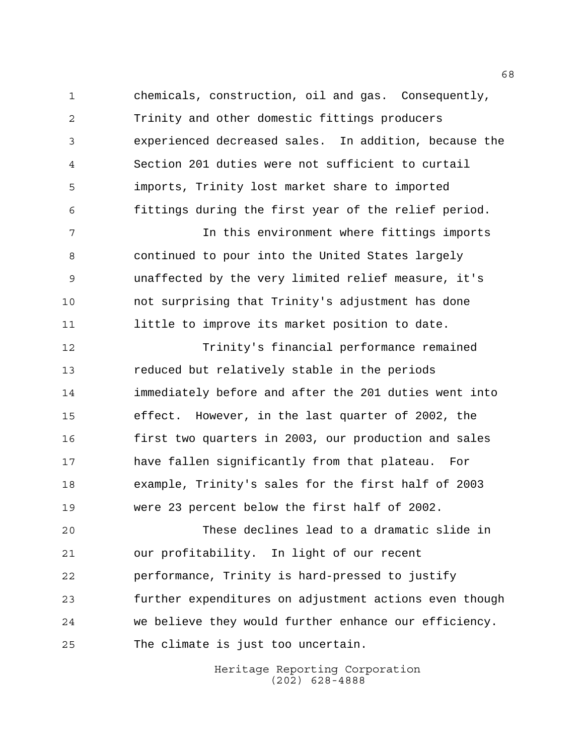chemicals, construction, oil and gas. Consequently, Trinity and other domestic fittings producers experienced decreased sales. In addition, because the Section 201 duties were not sufficient to curtail imports, Trinity lost market share to imported fittings during the first year of the relief period.

 In this environment where fittings imports continued to pour into the United States largely unaffected by the very limited relief measure, it's not surprising that Trinity's adjustment has done little to improve its market position to date.

 Trinity's financial performance remained reduced but relatively stable in the periods immediately before and after the 201 duties went into effect. However, in the last quarter of 2002, the first two quarters in 2003, our production and sales have fallen significantly from that plateau. For example, Trinity's sales for the first half of 2003 were 23 percent below the first half of 2002.

 These declines lead to a dramatic slide in our profitability. In light of our recent performance, Trinity is hard-pressed to justify further expenditures on adjustment actions even though we believe they would further enhance our efficiency. The climate is just too uncertain.

> Heritage Reporting Corporation (202) 628-4888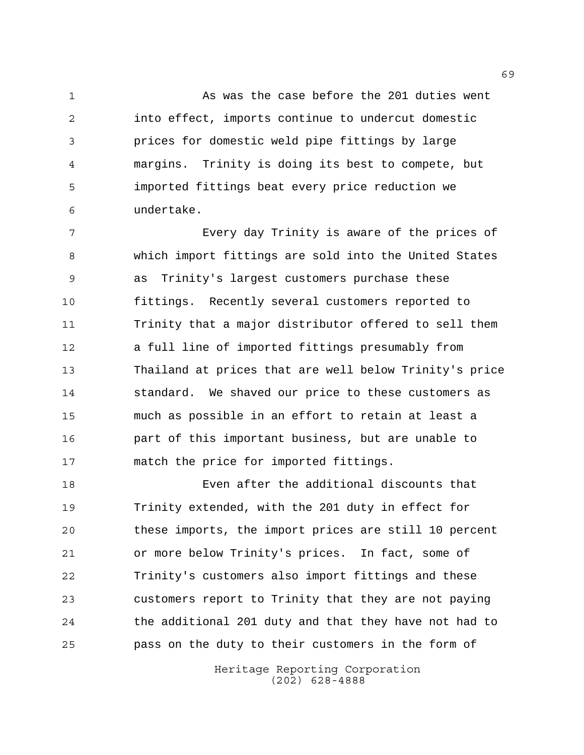1 As was the case before the 201 duties went into effect, imports continue to undercut domestic prices for domestic weld pipe fittings by large margins. Trinity is doing its best to compete, but imported fittings beat every price reduction we undertake.

 Every day Trinity is aware of the prices of which import fittings are sold into the United States as Trinity's largest customers purchase these fittings. Recently several customers reported to Trinity that a major distributor offered to sell them a full line of imported fittings presumably from Thailand at prices that are well below Trinity's price standard. We shaved our price to these customers as much as possible in an effort to retain at least a part of this important business, but are unable to match the price for imported fittings.

 Even after the additional discounts that Trinity extended, with the 201 duty in effect for these imports, the import prices are still 10 percent or more below Trinity's prices. In fact, some of Trinity's customers also import fittings and these customers report to Trinity that they are not paying the additional 201 duty and that they have not had to pass on the duty to their customers in the form of

> Heritage Reporting Corporation (202) 628-4888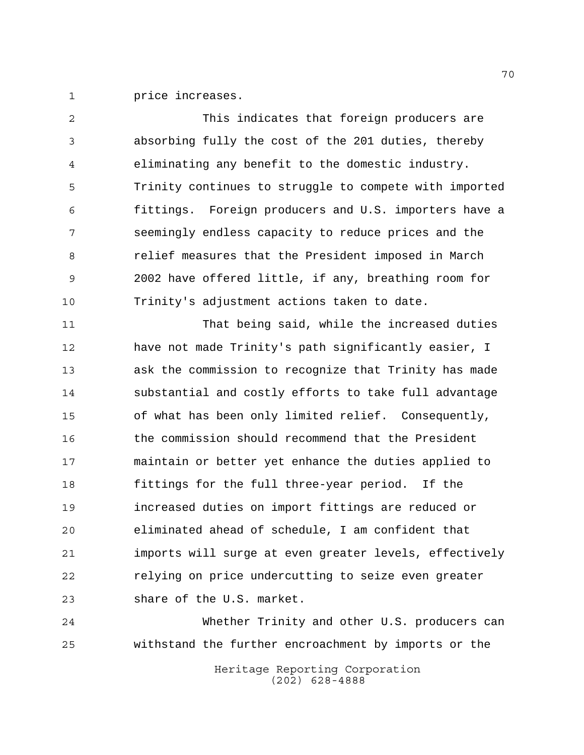price increases.

 This indicates that foreign producers are absorbing fully the cost of the 201 duties, thereby eliminating any benefit to the domestic industry. Trinity continues to struggle to compete with imported fittings. Foreign producers and U.S. importers have a seemingly endless capacity to reduce prices and the relief measures that the President imposed in March 2002 have offered little, if any, breathing room for Trinity's adjustment actions taken to date.

 That being said, while the increased duties have not made Trinity's path significantly easier, I ask the commission to recognize that Trinity has made substantial and costly efforts to take full advantage of what has been only limited relief. Consequently, the commission should recommend that the President maintain or better yet enhance the duties applied to fittings for the full three-year period. If the increased duties on import fittings are reduced or eliminated ahead of schedule, I am confident that imports will surge at even greater levels, effectively relying on price undercutting to seize even greater share of the U.S. market.

 Whether Trinity and other U.S. producers can withstand the further encroachment by imports or the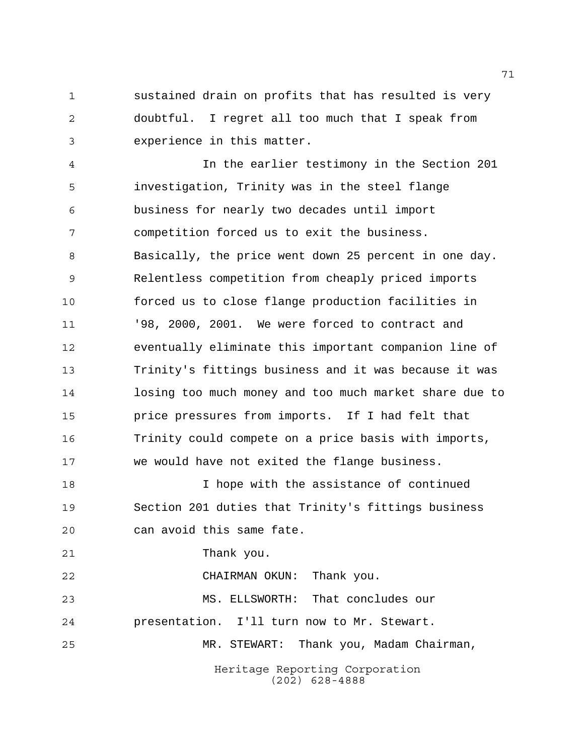sustained drain on profits that has resulted is very doubtful. I regret all too much that I speak from experience in this matter.

 In the earlier testimony in the Section 201 investigation, Trinity was in the steel flange business for nearly two decades until import competition forced us to exit the business. Basically, the price went down 25 percent in one day. Relentless competition from cheaply priced imports forced us to close flange production facilities in '98, 2000, 2001. We were forced to contract and eventually eliminate this important companion line of Trinity's fittings business and it was because it was losing too much money and too much market share due to price pressures from imports. If I had felt that Trinity could compete on a price basis with imports, we would have not exited the flange business.

 I hope with the assistance of continued Section 201 duties that Trinity's fittings business can avoid this same fate.

Thank you.

 CHAIRMAN OKUN: Thank you. MS. ELLSWORTH: That concludes our presentation. I'll turn now to Mr. Stewart. MR. STEWART: Thank you, Madam Chairman,

> Heritage Reporting Corporation (202) 628-4888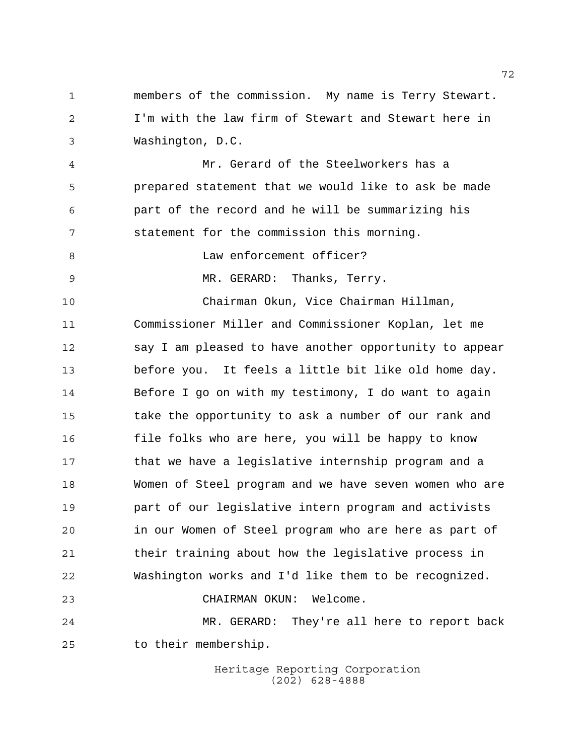members of the commission. My name is Terry Stewart. I'm with the law firm of Stewart and Stewart here in Washington, D.C.

 Mr. Gerard of the Steelworkers has a prepared statement that we would like to ask be made part of the record and he will be summarizing his statement for the commission this morning.

8 Law enforcement officer?

MR. GERARD: Thanks, Terry.

 Chairman Okun, Vice Chairman Hillman, Commissioner Miller and Commissioner Koplan, let me say I am pleased to have another opportunity to appear before you. It feels a little bit like old home day. Before I go on with my testimony, I do want to again take the opportunity to ask a number of our rank and file folks who are here, you will be happy to know that we have a legislative internship program and a Women of Steel program and we have seven women who are part of our legislative intern program and activists in our Women of Steel program who are here as part of their training about how the legislative process in Washington works and I'd like them to be recognized. CHAIRMAN OKUN: Welcome. MR. GERARD: They're all here to report back

to their membership.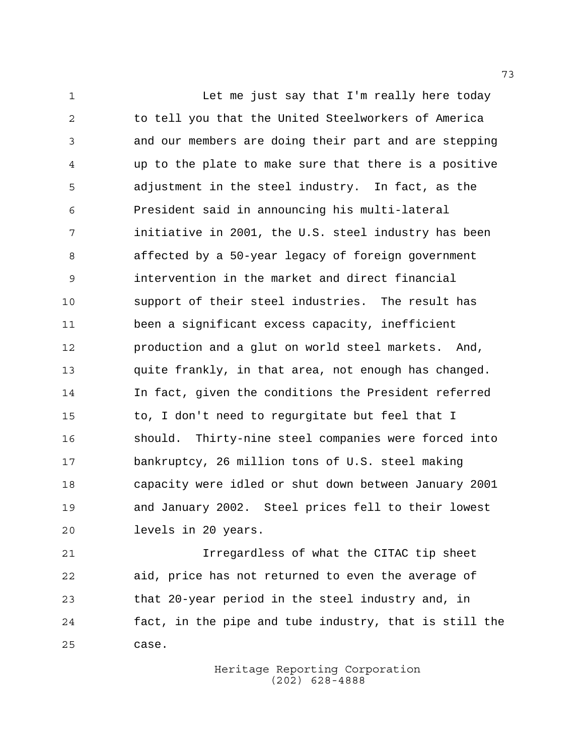1 Let me just say that I'm really here today to tell you that the United Steelworkers of America and our members are doing their part and are stepping up to the plate to make sure that there is a positive adjustment in the steel industry. In fact, as the President said in announcing his multi-lateral initiative in 2001, the U.S. steel industry has been affected by a 50-year legacy of foreign government intervention in the market and direct financial support of their steel industries. The result has been a significant excess capacity, inefficient production and a glut on world steel markets. And, quite frankly, in that area, not enough has changed. In fact, given the conditions the President referred to, I don't need to regurgitate but feel that I should. Thirty-nine steel companies were forced into bankruptcy, 26 million tons of U.S. steel making capacity were idled or shut down between January 2001 and January 2002. Steel prices fell to their lowest levels in 20 years.

 Irregardless of what the CITAC tip sheet aid, price has not returned to even the average of that 20-year period in the steel industry and, in fact, in the pipe and tube industry, that is still the case.

> Heritage Reporting Corporation (202) 628-4888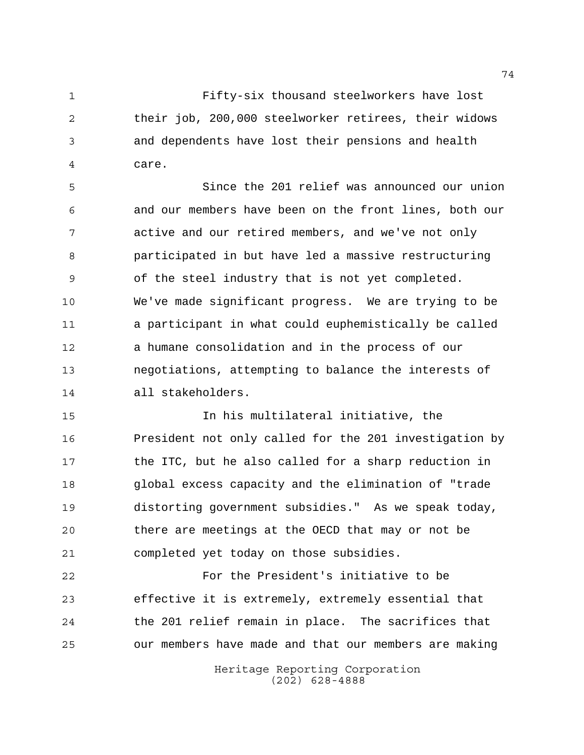Fifty-six thousand steelworkers have lost their job, 200,000 steelworker retirees, their widows and dependents have lost their pensions and health care.

 Since the 201 relief was announced our union and our members have been on the front lines, both our active and our retired members, and we've not only participated in but have led a massive restructuring of the steel industry that is not yet completed. We've made significant progress. We are trying to be a participant in what could euphemistically be called a humane consolidation and in the process of our negotiations, attempting to balance the interests of all stakeholders.

 In his multilateral initiative, the President not only called for the 201 investigation by the ITC, but he also called for a sharp reduction in global excess capacity and the elimination of "trade distorting government subsidies." As we speak today, there are meetings at the OECD that may or not be completed yet today on those subsidies.

 For the President's initiative to be effective it is extremely, extremely essential that the 201 relief remain in place. The sacrifices that our members have made and that our members are making

> Heritage Reporting Corporation (202) 628-4888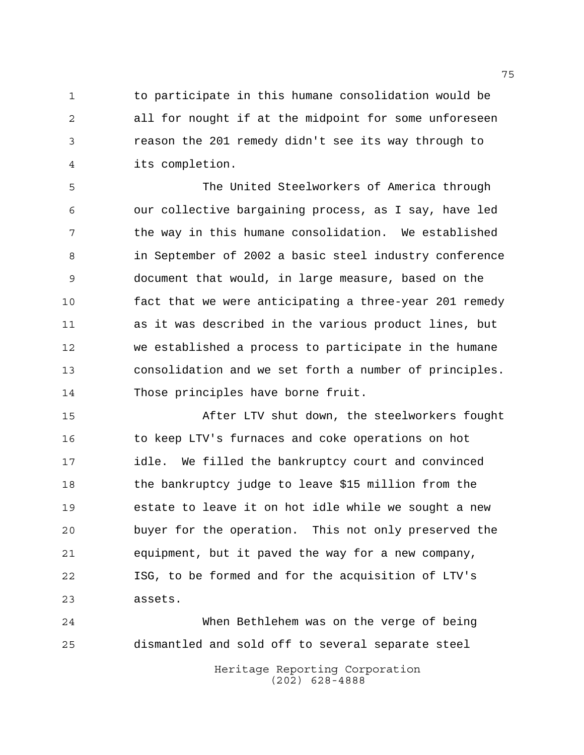1 to participate in this humane consolidation would be all for nought if at the midpoint for some unforeseen reason the 201 remedy didn't see its way through to its completion.

 The United Steelworkers of America through our collective bargaining process, as I say, have led 7 the way in this humane consolidation. We established in September of 2002 a basic steel industry conference document that would, in large measure, based on the fact that we were anticipating a three-year 201 remedy as it was described in the various product lines, but we established a process to participate in the humane consolidation and we set forth a number of principles. Those principles have borne fruit.

 After LTV shut down, the steelworkers fought to keep LTV's furnaces and coke operations on hot idle. We filled the bankruptcy court and convinced the bankruptcy judge to leave \$15 million from the estate to leave it on hot idle while we sought a new buyer for the operation. This not only preserved the equipment, but it paved the way for a new company, ISG, to be formed and for the acquisition of LTV's assets.

 When Bethlehem was on the verge of being dismantled and sold off to several separate steel

> Heritage Reporting Corporation (202) 628-4888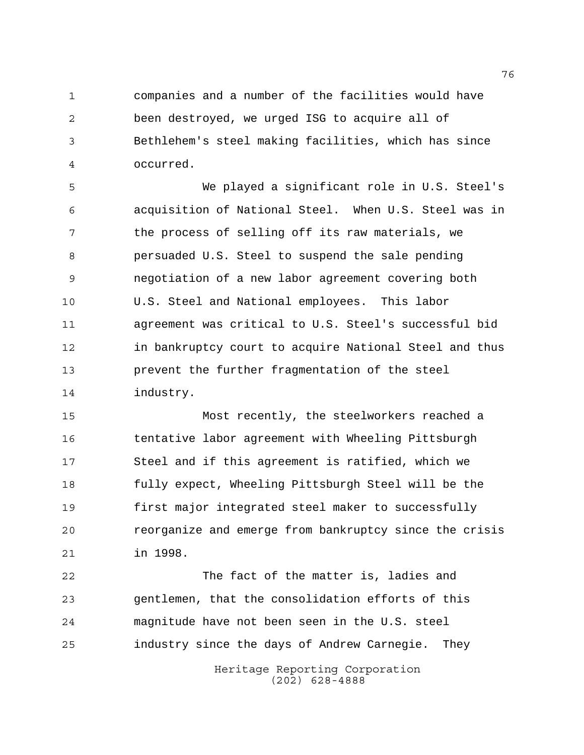companies and a number of the facilities would have been destroyed, we urged ISG to acquire all of Bethlehem's steel making facilities, which has since occurred.

 We played a significant role in U.S. Steel's acquisition of National Steel. When U.S. Steel was in 7 the process of selling off its raw materials, we persuaded U.S. Steel to suspend the sale pending negotiation of a new labor agreement covering both U.S. Steel and National employees. This labor agreement was critical to U.S. Steel's successful bid in bankruptcy court to acquire National Steel and thus prevent the further fragmentation of the steel industry.

 Most recently, the steelworkers reached a tentative labor agreement with Wheeling Pittsburgh Steel and if this agreement is ratified, which we fully expect, Wheeling Pittsburgh Steel will be the first major integrated steel maker to successfully reorganize and emerge from bankruptcy since the crisis in 1998.

 The fact of the matter is, ladies and gentlemen, that the consolidation efforts of this magnitude have not been seen in the U.S. steel industry since the days of Andrew Carnegie. They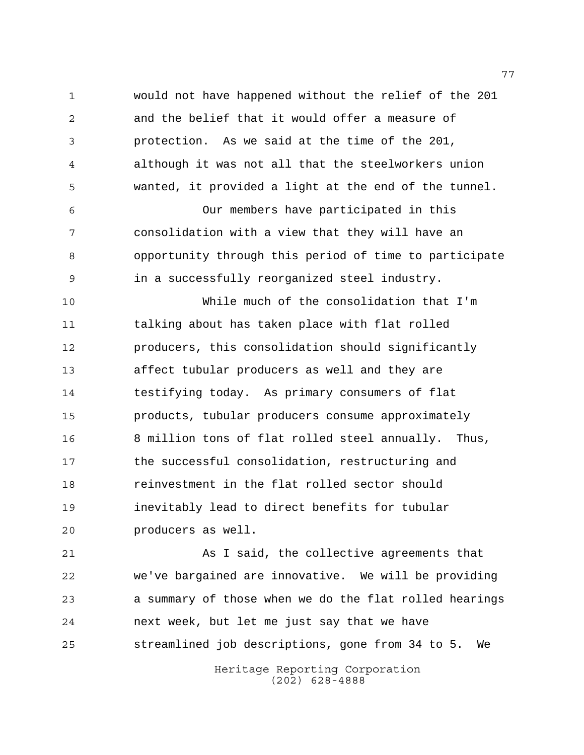would not have happened without the relief of the 201 and the belief that it would offer a measure of protection. As we said at the time of the 201, although it was not all that the steelworkers union wanted, it provided a light at the end of the tunnel. Our members have participated in this consolidation with a view that they will have an

 opportunity through this period of time to participate in a successfully reorganized steel industry.

 While much of the consolidation that I'm talking about has taken place with flat rolled producers, this consolidation should significantly affect tubular producers as well and they are testifying today. As primary consumers of flat products, tubular producers consume approximately 8 million tons of flat rolled steel annually. Thus, the successful consolidation, restructuring and reinvestment in the flat rolled sector should inevitably lead to direct benefits for tubular producers as well.

 As I said, the collective agreements that we've bargained are innovative. We will be providing a summary of those when we do the flat rolled hearings next week, but let me just say that we have streamlined job descriptions, gone from 34 to 5. We

> Heritage Reporting Corporation (202) 628-4888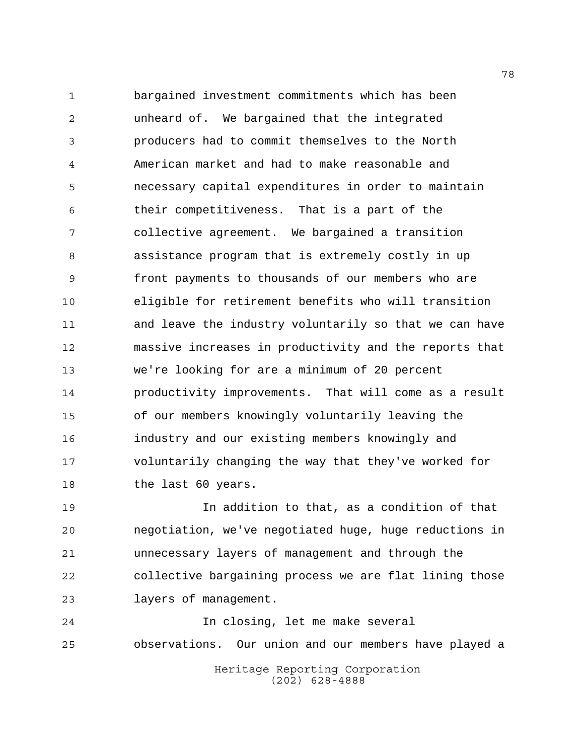bargained investment commitments which has been unheard of. We bargained that the integrated producers had to commit themselves to the North American market and had to make reasonable and necessary capital expenditures in order to maintain their competitiveness. That is a part of the collective agreement. We bargained a transition assistance program that is extremely costly in up front payments to thousands of our members who are eligible for retirement benefits who will transition and leave the industry voluntarily so that we can have massive increases in productivity and the reports that we're looking for are a minimum of 20 percent productivity improvements. That will come as a result of our members knowingly voluntarily leaving the industry and our existing members knowingly and voluntarily changing the way that they've worked for 18 the last 60 years.

 In addition to that, as a condition of that negotiation, we've negotiated huge, huge reductions in unnecessary layers of management and through the collective bargaining process we are flat lining those layers of management.

 In closing, let me make several observations. Our union and our members have played a

Heritage Reporting Corporation (202) 628-4888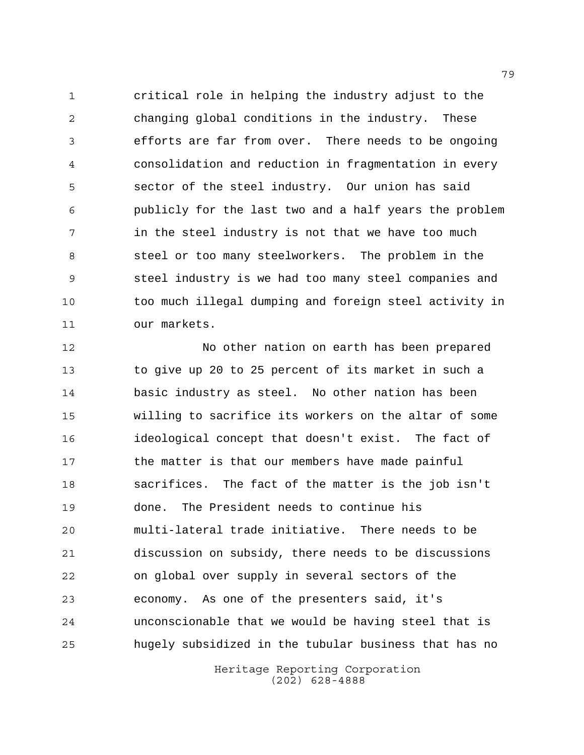critical role in helping the industry adjust to the changing global conditions in the industry. These efforts are far from over. There needs to be ongoing consolidation and reduction in fragmentation in every sector of the steel industry. Our union has said publicly for the last two and a half years the problem in the steel industry is not that we have too much steel or too many steelworkers. The problem in the steel industry is we had too many steel companies and too much illegal dumping and foreign steel activity in our markets.

 No other nation on earth has been prepared to give up 20 to 25 percent of its market in such a basic industry as steel. No other nation has been willing to sacrifice its workers on the altar of some ideological concept that doesn't exist. The fact of the matter is that our members have made painful sacrifices. The fact of the matter is the job isn't done. The President needs to continue his multi-lateral trade initiative. There needs to be discussion on subsidy, there needs to be discussions on global over supply in several sectors of the economy. As one of the presenters said, it's unconscionable that we would be having steel that is hugely subsidized in the tubular business that has no

> Heritage Reporting Corporation (202) 628-4888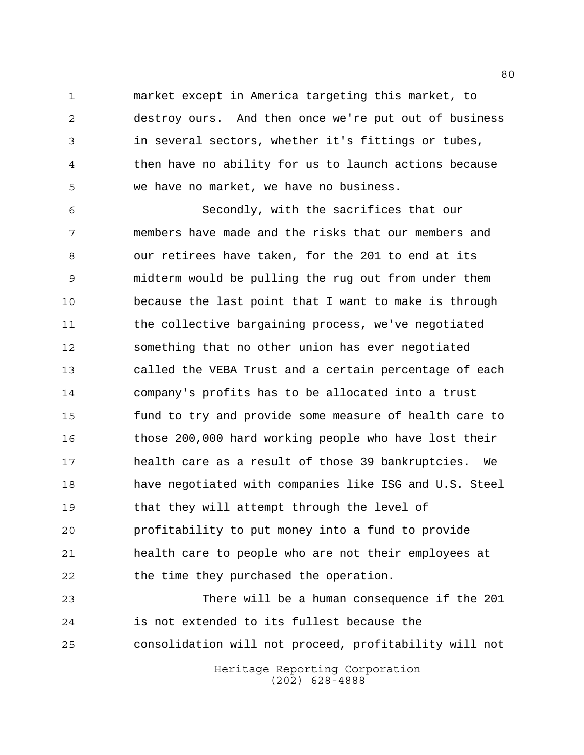market except in America targeting this market, to destroy ours. And then once we're put out of business in several sectors, whether it's fittings or tubes, then have no ability for us to launch actions because we have no market, we have no business.

 Secondly, with the sacrifices that our members have made and the risks that our members and our retirees have taken, for the 201 to end at its midterm would be pulling the rug out from under them because the last point that I want to make is through the collective bargaining process, we've negotiated something that no other union has ever negotiated called the VEBA Trust and a certain percentage of each company's profits has to be allocated into a trust fund to try and provide some measure of health care to those 200,000 hard working people who have lost their health care as a result of those 39 bankruptcies. We have negotiated with companies like ISG and U.S. Steel that they will attempt through the level of profitability to put money into a fund to provide health care to people who are not their employees at 22 the time they purchased the operation.

 There will be a human consequence if the 201 is not extended to its fullest because the consolidation will not proceed, profitability will not

Heritage Reporting Corporation (202) 628-4888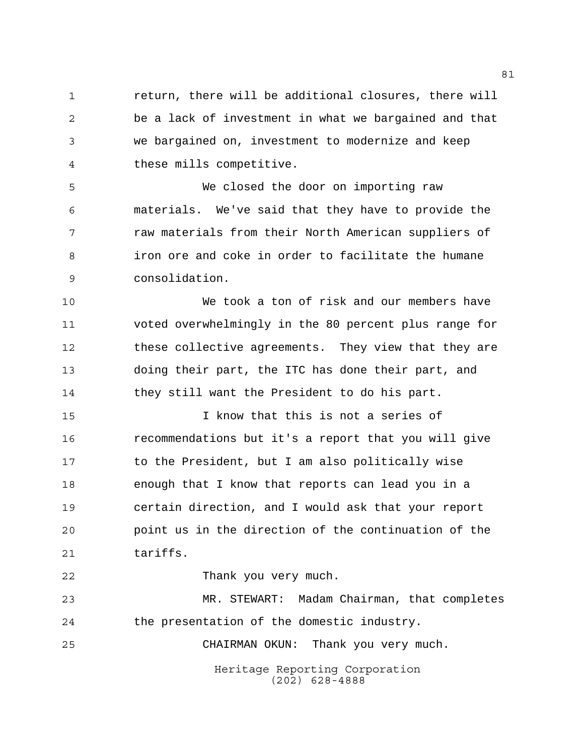return, there will be additional closures, there will be a lack of investment in what we bargained and that we bargained on, investment to modernize and keep these mills competitive.

 We closed the door on importing raw materials. We've said that they have to provide the raw materials from their North American suppliers of iron ore and coke in order to facilitate the humane consolidation.

 We took a ton of risk and our members have voted overwhelmingly in the 80 percent plus range for these collective agreements. They view that they are doing their part, the ITC has done their part, and they still want the President to do his part.

 I know that this is not a series of recommendations but it's a report that you will give to the President, but I am also politically wise enough that I know that reports can lead you in a certain direction, and I would ask that your report point us in the direction of the continuation of the 21 tariffs.

Thank you very much.

 MR. STEWART: Madam Chairman, that completes the presentation of the domestic industry.

CHAIRMAN OKUN: Thank you very much.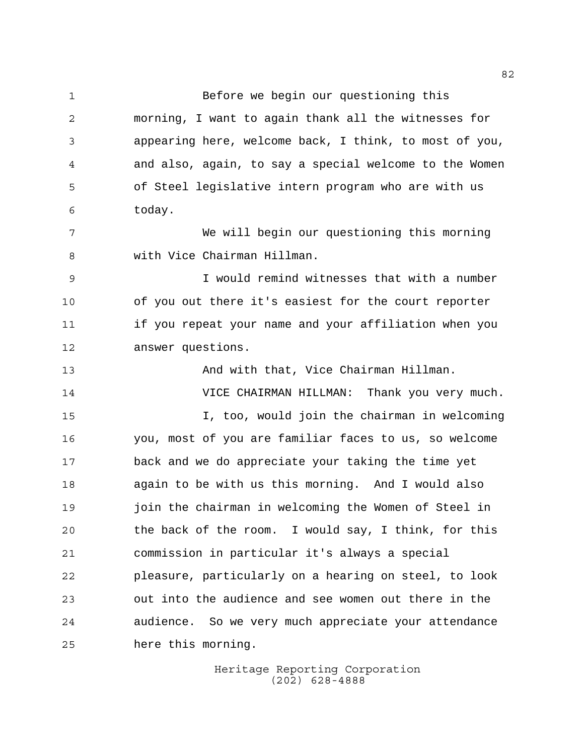Before we begin our questioning this morning, I want to again thank all the witnesses for appearing here, welcome back, I think, to most of you, and also, again, to say a special welcome to the Women of Steel legislative intern program who are with us today. We will begin our questioning this morning with Vice Chairman Hillman. I would remind witnesses that with a number of you out there it's easiest for the court reporter if you repeat your name and your affiliation when you answer questions. And with that, Vice Chairman Hillman. VICE CHAIRMAN HILLMAN: Thank you very much. I, too, would join the chairman in welcoming you, most of you are familiar faces to us, so welcome back and we do appreciate your taking the time yet again to be with us this morning. And I would also join the chairman in welcoming the Women of Steel in the back of the room. I would say, I think, for this commission in particular it's always a special pleasure, particularly on a hearing on steel, to look out into the audience and see women out there in the audience. So we very much appreciate your attendance here this morning.

> Heritage Reporting Corporation (202) 628-4888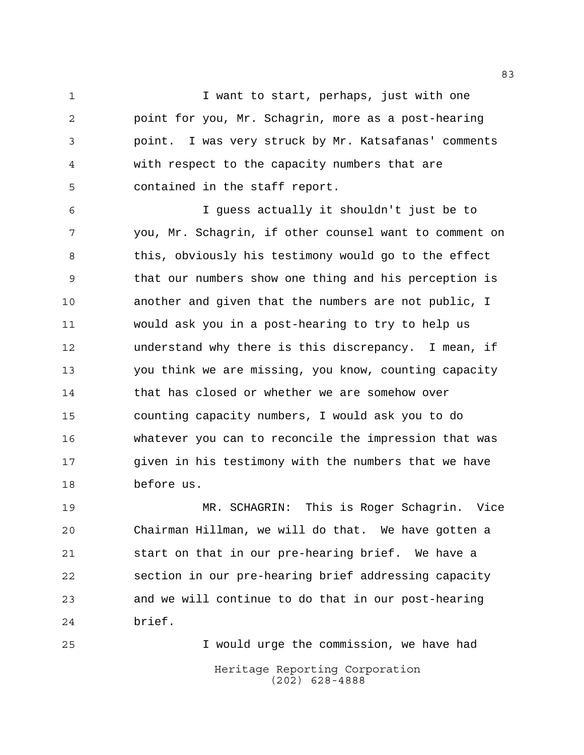1 I want to start, perhaps, just with one point for you, Mr. Schagrin, more as a post-hearing point. I was very struck by Mr. Katsafanas' comments with respect to the capacity numbers that are contained in the staff report.

 I guess actually it shouldn't just be to you, Mr. Schagrin, if other counsel want to comment on 8 this, obviously his testimony would go to the effect that our numbers show one thing and his perception is another and given that the numbers are not public, I would ask you in a post-hearing to try to help us understand why there is this discrepancy. I mean, if you think we are missing, you know, counting capacity that has closed or whether we are somehow over counting capacity numbers, I would ask you to do whatever you can to reconcile the impression that was given in his testimony with the numbers that we have before us.

 MR. SCHAGRIN: This is Roger Schagrin. Vice Chairman Hillman, we will do that. We have gotten a start on that in our pre-hearing brief. We have a section in our pre-hearing brief addressing capacity and we will continue to do that in our post-hearing brief.

Heritage Reporting Corporation (202) 628-4888 I would urge the commission, we have had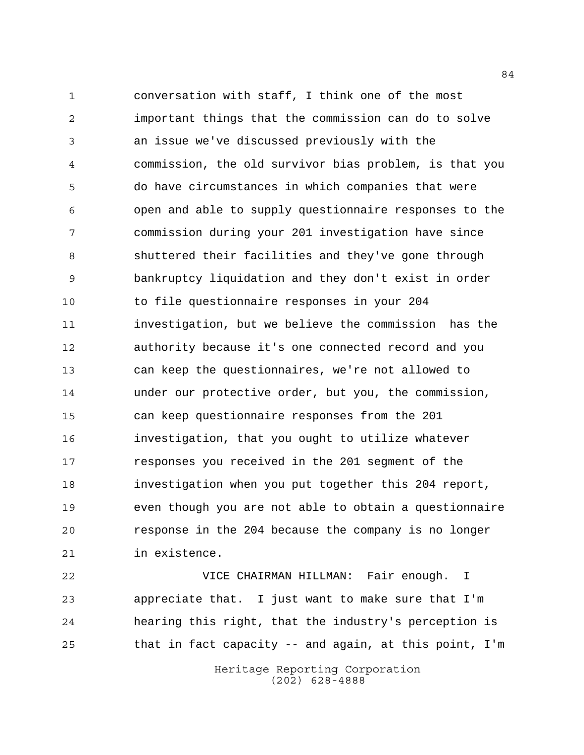conversation with staff, I think one of the most important things that the commission can do to solve an issue we've discussed previously with the commission, the old survivor bias problem, is that you do have circumstances in which companies that were open and able to supply questionnaire responses to the commission during your 201 investigation have since shuttered their facilities and they've gone through bankruptcy liquidation and they don't exist in order to file questionnaire responses in your 204 investigation, but we believe the commission has the authority because it's one connected record and you can keep the questionnaires, we're not allowed to under our protective order, but you, the commission, can keep questionnaire responses from the 201 investigation, that you ought to utilize whatever responses you received in the 201 segment of the investigation when you put together this 204 report, even though you are not able to obtain a questionnaire response in the 204 because the company is no longer in existence.

 VICE CHAIRMAN HILLMAN: Fair enough. I appreciate that. I just want to make sure that I'm hearing this right, that the industry's perception is that in fact capacity -- and again, at this point, I'm

> Heritage Reporting Corporation (202) 628-4888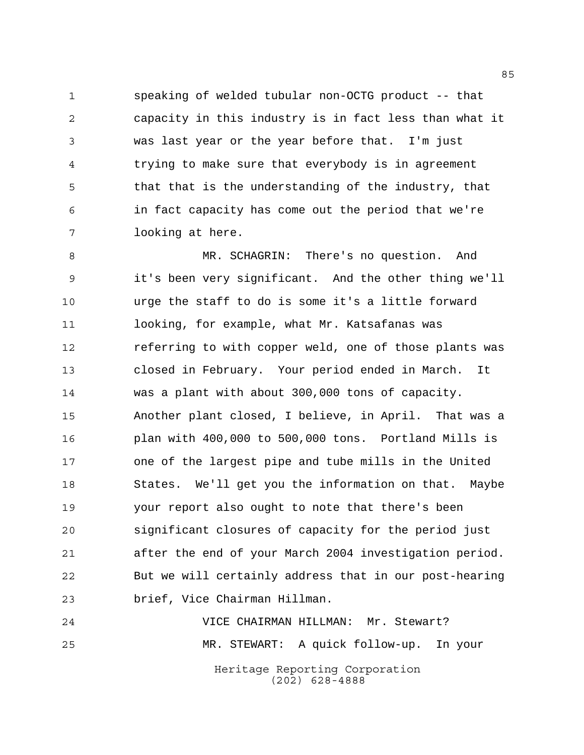speaking of welded tubular non-OCTG product -- that capacity in this industry is in fact less than what it was last year or the year before that. I'm just trying to make sure that everybody is in agreement that that is the understanding of the industry, that in fact capacity has come out the period that we're looking at here.

 MR. SCHAGRIN: There's no question. And it's been very significant. And the other thing we'll urge the staff to do is some it's a little forward looking, for example, what Mr. Katsafanas was referring to with copper weld, one of those plants was closed in February. Your period ended in March. It was a plant with about 300,000 tons of capacity. Another plant closed, I believe, in April. That was a plan with 400,000 to 500,000 tons. Portland Mills is one of the largest pipe and tube mills in the United States. We'll get you the information on that. Maybe your report also ought to note that there's been significant closures of capacity for the period just after the end of your March 2004 investigation period. But we will certainly address that in our post-hearing brief, Vice Chairman Hillman.

Heritage Reporting Corporation (202) 628-4888 VICE CHAIRMAN HILLMAN: Mr. Stewart? MR. STEWART: A quick follow-up. In your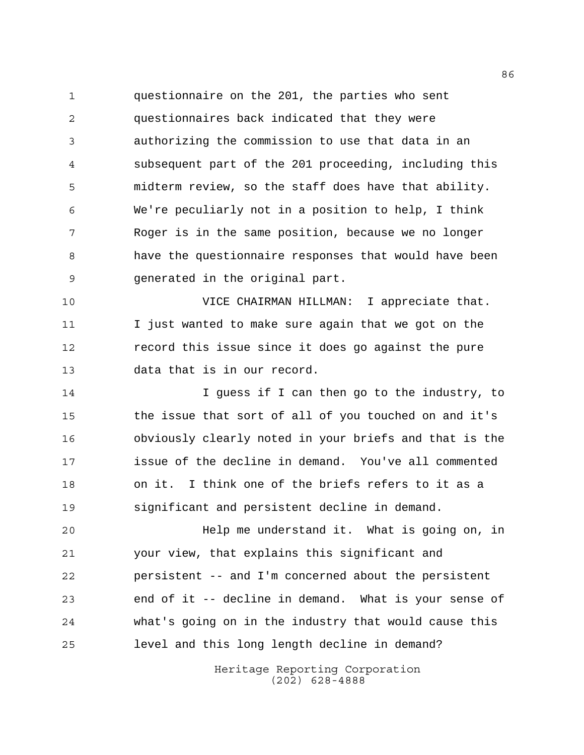questionnaire on the 201, the parties who sent questionnaires back indicated that they were authorizing the commission to use that data in an subsequent part of the 201 proceeding, including this midterm review, so the staff does have that ability. We're peculiarly not in a position to help, I think Roger is in the same position, because we no longer have the questionnaire responses that would have been generated in the original part.

 VICE CHAIRMAN HILLMAN: I appreciate that. I just wanted to make sure again that we got on the record this issue since it does go against the pure data that is in our record.

14 I guess if I can then go to the industry, to the issue that sort of all of you touched on and it's obviously clearly noted in your briefs and that is the issue of the decline in demand. You've all commented on it. I think one of the briefs refers to it as a significant and persistent decline in demand.

 Help me understand it. What is going on, in your view, that explains this significant and persistent -- and I'm concerned about the persistent end of it -- decline in demand. What is your sense of what's going on in the industry that would cause this level and this long length decline in demand?

> Heritage Reporting Corporation (202) 628-4888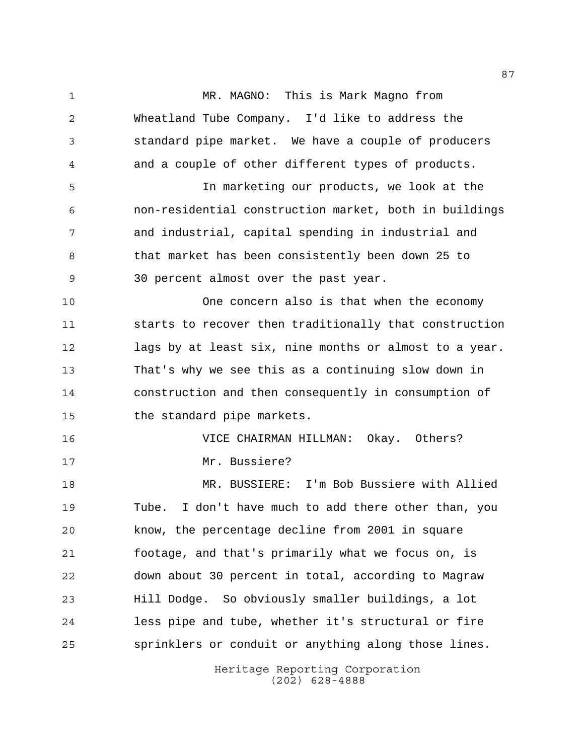MR. MAGNO: This is Mark Magno from

Heritage Reporting Corporation Wheatland Tube Company. I'd like to address the standard pipe market. We have a couple of producers and a couple of other different types of products. In marketing our products, we look at the non-residential construction market, both in buildings and industrial, capital spending in industrial and 8 that market has been consistently been down 25 to 30 percent almost over the past year. One concern also is that when the economy starts to recover then traditionally that construction lags by at least six, nine months or almost to a year. That's why we see this as a continuing slow down in construction and then consequently in consumption of the standard pipe markets. VICE CHAIRMAN HILLMAN: Okay. Others? 17 Mr. Bussiere? MR. BUSSIERE: I'm Bob Bussiere with Allied Tube. I don't have much to add there other than, you know, the percentage decline from 2001 in square footage, and that's primarily what we focus on, is down about 30 percent in total, according to Magraw Hill Dodge. So obviously smaller buildings, a lot less pipe and tube, whether it's structural or fire sprinklers or conduit or anything along those lines.

(202) 628-4888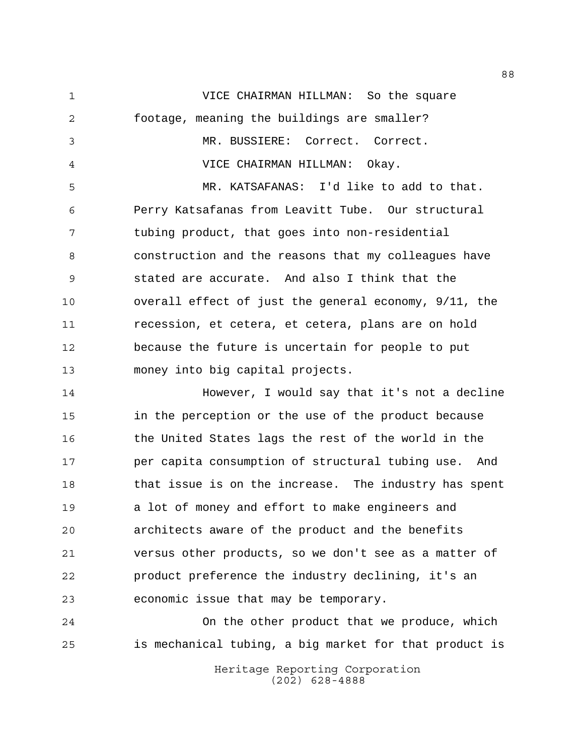VICE CHAIRMAN HILLMAN: So the square footage, meaning the buildings are smaller? MR. BUSSIERE: Correct. Correct. VICE CHAIRMAN HILLMAN: Okay. MR. KATSAFANAS: I'd like to add to that. Perry Katsafanas from Leavitt Tube. Our structural tubing product, that goes into non-residential construction and the reasons that my colleagues have stated are accurate. And also I think that the overall effect of just the general economy, 9/11, the recession, et cetera, et cetera, plans are on hold because the future is uncertain for people to put money into big capital projects. However, I would say that it's not a decline in the perception or the use of the product because the United States lags the rest of the world in the per capita consumption of structural tubing use. And that issue is on the increase. The industry has spent a lot of money and effort to make engineers and architects aware of the product and the benefits versus other products, so we don't see as a matter of

 product preference the industry declining, it's an economic issue that may be temporary.

 On the other product that we produce, which is mechanical tubing, a big market for that product is

Heritage Reporting Corporation (202) 628-4888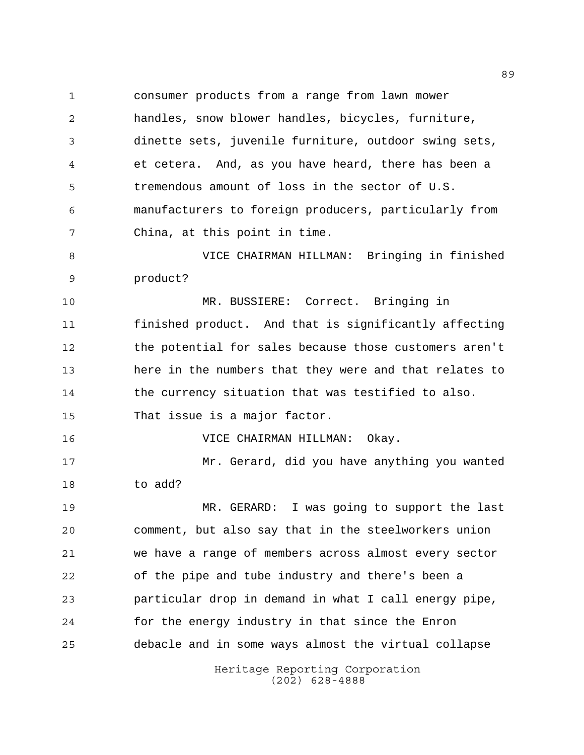consumer products from a range from lawn mower handles, snow blower handles, bicycles, furniture, dinette sets, juvenile furniture, outdoor swing sets, et cetera. And, as you have heard, there has been a tremendous amount of loss in the sector of U.S. manufacturers to foreign producers, particularly from China, at this point in time.

 VICE CHAIRMAN HILLMAN: Bringing in finished product?

 MR. BUSSIERE: Correct. Bringing in finished product. And that is significantly affecting the potential for sales because those customers aren't here in the numbers that they were and that relates to the currency situation that was testified to also. That issue is a major factor.

VICE CHAIRMAN HILLMAN: Okay.

 Mr. Gerard, did you have anything you wanted to add?

 MR. GERARD: I was going to support the last comment, but also say that in the steelworkers union we have a range of members across almost every sector of the pipe and tube industry and there's been a particular drop in demand in what I call energy pipe, for the energy industry in that since the Enron debacle and in some ways almost the virtual collapse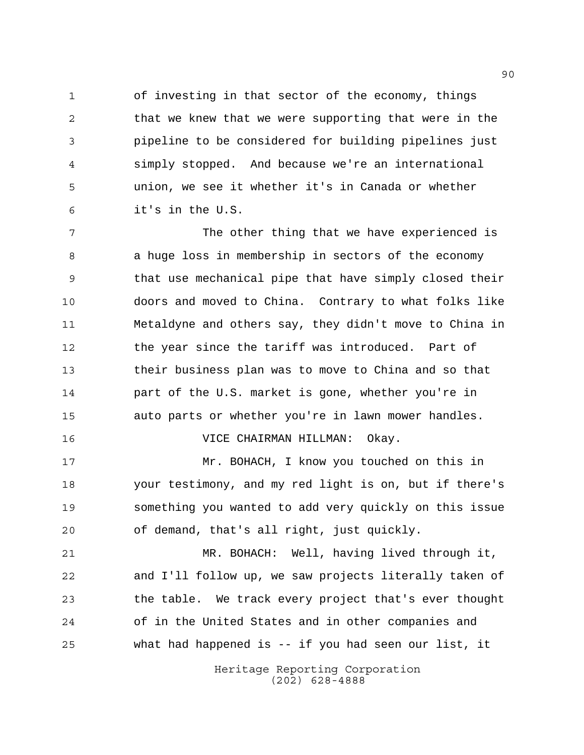of investing in that sector of the economy, things 2 that we knew that we were supporting that were in the pipeline to be considered for building pipelines just simply stopped. And because we're an international union, we see it whether it's in Canada or whether it's in the U.S.

 The other thing that we have experienced is a huge loss in membership in sectors of the economy that use mechanical pipe that have simply closed their doors and moved to China. Contrary to what folks like Metaldyne and others say, they didn't move to China in the year since the tariff was introduced. Part of their business plan was to move to China and so that part of the U.S. market is gone, whether you're in auto parts or whether you're in lawn mower handles.

VICE CHAIRMAN HILLMAN: Okay.

 Mr. BOHACH, I know you touched on this in your testimony, and my red light is on, but if there's something you wanted to add very quickly on this issue of demand, that's all right, just quickly.

 MR. BOHACH: Well, having lived through it, and I'll follow up, we saw projects literally taken of the table. We track every project that's ever thought of in the United States and in other companies and what had happened is -- if you had seen our list, it

> Heritage Reporting Corporation (202) 628-4888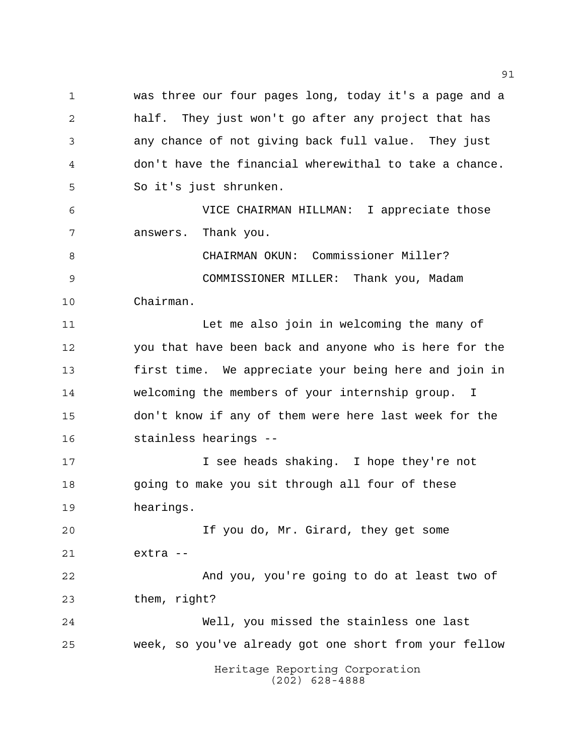was three our four pages long, today it's a page and a half. They just won't go after any project that has any chance of not giving back full value. They just don't have the financial wherewithal to take a chance. So it's just shrunken. VICE CHAIRMAN HILLMAN: I appreciate those answers. Thank you. CHAIRMAN OKUN: Commissioner Miller? COMMISSIONER MILLER: Thank you, Madam Chairman. Let me also join in welcoming the many of you that have been back and anyone who is here for the

 first time. We appreciate your being here and join in welcoming the members of your internship group. I don't know if any of them were here last week for the stainless hearings --

 I see heads shaking. I hope they're not going to make you sit through all four of these hearings.

 If you do, Mr. Girard, they get some extra -- And you, you're going to do at least two of them, right? Well, you missed the stainless one last

week, so you've already got one short from your fellow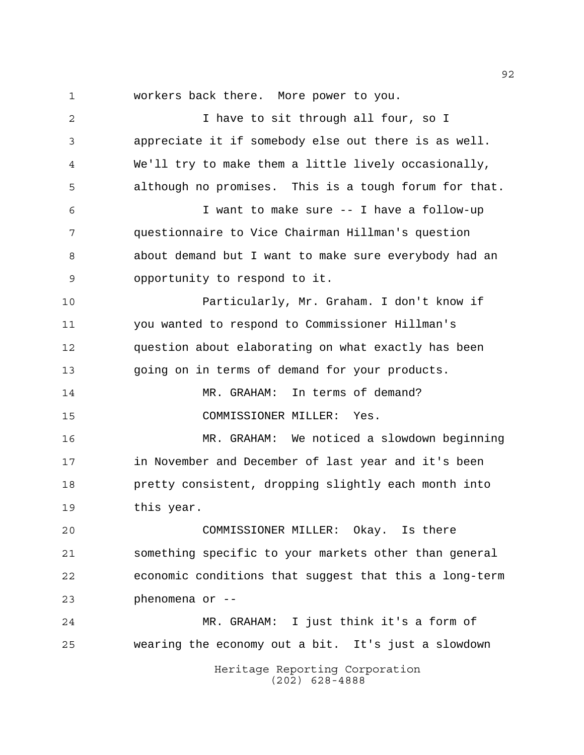Heritage Reporting Corporation workers back there. More power to you. I have to sit through all four, so I appreciate it if somebody else out there is as well. We'll try to make them a little lively occasionally, although no promises. This is a tough forum for that. I want to make sure -- I have a follow-up questionnaire to Vice Chairman Hillman's question about demand but I want to make sure everybody had an opportunity to respond to it. Particularly, Mr. Graham. I don't know if you wanted to respond to Commissioner Hillman's question about elaborating on what exactly has been going on in terms of demand for your products. MR. GRAHAM: In terms of demand? COMMISSIONER MILLER: Yes. MR. GRAHAM: We noticed a slowdown beginning in November and December of last year and it's been pretty consistent, dropping slightly each month into this year. COMMISSIONER MILLER: Okay. Is there something specific to your markets other than general economic conditions that suggest that this a long-term phenomena or -- MR. GRAHAM: I just think it's a form of wearing the economy out a bit. It's just a slowdown

(202) 628-4888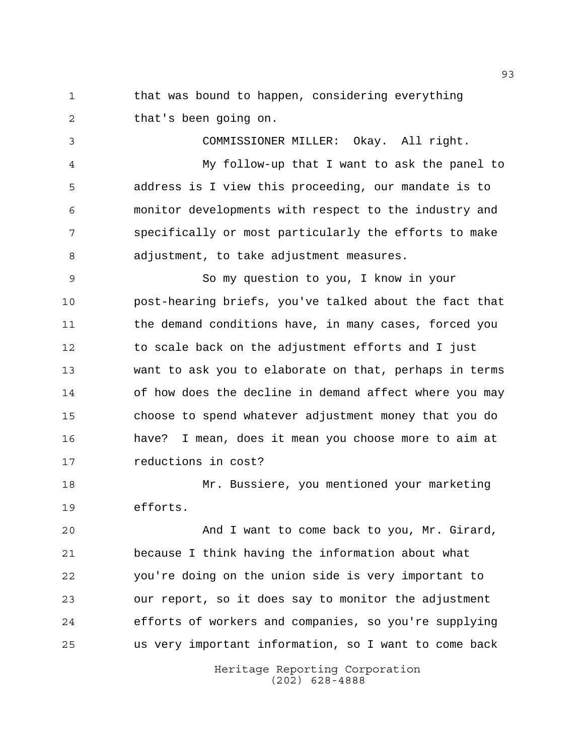1 that was bound to happen, considering everything that's been going on.

 COMMISSIONER MILLER: Okay. All right. My follow-up that I want to ask the panel to address is I view this proceeding, our mandate is to monitor developments with respect to the industry and specifically or most particularly the efforts to make adjustment, to take adjustment measures.

 So my question to you, I know in your post-hearing briefs, you've talked about the fact that the demand conditions have, in many cases, forced you to scale back on the adjustment efforts and I just want to ask you to elaborate on that, perhaps in terms of how does the decline in demand affect where you may choose to spend whatever adjustment money that you do have? I mean, does it mean you choose more to aim at reductions in cost?

 Mr. Bussiere, you mentioned your marketing efforts.

 And I want to come back to you, Mr. Girard, because I think having the information about what you're doing on the union side is very important to our report, so it does say to monitor the adjustment efforts of workers and companies, so you're supplying us very important information, so I want to come back

> Heritage Reporting Corporation (202) 628-4888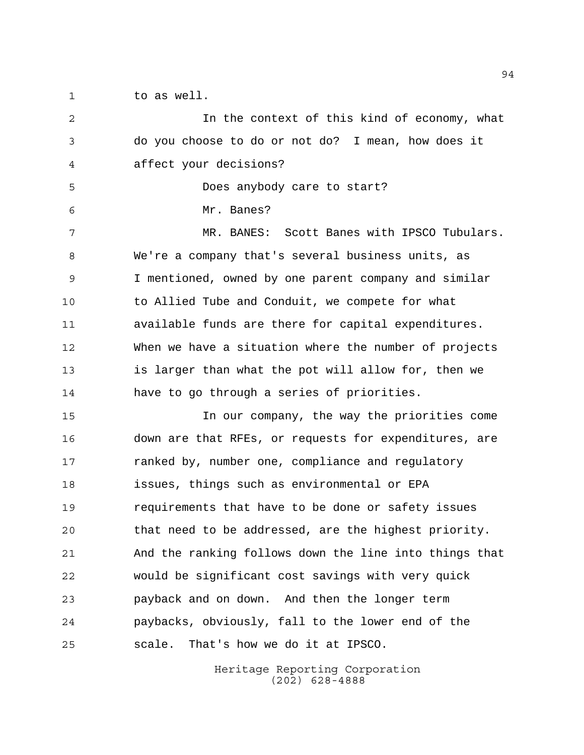to as well.

 In the context of this kind of economy, what do you choose to do or not do? I mean, how does it affect your decisions? Does anybody care to start? Mr. Banes? 7 MR. BANES: Scott Banes with IPSCO Tubulars. We're a company that's several business units, as I mentioned, owned by one parent company and similar to Allied Tube and Conduit, we compete for what available funds are there for capital expenditures. When we have a situation where the number of projects is larger than what the pot will allow for, then we have to go through a series of priorities. In our company, the way the priorities come down are that RFEs, or requests for expenditures, are ranked by, number one, compliance and regulatory issues, things such as environmental or EPA requirements that have to be done or safety issues that need to be addressed, are the highest priority. And the ranking follows down the line into things that would be significant cost savings with very quick payback and on down. And then the longer term paybacks, obviously, fall to the lower end of the scale. That's how we do it at IPSCO.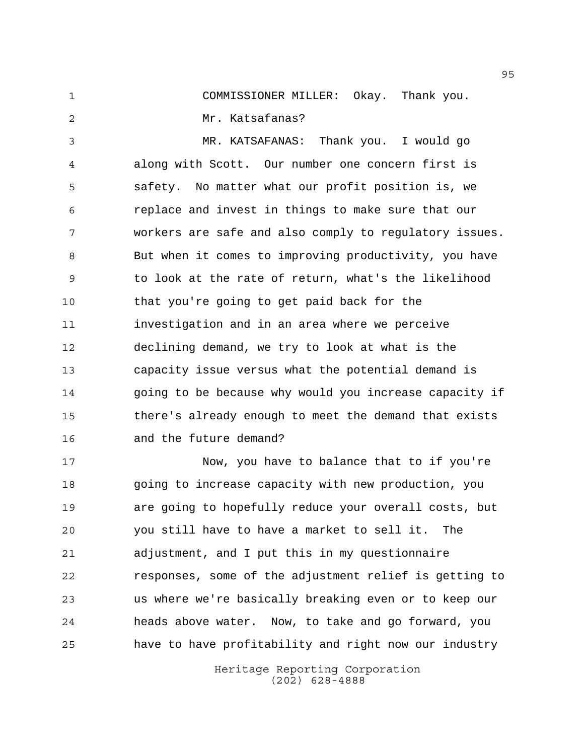COMMISSIONER MILLER: Okay. Thank you. Mr. Katsafanas?

 MR. KATSAFANAS: Thank you. I would go along with Scott. Our number one concern first is safety. No matter what our profit position is, we replace and invest in things to make sure that our workers are safe and also comply to regulatory issues. But when it comes to improving productivity, you have to look at the rate of return, what's the likelihood that you're going to get paid back for the investigation and in an area where we perceive declining demand, we try to look at what is the capacity issue versus what the potential demand is going to be because why would you increase capacity if there's already enough to meet the demand that exists and the future demand?

 Now, you have to balance that to if you're going to increase capacity with new production, you are going to hopefully reduce your overall costs, but you still have to have a market to sell it. The adjustment, and I put this in my questionnaire responses, some of the adjustment relief is getting to us where we're basically breaking even or to keep our heads above water. Now, to take and go forward, you have to have profitability and right now our industry

> Heritage Reporting Corporation (202) 628-4888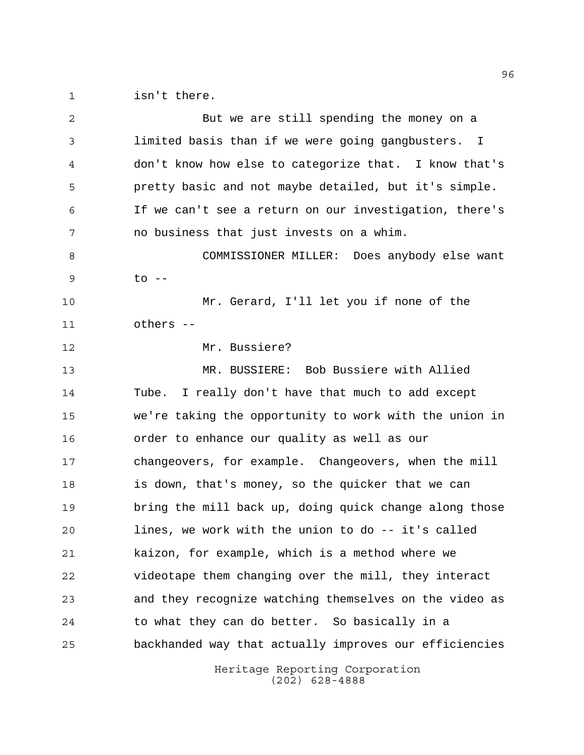isn't there.

| 2  | But we are still spending the money on a               |
|----|--------------------------------------------------------|
| 3  | limited basis than if we were going gangbusters. I     |
| 4  | don't know how else to categorize that. I know that's  |
| 5  | pretty basic and not maybe detailed, but it's simple.  |
| 6  | If we can't see a return on our investigation, there's |
| 7  | no business that just invests on a whim.               |
| 8  | COMMISSIONER MILLER: Does anybody else want            |
| 9  | to --                                                  |
| 10 | Mr. Gerard, I'll let you if none of the                |
| 11 | others --                                              |
| 12 | Mr. Bussiere?                                          |
| 13 | MR. BUSSIERE: Bob Bussiere with Allied                 |
| 14 | I really don't have that much to add except<br>Tube.   |
| 15 | we're taking the opportunity to work with the union in |
| 16 | order to enhance our quality as well as our            |
| 17 | changeovers, for example. Changeovers, when the mill   |
| 18 | is down, that's money, so the quicker that we can      |
| 19 | bring the mill back up, doing quick change along those |
| 20 | lines, we work with the union to do -- it's called     |
| 21 | kaizon, for example, which is a method where we        |
| 22 | videotape them changing over the mill, they interact   |
| 23 | and they recognize watching themselves on the video as |
| 24 | to what they can do better. So basically in a          |
| 25 | backhanded way that actually improves our efficiencies |
|    | Heritage Reporting Corporation                         |

(202) 628-4888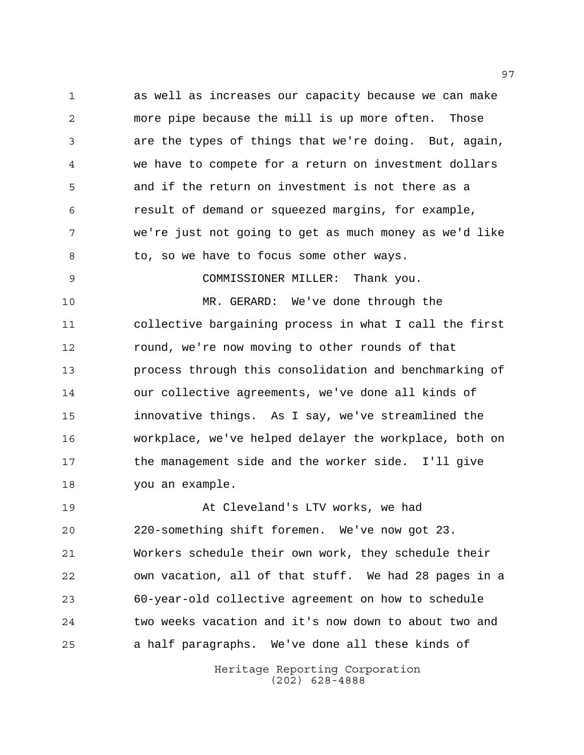as well as increases our capacity because we can make more pipe because the mill is up more often. Those are the types of things that we're doing. But, again, we have to compete for a return on investment dollars and if the return on investment is not there as a result of demand or squeezed margins, for example, we're just not going to get as much money as we'd like 8 to, so we have to focus some other ways.

COMMISSIONER MILLER: Thank you.

 MR. GERARD: We've done through the collective bargaining process in what I call the first round, we're now moving to other rounds of that process through this consolidation and benchmarking of our collective agreements, we've done all kinds of innovative things. As I say, we've streamlined the workplace, we've helped delayer the workplace, both on the management side and the worker side. I'll give you an example.

 At Cleveland's LTV works, we had 220-something shift foremen. We've now got 23. Workers schedule their own work, they schedule their own vacation, all of that stuff. We had 28 pages in a 60-year-old collective agreement on how to schedule two weeks vacation and it's now down to about two and a half paragraphs. We've done all these kinds of

> Heritage Reporting Corporation (202) 628-4888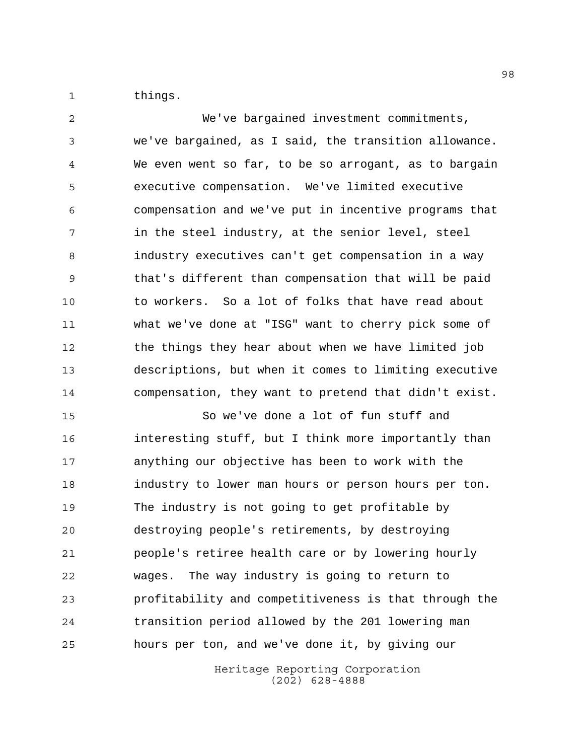things.

 We've bargained investment commitments, we've bargained, as I said, the transition allowance. We even went so far, to be so arrogant, as to bargain executive compensation. We've limited executive compensation and we've put in incentive programs that in the steel industry, at the senior level, steel industry executives can't get compensation in a way that's different than compensation that will be paid to workers. So a lot of folks that have read about what we've done at "ISG" want to cherry pick some of the things they hear about when we have limited job descriptions, but when it comes to limiting executive compensation, they want to pretend that didn't exist.

 So we've done a lot of fun stuff and interesting stuff, but I think more importantly than anything our objective has been to work with the industry to lower man hours or person hours per ton. The industry is not going to get profitable by destroying people's retirements, by destroying people's retiree health care or by lowering hourly wages. The way industry is going to return to profitability and competitiveness is that through the transition period allowed by the 201 lowering man hours per ton, and we've done it, by giving our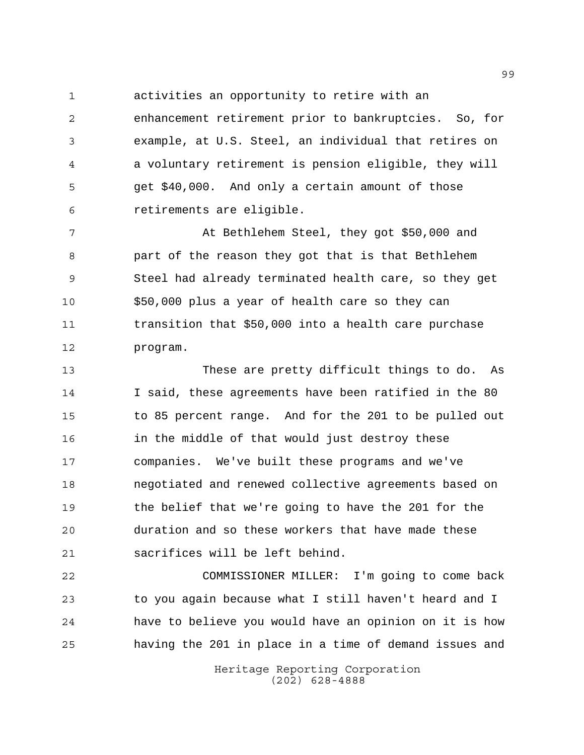activities an opportunity to retire with an

 enhancement retirement prior to bankruptcies. So, for example, at U.S. Steel, an individual that retires on a voluntary retirement is pension eligible, they will get \$40,000. And only a certain amount of those retirements are eligible.

7 At Bethlehem Steel, they got \$50,000 and part of the reason they got that is that Bethlehem Steel had already terminated health care, so they get \$50,000 plus a year of health care so they can transition that \$50,000 into a health care purchase program.

 These are pretty difficult things to do. As I said, these agreements have been ratified in the 80 to 85 percent range. And for the 201 to be pulled out in the middle of that would just destroy these companies. We've built these programs and we've negotiated and renewed collective agreements based on the belief that we're going to have the 201 for the duration and so these workers that have made these sacrifices will be left behind.

 COMMISSIONER MILLER: I'm going to come back to you again because what I still haven't heard and I have to believe you would have an opinion on it is how having the 201 in place in a time of demand issues and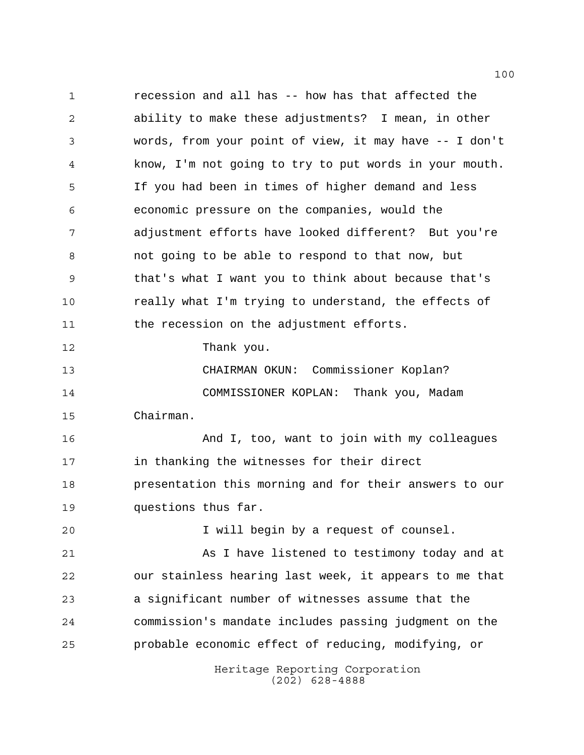recession and all has -- how has that affected the ability to make these adjustments? I mean, in other words, from your point of view, it may have -- I don't know, I'm not going to try to put words in your mouth. If you had been in times of higher demand and less economic pressure on the companies, would the adjustment efforts have looked different? But you're not going to be able to respond to that now, but that's what I want you to think about because that's really what I'm trying to understand, the effects of 11 the recession on the adjustment efforts. Thank you. CHAIRMAN OKUN: Commissioner Koplan? COMMISSIONER KOPLAN: Thank you, Madam Chairman. And I, too, want to join with my colleagues in thanking the witnesses for their direct presentation this morning and for their answers to our questions thus far. I will begin by a request of counsel. As I have listened to testimony today and at our stainless hearing last week, it appears to me that a significant number of witnesses assume that the commission's mandate includes passing judgment on the probable economic effect of reducing, modifying, or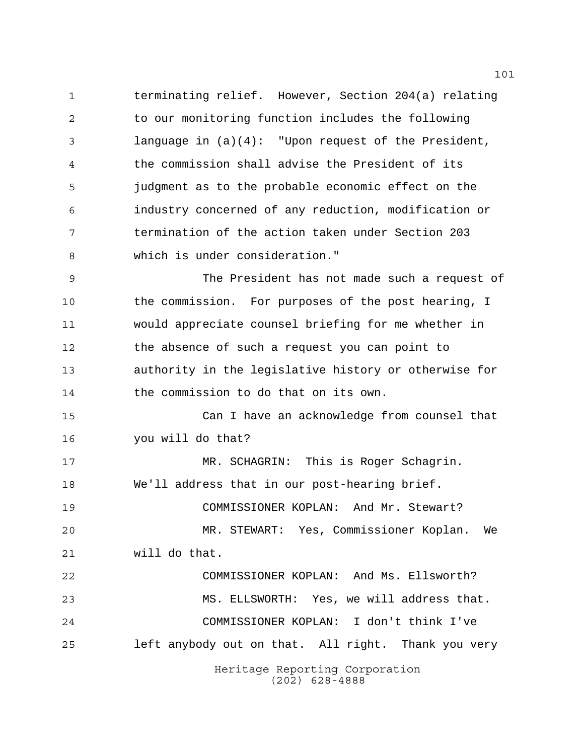terminating relief. However, Section 204(a) relating to our monitoring function includes the following language in (a)(4): "Upon request of the President, the commission shall advise the President of its judgment as to the probable economic effect on the industry concerned of any reduction, modification or termination of the action taken under Section 203 which is under consideration."

 The President has not made such a request of the commission. For purposes of the post hearing, I would appreciate counsel briefing for me whether in the absence of such a request you can point to authority in the legislative history or otherwise for the commission to do that on its own.

 Can I have an acknowledge from counsel that you will do that?

Heritage Reporting Corporation MR. SCHAGRIN: This is Roger Schagrin. We'll address that in our post-hearing brief. COMMISSIONER KOPLAN: And Mr. Stewart? MR. STEWART: Yes, Commissioner Koplan. We will do that. COMMISSIONER KOPLAN: And Ms. Ellsworth? MS. ELLSWORTH: Yes, we will address that. COMMISSIONER KOPLAN: I don't think I've left anybody out on that. All right. Thank you very

(202) 628-4888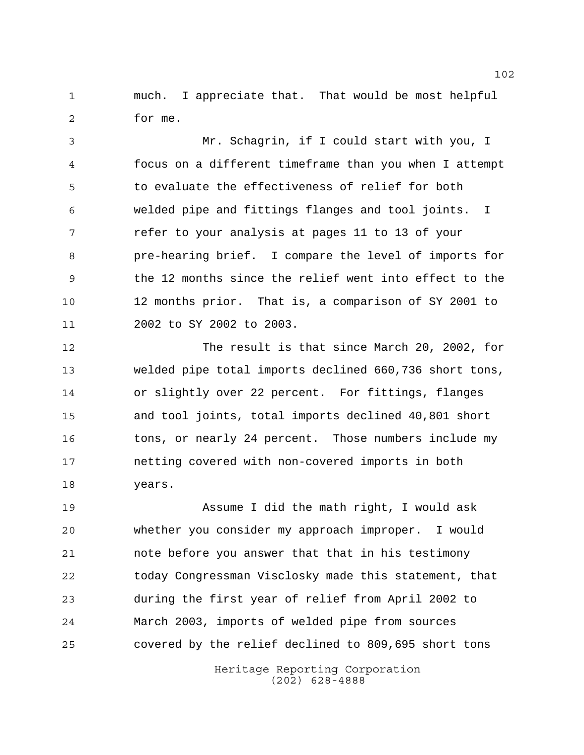much. I appreciate that. That would be most helpful for me.

 Mr. Schagrin, if I could start with you, I focus on a different timeframe than you when I attempt to evaluate the effectiveness of relief for both welded pipe and fittings flanges and tool joints. I **19 Team** refer to your analysis at pages 11 to 13 of your pre-hearing brief. I compare the level of imports for the 12 months since the relief went into effect to the 12 months prior. That is, a comparison of SY 2001 to 2002 to SY 2002 to 2003.

 The result is that since March 20, 2002, for welded pipe total imports declined 660,736 short tons, or slightly over 22 percent. For fittings, flanges and tool joints, total imports declined 40,801 short tons, or nearly 24 percent. Those numbers include my netting covered with non-covered imports in both years.

 Assume I did the math right, I would ask whether you consider my approach improper. I would note before you answer that that in his testimony today Congressman Visclosky made this statement, that during the first year of relief from April 2002 to March 2003, imports of welded pipe from sources covered by the relief declined to 809,695 short tons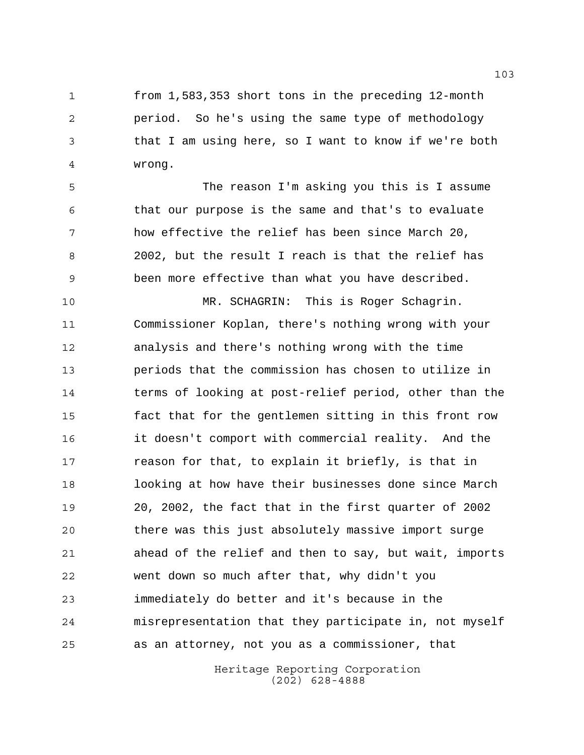from 1,583,353 short tons in the preceding 12-month period. So he's using the same type of methodology that I am using here, so I want to know if we're both wrong.

 The reason I'm asking you this is I assume that our purpose is the same and that's to evaluate how effective the relief has been since March 20, 2002, but the result I reach is that the relief has been more effective than what you have described.

 MR. SCHAGRIN: This is Roger Schagrin. Commissioner Koplan, there's nothing wrong with your analysis and there's nothing wrong with the time periods that the commission has chosen to utilize in terms of looking at post-relief period, other than the fact that for the gentlemen sitting in this front row it doesn't comport with commercial reality. And the reason for that, to explain it briefly, is that in looking at how have their businesses done since March 20, 2002, the fact that in the first quarter of 2002 there was this just absolutely massive import surge ahead of the relief and then to say, but wait, imports went down so much after that, why didn't you immediately do better and it's because in the misrepresentation that they participate in, not myself as an attorney, not you as a commissioner, that

> Heritage Reporting Corporation (202) 628-4888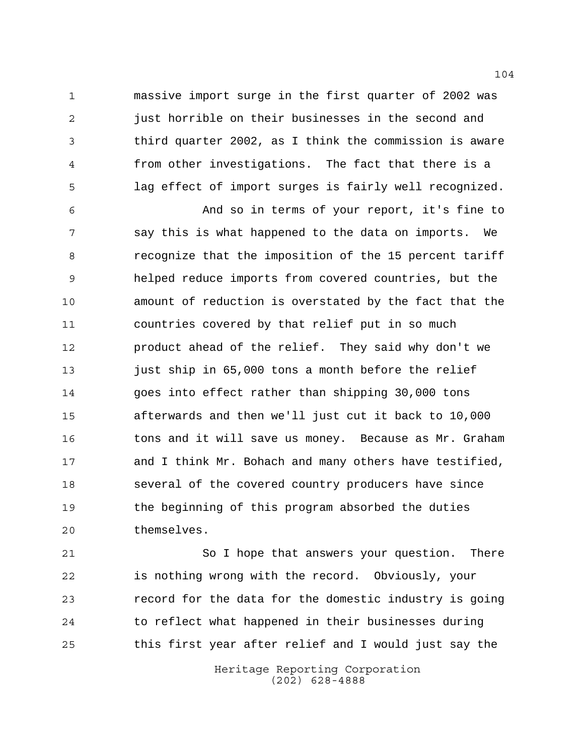massive import surge in the first quarter of 2002 was just horrible on their businesses in the second and third quarter 2002, as I think the commission is aware from other investigations. The fact that there is a lag effect of import surges is fairly well recognized.

 And so in terms of your report, it's fine to say this is what happened to the data on imports. We recognize that the imposition of the 15 percent tariff helped reduce imports from covered countries, but the amount of reduction is overstated by the fact that the countries covered by that relief put in so much product ahead of the relief. They said why don't we just ship in 65,000 tons a month before the relief goes into effect rather than shipping 30,000 tons afterwards and then we'll just cut it back to 10,000 tons and it will save us money. Because as Mr. Graham and I think Mr. Bohach and many others have testified, several of the covered country producers have since the beginning of this program absorbed the duties themselves.

 So I hope that answers your question. There is nothing wrong with the record. Obviously, your record for the data for the domestic industry is going to reflect what happened in their businesses during this first year after relief and I would just say the

> Heritage Reporting Corporation (202) 628-4888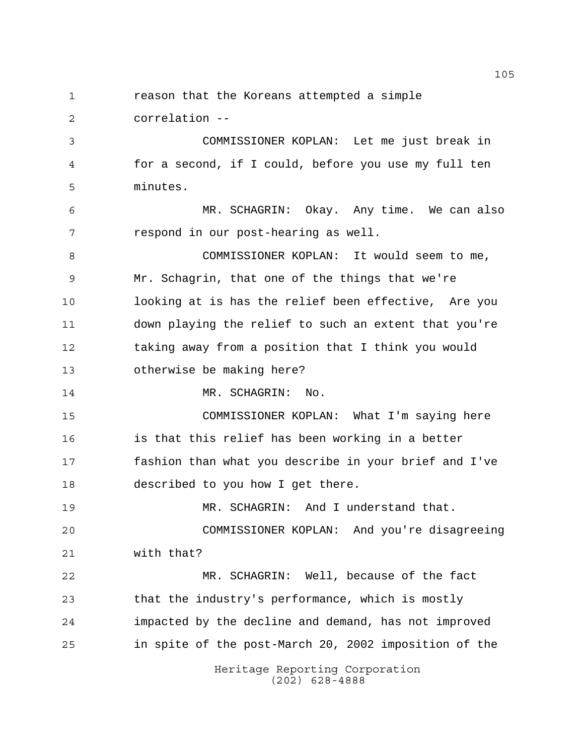reason that the Koreans attempted a simple correlation --

 COMMISSIONER KOPLAN: Let me just break in for a second, if I could, before you use my full ten minutes.

 MR. SCHAGRIN: Okay. Any time. We can also respond in our post-hearing as well.

 COMMISSIONER KOPLAN: It would seem to me, Mr. Schagrin, that one of the things that we're looking at is has the relief been effective, Are you down playing the relief to such an extent that you're taking away from a position that I think you would otherwise be making here?

14 MR. SCHAGRIN: No.

 COMMISSIONER KOPLAN: What I'm saying here is that this relief has been working in a better fashion than what you describe in your brief and I've described to you how I get there.

 MR. SCHAGRIN: And I understand that. COMMISSIONER KOPLAN: And you're disagreeing with that?

 MR. SCHAGRIN: Well, because of the fact that the industry's performance, which is mostly impacted by the decline and demand, has not improved in spite of the post-March 20, 2002 imposition of the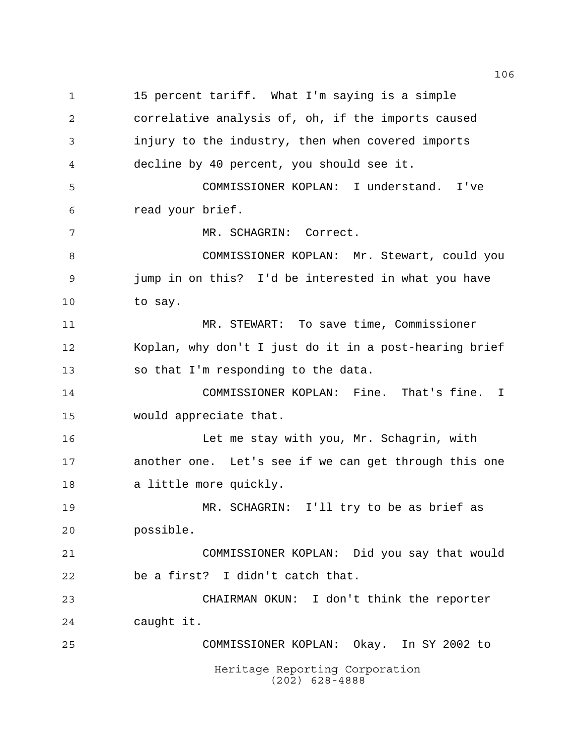Heritage Reporting Corporation (202) 628-4888 15 percent tariff. What I'm saying is a simple correlative analysis of, oh, if the imports caused injury to the industry, then when covered imports decline by 40 percent, you should see it. COMMISSIONER KOPLAN: I understand. I've read your brief. MR. SCHAGRIN: Correct. COMMISSIONER KOPLAN: Mr. Stewart, could you jump in on this? I'd be interested in what you have to say. MR. STEWART: To save time, Commissioner Koplan, why don't I just do it in a post-hearing brief so that I'm responding to the data. COMMISSIONER KOPLAN: Fine. That's fine. I would appreciate that. Let me stay with you, Mr. Schagrin, with another one. Let's see if we can get through this one a little more quickly. MR. SCHAGRIN: I'll try to be as brief as possible. COMMISSIONER KOPLAN: Did you say that would be a first? I didn't catch that. CHAIRMAN OKUN: I don't think the reporter caught it. COMMISSIONER KOPLAN: Okay. In SY 2002 to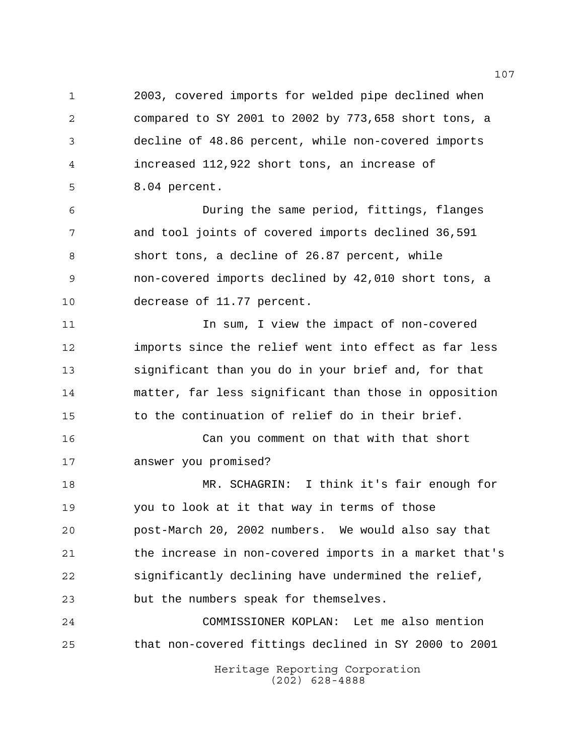2003, covered imports for welded pipe declined when compared to SY 2001 to 2002 by 773,658 short tons, a decline of 48.86 percent, while non-covered imports increased 112,922 short tons, an increase of 8.04 percent.

 During the same period, fittings, flanges and tool joints of covered imports declined 36,591 short tons, a decline of 26.87 percent, while non-covered imports declined by 42,010 short tons, a decrease of 11.77 percent.

 In sum, I view the impact of non-covered imports since the relief went into effect as far less significant than you do in your brief and, for that matter, far less significant than those in opposition to the continuation of relief do in their brief.

 Can you comment on that with that short answer you promised?

 MR. SCHAGRIN: I think it's fair enough for you to look at it that way in terms of those post-March 20, 2002 numbers. We would also say that the increase in non-covered imports in a market that's significantly declining have undermined the relief, but the numbers speak for themselves.

 COMMISSIONER KOPLAN: Let me also mention that non-covered fittings declined in SY 2000 to 2001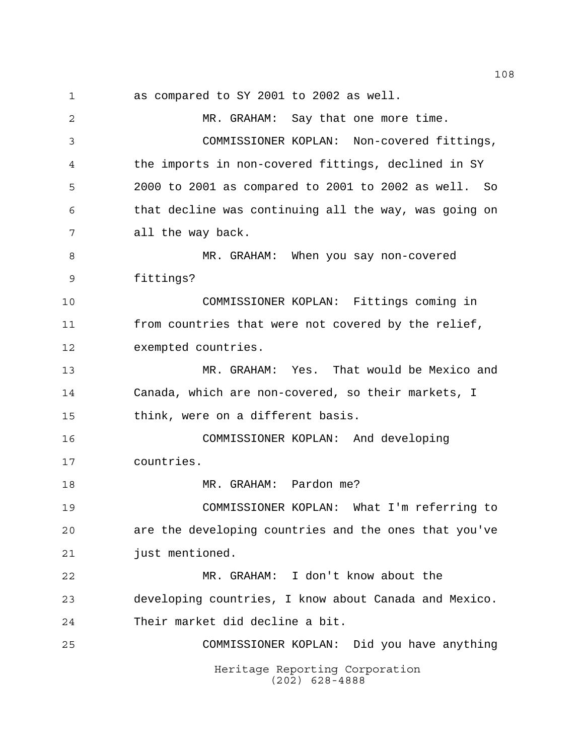as compared to SY 2001 to 2002 as well.

Heritage Reporting Corporation (202) 628-4888 MR. GRAHAM: Say that one more time. COMMISSIONER KOPLAN: Non-covered fittings, the imports in non-covered fittings, declined in SY 2000 to 2001 as compared to 2001 to 2002 as well. So that decline was continuing all the way, was going on all the way back. MR. GRAHAM: When you say non-covered fittings? COMMISSIONER KOPLAN: Fittings coming in from countries that were not covered by the relief, exempted countries. MR. GRAHAM: Yes. That would be Mexico and Canada, which are non-covered, so their markets, I think, were on a different basis. COMMISSIONER KOPLAN: And developing countries. 18 MR. GRAHAM: Pardon me? COMMISSIONER KOPLAN: What I'm referring to are the developing countries and the ones that you've just mentioned. MR. GRAHAM: I don't know about the developing countries, I know about Canada and Mexico. Their market did decline a bit. COMMISSIONER KOPLAN: Did you have anything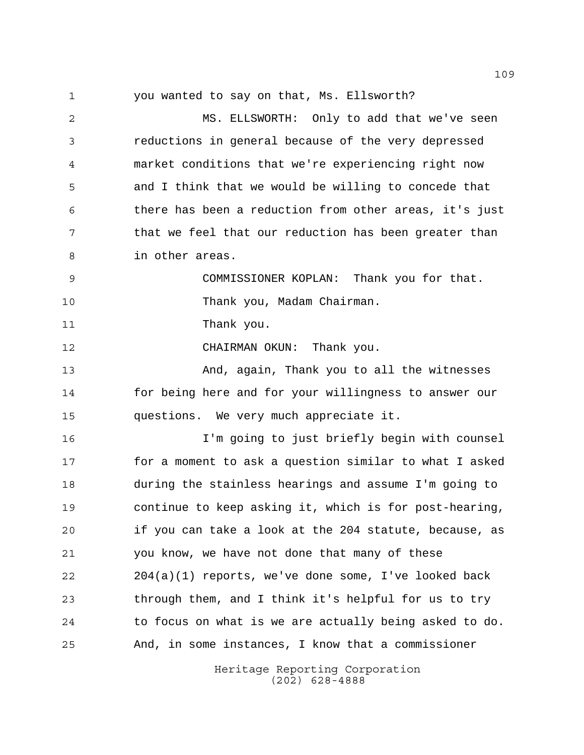you wanted to say on that, Ms. Ellsworth?

 MS. ELLSWORTH: Only to add that we've seen reductions in general because of the very depressed market conditions that we're experiencing right now and I think that we would be willing to concede that there has been a reduction from other areas, it's just 7 that we feel that our reduction has been greater than in other areas.

 COMMISSIONER KOPLAN: Thank you for that. Thank you, Madam Chairman.

11 Thank you.

CHAIRMAN OKUN: Thank you.

 And, again, Thank you to all the witnesses for being here and for your willingness to answer our questions. We very much appreciate it.

 I'm going to just briefly begin with counsel for a moment to ask a question similar to what I asked during the stainless hearings and assume I'm going to continue to keep asking it, which is for post-hearing, if you can take a look at the 204 statute, because, as you know, we have not done that many of these 204(a)(1) reports, we've done some, I've looked back through them, and I think it's helpful for us to try to focus on what is we are actually being asked to do. And, in some instances, I know that a commissioner

> Heritage Reporting Corporation (202) 628-4888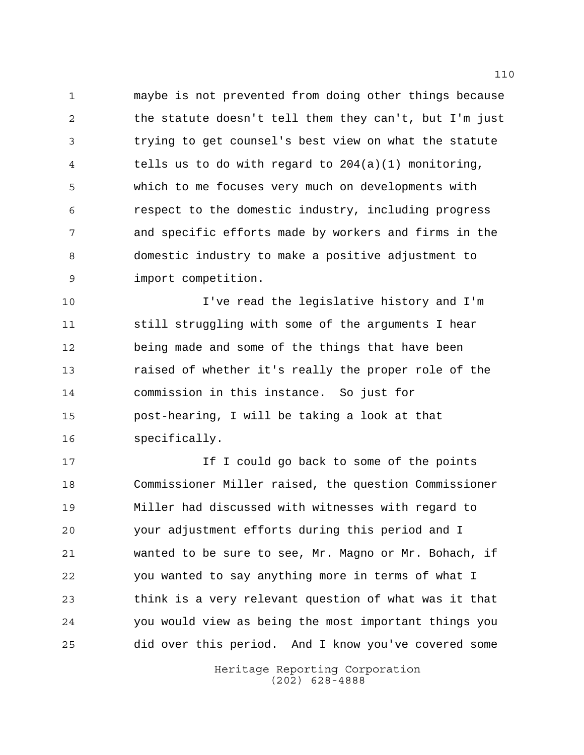maybe is not prevented from doing other things because the statute doesn't tell them they can't, but I'm just trying to get counsel's best view on what the statute tells us to do with regard to 204(a)(1) monitoring, which to me focuses very much on developments with respect to the domestic industry, including progress and specific efforts made by workers and firms in the domestic industry to make a positive adjustment to import competition.

 I've read the legislative history and I'm still struggling with some of the arguments I hear being made and some of the things that have been raised of whether it's really the proper role of the commission in this instance. So just for post-hearing, I will be taking a look at that specifically.

17 17 If I could go back to some of the points Commissioner Miller raised, the question Commissioner Miller had discussed with witnesses with regard to your adjustment efforts during this period and I wanted to be sure to see, Mr. Magno or Mr. Bohach, if you wanted to say anything more in terms of what I think is a very relevant question of what was it that you would view as being the most important things you did over this period. And I know you've covered some

> Heritage Reporting Corporation (202) 628-4888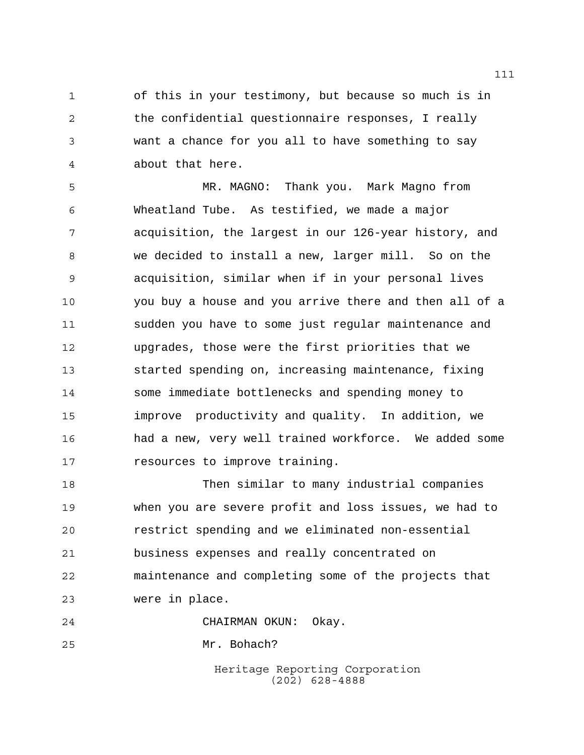of this in your testimony, but because so much is in the confidential questionnaire responses, I really want a chance for you all to have something to say about that here.

 MR. MAGNO: Thank you. Mark Magno from Wheatland Tube. As testified, we made a major acquisition, the largest in our 126-year history, and we decided to install a new, larger mill. So on the acquisition, similar when if in your personal lives you buy a house and you arrive there and then all of a sudden you have to some just regular maintenance and upgrades, those were the first priorities that we started spending on, increasing maintenance, fixing some immediate bottlenecks and spending money to improve productivity and quality. In addition, we had a new, very well trained workforce. We added some **resources** to improve training.

 Then similar to many industrial companies when you are severe profit and loss issues, we had to restrict spending and we eliminated non-essential business expenses and really concentrated on maintenance and completing some of the projects that were in place.

CHAIRMAN OKUN: Okay.

Mr. Bohach?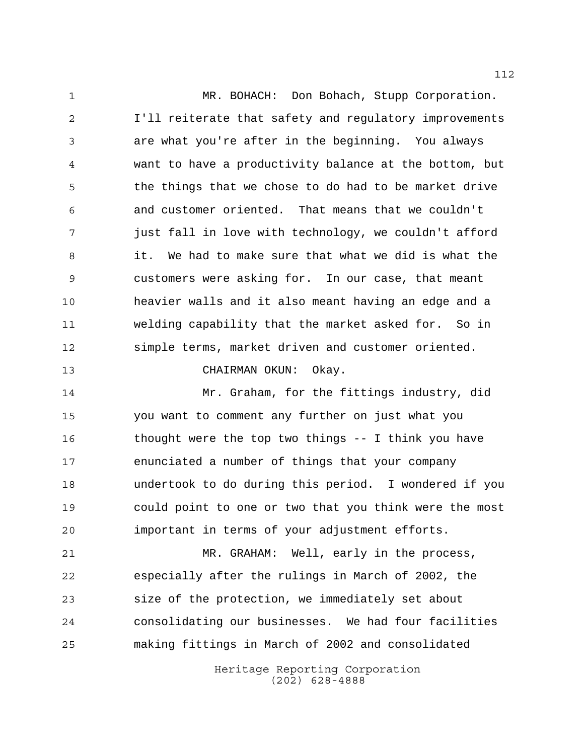1 MR. BOHACH: Don Bohach, Stupp Corporation. I'll reiterate that safety and regulatory improvements are what you're after in the beginning. You always want to have a productivity balance at the bottom, but 5 the things that we chose to do had to be market drive and customer oriented. That means that we couldn't just fall in love with technology, we couldn't afford it. We had to make sure that what we did is what the customers were asking for. In our case, that meant heavier walls and it also meant having an edge and a welding capability that the market asked for. So in simple terms, market driven and customer oriented.

CHAIRMAN OKUN: Okay.

 Mr. Graham, for the fittings industry, did you want to comment any further on just what you thought were the top two things -- I think you have enunciated a number of things that your company undertook to do during this period. I wondered if you could point to one or two that you think were the most important in terms of your adjustment efforts.

 MR. GRAHAM: Well, early in the process, especially after the rulings in March of 2002, the size of the protection, we immediately set about consolidating our businesses. We had four facilities making fittings in March of 2002 and consolidated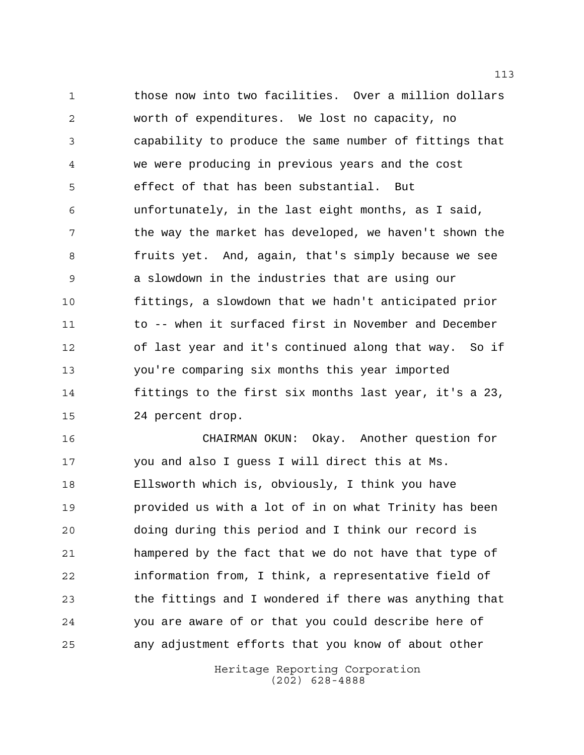those now into two facilities. Over a million dollars worth of expenditures. We lost no capacity, no capability to produce the same number of fittings that we were producing in previous years and the cost effect of that has been substantial. But unfortunately, in the last eight months, as I said, 7 the way the market has developed, we haven't shown the fruits yet. And, again, that's simply because we see a slowdown in the industries that are using our fittings, a slowdown that we hadn't anticipated prior to -- when it surfaced first in November and December of last year and it's continued along that way. So if you're comparing six months this year imported fittings to the first six months last year, it's a 23, 24 percent drop.

 CHAIRMAN OKUN: Okay. Another question for you and also I guess I will direct this at Ms. Ellsworth which is, obviously, I think you have provided us with a lot of in on what Trinity has been doing during this period and I think our record is hampered by the fact that we do not have that type of information from, I think, a representative field of the fittings and I wondered if there was anything that you are aware of or that you could describe here of any adjustment efforts that you know of about other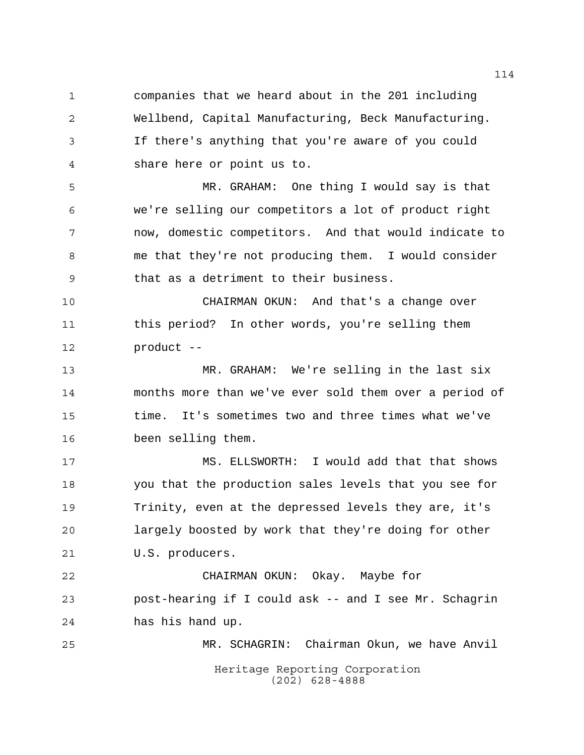companies that we heard about in the 201 including Wellbend, Capital Manufacturing, Beck Manufacturing. If there's anything that you're aware of you could share here or point us to.

 MR. GRAHAM: One thing I would say is that we're selling our competitors a lot of product right now, domestic competitors. And that would indicate to me that they're not producing them. I would consider that as a detriment to their business.

 CHAIRMAN OKUN: And that's a change over this period? In other words, you're selling them product --

 MR. GRAHAM: We're selling in the last six months more than we've ever sold them over a period of time. It's sometimes two and three times what we've been selling them.

 MS. ELLSWORTH: I would add that that shows you that the production sales levels that you see for Trinity, even at the depressed levels they are, it's largely boosted by work that they're doing for other U.S. producers.

 CHAIRMAN OKUN: Okay. Maybe for post-hearing if I could ask -- and I see Mr. Schagrin has his hand up.

Heritage Reporting Corporation (202) 628-4888 MR. SCHAGRIN: Chairman Okun, we have Anvil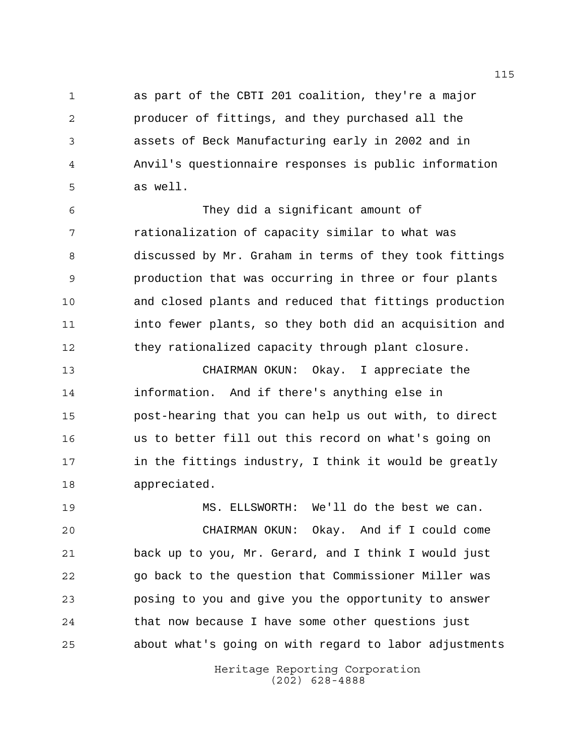as part of the CBTI 201 coalition, they're a major producer of fittings, and they purchased all the assets of Beck Manufacturing early in 2002 and in Anvil's questionnaire responses is public information as well.

 They did a significant amount of rationalization of capacity similar to what was discussed by Mr. Graham in terms of they took fittings production that was occurring in three or four plants and closed plants and reduced that fittings production into fewer plants, so they both did an acquisition and they rationalized capacity through plant closure.

 CHAIRMAN OKUN: Okay. I appreciate the information. And if there's anything else in post-hearing that you can help us out with, to direct us to better fill out this record on what's going on in the fittings industry, I think it would be greatly appreciated.

 MS. ELLSWORTH: We'll do the best we can. CHAIRMAN OKUN: Okay. And if I could come back up to you, Mr. Gerard, and I think I would just go back to the question that Commissioner Miller was posing to you and give you the opportunity to answer that now because I have some other questions just about what's going on with regard to labor adjustments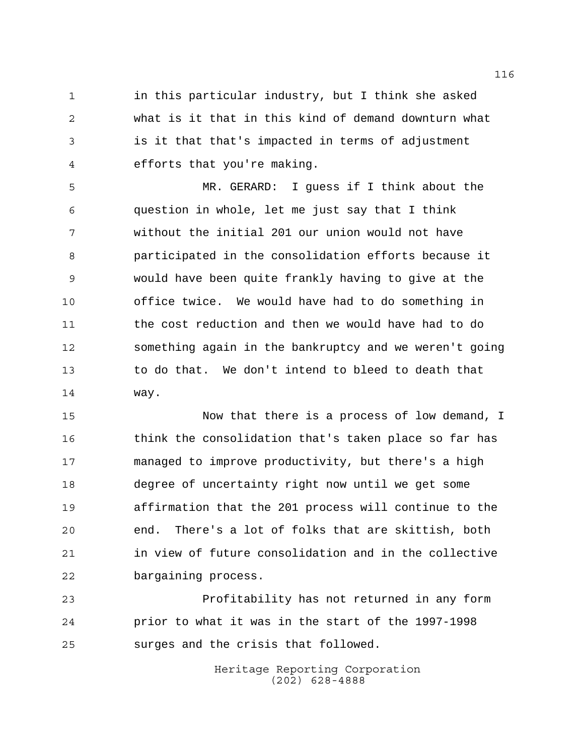in this particular industry, but I think she asked what is it that in this kind of demand downturn what is it that that's impacted in terms of adjustment efforts that you're making.

 MR. GERARD: I guess if I think about the question in whole, let me just say that I think without the initial 201 our union would not have participated in the consolidation efforts because it would have been quite frankly having to give at the office twice. We would have had to do something in the cost reduction and then we would have had to do something again in the bankruptcy and we weren't going to do that. We don't intend to bleed to death that way.

 Now that there is a process of low demand, I think the consolidation that's taken place so far has managed to improve productivity, but there's a high degree of uncertainty right now until we get some affirmation that the 201 process will continue to the end. There's a lot of folks that are skittish, both in view of future consolidation and in the collective bargaining process.

 Profitability has not returned in any form prior to what it was in the start of the 1997-1998 surges and the crisis that followed.

> Heritage Reporting Corporation (202) 628-4888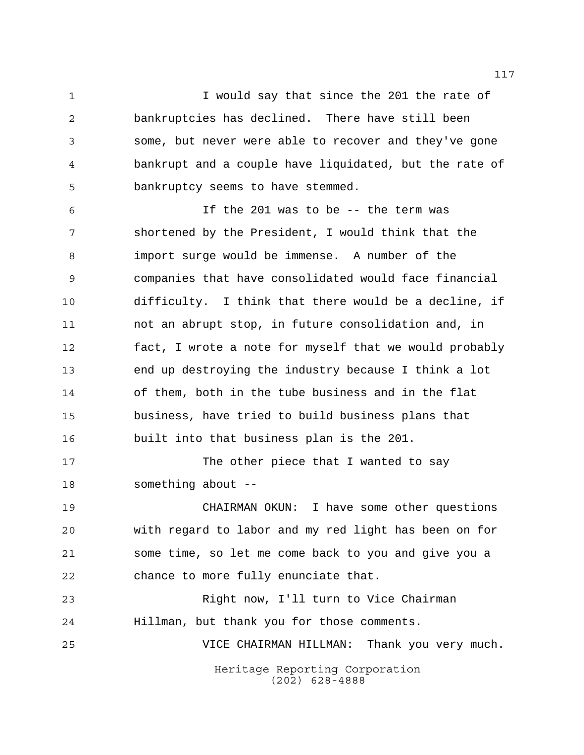1 1 I would say that since the 201 the rate of bankruptcies has declined. There have still been some, but never were able to recover and they've gone bankrupt and a couple have liquidated, but the rate of bankruptcy seems to have stemmed.

 If the 201 was to be -- the term was shortened by the President, I would think that the import surge would be immense. A number of the companies that have consolidated would face financial difficulty. I think that there would be a decline, if not an abrupt stop, in future consolidation and, in fact, I wrote a note for myself that we would probably end up destroying the industry because I think a lot of them, both in the tube business and in the flat business, have tried to build business plans that built into that business plan is the 201.

17 The other piece that I wanted to say something about --

 CHAIRMAN OKUN: I have some other questions with regard to labor and my red light has been on for some time, so let me come back to you and give you a chance to more fully enunciate that.

Heritage Reporting Corporation (202) 628-4888 Right now, I'll turn to Vice Chairman Hillman, but thank you for those comments. VICE CHAIRMAN HILLMAN: Thank you very much.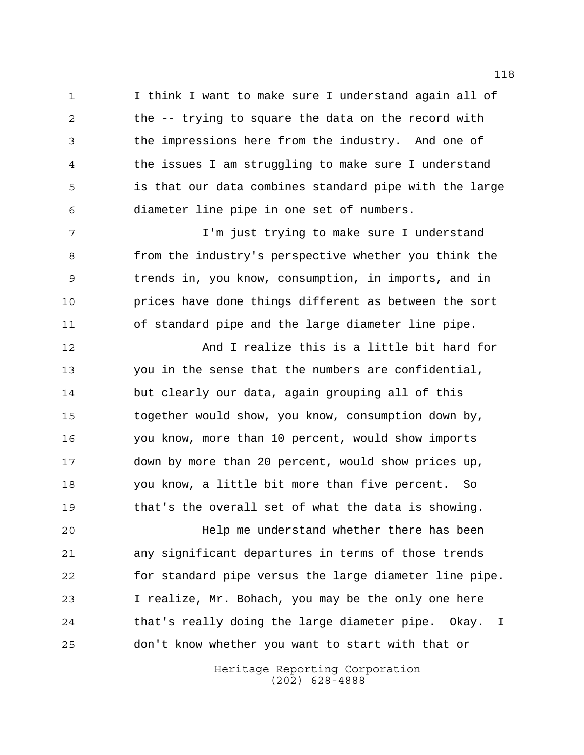I think I want to make sure I understand again all of the -- trying to square the data on the record with the impressions here from the industry. And one of the issues I am struggling to make sure I understand is that our data combines standard pipe with the large diameter line pipe in one set of numbers.

7 T'm just trying to make sure I understand from the industry's perspective whether you think the trends in, you know, consumption, in imports, and in prices have done things different as between the sort of standard pipe and the large diameter line pipe.

 And I realize this is a little bit hard for you in the sense that the numbers are confidential, but clearly our data, again grouping all of this together would show, you know, consumption down by, you know, more than 10 percent, would show imports down by more than 20 percent, would show prices up, you know, a little bit more than five percent. So that's the overall set of what the data is showing.

 Help me understand whether there has been any significant departures in terms of those trends for standard pipe versus the large diameter line pipe. I realize, Mr. Bohach, you may be the only one here that's really doing the large diameter pipe. Okay. I don't know whether you want to start with that or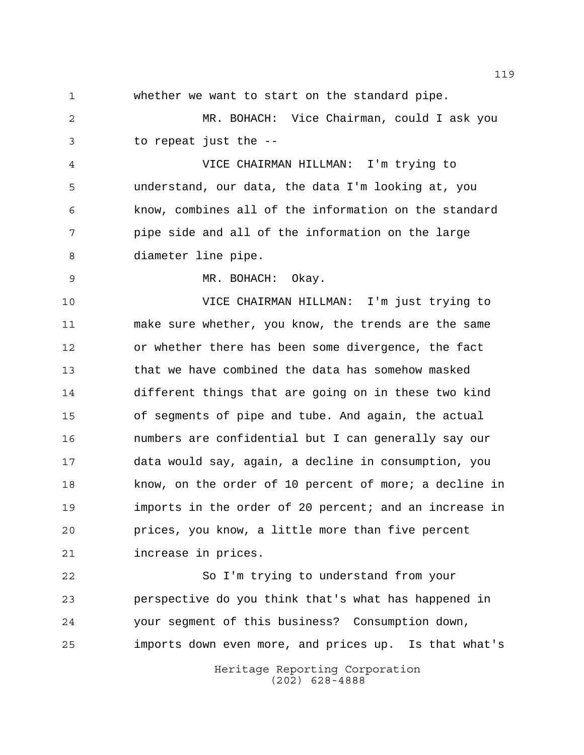whether we want to start on the standard pipe.

 MR. BOHACH: Vice Chairman, could I ask you to repeat just the --

 VICE CHAIRMAN HILLMAN: I'm trying to understand, our data, the data I'm looking at, you know, combines all of the information on the standard pipe side and all of the information on the large diameter line pipe.

MR. BOHACH: Okay.

 VICE CHAIRMAN HILLMAN: I'm just trying to make sure whether, you know, the trends are the same or whether there has been some divergence, the fact that we have combined the data has somehow masked different things that are going on in these two kind of segments of pipe and tube. And again, the actual numbers are confidential but I can generally say our data would say, again, a decline in consumption, you know, on the order of 10 percent of more; a decline in imports in the order of 20 percent; and an increase in prices, you know, a little more than five percent increase in prices.

 So I'm trying to understand from your perspective do you think that's what has happened in your segment of this business? Consumption down, imports down even more, and prices up. Is that what's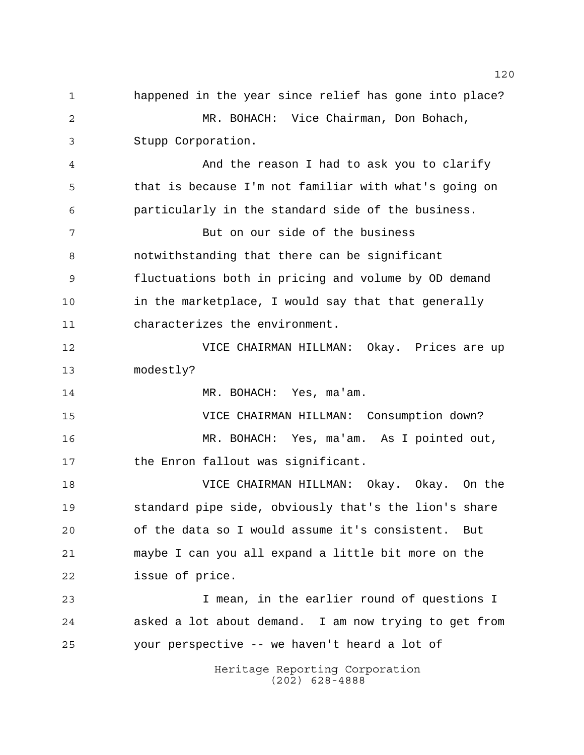Heritage Reporting Corporation (202) 628-4888 happened in the year since relief has gone into place? MR. BOHACH: Vice Chairman, Don Bohach, Stupp Corporation. And the reason I had to ask you to clarify that is because I'm not familiar with what's going on particularly in the standard side of the business. But on our side of the business notwithstanding that there can be significant fluctuations both in pricing and volume by OD demand in the marketplace, I would say that that generally characterizes the environment. VICE CHAIRMAN HILLMAN: Okay. Prices are up modestly? 14 MR. BOHACH: Yes, ma'am. VICE CHAIRMAN HILLMAN: Consumption down? MR. BOHACH: Yes, ma'am. As I pointed out, 17 the Enron fallout was significant. VICE CHAIRMAN HILLMAN: Okay. Okay. On the standard pipe side, obviously that's the lion's share of the data so I would assume it's consistent. But maybe I can you all expand a little bit more on the issue of price. I mean, in the earlier round of questions I asked a lot about demand. I am now trying to get from your perspective -- we haven't heard a lot of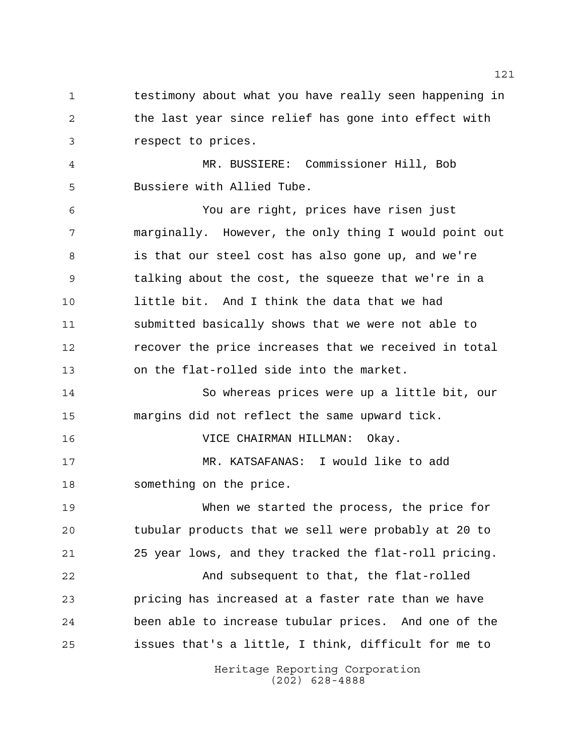1 testimony about what you have really seen happening in the last year since relief has gone into effect with respect to prices.

 MR. BUSSIERE: Commissioner Hill, Bob Bussiere with Allied Tube.

 You are right, prices have risen just marginally. However, the only thing I would point out is that our steel cost has also gone up, and we're talking about the cost, the squeeze that we're in a little bit. And I think the data that we had submitted basically shows that we were not able to recover the price increases that we received in total on the flat-rolled side into the market.

 So whereas prices were up a little bit, our margins did not reflect the same upward tick.

VICE CHAIRMAN HILLMAN: Okay.

 MR. KATSAFANAS: I would like to add something on the price.

 When we started the process, the price for tubular products that we sell were probably at 20 to 25 year lows, and they tracked the flat-roll pricing.

 And subsequent to that, the flat-rolled pricing has increased at a faster rate than we have been able to increase tubular prices. And one of the issues that's a little, I think, difficult for me to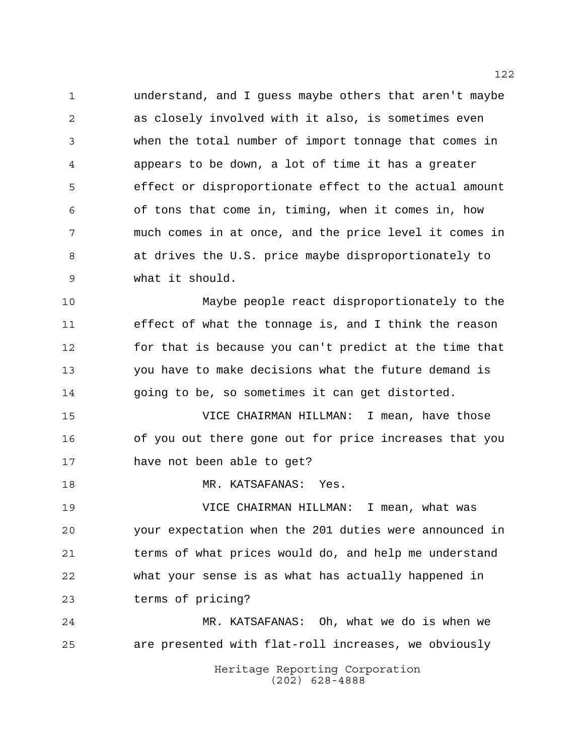understand, and I guess maybe others that aren't maybe as closely involved with it also, is sometimes even when the total number of import tonnage that comes in appears to be down, a lot of time it has a greater effect or disproportionate effect to the actual amount of tons that come in, timing, when it comes in, how much comes in at once, and the price level it comes in at drives the U.S. price maybe disproportionately to what it should.

 Maybe people react disproportionately to the effect of what the tonnage is, and I think the reason for that is because you can't predict at the time that you have to make decisions what the future demand is going to be, so sometimes it can get distorted.

 VICE CHAIRMAN HILLMAN: I mean, have those of you out there gone out for price increases that you have not been able to get?

MR. KATSAFANAS: Yes.

 VICE CHAIRMAN HILLMAN: I mean, what was your expectation when the 201 duties were announced in terms of what prices would do, and help me understand what your sense is as what has actually happened in terms of pricing?

Heritage Reporting Corporation (202) 628-4888 MR. KATSAFANAS: Oh, what we do is when we are presented with flat-roll increases, we obviously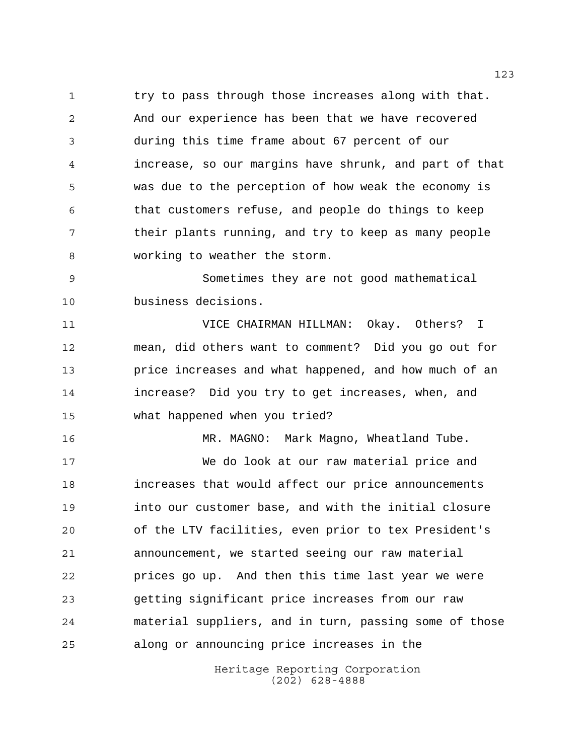1 try to pass through those increases along with that. And our experience has been that we have recovered during this time frame about 67 percent of our increase, so our margins have shrunk, and part of that was due to the perception of how weak the economy is that customers refuse, and people do things to keep 7 their plants running, and try to keep as many people working to weather the storm.

 Sometimes they are not good mathematical business decisions.

 VICE CHAIRMAN HILLMAN: Okay. Others? I mean, did others want to comment? Did you go out for price increases and what happened, and how much of an increase? Did you try to get increases, when, and what happened when you tried?

 MR. MAGNO: Mark Magno, Wheatland Tube. We do look at our raw material price and

 increases that would affect our price announcements into our customer base, and with the initial closure of the LTV facilities, even prior to tex President's announcement, we started seeing our raw material prices go up. And then this time last year we were getting significant price increases from our raw material suppliers, and in turn, passing some of those along or announcing price increases in the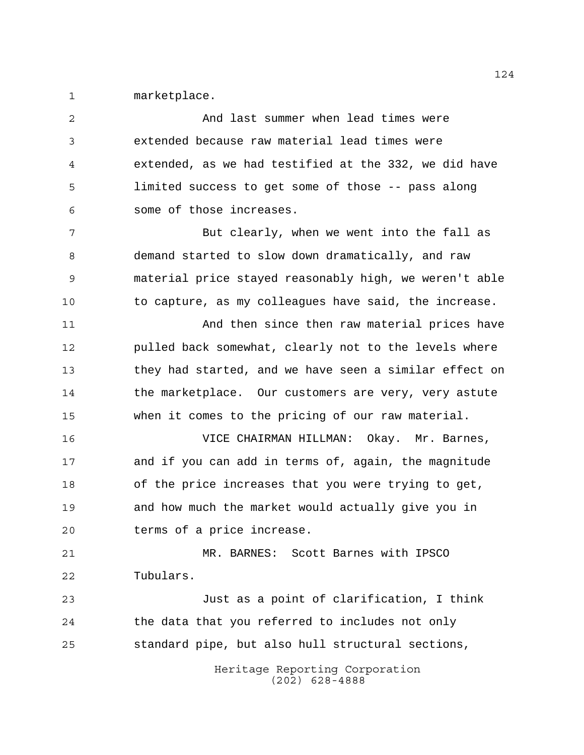marketplace.

Heritage Reporting Corporation (202) 628-4888 And last summer when lead times were extended because raw material lead times were extended, as we had testified at the 332, we did have limited success to get some of those -- pass along some of those increases. 7 But clearly, when we went into the fall as demand started to slow down dramatically, and raw material price stayed reasonably high, we weren't able to capture, as my colleagues have said, the increase. And then since then raw material prices have pulled back somewhat, clearly not to the levels where they had started, and we have seen a similar effect on the marketplace. Our customers are very, very astute when it comes to the pricing of our raw material. VICE CHAIRMAN HILLMAN: Okay. Mr. Barnes, and if you can add in terms of, again, the magnitude of the price increases that you were trying to get, and how much the market would actually give you in terms of a price increase. MR. BARNES: Scott Barnes with IPSCO Tubulars. Just as a point of clarification, I think the data that you referred to includes not only standard pipe, but also hull structural sections,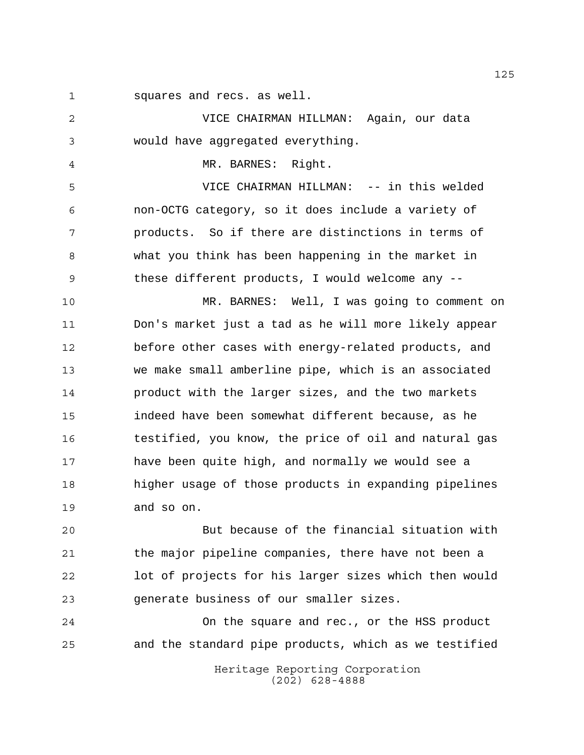squares and recs. as well.

 VICE CHAIRMAN HILLMAN: Again, our data would have aggregated everything.

MR. BARNES: Right.

 VICE CHAIRMAN HILLMAN: -- in this welded non-OCTG category, so it does include a variety of products. So if there are distinctions in terms of what you think has been happening in the market in these different products, I would welcome any --

 MR. BARNES: Well, I was going to comment on Don's market just a tad as he will more likely appear before other cases with energy-related products, and we make small amberline pipe, which is an associated product with the larger sizes, and the two markets indeed have been somewhat different because, as he testified, you know, the price of oil and natural gas have been quite high, and normally we would see a higher usage of those products in expanding pipelines and so on.

 But because of the financial situation with the major pipeline companies, there have not been a lot of projects for his larger sizes which then would generate business of our smaller sizes.

Heritage Reporting Corporation On the square and rec., or the HSS product and the standard pipe products, which as we testified

(202) 628-4888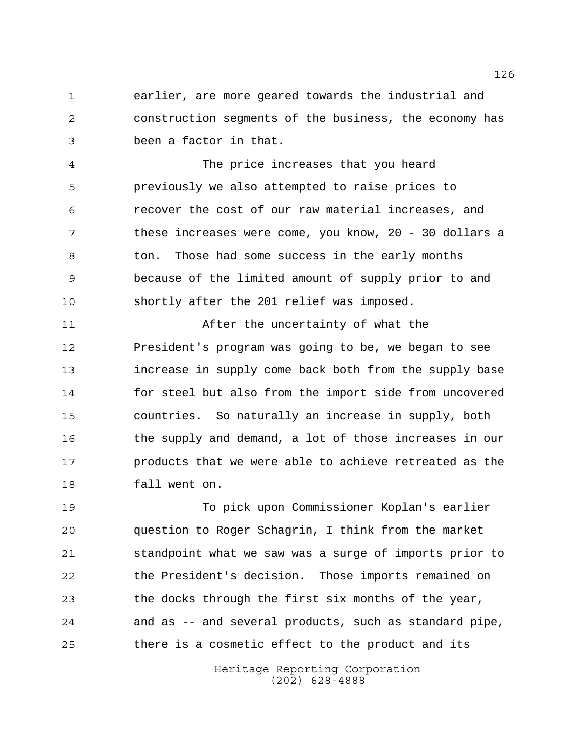earlier, are more geared towards the industrial and construction segments of the business, the economy has been a factor in that.

 The price increases that you heard previously we also attempted to raise prices to recover the cost of our raw material increases, and these increases were come, you know, 20 - 30 dollars a 8 ton. Those had some success in the early months because of the limited amount of supply prior to and shortly after the 201 relief was imposed.

 After the uncertainty of what the President's program was going to be, we began to see increase in supply come back both from the supply base for steel but also from the import side from uncovered countries. So naturally an increase in supply, both the supply and demand, a lot of those increases in our products that we were able to achieve retreated as the fall went on.

 To pick upon Commissioner Koplan's earlier question to Roger Schagrin, I think from the market standpoint what we saw was a surge of imports prior to the President's decision. Those imports remained on the docks through the first six months of the year, and as -- and several products, such as standard pipe, there is a cosmetic effect to the product and its

> Heritage Reporting Corporation (202) 628-4888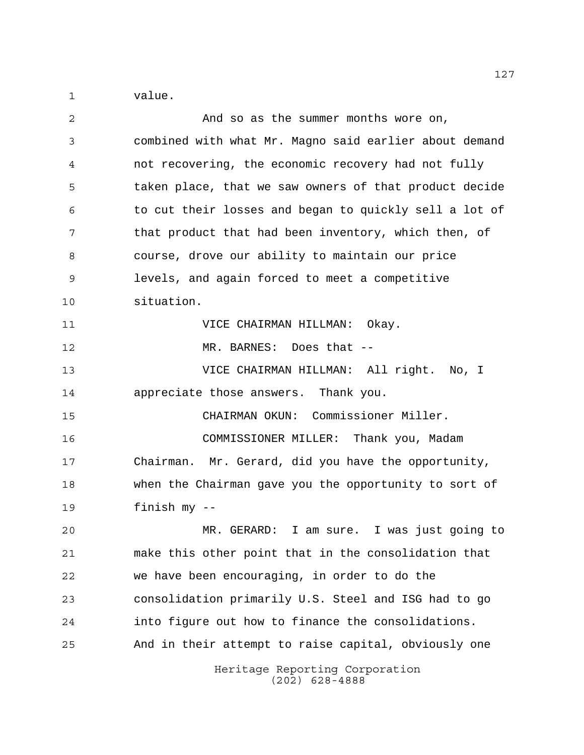value.

| 2  | And so as the summer months wore on,                   |
|----|--------------------------------------------------------|
| 3  | combined with what Mr. Magno said earlier about demand |
| 4  | not recovering, the economic recovery had not fully    |
| 5  | taken place, that we saw owners of that product decide |
| 6  | to cut their losses and began to quickly sell a lot of |
| 7  | that product that had been inventory, which then, of   |
| 8  | course, drove our ability to maintain our price        |
| 9  | levels, and again forced to meet a competitive         |
| 10 | situation.                                             |
| 11 | VICE CHAIRMAN HILLMAN: Okay.                           |
| 12 | MR. BARNES: Does that --                               |
| 13 | VICE CHAIRMAN HILLMAN: All right. No, I                |
| 14 | appreciate those answers. Thank you.                   |
| 15 | CHAIRMAN OKUN: Commissioner Miller.                    |
| 16 | COMMISSIONER MILLER: Thank you, Madam                  |
| 17 | Chairman. Mr. Gerard, did you have the opportunity,    |
| 18 | when the Chairman gave you the opportunity to sort of  |
| 19 | finish my --                                           |
| 20 | MR. GERARD: I am sure. I was just going to             |
| 21 | make this other point that in the consolidation that   |
| 22 | we have been encouraging, in order to do the           |
| 23 | consolidation primarily U.S. Steel and ISG had to go   |
| 24 | into figure out how to finance the consolidations.     |
| 25 | And in their attempt to raise capital, obviously one   |
|    | Heritage Reporting Corporation<br>$(202)$ 628-4888     |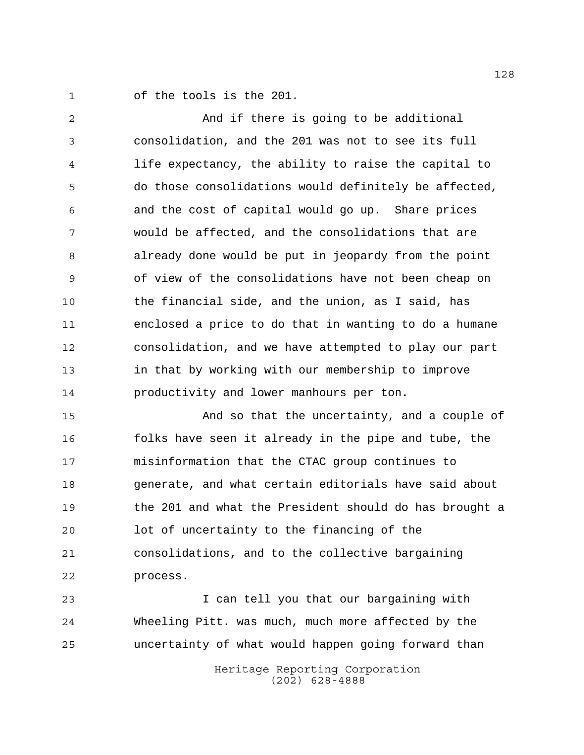of the tools is the 201.

 And if there is going to be additional consolidation, and the 201 was not to see its full life expectancy, the ability to raise the capital to do those consolidations would definitely be affected, and the cost of capital would go up. Share prices would be affected, and the consolidations that are already done would be put in jeopardy from the point of view of the consolidations have not been cheap on the financial side, and the union, as I said, has enclosed a price to do that in wanting to do a humane consolidation, and we have attempted to play our part in that by working with our membership to improve productivity and lower manhours per ton.

 And so that the uncertainty, and a couple of 16 folks have seen it already in the pipe and tube, the misinformation that the CTAC group continues to generate, and what certain editorials have said about the 201 and what the President should do has brought a lot of uncertainty to the financing of the consolidations, and to the collective bargaining process.

 I can tell you that our bargaining with Wheeling Pitt. was much, much more affected by the uncertainty of what would happen going forward than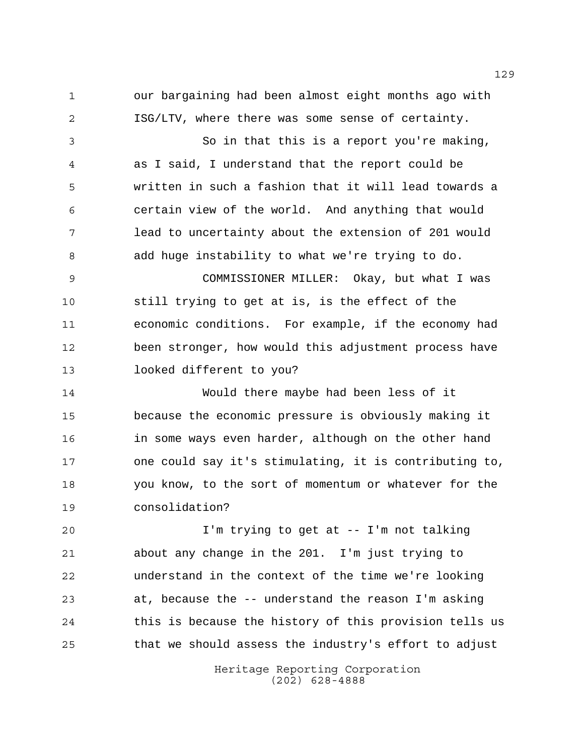our bargaining had been almost eight months ago with ISG/LTV, where there was some sense of certainty.

 So in that this is a report you're making, as I said, I understand that the report could be written in such a fashion that it will lead towards a certain view of the world. And anything that would lead to uncertainty about the extension of 201 would add huge instability to what we're trying to do.

 COMMISSIONER MILLER: Okay, but what I was still trying to get at is, is the effect of the economic conditions. For example, if the economy had been stronger, how would this adjustment process have looked different to you?

 Would there maybe had been less of it because the economic pressure is obviously making it in some ways even harder, although on the other hand one could say it's stimulating, it is contributing to, you know, to the sort of momentum or whatever for the consolidation?

 I'm trying to get at -- I'm not talking about any change in the 201. I'm just trying to understand in the context of the time we're looking at, because the -- understand the reason I'm asking this is because the history of this provision tells us that we should assess the industry's effort to adjust

> Heritage Reporting Corporation (202) 628-4888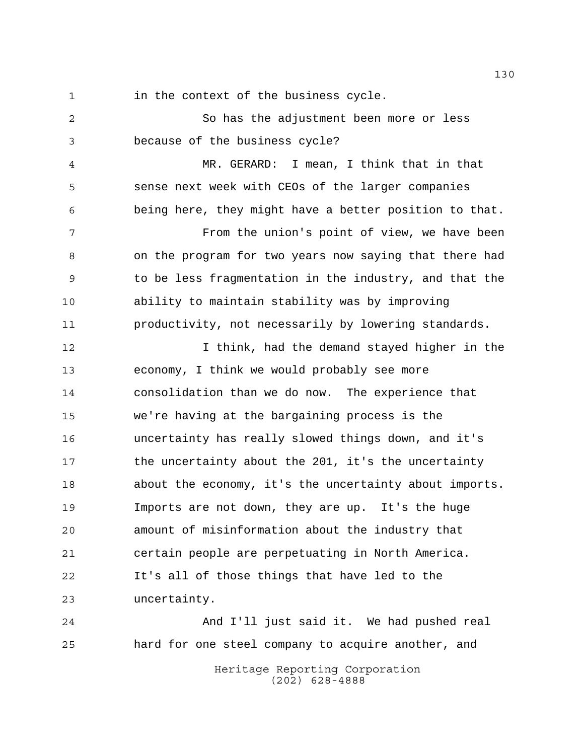in the context of the business cycle.

 So has the adjustment been more or less because of the business cycle?

 MR. GERARD: I mean, I think that in that sense next week with CEOs of the larger companies being here, they might have a better position to that.

 From the union's point of view, we have been on the program for two years now saying that there had to be less fragmentation in the industry, and that the ability to maintain stability was by improving productivity, not necessarily by lowering standards.

 I think, had the demand stayed higher in the economy, I think we would probably see more consolidation than we do now. The experience that we're having at the bargaining process is the uncertainty has really slowed things down, and it's 17 the uncertainty about the 201, it's the uncertainty about the economy, it's the uncertainty about imports. Imports are not down, they are up. It's the huge amount of misinformation about the industry that certain people are perpetuating in North America. It's all of those things that have led to the uncertainty.

Heritage Reporting Corporation (202) 628-4888 And I'll just said it. We had pushed real hard for one steel company to acquire another, and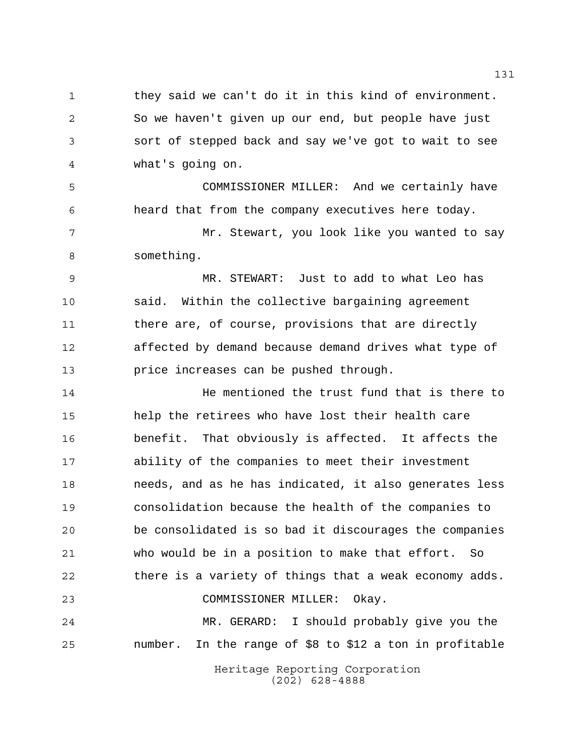1 they said we can't do it in this kind of environment. So we haven't given up our end, but people have just sort of stepped back and say we've got to wait to see what's going on.

 COMMISSIONER MILLER: And we certainly have heard that from the company executives here today.

 Mr. Stewart, you look like you wanted to say something.

 MR. STEWART: Just to add to what Leo has said. Within the collective bargaining agreement there are, of course, provisions that are directly affected by demand because demand drives what type of price increases can be pushed through.

 He mentioned the trust fund that is there to help the retirees who have lost their health care benefit. That obviously is affected. It affects the ability of the companies to meet their investment needs, and as he has indicated, it also generates less consolidation because the health of the companies to be consolidated is so bad it discourages the companies who would be in a position to make that effort. So there is a variety of things that a weak economy adds. COMMISSIONER MILLER: Okay. MR. GERARD: I should probably give you the

number. In the range of \$8 to \$12 a ton in profitable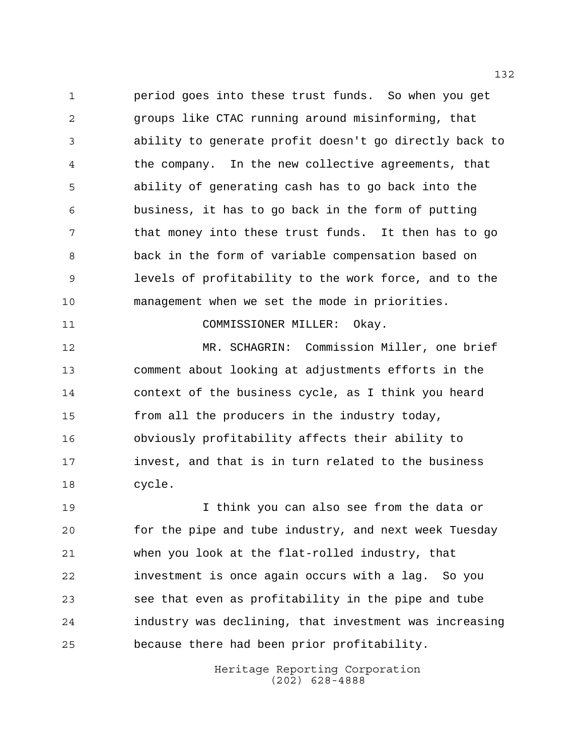period goes into these trust funds. So when you get groups like CTAC running around misinforming, that ability to generate profit doesn't go directly back to the company. In the new collective agreements, that ability of generating cash has to go back into the business, it has to go back in the form of putting that money into these trust funds. It then has to go back in the form of variable compensation based on levels of profitability to the work force, and to the management when we set the mode in priorities.

COMMISSIONER MILLER: Okay.

 MR. SCHAGRIN: Commission Miller, one brief comment about looking at adjustments efforts in the context of the business cycle, as I think you heard from all the producers in the industry today, obviously profitability affects their ability to invest, and that is in turn related to the business cycle.

 I think you can also see from the data or for the pipe and tube industry, and next week Tuesday when you look at the flat-rolled industry, that investment is once again occurs with a lag. So you see that even as profitability in the pipe and tube industry was declining, that investment was increasing because there had been prior profitability.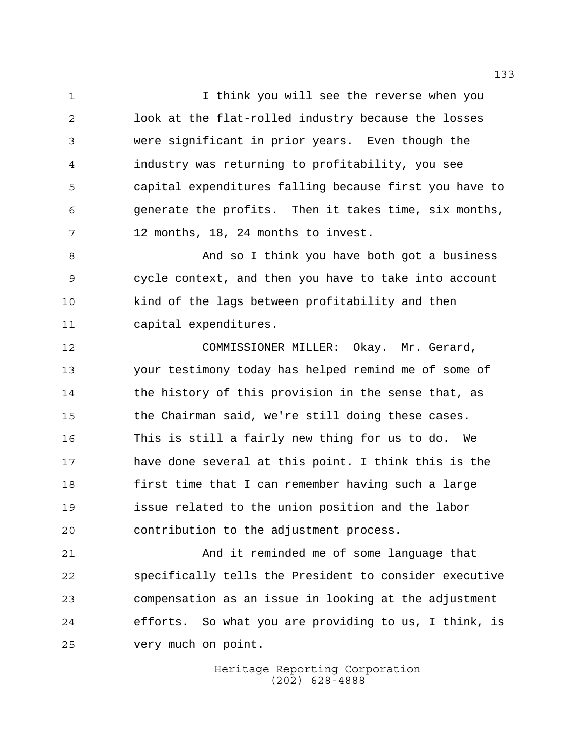1 1 I think you will see the reverse when you look at the flat-rolled industry because the losses were significant in prior years. Even though the industry was returning to profitability, you see capital expenditures falling because first you have to generate the profits. Then it takes time, six months, 12 months, 18, 24 months to invest.

8 And so I think you have both got a business cycle context, and then you have to take into account kind of the lags between profitability and then capital expenditures.

 COMMISSIONER MILLER: Okay. Mr. Gerard, your testimony today has helped remind me of some of the history of this provision in the sense that, as the Chairman said, we're still doing these cases. This is still a fairly new thing for us to do. We have done several at this point. I think this is the first time that I can remember having such a large issue related to the union position and the labor contribution to the adjustment process.

 And it reminded me of some language that specifically tells the President to consider executive compensation as an issue in looking at the adjustment efforts. So what you are providing to us, I think, is very much on point.

> Heritage Reporting Corporation (202) 628-4888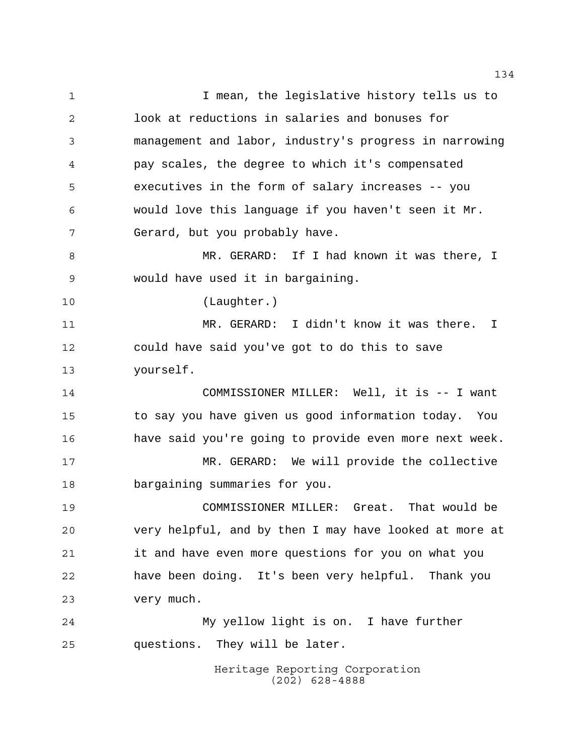Heritage Reporting Corporation (202) 628-4888 I mean, the legislative history tells us to look at reductions in salaries and bonuses for management and labor, industry's progress in narrowing pay scales, the degree to which it's compensated executives in the form of salary increases -- you would love this language if you haven't seen it Mr. Gerard, but you probably have. MR. GERARD: If I had known it was there, I would have used it in bargaining. (Laughter.) MR. GERARD: I didn't know it was there. I could have said you've got to do this to save yourself. COMMISSIONER MILLER: Well, it is -- I want to say you have given us good information today. You have said you're going to provide even more next week. MR. GERARD: We will provide the collective bargaining summaries for you. COMMISSIONER MILLER: Great. That would be very helpful, and by then I may have looked at more at it and have even more questions for you on what you have been doing. It's been very helpful. Thank you very much. My yellow light is on. I have further questions. They will be later.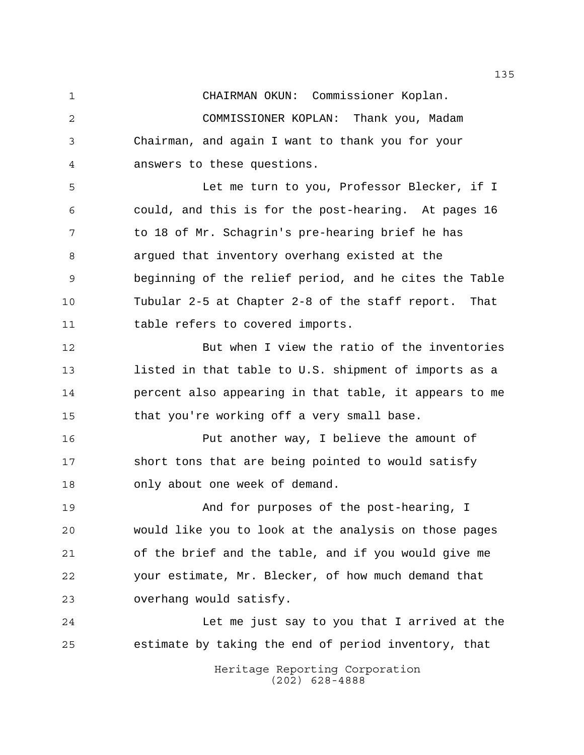CHAIRMAN OKUN: Commissioner Koplan.

 COMMISSIONER KOPLAN: Thank you, Madam Chairman, and again I want to thank you for your answers to these questions.

 Let me turn to you, Professor Blecker, if I could, and this is for the post-hearing. At pages 16 to 18 of Mr. Schagrin's pre-hearing brief he has argued that inventory overhang existed at the beginning of the relief period, and he cites the Table Tubular 2-5 at Chapter 2-8 of the staff report. That table refers to covered imports.

 But when I view the ratio of the inventories listed in that table to U.S. shipment of imports as a percent also appearing in that table, it appears to me that you're working off a very small base.

 Put another way, I believe the amount of short tons that are being pointed to would satisfy only about one week of demand.

 And for purposes of the post-hearing, I would like you to look at the analysis on those pages of the brief and the table, and if you would give me your estimate, Mr. Blecker, of how much demand that overhang would satisfy.

 Let me just say to you that I arrived at the estimate by taking the end of period inventory, that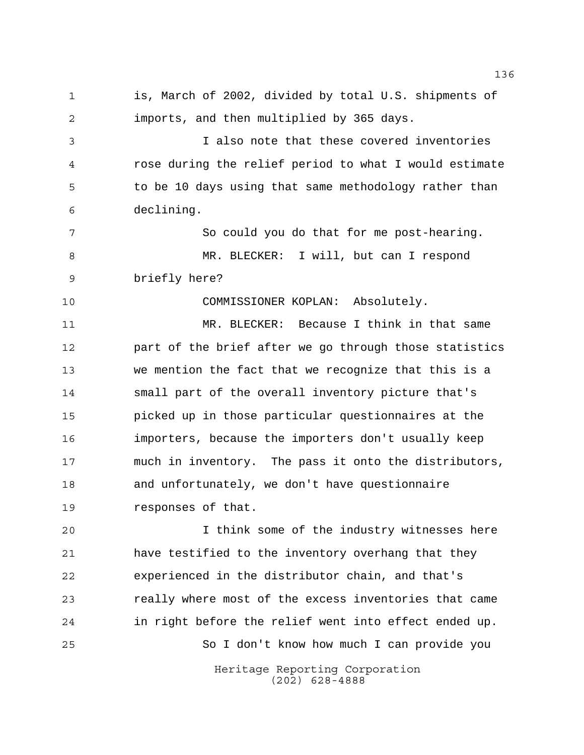is, March of 2002, divided by total U.S. shipments of imports, and then multiplied by 365 days. I also note that these covered inventories rose during the relief period to what I would estimate 5 to be 10 days using that same methodology rather than declining. 7 So could you do that for me post-hearing. MR. BLECKER: I will, but can I respond briefly here? COMMISSIONER KOPLAN: Absolutely. MR. BLECKER: Because I think in that same part of the brief after we go through those statistics we mention the fact that we recognize that this is a small part of the overall inventory picture that's picked up in those particular questionnaires at the importers, because the importers don't usually keep much in inventory. The pass it onto the distributors, and unfortunately, we don't have questionnaire responses of that. I think some of the industry witnesses here have testified to the inventory overhang that they experienced in the distributor chain, and that's really where most of the excess inventories that came in right before the relief went into effect ended up. So I don't know how much I can provide you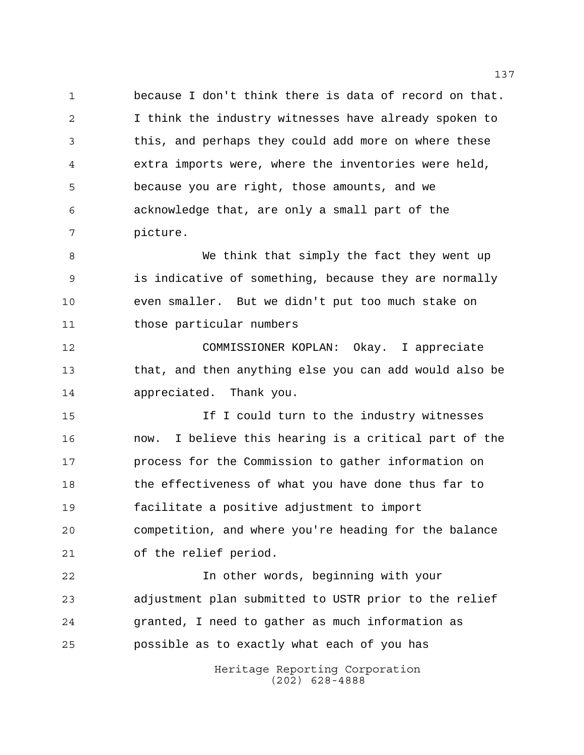because I don't think there is data of record on that. I think the industry witnesses have already spoken to this, and perhaps they could add more on where these extra imports were, where the inventories were held, because you are right, those amounts, and we acknowledge that, are only a small part of the picture.

 We think that simply the fact they went up is indicative of something, because they are normally even smaller. But we didn't put too much stake on those particular numbers

 COMMISSIONER KOPLAN: Okay. I appreciate that, and then anything else you can add would also be appreciated. Thank you.

15 15 If I could turn to the industry witnesses now. I believe this hearing is a critical part of the process for the Commission to gather information on the effectiveness of what you have done thus far to facilitate a positive adjustment to import competition, and where you're heading for the balance of the relief period.

 In other words, beginning with your adjustment plan submitted to USTR prior to the relief granted, I need to gather as much information as possible as to exactly what each of you has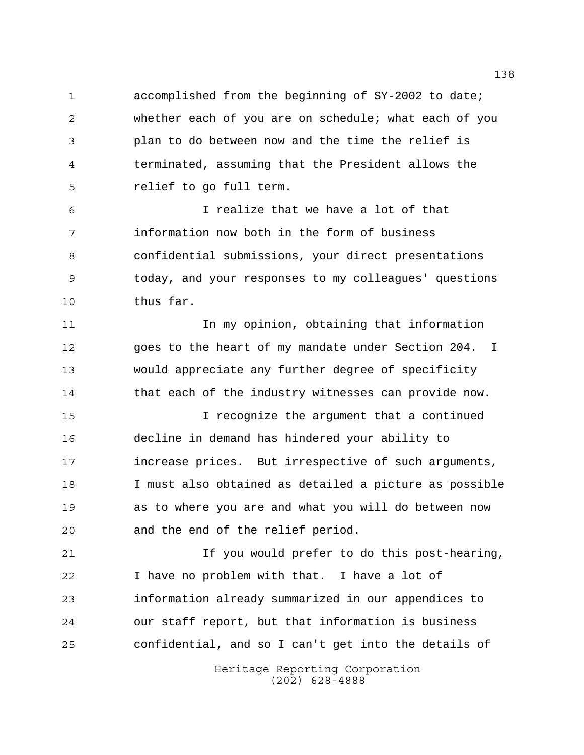accomplished from the beginning of SY-2002 to date; whether each of you are on schedule; what each of you plan to do between now and the time the relief is terminated, assuming that the President allows the relief to go full term.

 I realize that we have a lot of that information now both in the form of business confidential submissions, your direct presentations today, and your responses to my colleagues' questions thus far.

 In my opinion, obtaining that information goes to the heart of my mandate under Section 204. I would appreciate any further degree of specificity 14 that each of the industry witnesses can provide now.

 I recognize the argument that a continued decline in demand has hindered your ability to increase prices. But irrespective of such arguments, I must also obtained as detailed a picture as possible as to where you are and what you will do between now and the end of the relief period.

 If you would prefer to do this post-hearing, I have no problem with that. I have a lot of information already summarized in our appendices to our staff report, but that information is business confidential, and so I can't get into the details of

> Heritage Reporting Corporation (202) 628-4888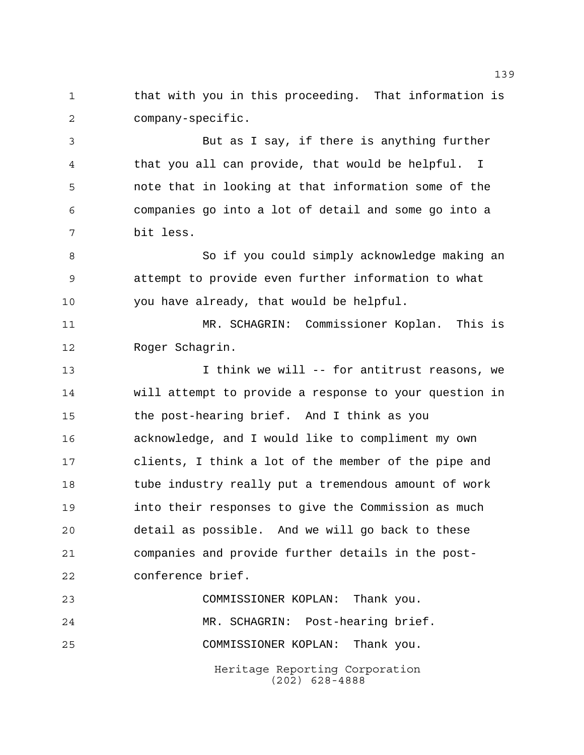1 that with you in this proceeding. That information is company-specific.

 But as I say, if there is anything further that you all can provide, that would be helpful. I note that in looking at that information some of the companies go into a lot of detail and some go into a bit less.

8 So if you could simply acknowledge making an attempt to provide even further information to what you have already, that would be helpful.

 MR. SCHAGRIN: Commissioner Koplan. This is Roger Schagrin.

 I think we will -- for antitrust reasons, we will attempt to provide a response to your question in the post-hearing brief. And I think as you acknowledge, and I would like to compliment my own clients, I think a lot of the member of the pipe and 18 tube industry really put a tremendous amount of work into their responses to give the Commission as much detail as possible. And we will go back to these companies and provide further details in the post-conference brief.

Heritage Reporting Corporation COMMISSIONER KOPLAN: Thank you. MR. SCHAGRIN: Post-hearing brief. COMMISSIONER KOPLAN: Thank you.

(202) 628-4888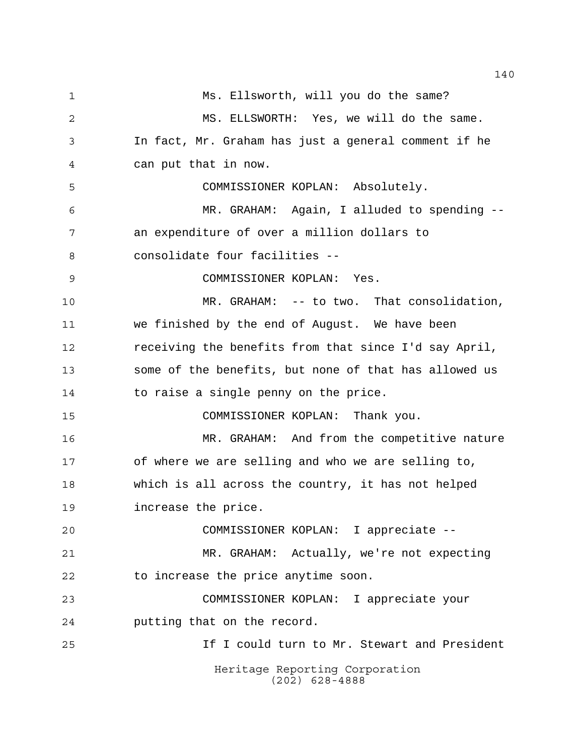Heritage Reporting Corporation (202) 628-4888 Ms. Ellsworth, will you do the same? MS. ELLSWORTH: Yes, we will do the same. In fact, Mr. Graham has just a general comment if he can put that in now. COMMISSIONER KOPLAN: Absolutely. MR. GRAHAM: Again, I alluded to spending -- an expenditure of over a million dollars to consolidate four facilities -- COMMISSIONER KOPLAN: Yes. MR. GRAHAM: -- to two. That consolidation, we finished by the end of August. We have been receiving the benefits from that since I'd say April, some of the benefits, but none of that has allowed us to raise a single penny on the price. COMMISSIONER KOPLAN: Thank you. MR. GRAHAM: And from the competitive nature of where we are selling and who we are selling to, which is all across the country, it has not helped increase the price. COMMISSIONER KOPLAN: I appreciate -- MR. GRAHAM: Actually, we're not expecting to increase the price anytime soon. COMMISSIONER KOPLAN: I appreciate your putting that on the record. If I could turn to Mr. Stewart and President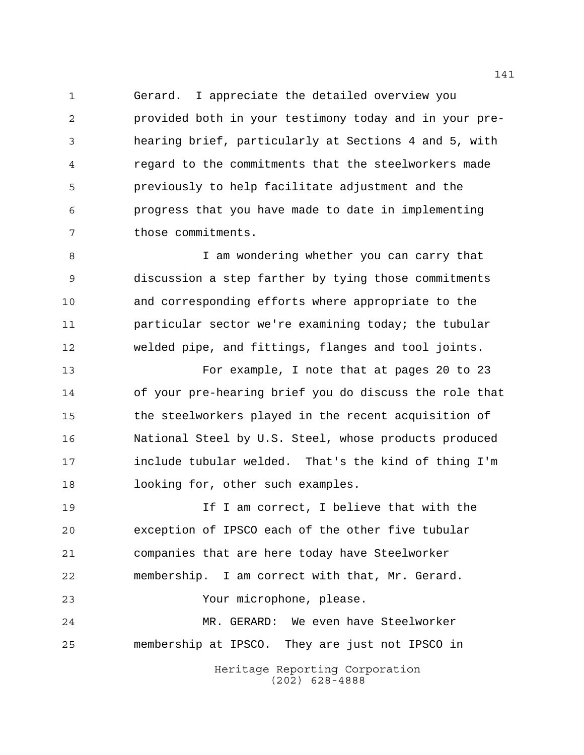Gerard. I appreciate the detailed overview you provided both in your testimony today and in your pre- hearing brief, particularly at Sections 4 and 5, with regard to the commitments that the steelworkers made previously to help facilitate adjustment and the progress that you have made to date in implementing those commitments.

8 I am wondering whether you can carry that discussion a step farther by tying those commitments and corresponding efforts where appropriate to the particular sector we're examining today; the tubular welded pipe, and fittings, flanges and tool joints.

 For example, I note that at pages 20 to 23 of your pre-hearing brief you do discuss the role that the steelworkers played in the recent acquisition of National Steel by U.S. Steel, whose products produced include tubular welded. That's the kind of thing I'm 18 looking for, other such examples.

 If I am correct, I believe that with the exception of IPSCO each of the other five tubular companies that are here today have Steelworker membership. I am correct with that, Mr. Gerard. Your microphone, please. MR. GERARD: We even have Steelworker membership at IPSCO. They are just not IPSCO in

> Heritage Reporting Corporation (202) 628-4888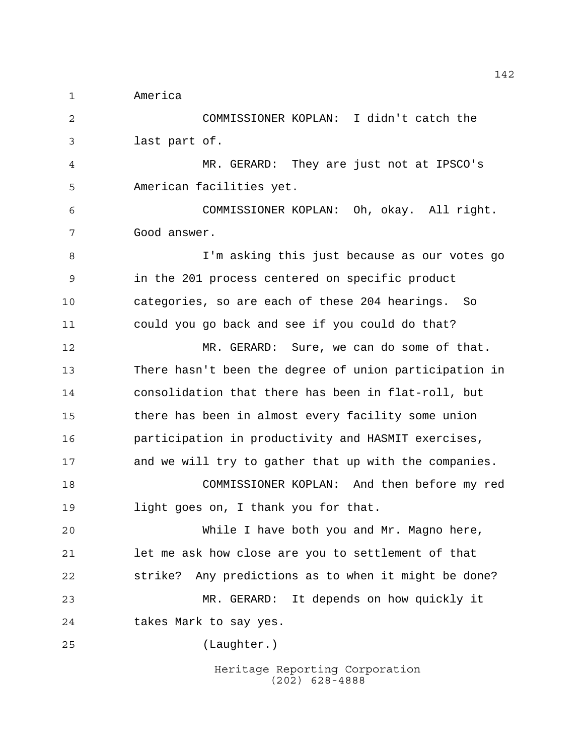America

 COMMISSIONER KOPLAN: I didn't catch the last part of.

 MR. GERARD: They are just not at IPSCO's American facilities yet.

 COMMISSIONER KOPLAN: Oh, okay. All right. Good answer.

 I'm asking this just because as our votes go in the 201 process centered on specific product categories, so are each of these 204 hearings. So could you go back and see if you could do that?

 MR. GERARD: Sure, we can do some of that. There hasn't been the degree of union participation in consolidation that there has been in flat-roll, but there has been in almost every facility some union participation in productivity and HASMIT exercises, and we will try to gather that up with the companies. COMMISSIONER KOPLAN: And then before my red

light goes on, I thank you for that.

 While I have both you and Mr. Magno here, let me ask how close are you to settlement of that strike? Any predictions as to when it might be done? MR. GERARD: It depends on how quickly it takes Mark to say yes.

(Laughter.)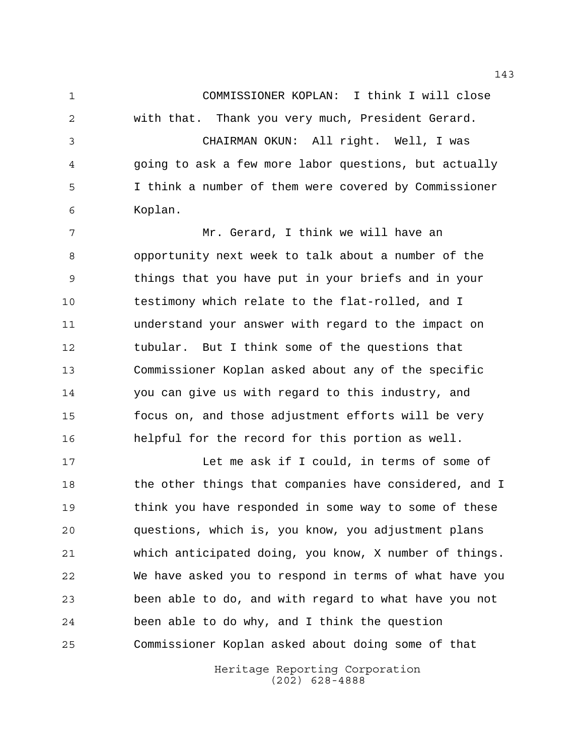COMMISSIONER KOPLAN: I think I will close with that. Thank you very much, President Gerard.

 CHAIRMAN OKUN: All right. Well, I was going to ask a few more labor questions, but actually I think a number of them were covered by Commissioner Koplan.

 Mr. Gerard, I think we will have an opportunity next week to talk about a number of the things that you have put in your briefs and in your testimony which relate to the flat-rolled, and I understand your answer with regard to the impact on tubular. But I think some of the questions that Commissioner Koplan asked about any of the specific you can give us with regard to this industry, and focus on, and those adjustment efforts will be very helpful for the record for this portion as well.

 Let me ask if I could, in terms of some of 18 the other things that companies have considered, and I think you have responded in some way to some of these questions, which is, you know, you adjustment plans which anticipated doing, you know, X number of things. We have asked you to respond in terms of what have you been able to do, and with regard to what have you not been able to do why, and I think the question Commissioner Koplan asked about doing some of that

> Heritage Reporting Corporation (202) 628-4888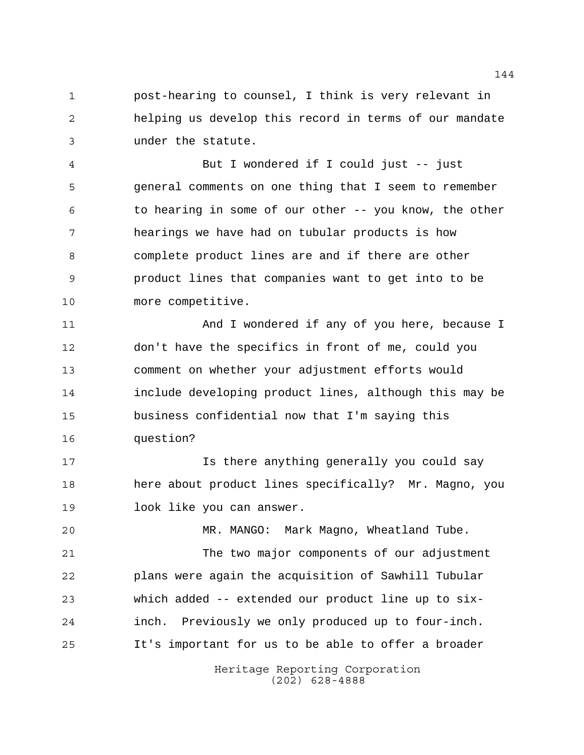post-hearing to counsel, I think is very relevant in helping us develop this record in terms of our mandate under the statute.

 But I wondered if I could just -- just general comments on one thing that I seem to remember to hearing in some of our other -- you know, the other hearings we have had on tubular products is how complete product lines are and if there are other product lines that companies want to get into to be more competitive.

 And I wondered if any of you here, because I don't have the specifics in front of me, could you comment on whether your adjustment efforts would include developing product lines, although this may be business confidential now that I'm saying this question?

 Is there anything generally you could say here about product lines specifically? Mr. Magno, you look like you can answer.

MR. MANGO: Mark Magno, Wheatland Tube.

 The two major components of our adjustment plans were again the acquisition of Sawhill Tubular which added -- extended our product line up to six- inch. Previously we only produced up to four-inch. It's important for us to be able to offer a broader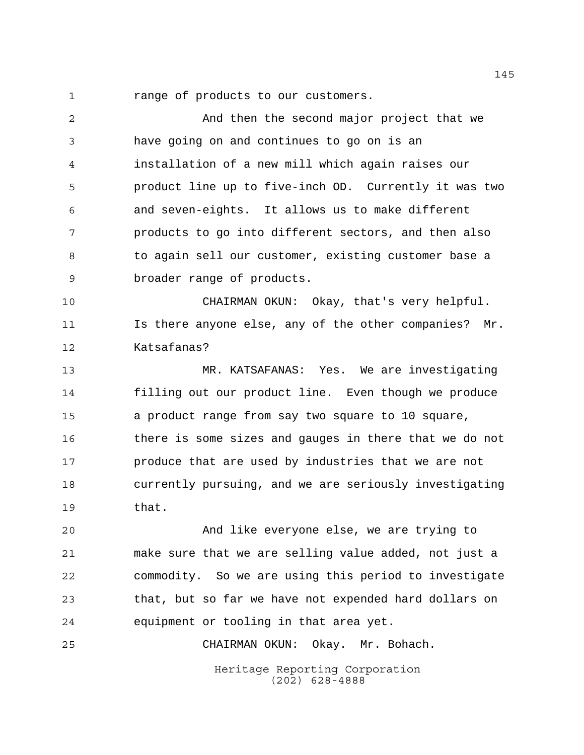1 range of products to our customers.

 And then the second major project that we have going on and continues to go on is an installation of a new mill which again raises our product line up to five-inch OD. Currently it was two and seven-eights. It allows us to make different products to go into different sectors, and then also to again sell our customer, existing customer base a broader range of products.

 CHAIRMAN OKUN: Okay, that's very helpful. Is there anyone else, any of the other companies? Mr. Katsafanas?

 MR. KATSAFANAS: Yes. We are investigating filling out our product line. Even though we produce a product range from say two square to 10 square, there is some sizes and gauges in there that we do not produce that are used by industries that we are not currently pursuing, and we are seriously investigating that.

 And like everyone else, we are trying to make sure that we are selling value added, not just a commodity. So we are using this period to investigate that, but so far we have not expended hard dollars on equipment or tooling in that area yet.

CHAIRMAN OKUN: Okay. Mr. Bohach.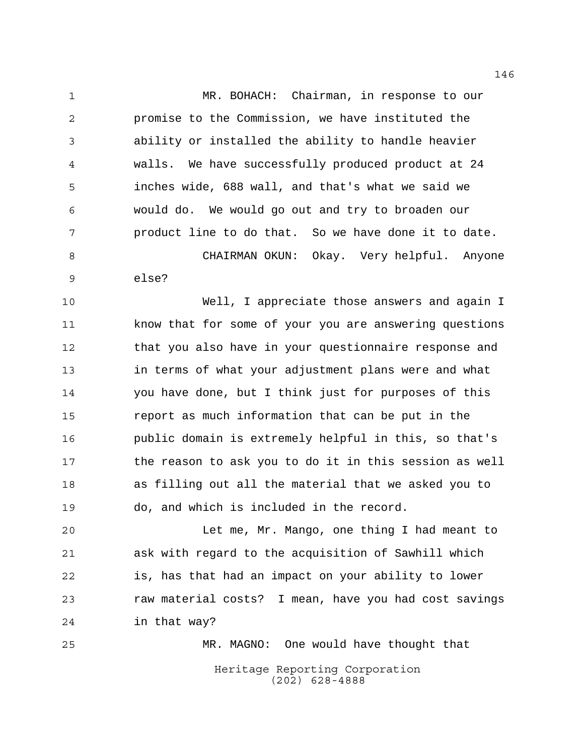MR. BOHACH: Chairman, in response to our promise to the Commission, we have instituted the ability or installed the ability to handle heavier walls. We have successfully produced product at 24 inches wide, 688 wall, and that's what we said we would do. We would go out and try to broaden our product line to do that. So we have done it to date. CHAIRMAN OKUN: Okay. Very helpful. Anyone

else?

 Well, I appreciate those answers and again I know that for some of your you are answering questions that you also have in your questionnaire response and in terms of what your adjustment plans were and what you have done, but I think just for purposes of this report as much information that can be put in the public domain is extremely helpful in this, so that's the reason to ask you to do it in this session as well as filling out all the material that we asked you to do, and which is included in the record.

 Let me, Mr. Mango, one thing I had meant to ask with regard to the acquisition of Sawhill which is, has that had an impact on your ability to lower raw material costs? I mean, have you had cost savings in that way?

Heritage Reporting Corporation (202) 628-4888 MR. MAGNO: One would have thought that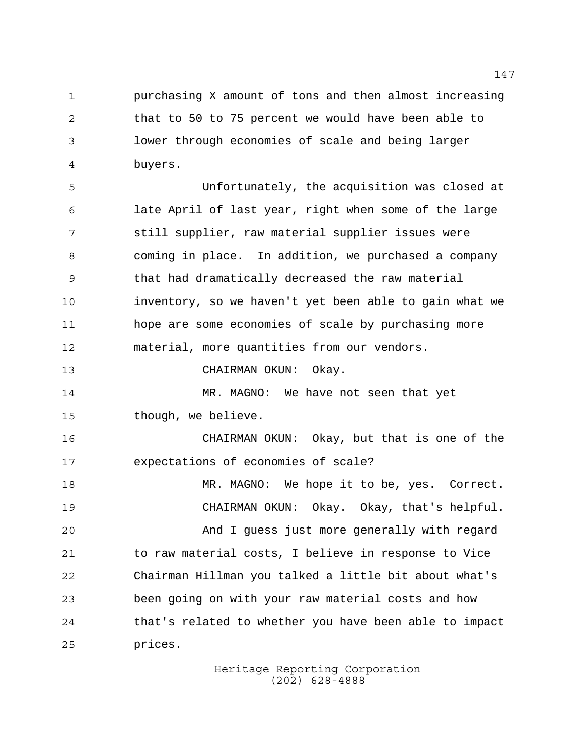purchasing X amount of tons and then almost increasing that to 50 to 75 percent we would have been able to lower through economies of scale and being larger buyers.

 Unfortunately, the acquisition was closed at late April of last year, right when some of the large still supplier, raw material supplier issues were coming in place. In addition, we purchased a company 9 that had dramatically decreased the raw material inventory, so we haven't yet been able to gain what we hope are some economies of scale by purchasing more material, more quantities from our vendors.

CHAIRMAN OKUN: Okay.

 MR. MAGNO: We have not seen that yet though, we believe.

 CHAIRMAN OKUN: Okay, but that is one of the expectations of economies of scale?

18 MR. MAGNO: We hope it to be, yes. Correct. CHAIRMAN OKUN: Okay. Okay, that's helpful. And I guess just more generally with regard to raw material costs, I believe in response to Vice Chairman Hillman you talked a little bit about what's been going on with your raw material costs and how that's related to whether you have been able to impact prices.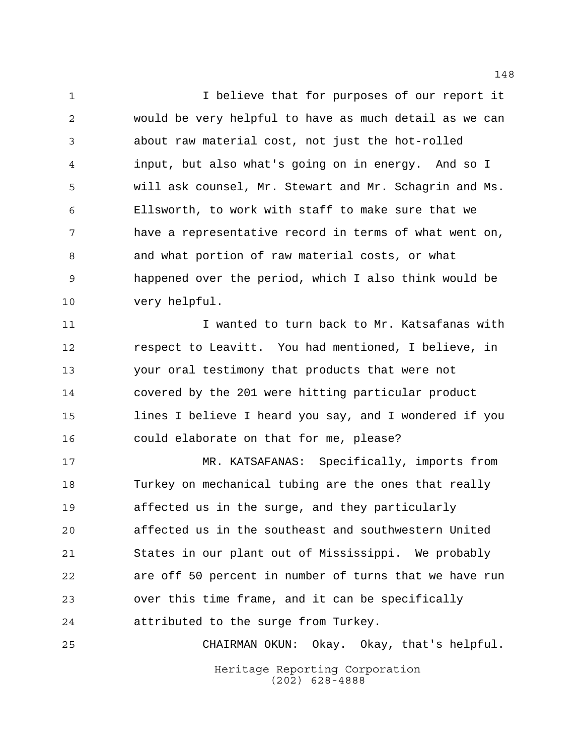I believe that for purposes of our report it would be very helpful to have as much detail as we can about raw material cost, not just the hot-rolled input, but also what's going on in energy. And so I will ask counsel, Mr. Stewart and Mr. Schagrin and Ms. Ellsworth, to work with staff to make sure that we have a representative record in terms of what went on, and what portion of raw material costs, or what happened over the period, which I also think would be very helpful.

 I wanted to turn back to Mr. Katsafanas with respect to Leavitt. You had mentioned, I believe, in your oral testimony that products that were not covered by the 201 were hitting particular product lines I believe I heard you say, and I wondered if you could elaborate on that for me, please?

 MR. KATSAFANAS: Specifically, imports from Turkey on mechanical tubing are the ones that really affected us in the surge, and they particularly affected us in the southeast and southwestern United States in our plant out of Mississippi. We probably are off 50 percent in number of turns that we have run over this time frame, and it can be specifically attributed to the surge from Turkey.

Heritage Reporting Corporation (202) 628-4888 CHAIRMAN OKUN: Okay. Okay, that's helpful.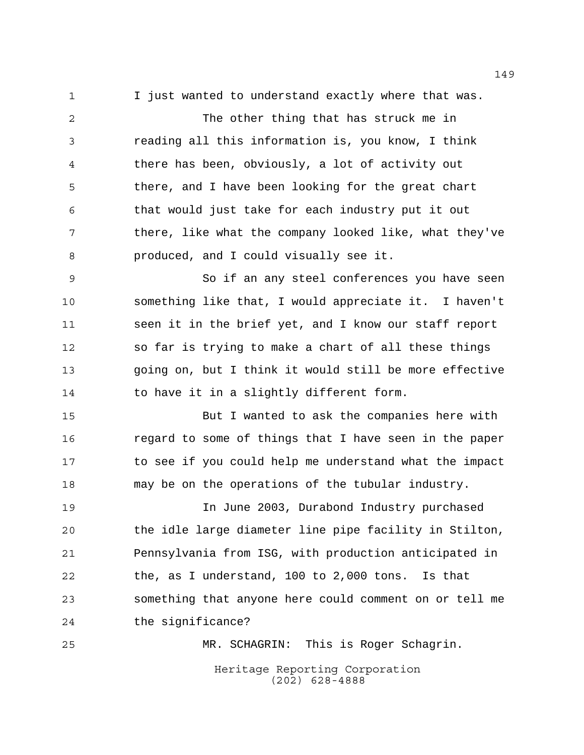I just wanted to understand exactly where that was.

 The other thing that has struck me in reading all this information is, you know, I think there has been, obviously, a lot of activity out there, and I have been looking for the great chart that would just take for each industry put it out 7 there, like what the company looked like, what they've produced, and I could visually see it.

 So if an any steel conferences you have seen something like that, I would appreciate it. I haven't seen it in the brief yet, and I know our staff report so far is trying to make a chart of all these things going on, but I think it would still be more effective to have it in a slightly different form.

 But I wanted to ask the companies here with regard to some of things that I have seen in the paper to see if you could help me understand what the impact may be on the operations of the tubular industry.

 In June 2003, Durabond Industry purchased the idle large diameter line pipe facility in Stilton, Pennsylvania from ISG, with production anticipated in the, as I understand, 100 to 2,000 tons. Is that something that anyone here could comment on or tell me the significance?

MR. SCHAGRIN: This is Roger Schagrin.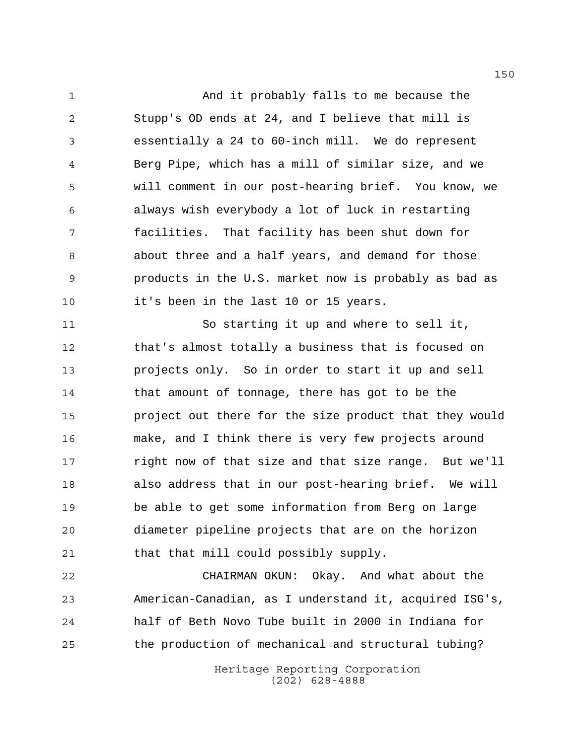And it probably falls to me because the Stupp's OD ends at 24, and I believe that mill is essentially a 24 to 60-inch mill. We do represent Berg Pipe, which has a mill of similar size, and we will comment in our post-hearing brief. You know, we always wish everybody a lot of luck in restarting facilities. That facility has been shut down for about three and a half years, and demand for those products in the U.S. market now is probably as bad as it's been in the last 10 or 15 years.

 So starting it up and where to sell it, that's almost totally a business that is focused on projects only. So in order to start it up and sell that amount of tonnage, there has got to be the project out there for the size product that they would make, and I think there is very few projects around 17 right now of that size and that size range. But we'll also address that in our post-hearing brief. We will be able to get some information from Berg on large diameter pipeline projects that are on the horizon that that mill could possibly supply.

 CHAIRMAN OKUN: Okay. And what about the American-Canadian, as I understand it, acquired ISG's, half of Beth Novo Tube built in 2000 in Indiana for the production of mechanical and structural tubing?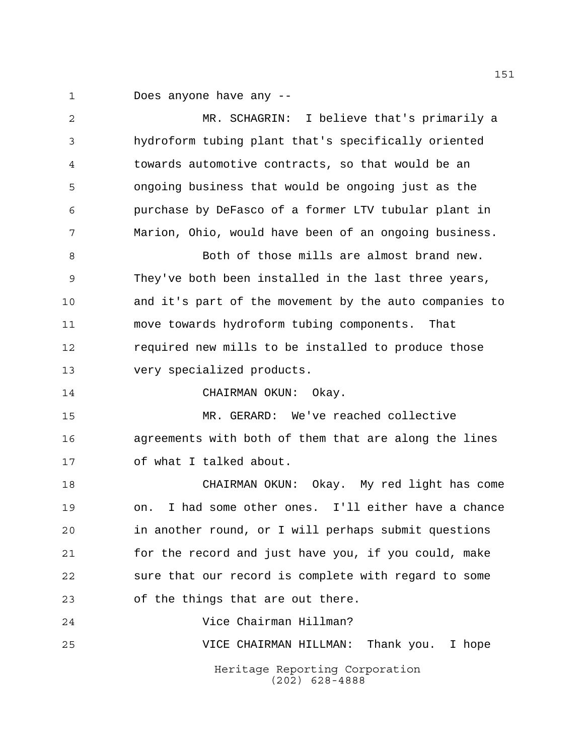Does anyone have any --

Heritage Reporting Corporation (202) 628-4888 MR. SCHAGRIN: I believe that's primarily a hydroform tubing plant that's specifically oriented towards automotive contracts, so that would be an ongoing business that would be ongoing just as the purchase by DeFasco of a former LTV tubular plant in Marion, Ohio, would have been of an ongoing business. 8 Both of those mills are almost brand new. They've both been installed in the last three years, and it's part of the movement by the auto companies to move towards hydroform tubing components. That required new mills to be installed to produce those very specialized products. 14 CHAIRMAN OKUN: Okay. MR. GERARD: We've reached collective agreements with both of them that are along the lines of what I talked about. CHAIRMAN OKUN: Okay. My red light has come on. I had some other ones. I'll either have a chance in another round, or I will perhaps submit questions for the record and just have you, if you could, make sure that our record is complete with regard to some of the things that are out there. Vice Chairman Hillman? VICE CHAIRMAN HILLMAN: Thank you. I hope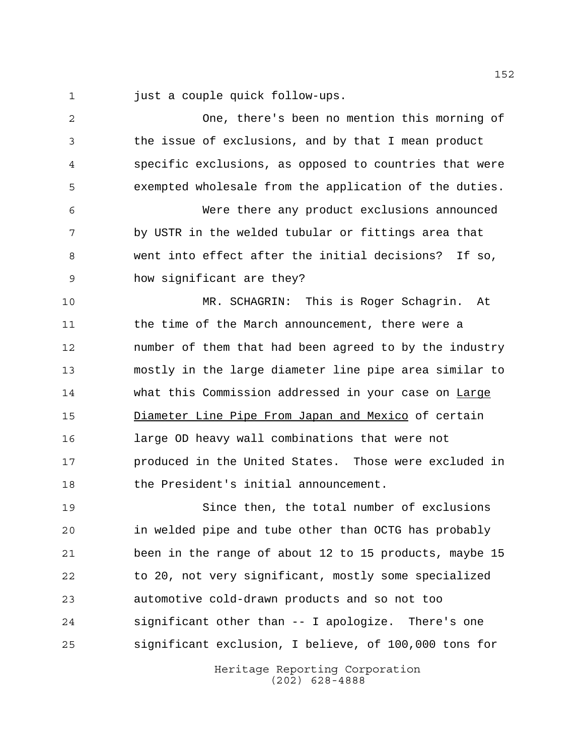just a couple quick follow-ups.

 One, there's been no mention this morning of the issue of exclusions, and by that I mean product specific exclusions, as opposed to countries that were exempted wholesale from the application of the duties. Were there any product exclusions announced by USTR in the welded tubular or fittings area that went into effect after the initial decisions? If so, how significant are they? MR. SCHAGRIN: This is Roger Schagrin. At the time of the March announcement, there were a number of them that had been agreed to by the industry mostly in the large diameter line pipe area similar to 14 what this Commission addressed in your case on Large Diameter Line Pipe From Japan and Mexico of certain large OD heavy wall combinations that were not produced in the United States. Those were excluded in 18 the President's initial announcement. Since then, the total number of exclusions in welded pipe and tube other than OCTG has probably been in the range of about 12 to 15 products, maybe 15 to 20, not very significant, mostly some specialized automotive cold-drawn products and so not too significant other than -- I apologize. There's one significant exclusion, I believe, of 100,000 tons for

> Heritage Reporting Corporation (202) 628-4888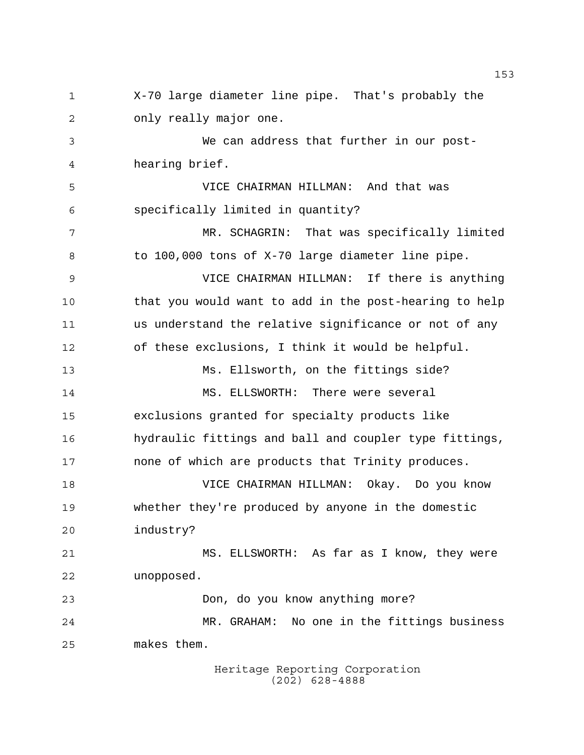X-70 large diameter line pipe. That's probably the only really major one. We can address that further in our post- hearing brief. VICE CHAIRMAN HILLMAN: And that was specifically limited in quantity? MR. SCHAGRIN: That was specifically limited 8 to 100,000 tons of X-70 large diameter line pipe. VICE CHAIRMAN HILLMAN: If there is anything that you would want to add in the post-hearing to help us understand the relative significance or not of any of these exclusions, I think it would be helpful. Ms. Ellsworth, on the fittings side? MS. ELLSWORTH: There were several exclusions granted for specialty products like hydraulic fittings and ball and coupler type fittings, none of which are products that Trinity produces. VICE CHAIRMAN HILLMAN: Okay. Do you know whether they're produced by anyone in the domestic industry? MS. ELLSWORTH: As far as I know, they were unopposed. Don, do you know anything more? MR. GRAHAM: No one in the fittings business makes them.

Heritage Reporting Corporation (202) 628-4888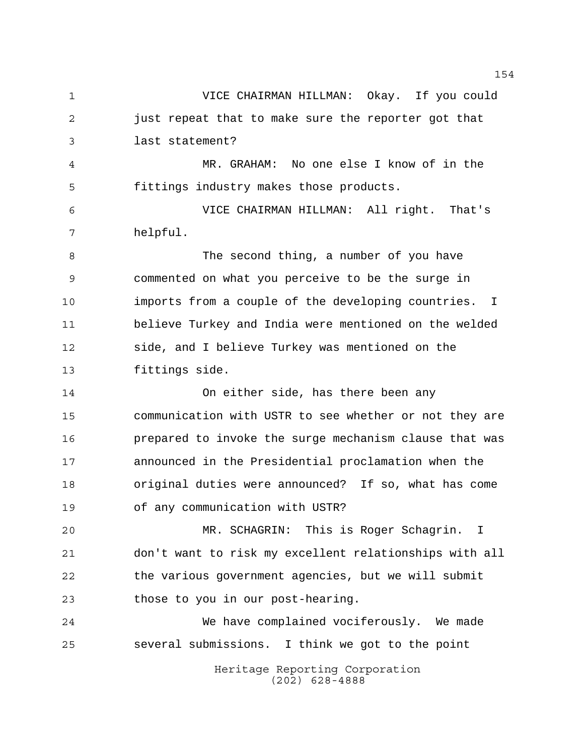Heritage Reporting Corporation (202) 628-4888 VICE CHAIRMAN HILLMAN: Okay. If you could just repeat that to make sure the reporter got that last statement? MR. GRAHAM: No one else I know of in the fittings industry makes those products. VICE CHAIRMAN HILLMAN: All right. That's helpful. 8 The second thing, a number of you have commented on what you perceive to be the surge in imports from a couple of the developing countries. I believe Turkey and India were mentioned on the welded side, and I believe Turkey was mentioned on the fittings side. On either side, has there been any communication with USTR to see whether or not they are prepared to invoke the surge mechanism clause that was announced in the Presidential proclamation when the original duties were announced? If so, what has come of any communication with USTR? MR. SCHAGRIN: This is Roger Schagrin. I don't want to risk my excellent relationships with all the various government agencies, but we will submit 23 those to you in our post-hearing. We have complained vociferously. We made several submissions. I think we got to the point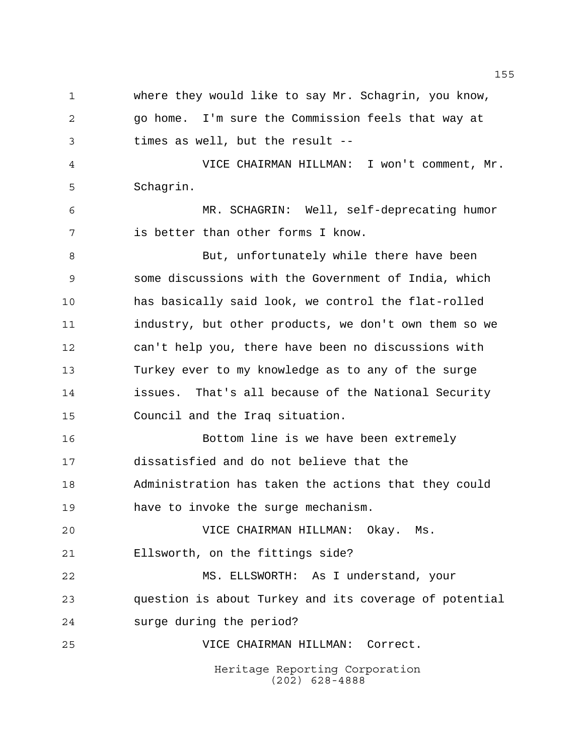Heritage Reporting Corporation (202) 628-4888 where they would like to say Mr. Schagrin, you know, go home. I'm sure the Commission feels that way at times as well, but the result -- VICE CHAIRMAN HILLMAN: I won't comment, Mr. Schagrin. MR. SCHAGRIN: Well, self-deprecating humor is better than other forms I know. 8 But, unfortunately while there have been some discussions with the Government of India, which has basically said look, we control the flat-rolled industry, but other products, we don't own them so we can't help you, there have been no discussions with Turkey ever to my knowledge as to any of the surge issues. That's all because of the National Security Council and the Iraq situation. Bottom line is we have been extremely dissatisfied and do not believe that the Administration has taken the actions that they could have to invoke the surge mechanism. VICE CHAIRMAN HILLMAN: Okay. Ms. Ellsworth, on the fittings side? MS. ELLSWORTH: As I understand, your question is about Turkey and its coverage of potential surge during the period? VICE CHAIRMAN HILLMAN: Correct.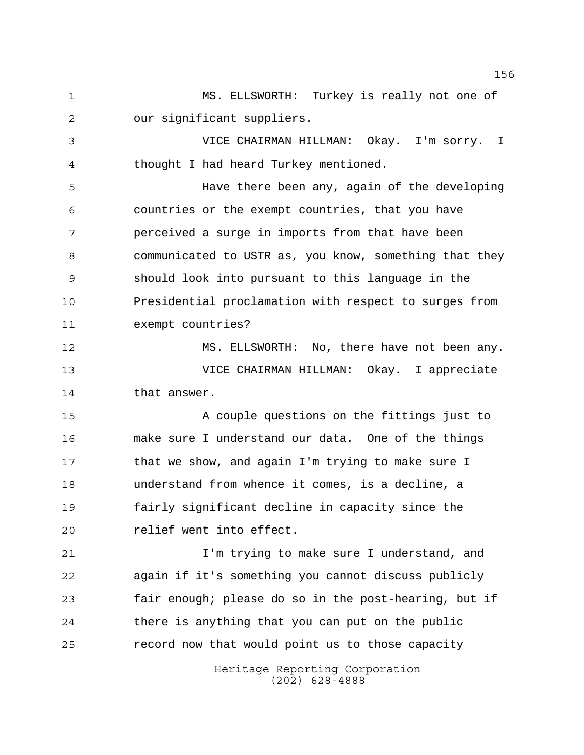MS. ELLSWORTH: Turkey is really not one of our significant suppliers.

 VICE CHAIRMAN HILLMAN: Okay. I'm sorry. I thought I had heard Turkey mentioned.

 Have there been any, again of the developing countries or the exempt countries, that you have perceived a surge in imports from that have been communicated to USTR as, you know, something that they should look into pursuant to this language in the Presidential proclamation with respect to surges from exempt countries?

 MS. ELLSWORTH: No, there have not been any. VICE CHAIRMAN HILLMAN: Okay. I appreciate that answer.

 A couple questions on the fittings just to make sure I understand our data. One of the things 17 that we show, and again I'm trying to make sure I understand from whence it comes, is a decline, a fairly significant decline in capacity since the relief went into effect.

**I'm trying to make sure I understand, and**  again if it's something you cannot discuss publicly fair enough; please do so in the post-hearing, but if there is anything that you can put on the public record now that would point us to those capacity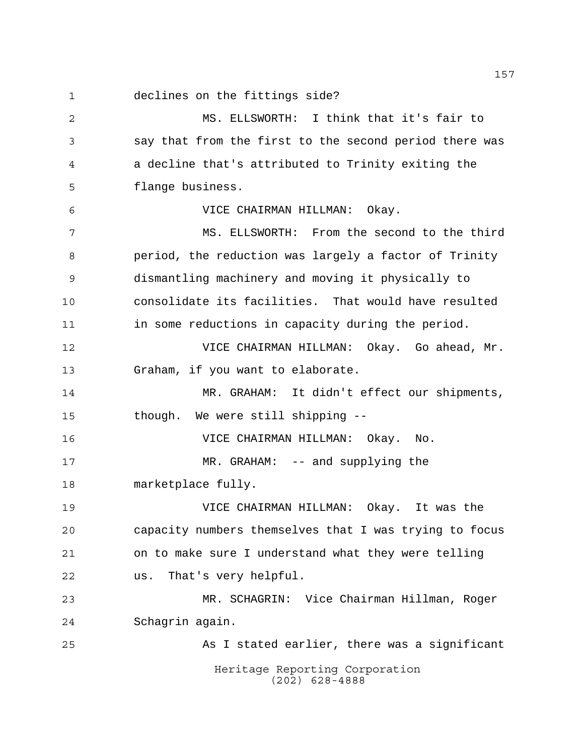declines on the fittings side?

Heritage Reporting Corporation (202) 628-4888 MS. ELLSWORTH: I think that it's fair to say that from the first to the second period there was a decline that's attributed to Trinity exiting the flange business. VICE CHAIRMAN HILLMAN: Okay. MS. ELLSWORTH: From the second to the third period, the reduction was largely a factor of Trinity dismantling machinery and moving it physically to consolidate its facilities. That would have resulted in some reductions in capacity during the period. VICE CHAIRMAN HILLMAN: Okay. Go ahead, Mr. Graham, if you want to elaborate. MR. GRAHAM: It didn't effect our shipments, though. We were still shipping -- VICE CHAIRMAN HILLMAN: Okay. No. MR. GRAHAM: -- and supplying the marketplace fully. VICE CHAIRMAN HILLMAN: Okay. It was the capacity numbers themselves that I was trying to focus on to make sure I understand what they were telling us. That's very helpful. MR. SCHAGRIN: Vice Chairman Hillman, Roger Schagrin again. As I stated earlier, there was a significant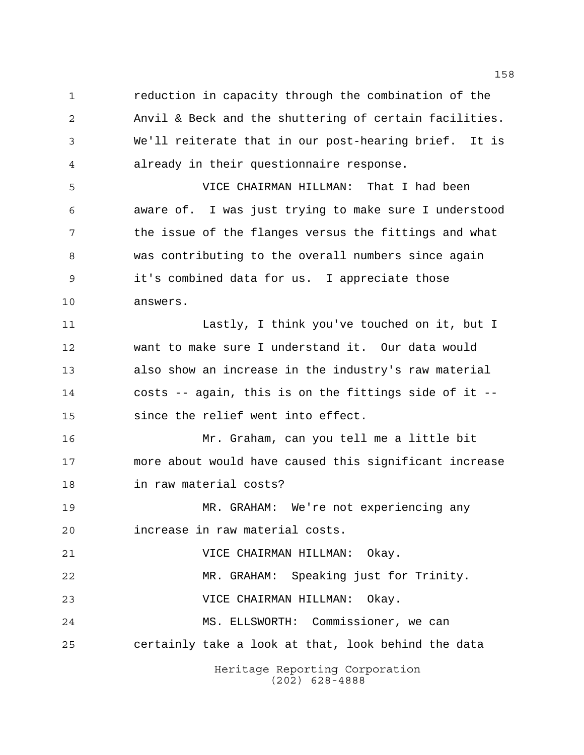reduction in capacity through the combination of the Anvil & Beck and the shuttering of certain facilities. We'll reiterate that in our post-hearing brief. It is already in their questionnaire response.

 VICE CHAIRMAN HILLMAN: That I had been aware of. I was just trying to make sure I understood the issue of the flanges versus the fittings and what was contributing to the overall numbers since again it's combined data for us. I appreciate those answers.

 Lastly, I think you've touched on it, but I want to make sure I understand it. Our data would also show an increase in the industry's raw material costs -- again, this is on the fittings side of it -- since the relief went into effect.

 Mr. Graham, can you tell me a little bit more about would have caused this significant increase in raw material costs?

 MR. GRAHAM: We're not experiencing any increase in raw material costs.

VICE CHAIRMAN HILLMAN: Okay.

 MR. GRAHAM: Speaking just for Trinity. VICE CHAIRMAN HILLMAN: Okay.

 MS. ELLSWORTH: Commissioner, we can certainly take a look at that, look behind the data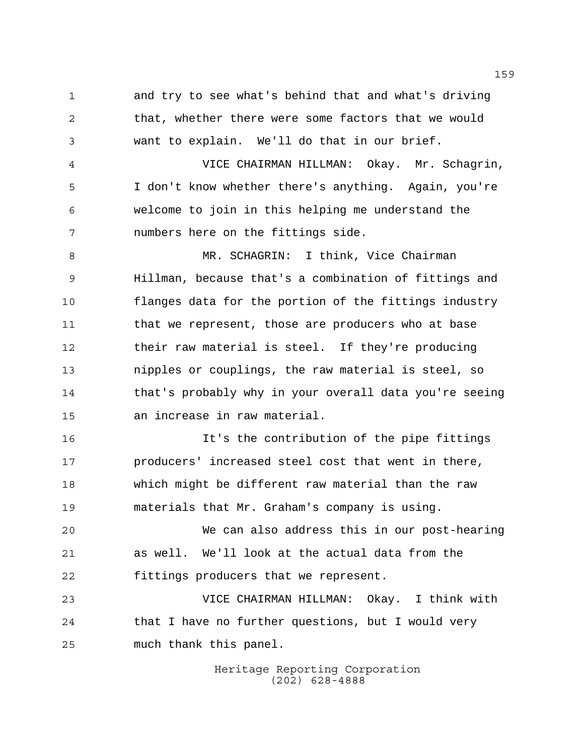and try to see what's behind that and what's driving that, whether there were some factors that we would want to explain. We'll do that in our brief.

 VICE CHAIRMAN HILLMAN: Okay. Mr. Schagrin, I don't know whether there's anything. Again, you're welcome to join in this helping me understand the numbers here on the fittings side.

 MR. SCHAGRIN: I think, Vice Chairman Hillman, because that's a combination of fittings and flanges data for the portion of the fittings industry that we represent, those are producers who at base their raw material is steel. If they're producing nipples or couplings, the raw material is steel, so that's probably why in your overall data you're seeing an increase in raw material.

 It's the contribution of the pipe fittings producers' increased steel cost that went in there, which might be different raw material than the raw materials that Mr. Graham's company is using.

 We can also address this in our post-hearing as well. We'll look at the actual data from the fittings producers that we represent.

 VICE CHAIRMAN HILLMAN: Okay. I think with that I have no further questions, but I would very much thank this panel.

> Heritage Reporting Corporation (202) 628-4888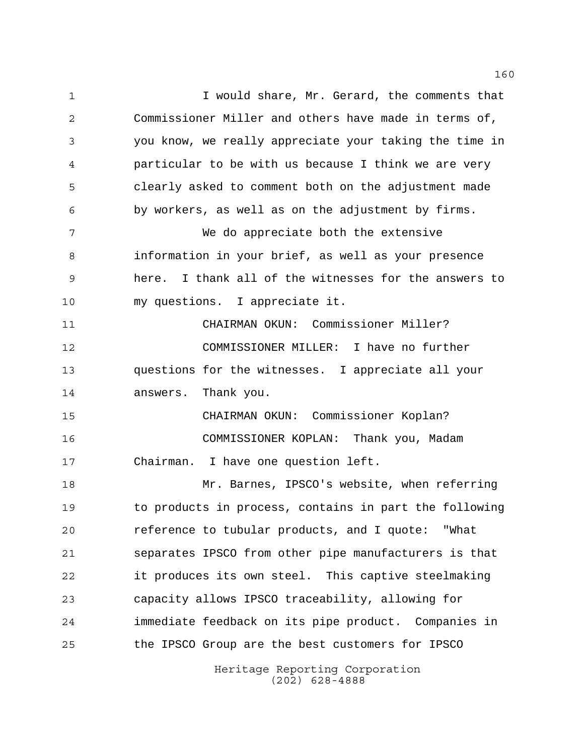Heritage Reporting Corporation 1 I would share, Mr. Gerard, the comments that Commissioner Miller and others have made in terms of, you know, we really appreciate your taking the time in particular to be with us because I think we are very clearly asked to comment both on the adjustment made by workers, as well as on the adjustment by firms. We do appreciate both the extensive information in your brief, as well as your presence here. I thank all of the witnesses for the answers to my questions. I appreciate it. CHAIRMAN OKUN: Commissioner Miller? COMMISSIONER MILLER: I have no further questions for the witnesses. I appreciate all your answers. Thank you. CHAIRMAN OKUN: Commissioner Koplan? COMMISSIONER KOPLAN: Thank you, Madam Chairman. I have one question left. Mr. Barnes, IPSCO's website, when referring to products in process, contains in part the following reference to tubular products, and I quote: "What separates IPSCO from other pipe manufacturers is that it produces its own steel. This captive steelmaking capacity allows IPSCO traceability, allowing for immediate feedback on its pipe product. Companies in the IPSCO Group are the best customers for IPSCO

(202) 628-4888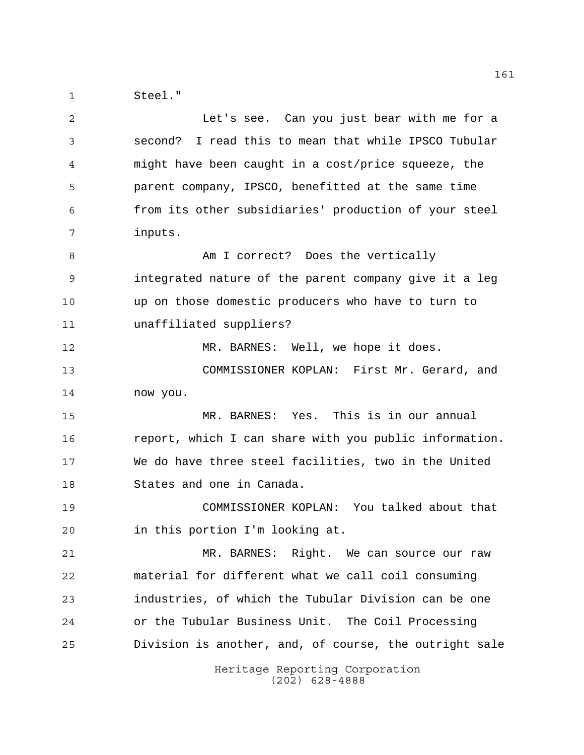Steel."

| 2  | Let's see. Can you just bear with me for a             |
|----|--------------------------------------------------------|
| 3  | second? I read this to mean that while IPSCO Tubular   |
| 4  | might have been caught in a cost/price squeeze, the    |
| 5  | parent company, IPSCO, benefitted at the same time     |
| 6  | from its other subsidiaries' production of your steel  |
| 7  | inputs.                                                |
| 8  | Am I correct? Does the vertically                      |
| 9  | integrated nature of the parent company give it a leg  |
| 10 | up on those domestic producers who have to turn to     |
| 11 | unaffiliated suppliers?                                |
| 12 | MR. BARNES: Well, we hope it does.                     |
| 13 | COMMISSIONER KOPLAN: First Mr. Gerard, and             |
| 14 | now you.                                               |
| 15 | MR. BARNES: Yes. This is in our annual                 |
| 16 | report, which I can share with you public information. |
| 17 | We do have three steel facilities, two in the United   |
| 18 | States and one in Canada.                              |
| 19 | COMMISSIONER KOPLAN: You talked about that             |
| 20 | in this portion I'm looking at.                        |
| 21 | MR. BARNES: Right. We can source our raw               |
| 22 | material for different what we call coil consuming     |
| 23 | industries, of which the Tubular Division can be one   |
| 24 | or the Tubular Business Unit. The Coil Processing      |
| 25 | Division is another, and, of course, the outright sale |
|    | Heritage Reporting Corporation<br>$(202)$ 628-4888     |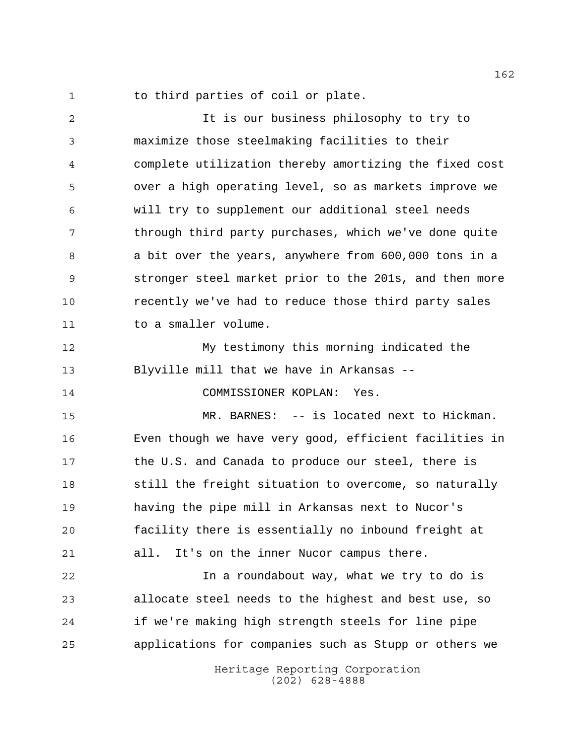1 to third parties of coil or plate.

 It is our business philosophy to try to maximize those steelmaking facilities to their complete utilization thereby amortizing the fixed cost over a high operating level, so as markets improve we will try to supplement our additional steel needs 7 through third party purchases, which we've done quite a bit over the years, anywhere from 600,000 tons in a stronger steel market prior to the 201s, and then more recently we've had to reduce those third party sales 11 to a smaller volume. My testimony this morning indicated the Blyville mill that we have in Arkansas --

COMMISSIONER KOPLAN: Yes.

 MR. BARNES: -- is located next to Hickman. Even though we have very good, efficient facilities in 17 the U.S. and Canada to produce our steel, there is still the freight situation to overcome, so naturally having the pipe mill in Arkansas next to Nucor's facility there is essentially no inbound freight at all. It's on the inner Nucor campus there.

 In a roundabout way, what we try to do is allocate steel needs to the highest and best use, so if we're making high strength steels for line pipe applications for companies such as Stupp or others we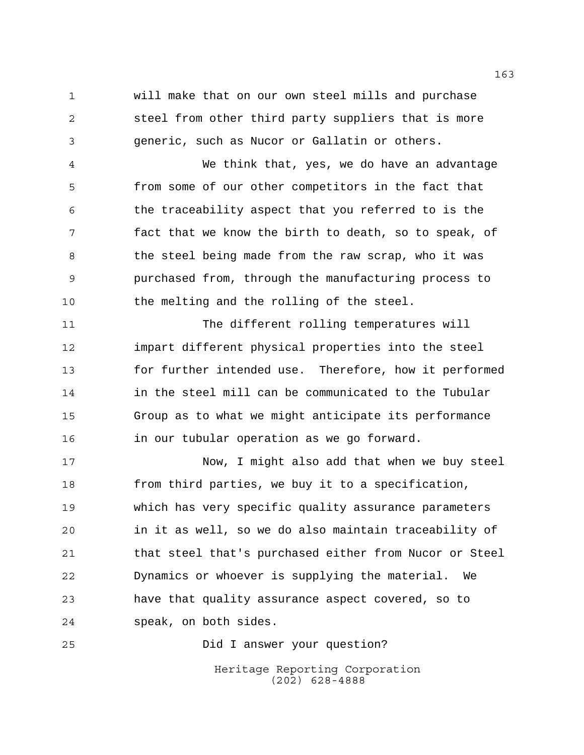will make that on our own steel mills and purchase steel from other third party suppliers that is more generic, such as Nucor or Gallatin or others.

 We think that, yes, we do have an advantage from some of our other competitors in the fact that the traceability aspect that you referred to is the fact that we know the birth to death, so to speak, of 8 the steel being made from the raw scrap, who it was purchased from, through the manufacturing process to the melting and the rolling of the steel.

 The different rolling temperatures will impart different physical properties into the steel for further intended use. Therefore, how it performed in the steel mill can be communicated to the Tubular Group as to what we might anticipate its performance in our tubular operation as we go forward.

 Now, I might also add that when we buy steel from third parties, we buy it to a specification, which has very specific quality assurance parameters in it as well, so we do also maintain traceability of that steel that's purchased either from Nucor or Steel Dynamics or whoever is supplying the material. We have that quality assurance aspect covered, so to speak, on both sides.

Did I answer your question?

Heritage Reporting Corporation (202) 628-4888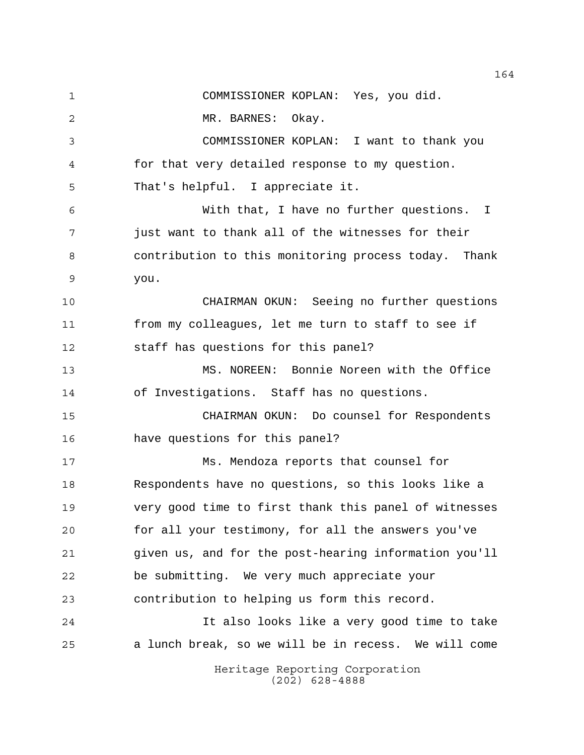Heritage Reporting Corporation COMMISSIONER KOPLAN: Yes, you did. MR. BARNES: Okay. COMMISSIONER KOPLAN: I want to thank you for that very detailed response to my question. That's helpful. I appreciate it. With that, I have no further questions. I just want to thank all of the witnesses for their contribution to this monitoring process today. Thank you. CHAIRMAN OKUN: Seeing no further questions from my colleagues, let me turn to staff to see if staff has questions for this panel? MS. NOREEN: Bonnie Noreen with the Office of Investigations. Staff has no questions. CHAIRMAN OKUN: Do counsel for Respondents have questions for this panel? Ms. Mendoza reports that counsel for Respondents have no questions, so this looks like a very good time to first thank this panel of witnesses for all your testimony, for all the answers you've given us, and for the post-hearing information you'll be submitting. We very much appreciate your contribution to helping us form this record. It also looks like a very good time to take a lunch break, so we will be in recess. We will come

(202) 628-4888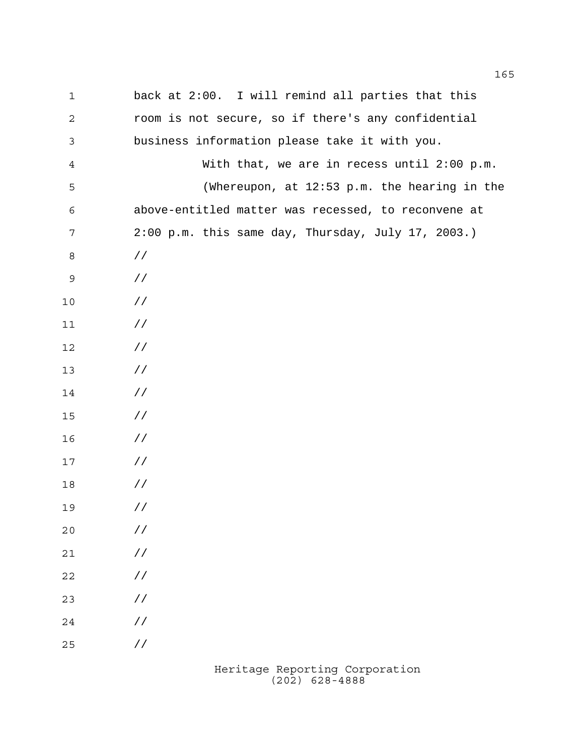| $\mathbf 1$    | back at 2:00. I will remind all parties that this   |
|----------------|-----------------------------------------------------|
| $\mathbf{2}$   | room is not secure, so if there's any confidential  |
| 3              | business information please take it with you.       |
| $\overline{4}$ | With that, we are in recess until 2:00 p.m.         |
| 5              | (Whereupon, at 12:53 p.m. the hearing in the        |
| 6              | above-entitled matter was recessed, to reconvene at |
| 7              | 2:00 p.m. this same day, Thursday, July 17, 2003.)  |
| 8              | $\frac{1}{2}$                                       |
| 9              | $\frac{1}{2}$                                       |
| 10             | $\frac{1}{2}$                                       |
| 11             | $\frac{1}{2}$                                       |
| 12             | $\frac{1}{2}$                                       |
| 13             | $\frac{1}{2}$                                       |
| 14             | $\frac{1}{2}$                                       |
| 15             | $\frac{1}{2}$                                       |
| 16             | $\frac{1}{2}$                                       |
| 17             | $\frac{1}{2}$                                       |
| 18             | $\frac{1}{2}$                                       |
| 19             | $\frac{1}{2}$                                       |
| 20             | $\!/\!$                                             |
| $21$           | $\!/\!$                                             |
| $2\sqrt{2}$    | $\!/\!$                                             |
| 23             | $\!/\!$                                             |
| 24             | / $\mskip 1mu /$                                    |
| 25             | / $\mskip-5mu/\mskip-5mu$                           |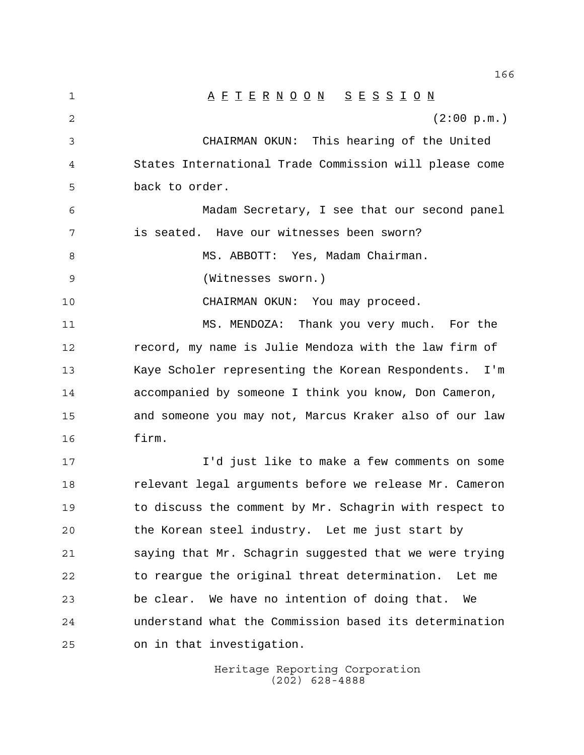1 A F T E R N O O N S E S S I O N  $(2:00 \text{ p.m.})$  CHAIRMAN OKUN: This hearing of the United States International Trade Commission will please come back to order. Madam Secretary, I see that our second panel is seated. Have our witnesses been sworn? 8 MS. ABBOTT: Yes, Madam Chairman. (Witnesses sworn.) CHAIRMAN OKUN: You may proceed. MS. MENDOZA: Thank you very much. For the record, my name is Julie Mendoza with the law firm of Kaye Scholer representing the Korean Respondents. I'm accompanied by someone I think you know, Don Cameron, and someone you may not, Marcus Kraker also of our law firm. I'd just like to make a few comments on some relevant legal arguments before we release Mr. Cameron to discuss the comment by Mr. Schagrin with respect to the Korean steel industry. Let me just start by saying that Mr. Schagrin suggested that we were trying to reargue the original threat determination. Let me be clear. We have no intention of doing that. We understand what the Commission based its determination on in that investigation.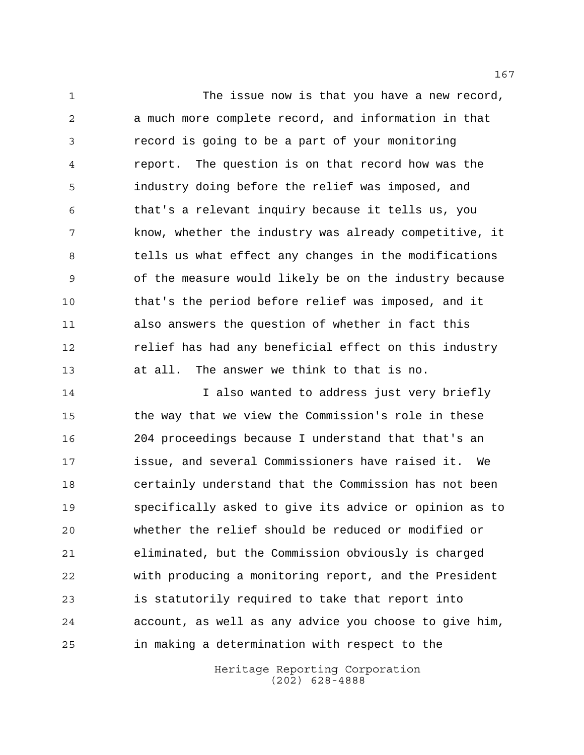1 The issue now is that you have a new record, a much more complete record, and information in that record is going to be a part of your monitoring report. The question is on that record how was the industry doing before the relief was imposed, and that's a relevant inquiry because it tells us, you know, whether the industry was already competitive, it tells us what effect any changes in the modifications of the measure would likely be on the industry because that's the period before relief was imposed, and it also answers the question of whether in fact this relief has had any beneficial effect on this industry at all. The answer we think to that is no.

14 14 I also wanted to address just very briefly the way that we view the Commission's role in these 204 proceedings because I understand that that's an issue, and several Commissioners have raised it. We certainly understand that the Commission has not been specifically asked to give its advice or opinion as to whether the relief should be reduced or modified or eliminated, but the Commission obviously is charged with producing a monitoring report, and the President is statutorily required to take that report into account, as well as any advice you choose to give him, in making a determination with respect to the

> Heritage Reporting Corporation (202) 628-4888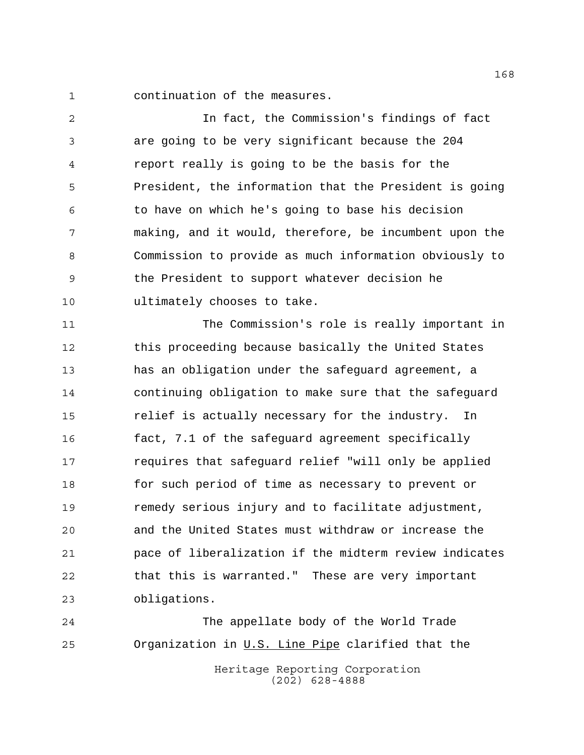continuation of the measures.

 In fact, the Commission's findings of fact are going to be very significant because the 204 report really is going to be the basis for the President, the information that the President is going to have on which he's going to base his decision making, and it would, therefore, be incumbent upon the Commission to provide as much information obviously to the President to support whatever decision he ultimately chooses to take.

 The Commission's role is really important in this proceeding because basically the United States has an obligation under the safeguard agreement, a continuing obligation to make sure that the safeguard relief is actually necessary for the industry. In fact, 7.1 of the safeguard agreement specifically requires that safeguard relief "will only be applied for such period of time as necessary to prevent or remedy serious injury and to facilitate adjustment, and the United States must withdraw or increase the pace of liberalization if the midterm review indicates that this is warranted." These are very important obligations.

Heritage Reporting Corporation (202) 628-4888 The appellate body of the World Trade 25 Organization in U.S. Line Pipe clarified that the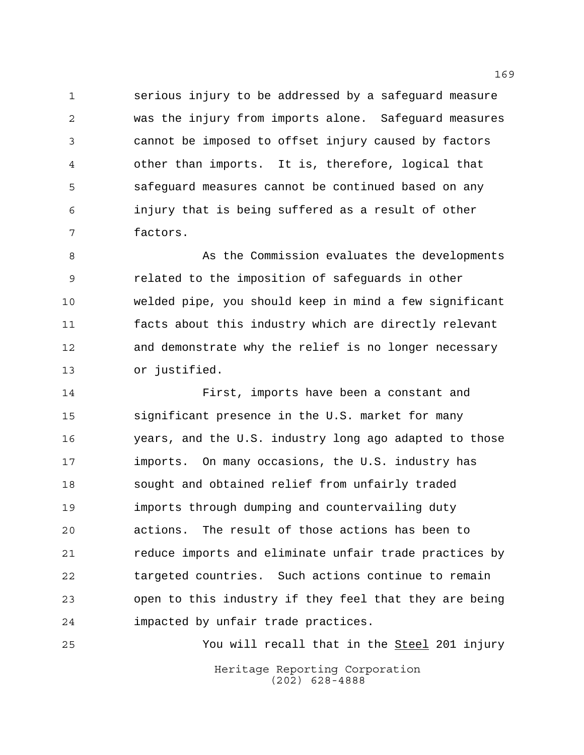serious injury to be addressed by a safeguard measure was the injury from imports alone. Safeguard measures cannot be imposed to offset injury caused by factors other than imports. It is, therefore, logical that safeguard measures cannot be continued based on any injury that is being suffered as a result of other factors.

8 As the Commission evaluates the developments related to the imposition of safeguards in other welded pipe, you should keep in mind a few significant facts about this industry which are directly relevant and demonstrate why the relief is no longer necessary or justified.

 First, imports have been a constant and significant presence in the U.S. market for many years, and the U.S. industry long ago adapted to those imports. On many occasions, the U.S. industry has sought and obtained relief from unfairly traded imports through dumping and countervailing duty actions. The result of those actions has been to reduce imports and eliminate unfair trade practices by targeted countries. Such actions continue to remain open to this industry if they feel that they are being impacted by unfair trade practices.

Heritage Reporting Corporation (202) 628-4888 25 The Steel 201 injury You will recall that in the Steel 201 injury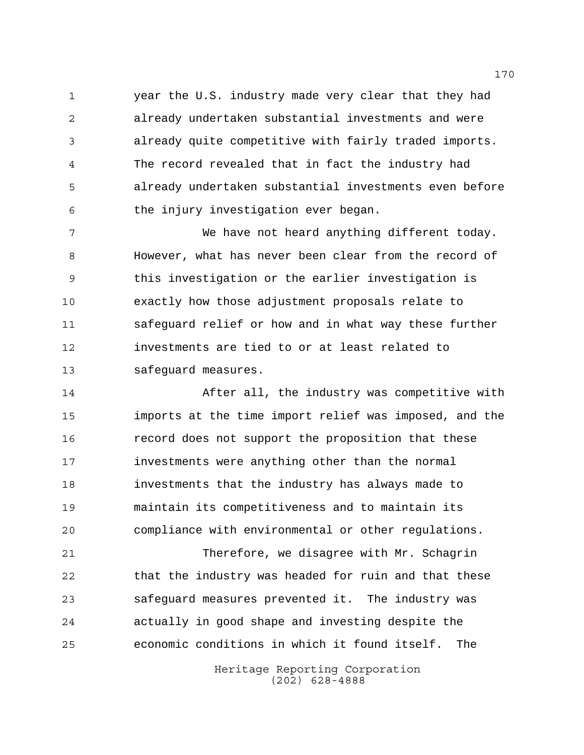year the U.S. industry made very clear that they had already undertaken substantial investments and were already quite competitive with fairly traded imports. The record revealed that in fact the industry had already undertaken substantial investments even before the injury investigation ever began.

 We have not heard anything different today. However, what has never been clear from the record of this investigation or the earlier investigation is exactly how those adjustment proposals relate to safeguard relief or how and in what way these further investments are tied to or at least related to safeguard measures.

 After all, the industry was competitive with imports at the time import relief was imposed, and the record does not support the proposition that these investments were anything other than the normal investments that the industry has always made to maintain its competitiveness and to maintain its compliance with environmental or other regulations.

 Therefore, we disagree with Mr. Schagrin that the industry was headed for ruin and that these safeguard measures prevented it. The industry was actually in good shape and investing despite the economic conditions in which it found itself. The

> Heritage Reporting Corporation (202) 628-4888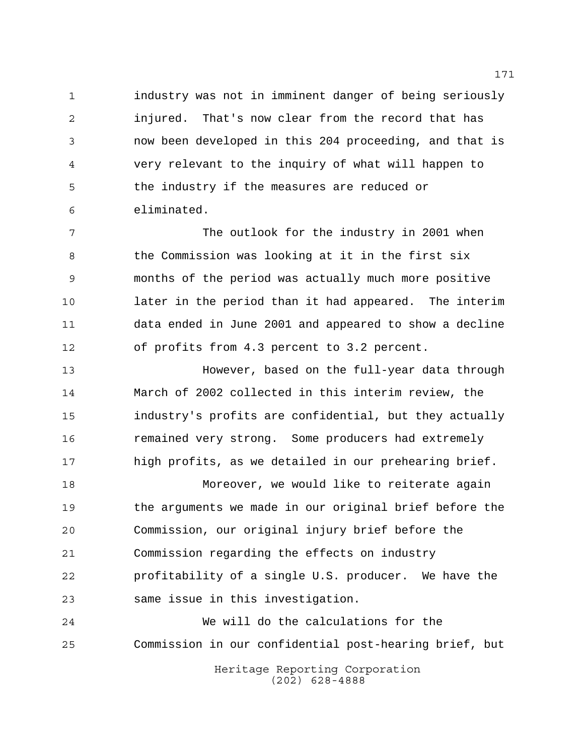industry was not in imminent danger of being seriously injured. That's now clear from the record that has now been developed in this 204 proceeding, and that is very relevant to the inquiry of what will happen to the industry if the measures are reduced or eliminated.

 The outlook for the industry in 2001 when 8 the Commission was looking at it in the first six months of the period was actually much more positive later in the period than it had appeared. The interim data ended in June 2001 and appeared to show a decline of profits from 4.3 percent to 3.2 percent.

 However, based on the full-year data through March of 2002 collected in this interim review, the industry's profits are confidential, but they actually remained very strong. Some producers had extremely high profits, as we detailed in our prehearing brief.

 Moreover, we would like to reiterate again the arguments we made in our original brief before the Commission, our original injury brief before the Commission regarding the effects on industry profitability of a single U.S. producer. We have the same issue in this investigation.

 We will do the calculations for the Commission in our confidential post-hearing brief, but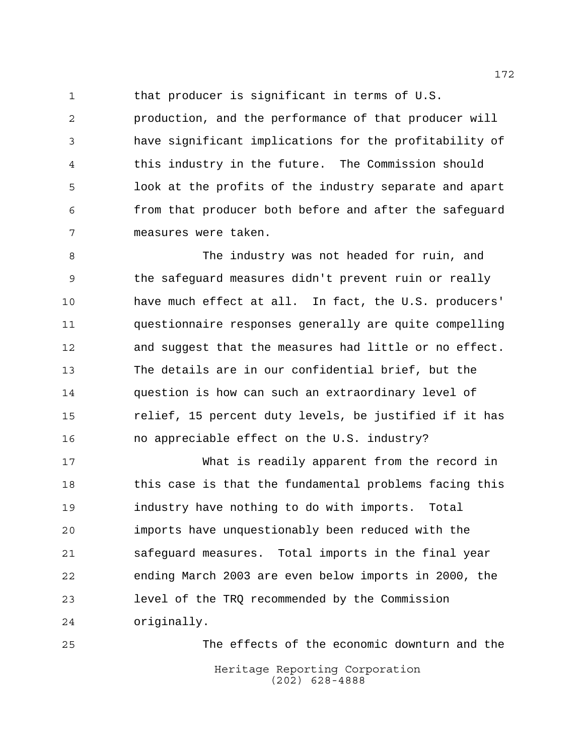that producer is significant in terms of U.S.

 production, and the performance of that producer will have significant implications for the profitability of this industry in the future. The Commission should look at the profits of the industry separate and apart from that producer both before and after the safeguard measures were taken.

 The industry was not headed for ruin, and the safeguard measures didn't prevent ruin or really have much effect at all. In fact, the U.S. producers' questionnaire responses generally are quite compelling and suggest that the measures had little or no effect. The details are in our confidential brief, but the question is how can such an extraordinary level of relief, 15 percent duty levels, be justified if it has no appreciable effect on the U.S. industry?

 What is readily apparent from the record in this case is that the fundamental problems facing this industry have nothing to do with imports. Total imports have unquestionably been reduced with the safeguard measures. Total imports in the final year ending March 2003 are even below imports in 2000, the level of the TRQ recommended by the Commission originally.

Heritage Reporting Corporation (202) 628-4888 The effects of the economic downturn and the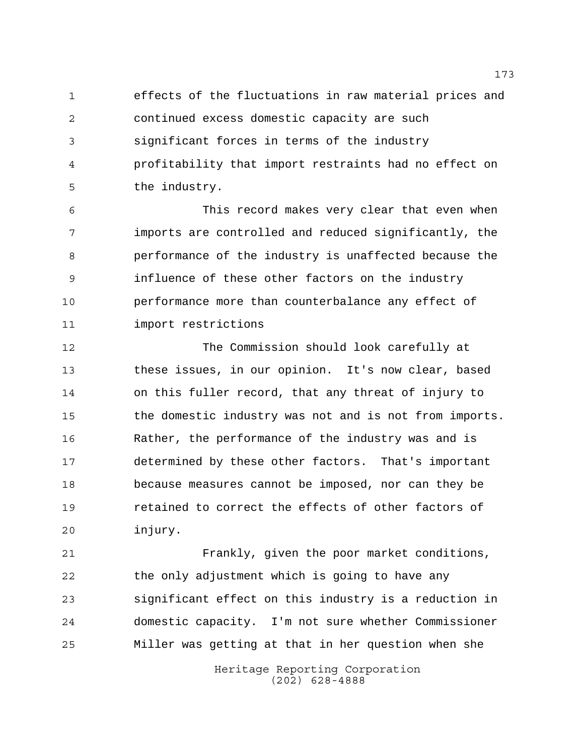effects of the fluctuations in raw material prices and continued excess domestic capacity are such significant forces in terms of the industry profitability that import restraints had no effect on the industry.

 This record makes very clear that even when imports are controlled and reduced significantly, the performance of the industry is unaffected because the influence of these other factors on the industry performance more than counterbalance any effect of import restrictions

 The Commission should look carefully at these issues, in our opinion. It's now clear, based on this fuller record, that any threat of injury to the domestic industry was not and is not from imports. Rather, the performance of the industry was and is determined by these other factors. That's important because measures cannot be imposed, nor can they be retained to correct the effects of other factors of injury.

 Frankly, given the poor market conditions, the only adjustment which is going to have any significant effect on this industry is a reduction in domestic capacity. I'm not sure whether Commissioner Miller was getting at that in her question when she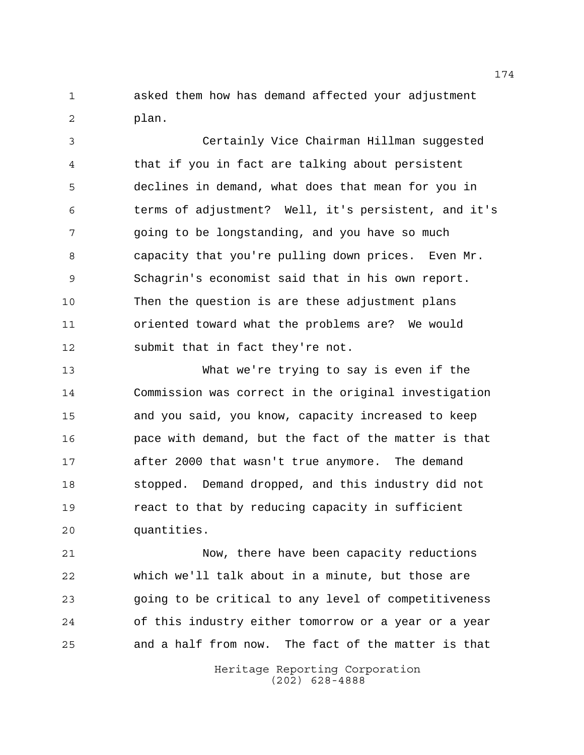asked them how has demand affected your adjustment plan.

 Certainly Vice Chairman Hillman suggested that if you in fact are talking about persistent declines in demand, what does that mean for you in terms of adjustment? Well, it's persistent, and it's going to be longstanding, and you have so much capacity that you're pulling down prices. Even Mr. Schagrin's economist said that in his own report. Then the question is are these adjustment plans oriented toward what the problems are? We would submit that in fact they're not.

 What we're trying to say is even if the Commission was correct in the original investigation and you said, you know, capacity increased to keep pace with demand, but the fact of the matter is that after 2000 that wasn't true anymore. The demand stopped. Demand dropped, and this industry did not react to that by reducing capacity in sufficient quantities.

 Now, there have been capacity reductions which we'll talk about in a minute, but those are going to be critical to any level of competitiveness of this industry either tomorrow or a year or a year and a half from now. The fact of the matter is that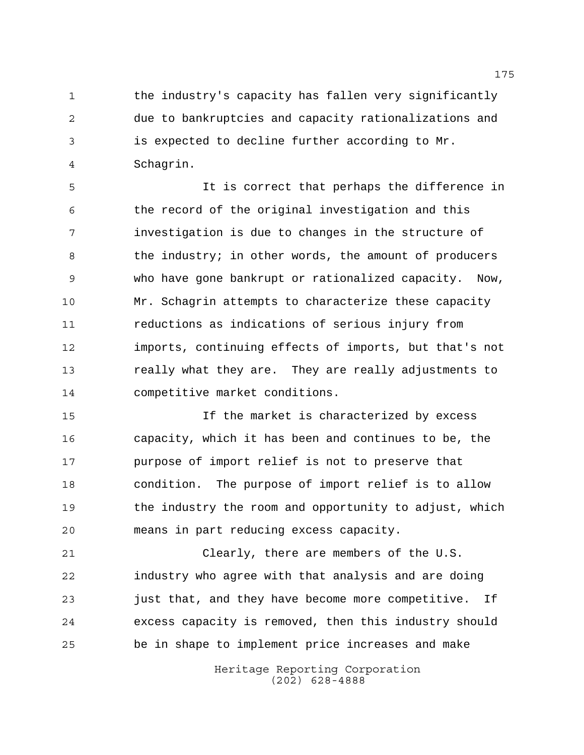1 the industry's capacity has fallen very significantly due to bankruptcies and capacity rationalizations and is expected to decline further according to Mr. Schagrin.

 It is correct that perhaps the difference in the record of the original investigation and this investigation is due to changes in the structure of 8 the industry; in other words, the amount of producers who have gone bankrupt or rationalized capacity. Now, Mr. Schagrin attempts to characterize these capacity reductions as indications of serious injury from imports, continuing effects of imports, but that's not really what they are. They are really adjustments to competitive market conditions.

 If the market is characterized by excess capacity, which it has been and continues to be, the purpose of import relief is not to preserve that condition. The purpose of import relief is to allow the industry the room and opportunity to adjust, which means in part reducing excess capacity.

 Clearly, there are members of the U.S. industry who agree with that analysis and are doing just that, and they have become more competitive. If excess capacity is removed, then this industry should be in shape to implement price increases and make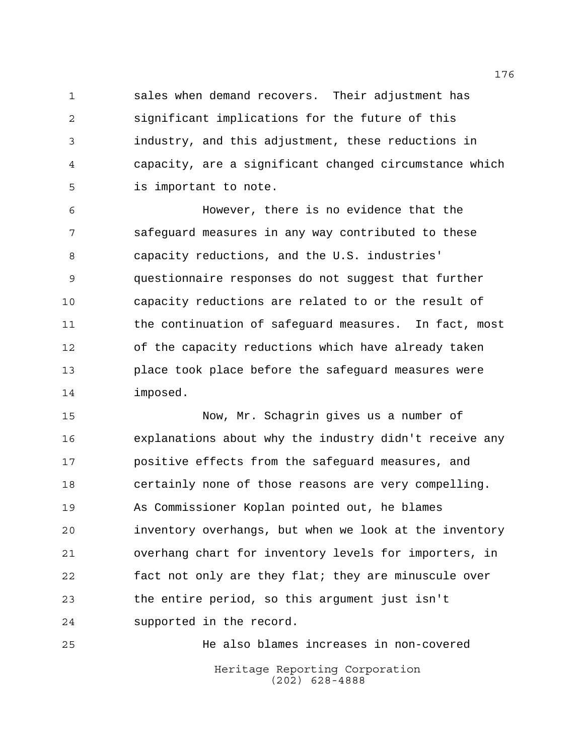sales when demand recovers. Their adjustment has significant implications for the future of this industry, and this adjustment, these reductions in capacity, are a significant changed circumstance which is important to note.

 However, there is no evidence that the safeguard measures in any way contributed to these capacity reductions, and the U.S. industries' questionnaire responses do not suggest that further capacity reductions are related to or the result of the continuation of safeguard measures. In fact, most of the capacity reductions which have already taken place took place before the safeguard measures were imposed.

 Now, Mr. Schagrin gives us a number of explanations about why the industry didn't receive any positive effects from the safeguard measures, and certainly none of those reasons are very compelling. As Commissioner Koplan pointed out, he blames inventory overhangs, but when we look at the inventory overhang chart for inventory levels for importers, in fact not only are they flat; they are minuscule over the entire period, so this argument just isn't supported in the record.

Heritage Reporting Corporation (202) 628-4888 He also blames increases in non-covered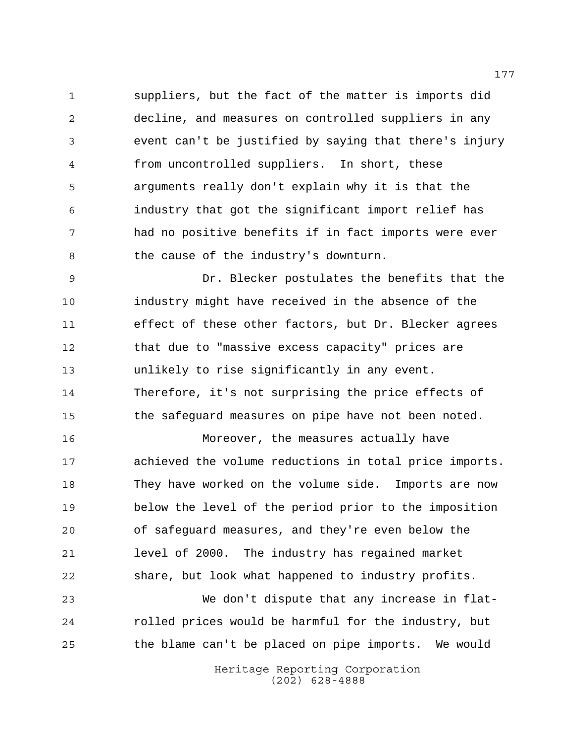suppliers, but the fact of the matter is imports did decline, and measures on controlled suppliers in any event can't be justified by saying that there's injury from uncontrolled suppliers. In short, these arguments really don't explain why it is that the industry that got the significant import relief has had no positive benefits if in fact imports were ever the cause of the industry's downturn.

 Dr. Blecker postulates the benefits that the industry might have received in the absence of the effect of these other factors, but Dr. Blecker agrees that due to "massive excess capacity" prices are unlikely to rise significantly in any event. Therefore, it's not surprising the price effects of the safeguard measures on pipe have not been noted.

 Moreover, the measures actually have achieved the volume reductions in total price imports. They have worked on the volume side. Imports are now below the level of the period prior to the imposition of safeguard measures, and they're even below the level of 2000. The industry has regained market share, but look what happened to industry profits.

 We don't dispute that any increase in flat- rolled prices would be harmful for the industry, but the blame can't be placed on pipe imports. We would

> Heritage Reporting Corporation (202) 628-4888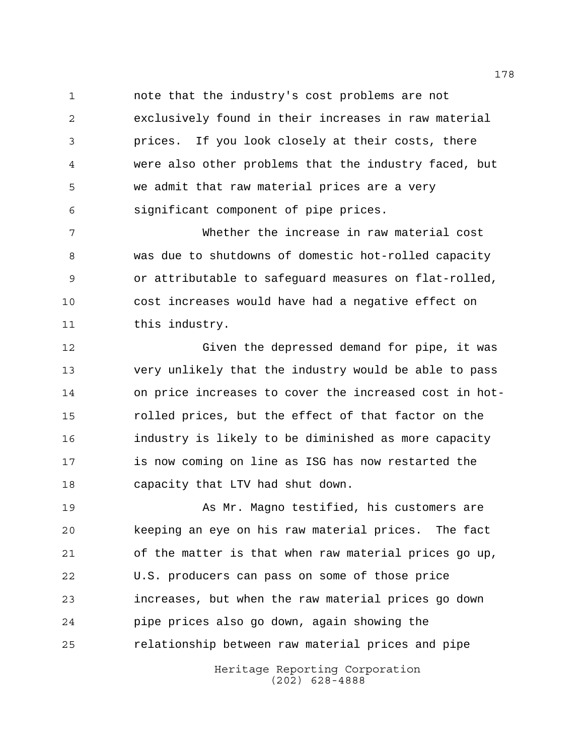note that the industry's cost problems are not exclusively found in their increases in raw material prices. If you look closely at their costs, there were also other problems that the industry faced, but we admit that raw material prices are a very significant component of pipe prices.

 Whether the increase in raw material cost was due to shutdowns of domestic hot-rolled capacity or attributable to safeguard measures on flat-rolled, cost increases would have had a negative effect on 11 this industry.

 Given the depressed demand for pipe, it was very unlikely that the industry would be able to pass on price increases to cover the increased cost in hot- rolled prices, but the effect of that factor on the industry is likely to be diminished as more capacity is now coming on line as ISG has now restarted the capacity that LTV had shut down.

 As Mr. Magno testified, his customers are keeping an eye on his raw material prices. The fact of the matter is that when raw material prices go up, U.S. producers can pass on some of those price increases, but when the raw material prices go down pipe prices also go down, again showing the relationship between raw material prices and pipe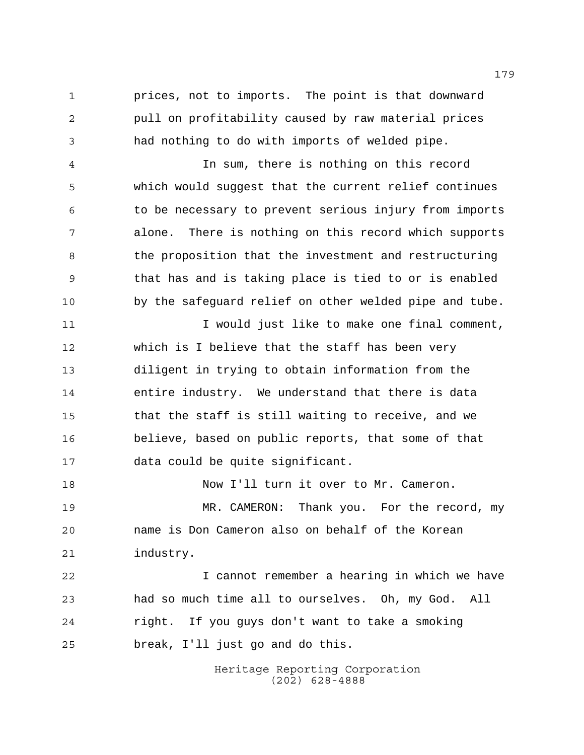prices, not to imports. The point is that downward pull on profitability caused by raw material prices had nothing to do with imports of welded pipe.

 In sum, there is nothing on this record which would suggest that the current relief continues to be necessary to prevent serious injury from imports alone. There is nothing on this record which supports 8 the proposition that the investment and restructuring that has and is taking place is tied to or is enabled by the safeguard relief on other welded pipe and tube.

 I would just like to make one final comment, which is I believe that the staff has been very diligent in trying to obtain information from the entire industry. We understand that there is data that the staff is still waiting to receive, and we believe, based on public reports, that some of that data could be quite significant.

 Now I'll turn it over to Mr. Cameron. MR. CAMERON: Thank you. For the record, my name is Don Cameron also on behalf of the Korean industry.

 I cannot remember a hearing in which we have had so much time all to ourselves. Oh, my God. All right. If you guys don't want to take a smoking break, I'll just go and do this.

> Heritage Reporting Corporation (202) 628-4888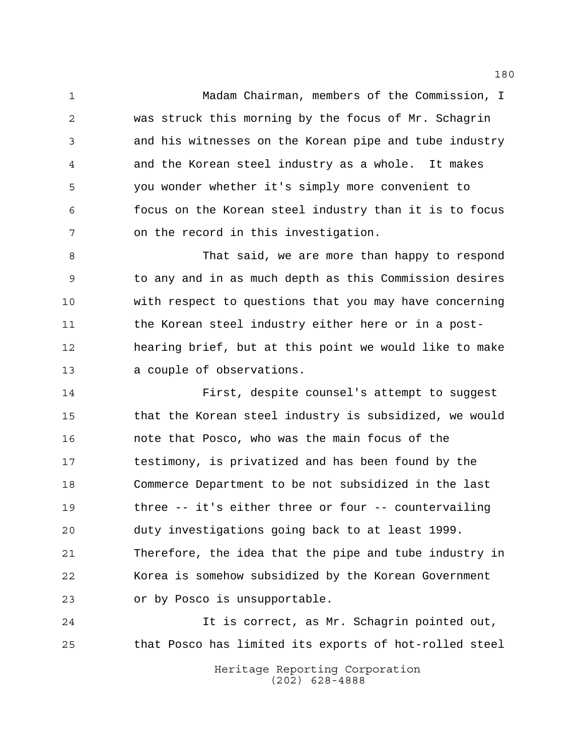Madam Chairman, members of the Commission, I was struck this morning by the focus of Mr. Schagrin and his witnesses on the Korean pipe and tube industry and the Korean steel industry as a whole. It makes you wonder whether it's simply more convenient to focus on the Korean steel industry than it is to focus on the record in this investigation.

 That said, we are more than happy to respond to any and in as much depth as this Commission desires with respect to questions that you may have concerning the Korean steel industry either here or in a post- hearing brief, but at this point we would like to make a couple of observations.

 First, despite counsel's attempt to suggest that the Korean steel industry is subsidized, we would note that Posco, who was the main focus of the testimony, is privatized and has been found by the Commerce Department to be not subsidized in the last three -- it's either three or four -- countervailing duty investigations going back to at least 1999. Therefore, the idea that the pipe and tube industry in Korea is somehow subsidized by the Korean Government or by Posco is unsupportable.

 It is correct, as Mr. Schagrin pointed out, that Posco has limited its exports of hot-rolled steel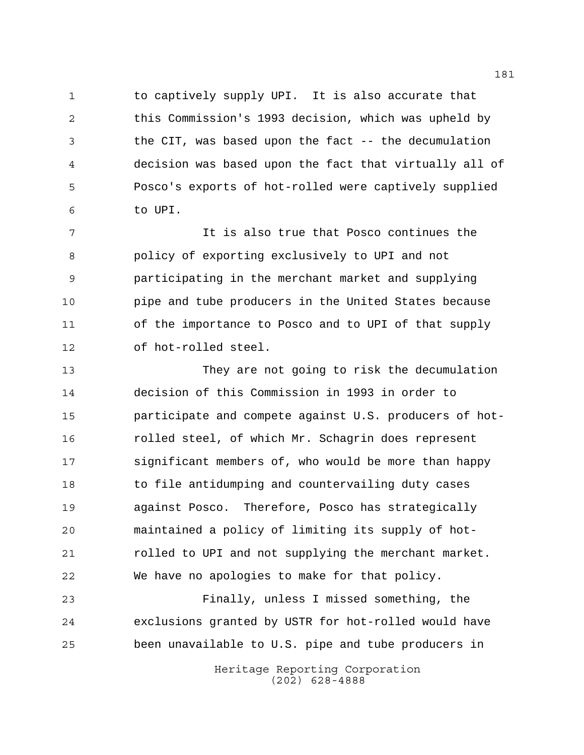1 to captively supply UPI. It is also accurate that this Commission's 1993 decision, which was upheld by the CIT, was based upon the fact -- the decumulation decision was based upon the fact that virtually all of Posco's exports of hot-rolled were captively supplied to UPI.

 It is also true that Posco continues the policy of exporting exclusively to UPI and not participating in the merchant market and supplying pipe and tube producers in the United States because of the importance to Posco and to UPI of that supply of hot-rolled steel.

 They are not going to risk the decumulation decision of this Commission in 1993 in order to participate and compete against U.S. producers of hot- rolled steel, of which Mr. Schagrin does represent significant members of, who would be more than happy to file antidumping and countervailing duty cases against Posco. Therefore, Posco has strategically maintained a policy of limiting its supply of hot- rolled to UPI and not supplying the merchant market. We have no apologies to make for that policy.

 Finally, unless I missed something, the exclusions granted by USTR for hot-rolled would have been unavailable to U.S. pipe and tube producers in

> Heritage Reporting Corporation (202) 628-4888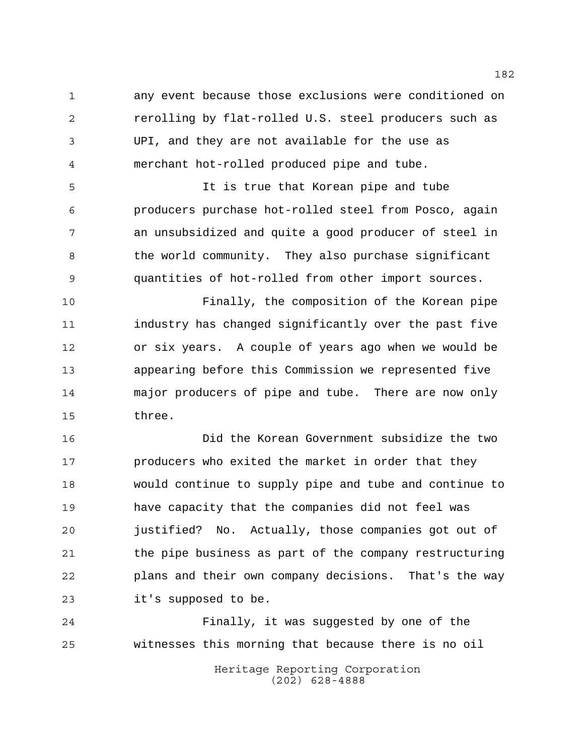any event because those exclusions were conditioned on rerolling by flat-rolled U.S. steel producers such as UPI, and they are not available for the use as merchant hot-rolled produced pipe and tube.

 It is true that Korean pipe and tube producers purchase hot-rolled steel from Posco, again an unsubsidized and quite a good producer of steel in 8 the world community. They also purchase significant quantities of hot-rolled from other import sources.

 Finally, the composition of the Korean pipe industry has changed significantly over the past five or six years. A couple of years ago when we would be appearing before this Commission we represented five major producers of pipe and tube. There are now only three.

 Did the Korean Government subsidize the two producers who exited the market in order that they would continue to supply pipe and tube and continue to have capacity that the companies did not feel was justified? No. Actually, those companies got out of the pipe business as part of the company restructuring plans and their own company decisions. That's the way it's supposed to be.

 Finally, it was suggested by one of the witnesses this morning that because there is no oil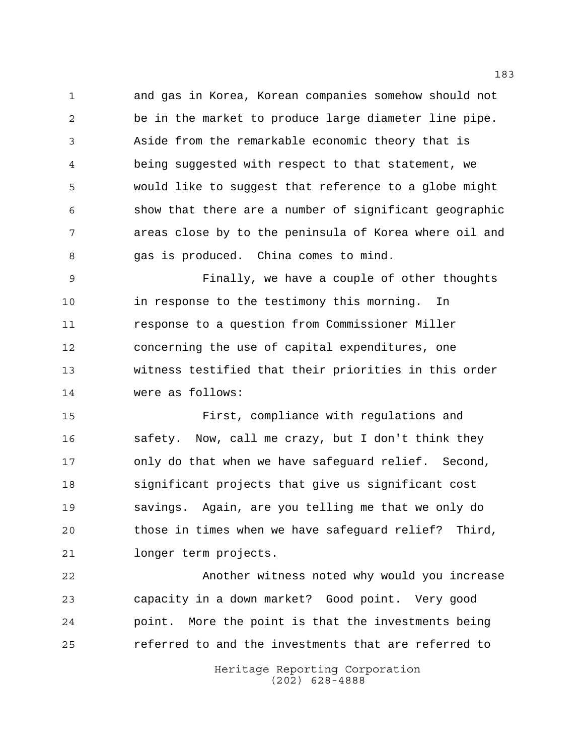and gas in Korea, Korean companies somehow should not be in the market to produce large diameter line pipe. Aside from the remarkable economic theory that is being suggested with respect to that statement, we would like to suggest that reference to a globe might show that there are a number of significant geographic areas close by to the peninsula of Korea where oil and gas is produced. China comes to mind.

 Finally, we have a couple of other thoughts in response to the testimony this morning. In response to a question from Commissioner Miller concerning the use of capital expenditures, one witness testified that their priorities in this order were as follows:

 First, compliance with regulations and safety. Now, call me crazy, but I don't think they only do that when we have safeguard relief. Second, significant projects that give us significant cost savings. Again, are you telling me that we only do those in times when we have safeguard relief? Third, longer term projects.

 Another witness noted why would you increase capacity in a down market? Good point. Very good point. More the point is that the investments being referred to and the investments that are referred to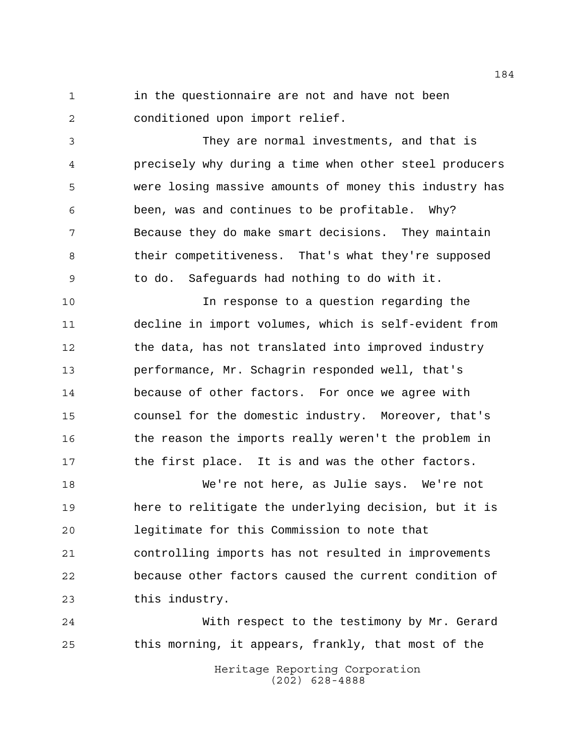1 in the questionnaire are not and have not been conditioned upon import relief.

 They are normal investments, and that is precisely why during a time when other steel producers were losing massive amounts of money this industry has been, was and continues to be profitable. Why? Because they do make smart decisions. They maintain their competitiveness. That's what they're supposed to do. Safeguards had nothing to do with it.

 In response to a question regarding the decline in import volumes, which is self-evident from the data, has not translated into improved industry performance, Mr. Schagrin responded well, that's because of other factors. For once we agree with counsel for the domestic industry. Moreover, that's 16 the reason the imports really weren't the problem in the first place. It is and was the other factors.

 We're not here, as Julie says. We're not here to relitigate the underlying decision, but it is legitimate for this Commission to note that controlling imports has not resulted in improvements because other factors caused the current condition of this industry.

 With respect to the testimony by Mr. Gerard this morning, it appears, frankly, that most of the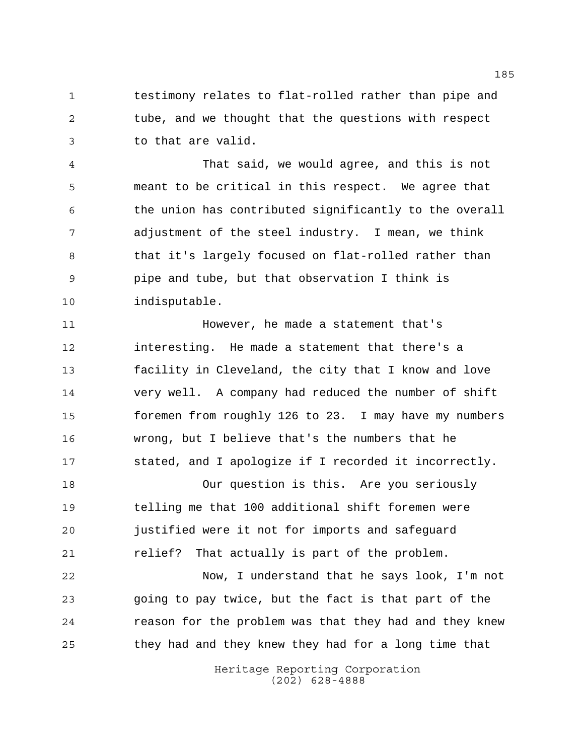testimony relates to flat-rolled rather than pipe and tube, and we thought that the questions with respect to that are valid.

 That said, we would agree, and this is not meant to be critical in this respect. We agree that the union has contributed significantly to the overall adjustment of the steel industry. I mean, we think 8 that it's largely focused on flat-rolled rather than pipe and tube, but that observation I think is indisputable.

**11** However, he made a statement that's interesting. He made a statement that there's a facility in Cleveland, the city that I know and love very well. A company had reduced the number of shift foremen from roughly 126 to 23. I may have my numbers wrong, but I believe that's the numbers that he stated, and I apologize if I recorded it incorrectly.

 Our question is this. Are you seriously telling me that 100 additional shift foremen were justified were it not for imports and safeguard relief? That actually is part of the problem.

 Now, I understand that he says look, I'm not going to pay twice, but the fact is that part of the reason for the problem was that they had and they knew they had and they knew they had for a long time that

> Heritage Reporting Corporation (202) 628-4888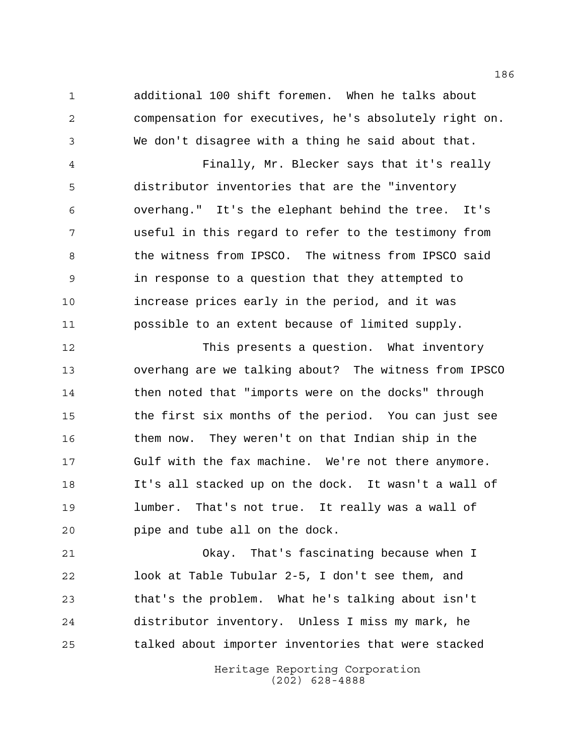additional 100 shift foremen. When he talks about compensation for executives, he's absolutely right on. We don't disagree with a thing he said about that.

 Finally, Mr. Blecker says that it's really distributor inventories that are the "inventory overhang." It's the elephant behind the tree. It's useful in this regard to refer to the testimony from 8 the witness from IPSCO. The witness from IPSCO said in response to a question that they attempted to increase prices early in the period, and it was possible to an extent because of limited supply.

 This presents a question. What inventory overhang are we talking about? The witness from IPSCO then noted that "imports were on the docks" through the first six months of the period. You can just see them now. They weren't on that Indian ship in the Gulf with the fax machine. We're not there anymore. It's all stacked up on the dock. It wasn't a wall of lumber. That's not true. It really was a wall of pipe and tube all on the dock.

 Okay. That's fascinating because when I look at Table Tubular 2-5, I don't see them, and that's the problem. What he's talking about isn't distributor inventory. Unless I miss my mark, he talked about importer inventories that were stacked

> Heritage Reporting Corporation (202) 628-4888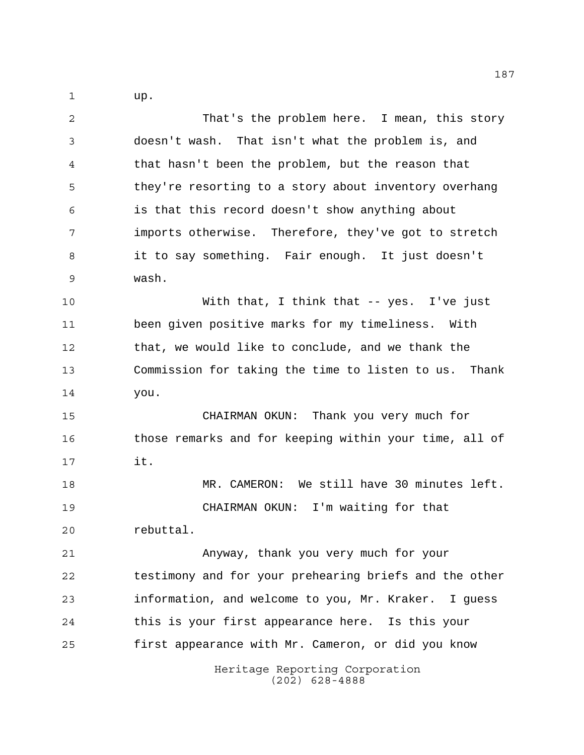up.

Heritage Reporting Corporation (202) 628-4888 That's the problem here. I mean, this story doesn't wash. That isn't what the problem is, and that hasn't been the problem, but the reason that they're resorting to a story about inventory overhang is that this record doesn't show anything about imports otherwise. Therefore, they've got to stretch it to say something. Fair enough. It just doesn't wash. With that, I think that -- yes. I've just been given positive marks for my timeliness. With that, we would like to conclude, and we thank the Commission for taking the time to listen to us. Thank you. CHAIRMAN OKUN: Thank you very much for those remarks and for keeping within your time, all of it. MR. CAMERON: We still have 30 minutes left. CHAIRMAN OKUN: I'm waiting for that rebuttal. Anyway, thank you very much for your testimony and for your prehearing briefs and the other information, and welcome to you, Mr. Kraker. I guess this is your first appearance here. Is this your first appearance with Mr. Cameron, or did you know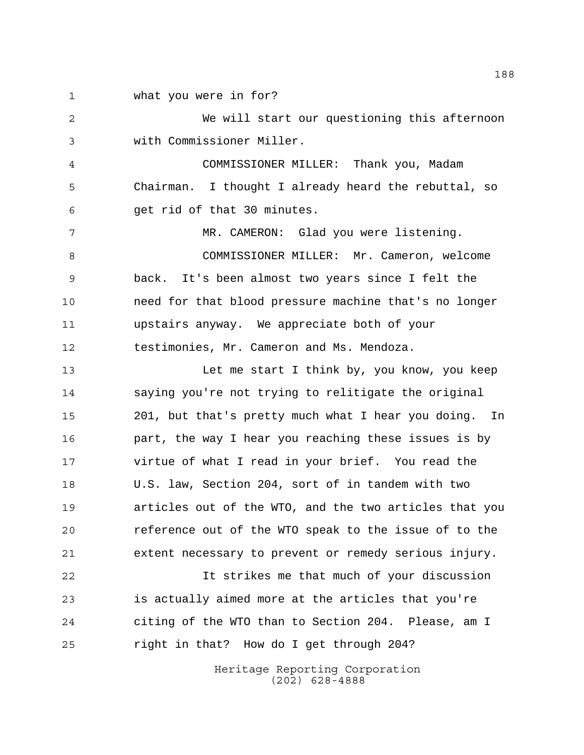what you were in for?

 We will start our questioning this afternoon with Commissioner Miller.

 COMMISSIONER MILLER: Thank you, Madam Chairman. I thought I already heard the rebuttal, so get rid of that 30 minutes.

 MR. CAMERON: Glad you were listening. COMMISSIONER MILLER: Mr. Cameron, welcome back. It's been almost two years since I felt the need for that blood pressure machine that's no longer upstairs anyway. We appreciate both of your testimonies, Mr. Cameron and Ms. Mendoza.

 Let me start I think by, you know, you keep saying you're not trying to relitigate the original 201, but that's pretty much what I hear you doing. In part, the way I hear you reaching these issues is by virtue of what I read in your brief. You read the U.S. law, Section 204, sort of in tandem with two articles out of the WTO, and the two articles that you reference out of the WTO speak to the issue of to the extent necessary to prevent or remedy serious injury.

 It strikes me that much of your discussion is actually aimed more at the articles that you're citing of the WTO than to Section 204. Please, am I right in that? How do I get through 204?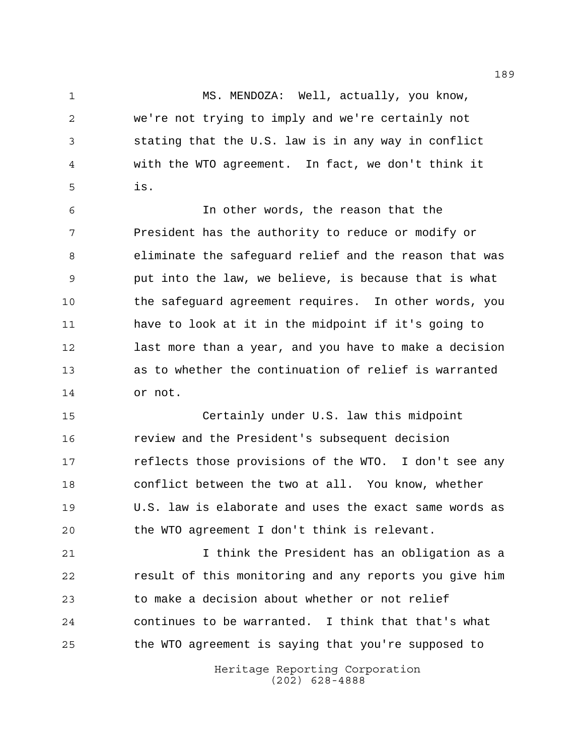MS. MENDOZA: Well, actually, you know, we're not trying to imply and we're certainly not stating that the U.S. law is in any way in conflict with the WTO agreement. In fact, we don't think it is.

 In other words, the reason that the President has the authority to reduce or modify or eliminate the safeguard relief and the reason that was put into the law, we believe, is because that is what the safeguard agreement requires. In other words, you have to look at it in the midpoint if it's going to last more than a year, and you have to make a decision as to whether the continuation of relief is warranted or not.

 Certainly under U.S. law this midpoint review and the President's subsequent decision reflects those provisions of the WTO. I don't see any conflict between the two at all. You know, whether U.S. law is elaborate and uses the exact same words as the WTO agreement I don't think is relevant.

 I think the President has an obligation as a result of this monitoring and any reports you give him to make a decision about whether or not relief continues to be warranted. I think that that's what the WTO agreement is saying that you're supposed to

> Heritage Reporting Corporation (202) 628-4888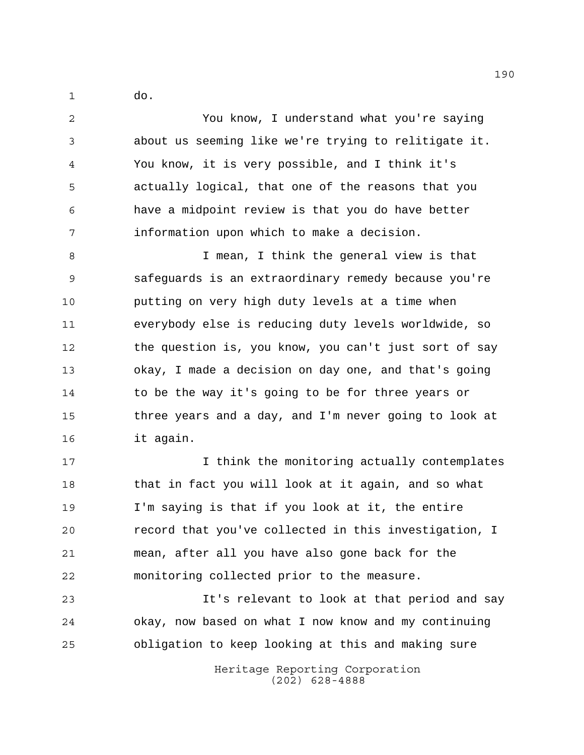do.

 You know, I understand what you're saying about us seeming like we're trying to relitigate it. You know, it is very possible, and I think it's actually logical, that one of the reasons that you have a midpoint review is that you do have better information upon which to make a decision.

 I mean, I think the general view is that safeguards is an extraordinary remedy because you're putting on very high duty levels at a time when everybody else is reducing duty levels worldwide, so the question is, you know, you can't just sort of say okay, I made a decision on day one, and that's going to be the way it's going to be for three years or three years and a day, and I'm never going to look at it again.

 I think the monitoring actually contemplates that in fact you will look at it again, and so what I'm saying is that if you look at it, the entire record that you've collected in this investigation, I mean, after all you have also gone back for the monitoring collected prior to the measure.

 It's relevant to look at that period and say okay, now based on what I now know and my continuing obligation to keep looking at this and making sure

> Heritage Reporting Corporation (202) 628-4888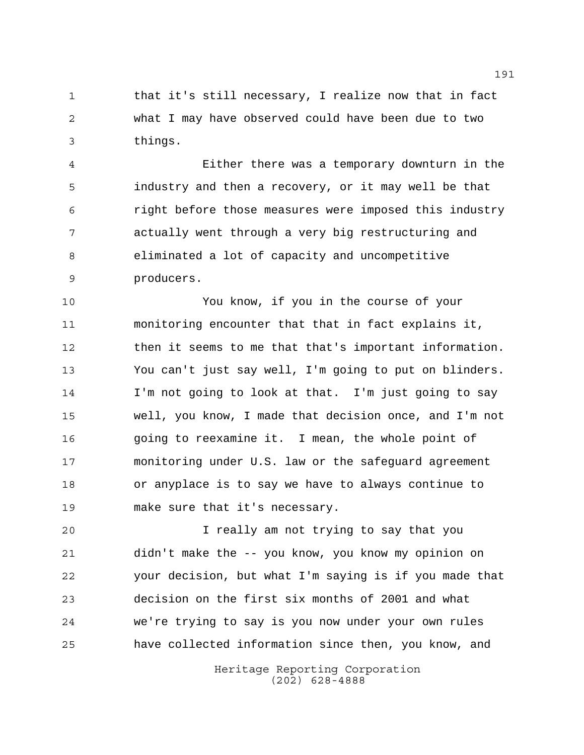1 that it's still necessary, I realize now that in fact what I may have observed could have been due to two things.

 Either there was a temporary downturn in the industry and then a recovery, or it may well be that right before those measures were imposed this industry actually went through a very big restructuring and eliminated a lot of capacity and uncompetitive producers.

 You know, if you in the course of your monitoring encounter that that in fact explains it, then it seems to me that that's important information. You can't just say well, I'm going to put on blinders. I'm not going to look at that. I'm just going to say well, you know, I made that decision once, and I'm not going to reexamine it. I mean, the whole point of monitoring under U.S. law or the safeguard agreement or anyplace is to say we have to always continue to make sure that it's necessary.

 I really am not trying to say that you didn't make the -- you know, you know my opinion on your decision, but what I'm saying is if you made that decision on the first six months of 2001 and what we're trying to say is you now under your own rules have collected information since then, you know, and

> Heritage Reporting Corporation (202) 628-4888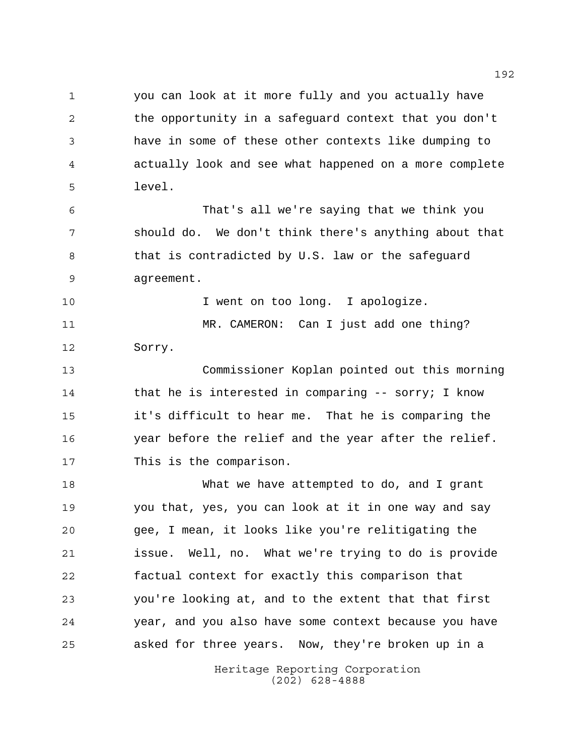you can look at it more fully and you actually have the opportunity in a safeguard context that you don't have in some of these other contexts like dumping to actually look and see what happened on a more complete level.

 That's all we're saying that we think you should do. We don't think there's anything about that 8 that is contradicted by U.S. law or the safeguard agreement.

10 10 I went on too long. I apologize. MR. CAMERON: Can I just add one thing? Sorry.

 Commissioner Koplan pointed out this morning 14 that he is interested in comparing -- sorry; I know it's difficult to hear me. That he is comparing the year before the relief and the year after the relief. This is the comparison.

 What we have attempted to do, and I grant you that, yes, you can look at it in one way and say gee, I mean, it looks like you're relitigating the issue. Well, no. What we're trying to do is provide factual context for exactly this comparison that you're looking at, and to the extent that that first year, and you also have some context because you have asked for three years. Now, they're broken up in a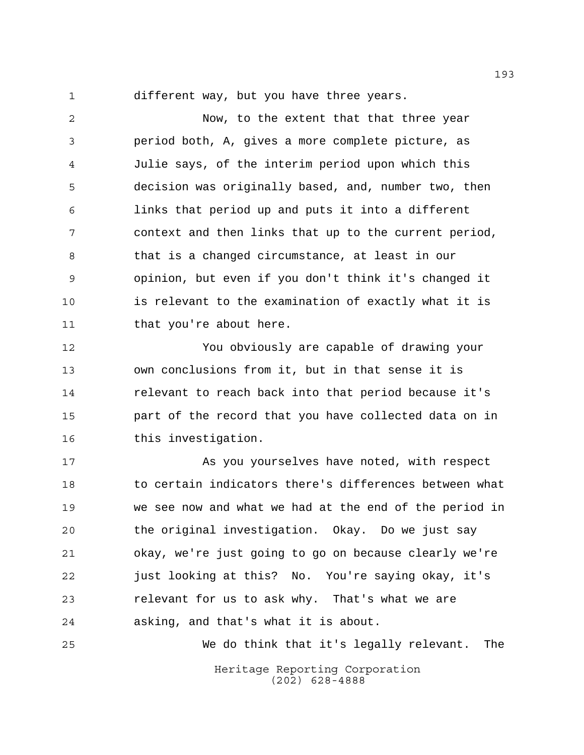different way, but you have three years.

 Now, to the extent that that three year period both, A, gives a more complete picture, as Julie says, of the interim period upon which this decision was originally based, and, number two, then links that period up and puts it into a different context and then links that up to the current period, that is a changed circumstance, at least in our opinion, but even if you don't think it's changed it is relevant to the examination of exactly what it is 11 that you're about here.

 You obviously are capable of drawing your own conclusions from it, but in that sense it is relevant to reach back into that period because it's part of the record that you have collected data on in this investigation.

 As you yourselves have noted, with respect to certain indicators there's differences between what we see now and what we had at the end of the period in the original investigation. Okay. Do we just say okay, we're just going to go on because clearly we're just looking at this? No. You're saying okay, it's relevant for us to ask why. That's what we are asking, and that's what it is about.

Heritage Reporting Corporation (202) 628-4888 We do think that it's legally relevant. The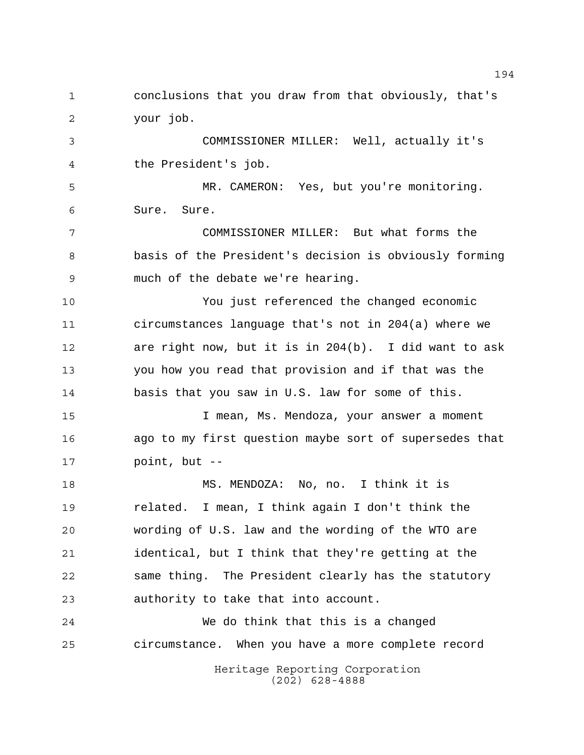Heritage Reporting Corporation (202) 628-4888 conclusions that you draw from that obviously, that's your job. COMMISSIONER MILLER: Well, actually it's the President's job. MR. CAMERON: Yes, but you're monitoring. Sure. Sure. COMMISSIONER MILLER: But what forms the basis of the President's decision is obviously forming much of the debate we're hearing. You just referenced the changed economic circumstances language that's not in 204(a) where we are right now, but it is in 204(b). I did want to ask you how you read that provision and if that was the basis that you saw in U.S. law for some of this. I mean, Ms. Mendoza, your answer a moment ago to my first question maybe sort of supersedes that point, but -- MS. MENDOZA: No, no. I think it is related. I mean, I think again I don't think the wording of U.S. law and the wording of the WTO are identical, but I think that they're getting at the same thing. The President clearly has the statutory authority to take that into account. We do think that this is a changed circumstance. When you have a more complete record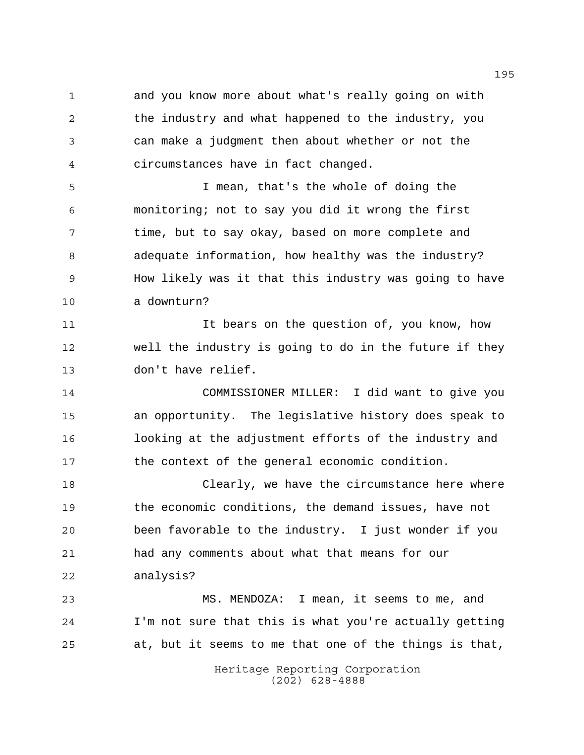and you know more about what's really going on with 2 the industry and what happened to the industry, you can make a judgment then about whether or not the circumstances have in fact changed.

 I mean, that's the whole of doing the monitoring; not to say you did it wrong the first time, but to say okay, based on more complete and adequate information, how healthy was the industry? How likely was it that this industry was going to have a downturn?

 It bears on the question of, you know, how well the industry is going to do in the future if they don't have relief.

 COMMISSIONER MILLER: I did want to give you an opportunity. The legislative history does speak to looking at the adjustment efforts of the industry and the context of the general economic condition.

 Clearly, we have the circumstance here where the economic conditions, the demand issues, have not been favorable to the industry. I just wonder if you had any comments about what that means for our analysis?

 MS. MENDOZA: I mean, it seems to me, and I'm not sure that this is what you're actually getting at, but it seems to me that one of the things is that,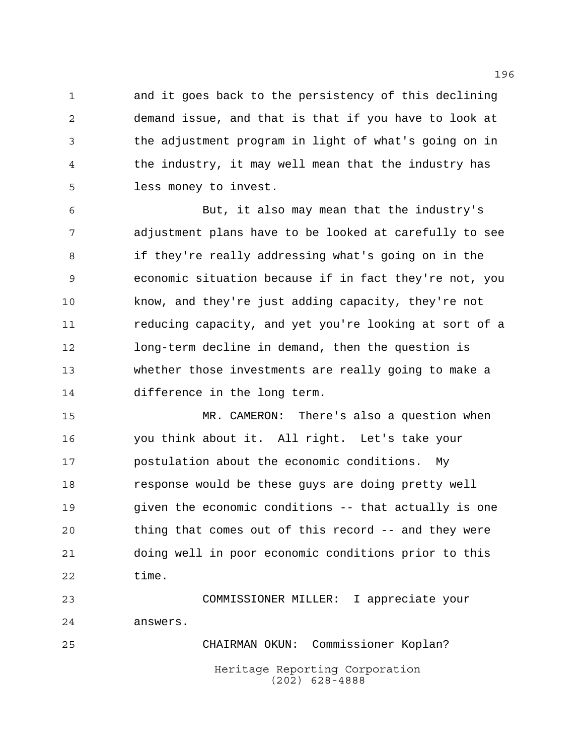and it goes back to the persistency of this declining demand issue, and that is that if you have to look at the adjustment program in light of what's going on in the industry, it may well mean that the industry has less money to invest.

 But, it also may mean that the industry's adjustment plans have to be looked at carefully to see if they're really addressing what's going on in the economic situation because if in fact they're not, you know, and they're just adding capacity, they're not reducing capacity, and yet you're looking at sort of a long-term decline in demand, then the question is whether those investments are really going to make a difference in the long term.

 MR. CAMERON: There's also a question when you think about it. All right. Let's take your postulation about the economic conditions. My response would be these guys are doing pretty well given the economic conditions -- that actually is one thing that comes out of this record -- and they were doing well in poor economic conditions prior to this time.

 COMMISSIONER MILLER: I appreciate your answers. CHAIRMAN OKUN: Commissioner Koplan?

> Heritage Reporting Corporation (202) 628-4888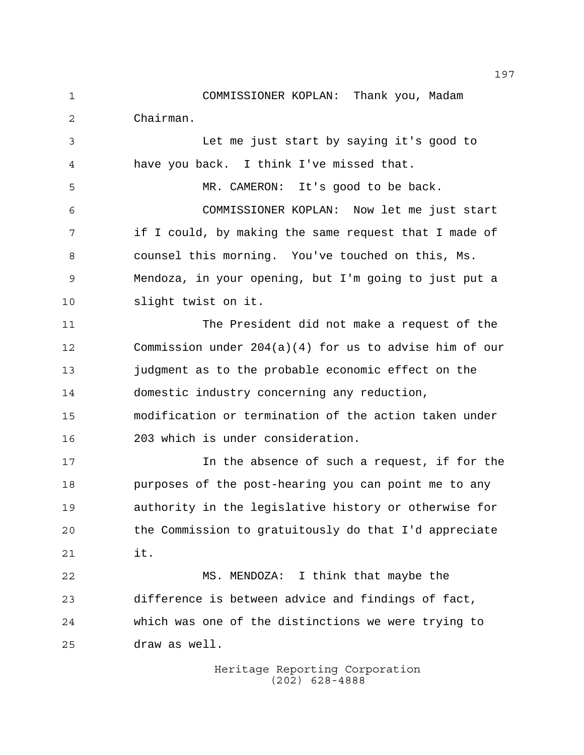COMMISSIONER KOPLAN: Thank you, Madam Chairman.

 Let me just start by saying it's good to have you back. I think I've missed that.

 MR. CAMERON: It's good to be back. COMMISSIONER KOPLAN: Now let me just start if I could, by making the same request that I made of counsel this morning. You've touched on this, Ms. Mendoza, in your opening, but I'm going to just put a slight twist on it.

 The President did not make a request of the Commission under 204(a)(4) for us to advise him of our judgment as to the probable economic effect on the domestic industry concerning any reduction, modification or termination of the action taken under 203 which is under consideration.

 In the absence of such a request, if for the purposes of the post-hearing you can point me to any authority in the legislative history or otherwise for the Commission to gratuitously do that I'd appreciate it.

 MS. MENDOZA: I think that maybe the difference is between advice and findings of fact, which was one of the distinctions we were trying to draw as well.

> Heritage Reporting Corporation (202) 628-4888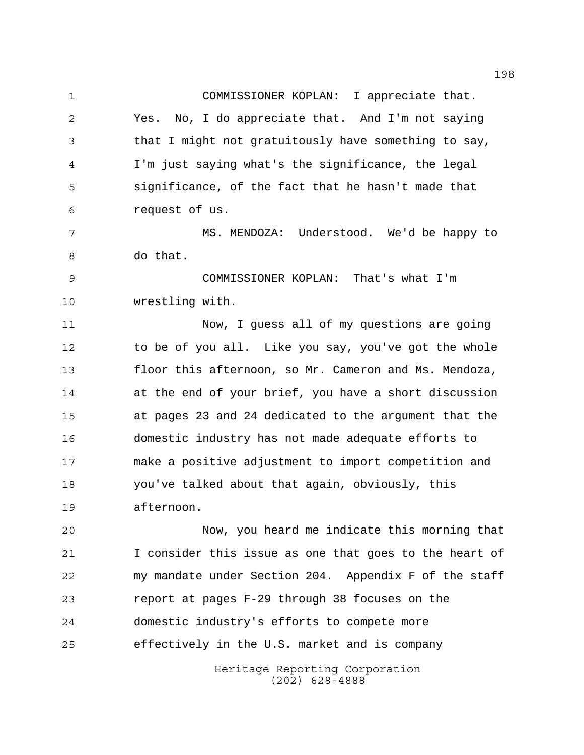COMMISSIONER KOPLAN: I appreciate that. Yes. No, I do appreciate that. And I'm not saying that I might not gratuitously have something to say, I'm just saying what's the significance, the legal significance, of the fact that he hasn't made that request of us.

 MS. MENDOZA: Understood. We'd be happy to do that.

 COMMISSIONER KOPLAN: That's what I'm wrestling with.

 Now, I guess all of my questions are going to be of you all. Like you say, you've got the whole floor this afternoon, so Mr. Cameron and Ms. Mendoza, at the end of your brief, you have a short discussion at pages 23 and 24 dedicated to the argument that the domestic industry has not made adequate efforts to make a positive adjustment to import competition and you've talked about that again, obviously, this afternoon.

 Now, you heard me indicate this morning that I consider this issue as one that goes to the heart of my mandate under Section 204. Appendix F of the staff report at pages F-29 through 38 focuses on the domestic industry's efforts to compete more effectively in the U.S. market and is company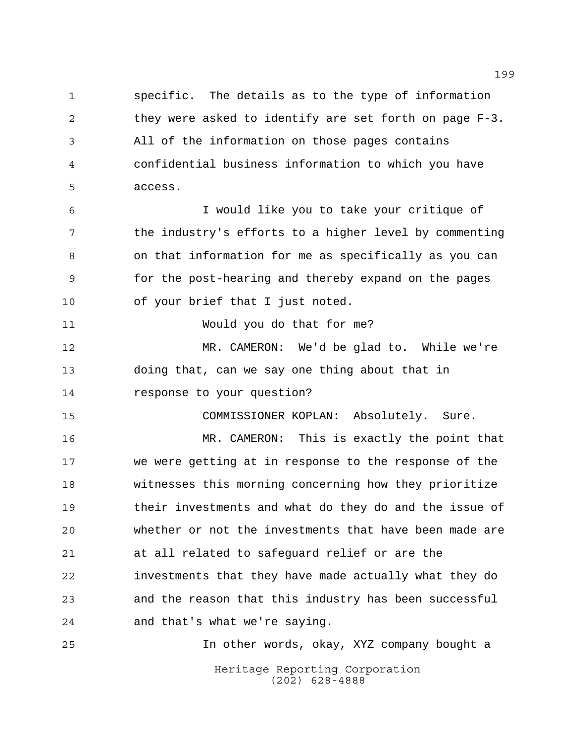specific. The details as to the type of information they were asked to identify are set forth on page F-3. All of the information on those pages contains confidential business information to which you have access.

 I would like you to take your critique of the industry's efforts to a higher level by commenting on that information for me as specifically as you can for the post-hearing and thereby expand on the pages of your brief that I just noted.

Would you do that for me?

 MR. CAMERON: We'd be glad to. While we're doing that, can we say one thing about that in response to your question?

COMMISSIONER KOPLAN: Absolutely. Sure.

 MR. CAMERON: This is exactly the point that we were getting at in response to the response of the witnesses this morning concerning how they prioritize their investments and what do they do and the issue of whether or not the investments that have been made are at all related to safeguard relief or are the investments that they have made actually what they do and the reason that this industry has been successful and that's what we're saying.

Heritage Reporting Corporation (202) 628-4888 In other words, okay, XYZ company bought a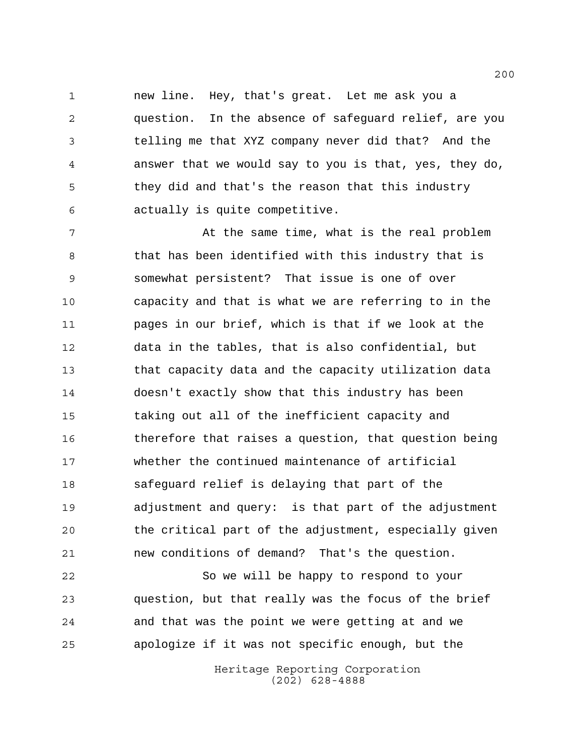new line. Hey, that's great. Let me ask you a question. In the absence of safeguard relief, are you telling me that XYZ company never did that? And the answer that we would say to you is that, yes, they do, they did and that's the reason that this industry actually is quite competitive.

7 At the same time, what is the real problem 8 that has been identified with this industry that is somewhat persistent? That issue is one of over capacity and that is what we are referring to in the pages in our brief, which is that if we look at the data in the tables, that is also confidential, but that capacity data and the capacity utilization data doesn't exactly show that this industry has been taking out all of the inefficient capacity and therefore that raises a question, that question being whether the continued maintenance of artificial safeguard relief is delaying that part of the adjustment and query: is that part of the adjustment the critical part of the adjustment, especially given new conditions of demand? That's the question.

 So we will be happy to respond to your question, but that really was the focus of the brief and that was the point we were getting at and we apologize if it was not specific enough, but the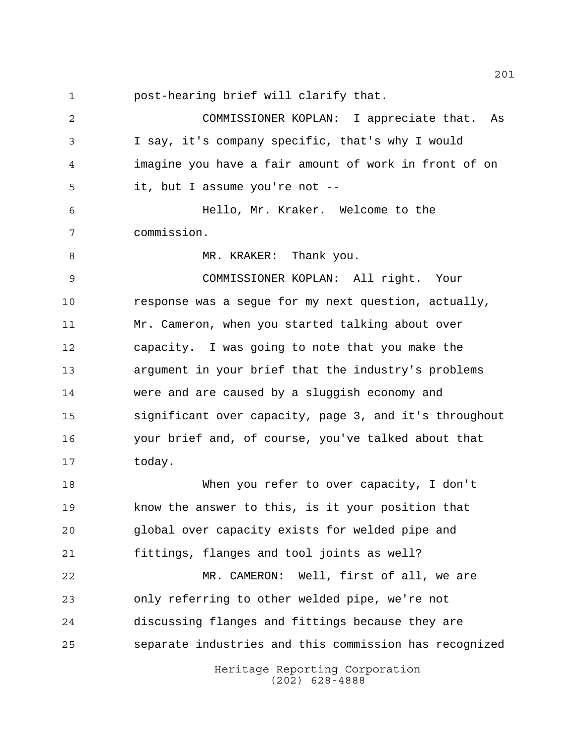post-hearing brief will clarify that.

Heritage Reporting Corporation (202) 628-4888 COMMISSIONER KOPLAN: I appreciate that. As I say, it's company specific, that's why I would imagine you have a fair amount of work in front of on it, but I assume you're not -- Hello, Mr. Kraker. Welcome to the commission. 8 MR. KRAKER: Thank you. COMMISSIONER KOPLAN: All right. Your response was a segue for my next question, actually, Mr. Cameron, when you started talking about over capacity. I was going to note that you make the argument in your brief that the industry's problems were and are caused by a sluggish economy and significant over capacity, page 3, and it's throughout your brief and, of course, you've talked about that today. When you refer to over capacity, I don't know the answer to this, is it your position that global over capacity exists for welded pipe and fittings, flanges and tool joints as well? MR. CAMERON: Well, first of all, we are only referring to other welded pipe, we're not discussing flanges and fittings because they are separate industries and this commission has recognized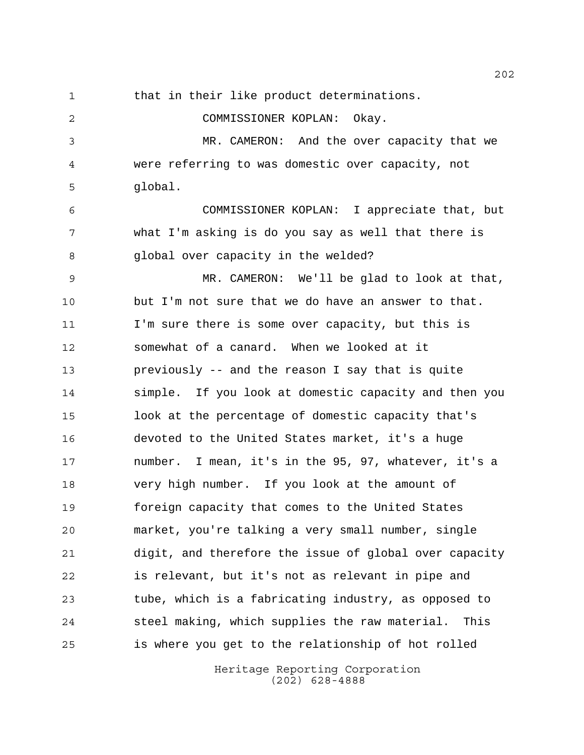that in their like product determinations. COMMISSIONER KOPLAN: Okay. MR. CAMERON: And the over capacity that we were referring to was domestic over capacity, not global. COMMISSIONER KOPLAN: I appreciate that, but what I'm asking is do you say as well that there is global over capacity in the welded? MR. CAMERON: We'll be glad to look at that, but I'm not sure that we do have an answer to that. I'm sure there is some over capacity, but this is somewhat of a canard. When we looked at it previously -- and the reason I say that is quite simple. If you look at domestic capacity and then you look at the percentage of domestic capacity that's devoted to the United States market, it's a huge number. I mean, it's in the 95, 97, whatever, it's a very high number. If you look at the amount of foreign capacity that comes to the United States market, you're talking a very small number, single digit, and therefore the issue of global over capacity is relevant, but it's not as relevant in pipe and tube, which is a fabricating industry, as opposed to steel making, which supplies the raw material. This is where you get to the relationship of hot rolled

> Heritage Reporting Corporation (202) 628-4888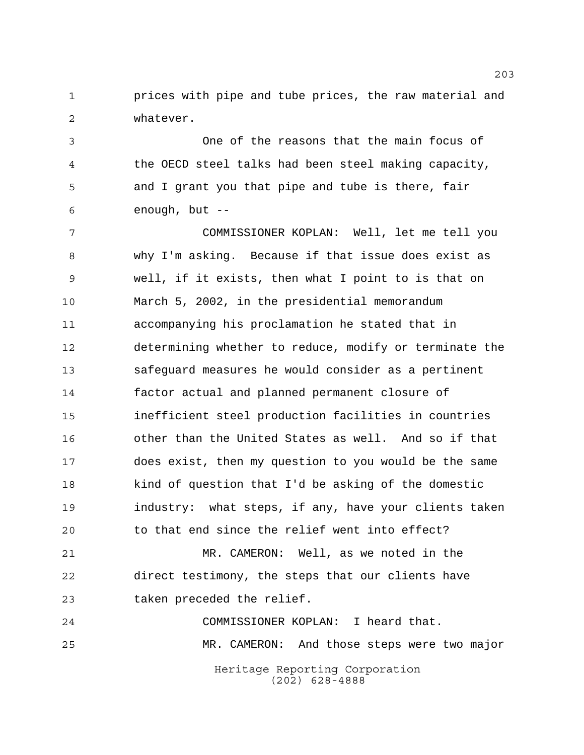**prices with pipe and tube prices, the raw material and** whatever.

 One of the reasons that the main focus of the OECD steel talks had been steel making capacity, and I grant you that pipe and tube is there, fair enough, but --

 COMMISSIONER KOPLAN: Well, let me tell you why I'm asking. Because if that issue does exist as well, if it exists, then what I point to is that on March 5, 2002, in the presidential memorandum accompanying his proclamation he stated that in determining whether to reduce, modify or terminate the safeguard measures he would consider as a pertinent factor actual and planned permanent closure of inefficient steel production facilities in countries other than the United States as well. And so if that does exist, then my question to you would be the same kind of question that I'd be asking of the domestic industry: what steps, if any, have your clients taken to that end since the relief went into effect?

 MR. CAMERON: Well, as we noted in the direct testimony, the steps that our clients have taken preceded the relief.

Heritage Reporting Corporation (202) 628-4888 COMMISSIONER KOPLAN: I heard that. MR. CAMERON: And those steps were two major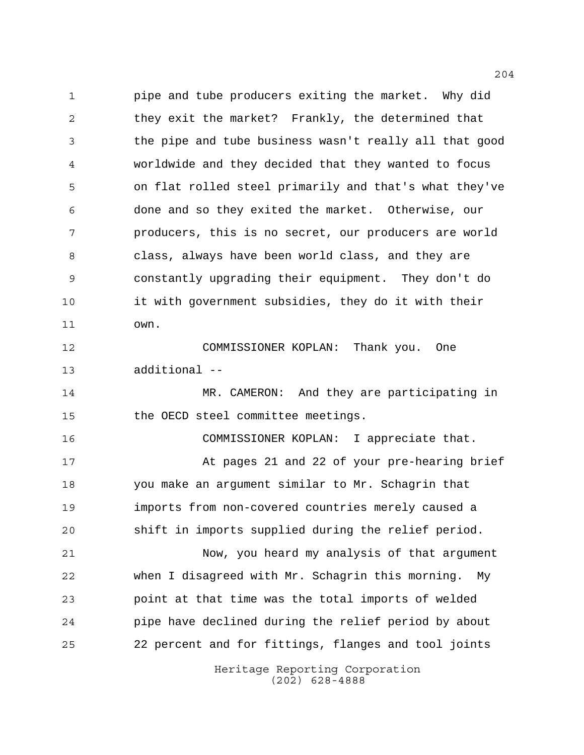pipe and tube producers exiting the market. Why did they exit the market? Frankly, the determined that the pipe and tube business wasn't really all that good worldwide and they decided that they wanted to focus on flat rolled steel primarily and that's what they've done and so they exited the market. Otherwise, our producers, this is no secret, our producers are world class, always have been world class, and they are constantly upgrading their equipment. They don't do it with government subsidies, they do it with their own.

 COMMISSIONER KOPLAN: Thank you. One additional --

14 MR. CAMERON: And they are participating in the OECD steel committee meetings.

 COMMISSIONER KOPLAN: I appreciate that. 17 At pages 21 and 22 of your pre-hearing brief you make an argument similar to Mr. Schagrin that imports from non-covered countries merely caused a shift in imports supplied during the relief period.

 Now, you heard my analysis of that argument when I disagreed with Mr. Schagrin this morning. My point at that time was the total imports of welded pipe have declined during the relief period by about 22 percent and for fittings, flanges and tool joints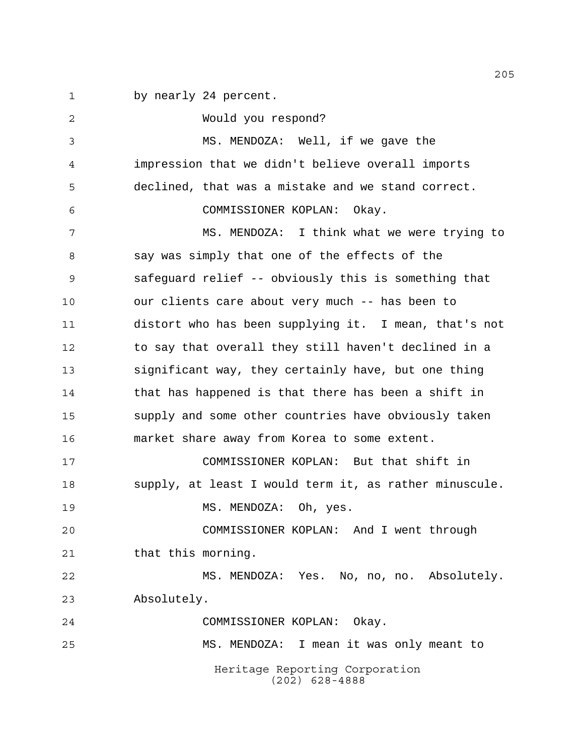by nearly 24 percent.

Heritage Reporting Corporation (202) 628-4888 Would you respond? MS. MENDOZA: Well, if we gave the impression that we didn't believe overall imports declined, that was a mistake and we stand correct. COMMISSIONER KOPLAN: Okay. 7 MS. MENDOZA: I think what we were trying to say was simply that one of the effects of the safeguard relief -- obviously this is something that our clients care about very much -- has been to distort who has been supplying it. I mean, that's not 12 to say that overall they still haven't declined in a significant way, they certainly have, but one thing that has happened is that there has been a shift in supply and some other countries have obviously taken market share away from Korea to some extent. COMMISSIONER KOPLAN: But that shift in supply, at least I would term it, as rather minuscule. 19 MS. MENDOZA: Oh, yes. COMMISSIONER KOPLAN: And I went through 21 that this morning. MS. MENDOZA: Yes. No, no, no. Absolutely. Absolutely. COMMISSIONER KOPLAN: Okay. MS. MENDOZA: I mean it was only meant to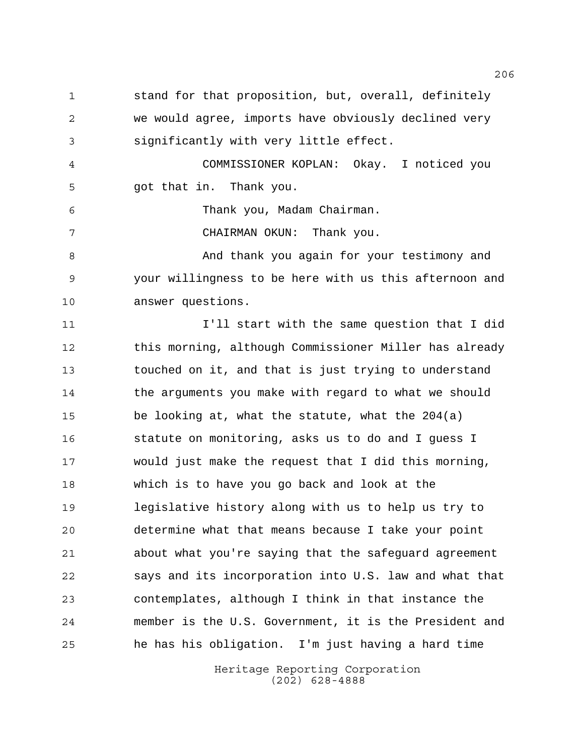stand for that proposition, but, overall, definitely we would agree, imports have obviously declined very significantly with very little effect.

 COMMISSIONER KOPLAN: Okay. I noticed you got that in. Thank you.

Thank you, Madam Chairman.

CHAIRMAN OKUN: Thank you.

8 And thank you again for your testimony and your willingness to be here with us this afternoon and answer questions.

 I'll start with the same question that I did this morning, although Commissioner Miller has already touched on it, and that is just trying to understand 14 the arguments you make with regard to what we should be looking at, what the statute, what the 204(a) statute on monitoring, asks us to do and I guess I would just make the request that I did this morning, which is to have you go back and look at the legislative history along with us to help us try to determine what that means because I take your point about what you're saying that the safeguard agreement says and its incorporation into U.S. law and what that contemplates, although I think in that instance the member is the U.S. Government, it is the President and he has his obligation. I'm just having a hard time

> Heritage Reporting Corporation (202) 628-4888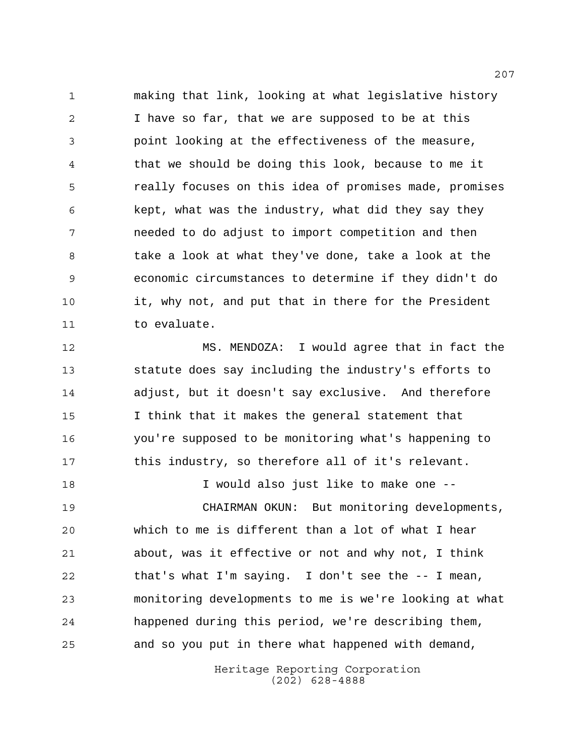making that link, looking at what legislative history I have so far, that we are supposed to be at this point looking at the effectiveness of the measure, that we should be doing this look, because to me it really focuses on this idea of promises made, promises kept, what was the industry, what did they say they needed to do adjust to import competition and then take a look at what they've done, take a look at the economic circumstances to determine if they didn't do it, why not, and put that in there for the President to evaluate.

 MS. MENDOZA: I would agree that in fact the statute does say including the industry's efforts to adjust, but it doesn't say exclusive. And therefore I think that it makes the general statement that you're supposed to be monitoring what's happening to this industry, so therefore all of it's relevant.

 I would also just like to make one -- CHAIRMAN OKUN: But monitoring developments, which to me is different than a lot of what I hear about, was it effective or not and why not, I think that's what I'm saying. I don't see the -- I mean, monitoring developments to me is we're looking at what happened during this period, we're describing them, and so you put in there what happened with demand,

> Heritage Reporting Corporation (202) 628-4888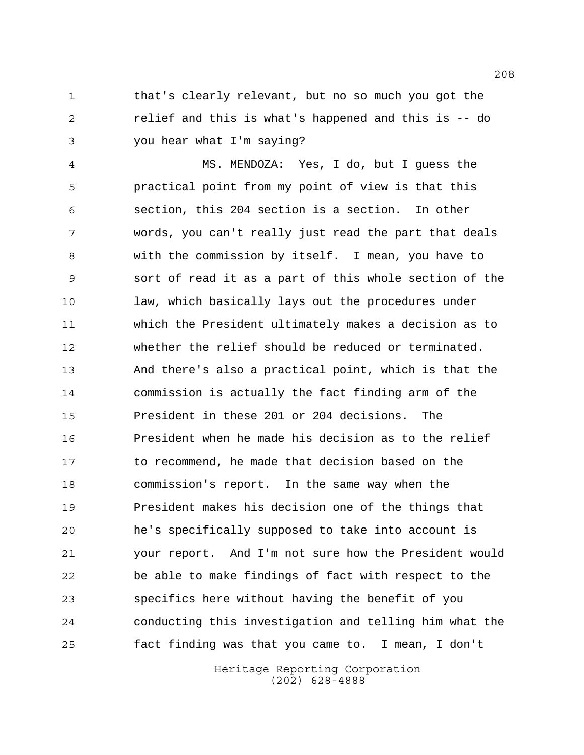1 that's clearly relevant, but no so much you got the relief and this is what's happened and this is -- do you hear what I'm saying?

 MS. MENDOZA: Yes, I do, but I guess the practical point from my point of view is that this section, this 204 section is a section. In other words, you can't really just read the part that deals with the commission by itself. I mean, you have to sort of read it as a part of this whole section of the law, which basically lays out the procedures under which the President ultimately makes a decision as to whether the relief should be reduced or terminated. And there's also a practical point, which is that the commission is actually the fact finding arm of the President in these 201 or 204 decisions. The President when he made his decision as to the relief to recommend, he made that decision based on the commission's report. In the same way when the President makes his decision one of the things that he's specifically supposed to take into account is your report. And I'm not sure how the President would be able to make findings of fact with respect to the specifics here without having the benefit of you conducting this investigation and telling him what the fact finding was that you came to. I mean, I don't

> Heritage Reporting Corporation (202) 628-4888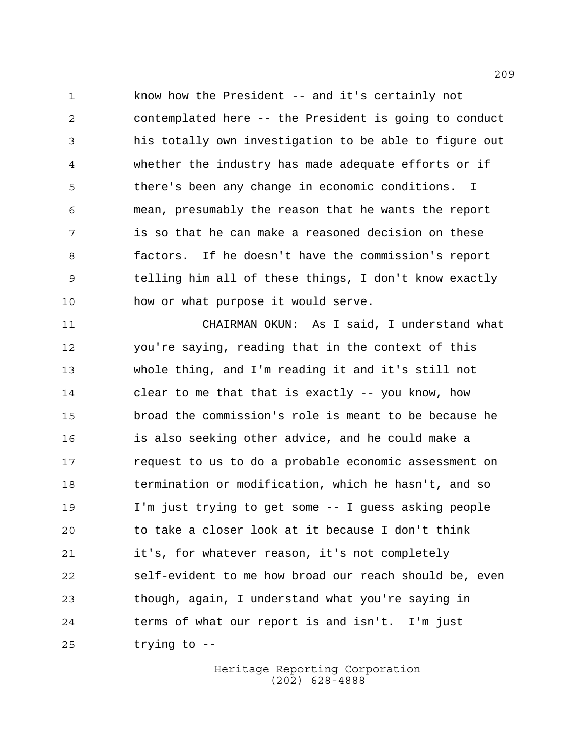know how the President -- and it's certainly not contemplated here -- the President is going to conduct his totally own investigation to be able to figure out whether the industry has made adequate efforts or if there's been any change in economic conditions. I mean, presumably the reason that he wants the report is so that he can make a reasoned decision on these factors. If he doesn't have the commission's report telling him all of these things, I don't know exactly how or what purpose it would serve.

 CHAIRMAN OKUN: As I said, I understand what you're saying, reading that in the context of this whole thing, and I'm reading it and it's still not clear to me that that is exactly -- you know, how broad the commission's role is meant to be because he is also seeking other advice, and he could make a request to us to do a probable economic assessment on termination or modification, which he hasn't, and so I'm just trying to get some -- I guess asking people to take a closer look at it because I don't think it's, for whatever reason, it's not completely self-evident to me how broad our reach should be, even though, again, I understand what you're saying in terms of what our report is and isn't. I'm just trying to --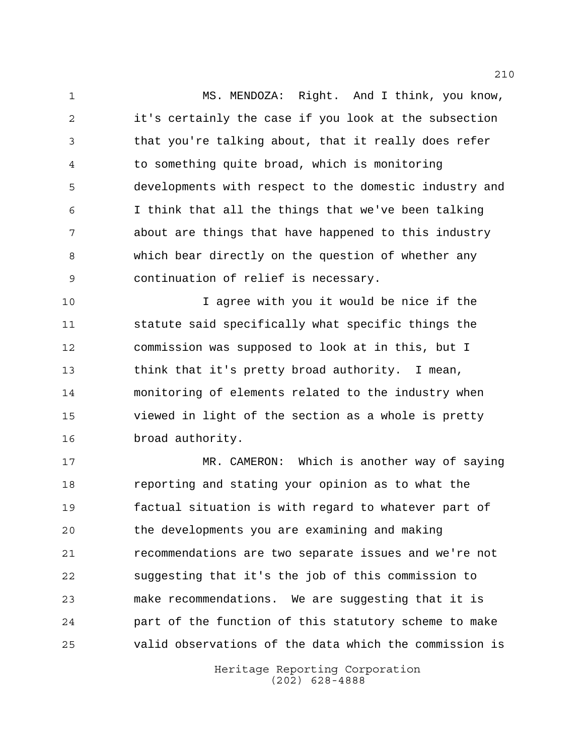MS. MENDOZA: Right. And I think, you know, it's certainly the case if you look at the subsection that you're talking about, that it really does refer to something quite broad, which is monitoring developments with respect to the domestic industry and I think that all the things that we've been talking about are things that have happened to this industry which bear directly on the question of whether any continuation of relief is necessary.

 I agree with you it would be nice if the statute said specifically what specific things the commission was supposed to look at in this, but I think that it's pretty broad authority. I mean, monitoring of elements related to the industry when viewed in light of the section as a whole is pretty broad authority.

 MR. CAMERON: Which is another way of saying reporting and stating your opinion as to what the factual situation is with regard to whatever part of the developments you are examining and making recommendations are two separate issues and we're not suggesting that it's the job of this commission to make recommendations. We are suggesting that it is part of the function of this statutory scheme to make valid observations of the data which the commission is

> Heritage Reporting Corporation (202) 628-4888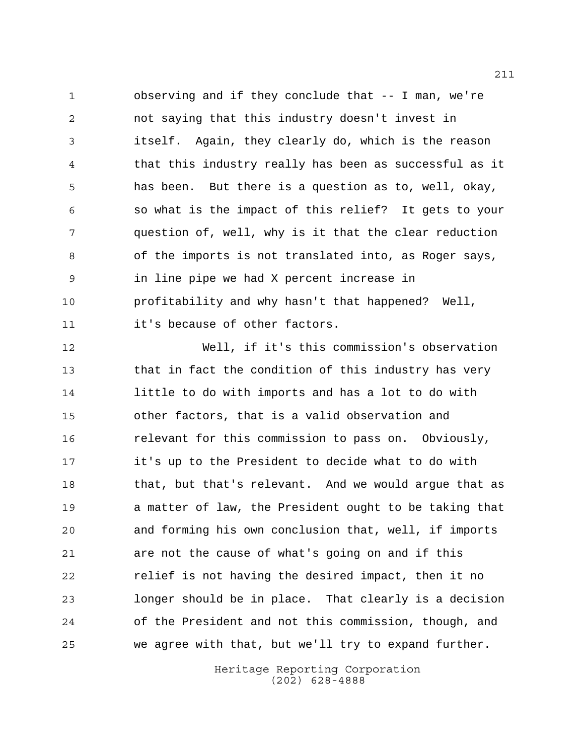observing and if they conclude that -- I man, we're not saying that this industry doesn't invest in itself. Again, they clearly do, which is the reason that this industry really has been as successful as it has been. But there is a question as to, well, okay, so what is the impact of this relief? It gets to your question of, well, why is it that the clear reduction of the imports is not translated into, as Roger says, in line pipe we had X percent increase in profitability and why hasn't that happened? Well, it's because of other factors.

 Well, if it's this commission's observation that in fact the condition of this industry has very little to do with imports and has a lot to do with other factors, that is a valid observation and relevant for this commission to pass on. Obviously, it's up to the President to decide what to do with 18 that, but that's relevant. And we would argue that as a matter of law, the President ought to be taking that and forming his own conclusion that, well, if imports are not the cause of what's going on and if this relief is not having the desired impact, then it no longer should be in place. That clearly is a decision of the President and not this commission, though, and we agree with that, but we'll try to expand further.

> Heritage Reporting Corporation (202) 628-4888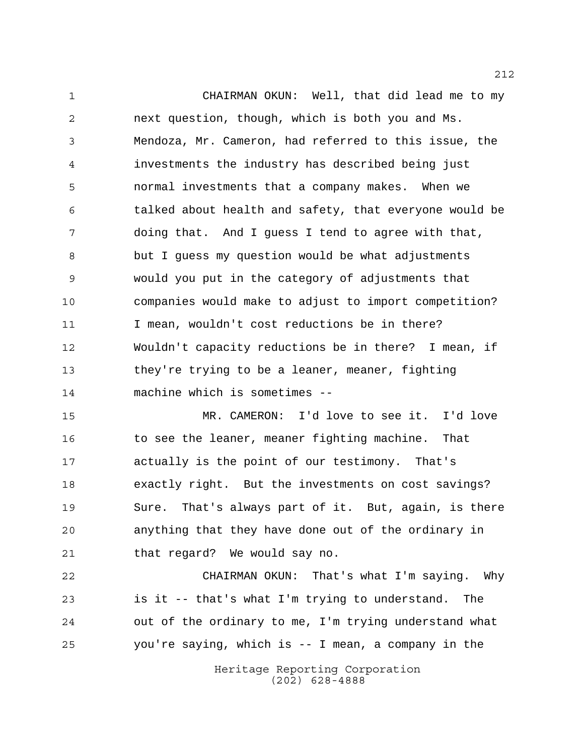CHAIRMAN OKUN: Well, that did lead me to my next question, though, which is both you and Ms. Mendoza, Mr. Cameron, had referred to this issue, the investments the industry has described being just normal investments that a company makes. When we talked about health and safety, that everyone would be doing that. And I guess I tend to agree with that, but I guess my question would be what adjustments would you put in the category of adjustments that companies would make to adjust to import competition? 11 I mean, wouldn't cost reductions be in there? Wouldn't capacity reductions be in there? I mean, if they're trying to be a leaner, meaner, fighting machine which is sometimes --

 MR. CAMERON: I'd love to see it. I'd love to see the leaner, meaner fighting machine. That actually is the point of our testimony. That's exactly right. But the investments on cost savings? Sure. That's always part of it. But, again, is there anything that they have done out of the ordinary in that regard? We would say no.

 CHAIRMAN OKUN: That's what I'm saying. Why is it -- that's what I'm trying to understand. The out of the ordinary to me, I'm trying understand what you're saying, which is -- I mean, a company in the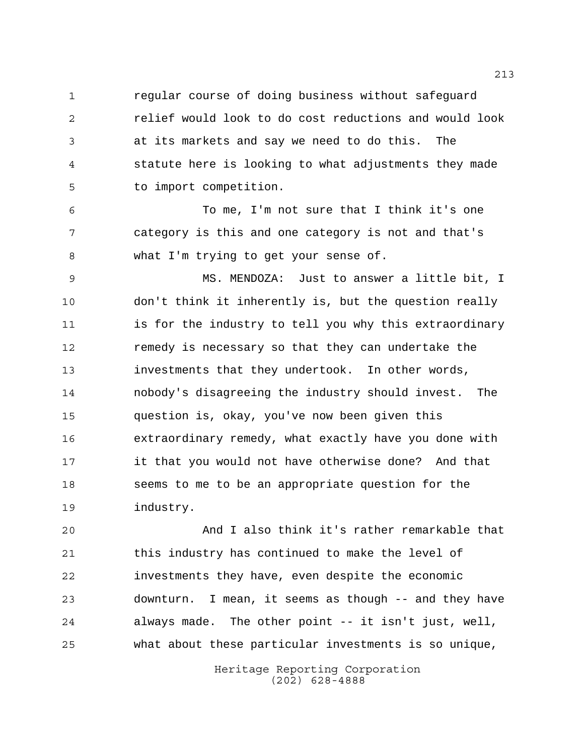regular course of doing business without safeguard relief would look to do cost reductions and would look at its markets and say we need to do this. The statute here is looking to what adjustments they made to import competition.

 To me, I'm not sure that I think it's one category is this and one category is not and that's what I'm trying to get your sense of.

 MS. MENDOZA: Just to answer a little bit, I don't think it inherently is, but the question really is for the industry to tell you why this extraordinary remedy is necessary so that they can undertake the investments that they undertook. In other words, nobody's disagreeing the industry should invest. The question is, okay, you've now been given this extraordinary remedy, what exactly have you done with it that you would not have otherwise done? And that seems to me to be an appropriate question for the industry.

 And I also think it's rather remarkable that this industry has continued to make the level of investments they have, even despite the economic downturn. I mean, it seems as though -- and they have always made. The other point -- it isn't just, well, what about these particular investments is so unique,

> Heritage Reporting Corporation (202) 628-4888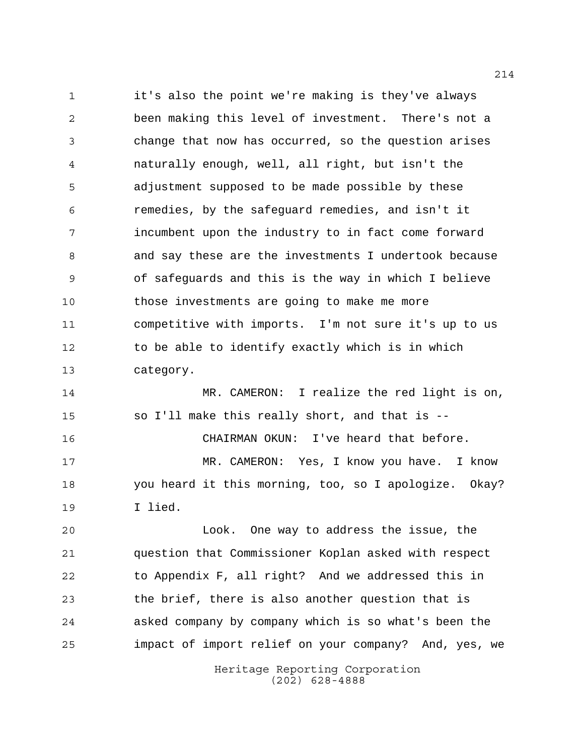it's also the point we're making is they've always been making this level of investment. There's not a change that now has occurred, so the question arises naturally enough, well, all right, but isn't the adjustment supposed to be made possible by these remedies, by the safeguard remedies, and isn't it incumbent upon the industry to in fact come forward and say these are the investments I undertook because of safeguards and this is the way in which I believe those investments are going to make me more competitive with imports. I'm not sure it's up to us to be able to identify exactly which is in which category.

 MR. CAMERON: I realize the red light is on, so I'll make this really short, and that is -- CHAIRMAN OKUN: I've heard that before. MR. CAMERON: Yes, I know you have. I know you heard it this morning, too, so I apologize. Okay? I lied.

 Look. One way to address the issue, the question that Commissioner Koplan asked with respect to Appendix F, all right? And we addressed this in the brief, there is also another question that is asked company by company which is so what's been the impact of import relief on your company? And, yes, we

> Heritage Reporting Corporation (202) 628-4888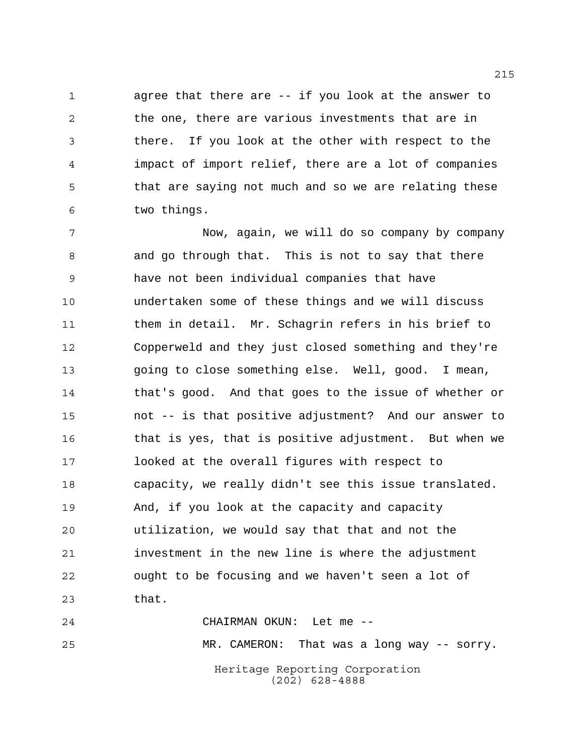agree that there are -- if you look at the answer to the one, there are various investments that are in there. If you look at the other with respect to the impact of import relief, there are a lot of companies that are saying not much and so we are relating these two things.

 Now, again, we will do so company by company and go through that. This is not to say that there have not been individual companies that have undertaken some of these things and we will discuss them in detail. Mr. Schagrin refers in his brief to Copperweld and they just closed something and they're going to close something else. Well, good. I mean, that's good. And that goes to the issue of whether or not -- is that positive adjustment? And our answer to that is yes, that is positive adjustment. But when we looked at the overall figures with respect to capacity, we really didn't see this issue translated. And, if you look at the capacity and capacity utilization, we would say that that and not the investment in the new line is where the adjustment ought to be focusing and we haven't seen a lot of that.

Heritage Reporting Corporation (202) 628-4888 CHAIRMAN OKUN: Let me -- MR. CAMERON: That was a long way -- sorry.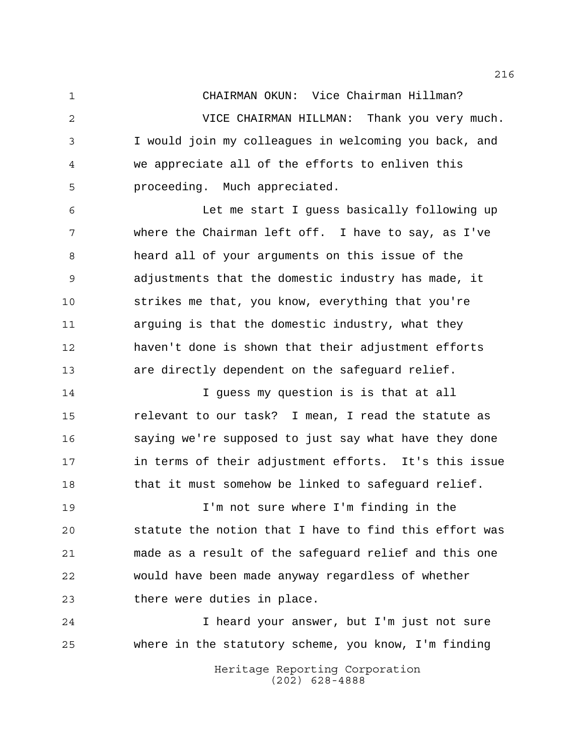CHAIRMAN OKUN: Vice Chairman Hillman? VICE CHAIRMAN HILLMAN: Thank you very much. I would join my colleagues in welcoming you back, and we appreciate all of the efforts to enliven this proceeding. Much appreciated.

 Let me start I guess basically following up where the Chairman left off. I have to say, as I've heard all of your arguments on this issue of the adjustments that the domestic industry has made, it strikes me that, you know, everything that you're arguing is that the domestic industry, what they haven't done is shown that their adjustment efforts are directly dependent on the safeguard relief.

 I guess my question is is that at all relevant to our task? I mean, I read the statute as saying we're supposed to just say what have they done in terms of their adjustment efforts. It's this issue 18 that it must somehow be linked to safeguard relief.

 I'm not sure where I'm finding in the statute the notion that I have to find this effort was made as a result of the safeguard relief and this one would have been made anyway regardless of whether there were duties in place.

 I heard your answer, but I'm just not sure where in the statutory scheme, you know, I'm finding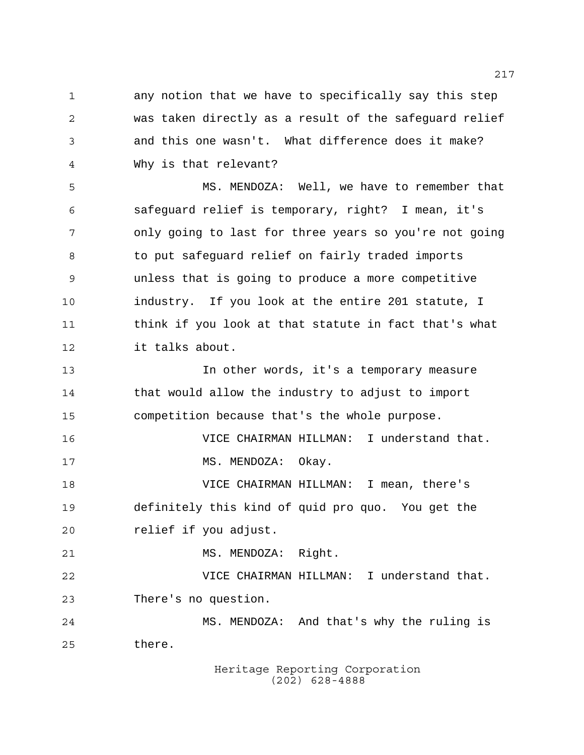any notion that we have to specifically say this step was taken directly as a result of the safeguard relief and this one wasn't. What difference does it make? Why is that relevant?

 MS. MENDOZA: Well, we have to remember that safeguard relief is temporary, right? I mean, it's only going to last for three years so you're not going 8 to put safeguard relief on fairly traded imports unless that is going to produce a more competitive industry. If you look at the entire 201 statute, I think if you look at that statute in fact that's what it talks about.

 In other words, it's a temporary measure that would allow the industry to adjust to import competition because that's the whole purpose.

 VICE CHAIRMAN HILLMAN: I understand that. 17 MS. MENDOZA: Okay.

 VICE CHAIRMAN HILLMAN: I mean, there's definitely this kind of quid pro quo. You get the relief if you adjust.

21 MS. MENDOZA: Right.

 VICE CHAIRMAN HILLMAN: I understand that. There's no question.

 MS. MENDOZA: And that's why the ruling is there.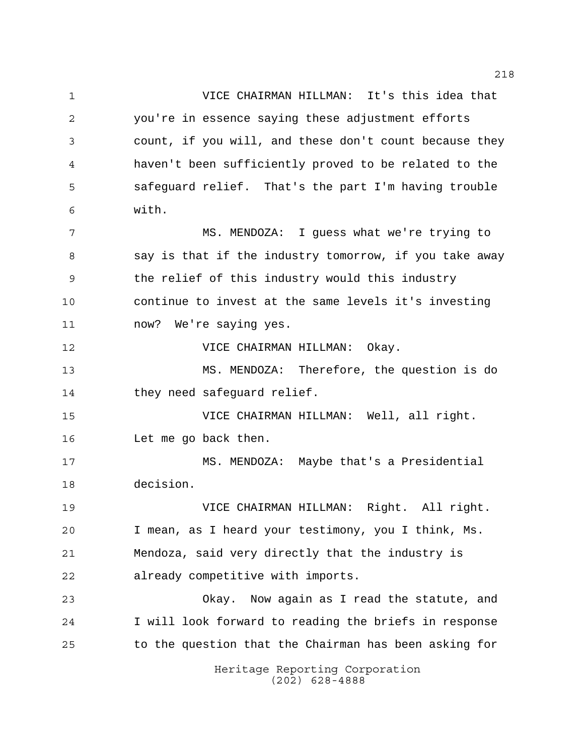Heritage Reporting Corporation VICE CHAIRMAN HILLMAN: It's this idea that you're in essence saying these adjustment efforts count, if you will, and these don't count because they haven't been sufficiently proved to be related to the safeguard relief. That's the part I'm having trouble with. MS. MENDOZA: I guess what we're trying to 8 say is that if the industry tomorrow, if you take away the relief of this industry would this industry continue to invest at the same levels it's investing now? We're saying yes. VICE CHAIRMAN HILLMAN: Okay. MS. MENDOZA: Therefore, the question is do 14 they need safeguard relief. VICE CHAIRMAN HILLMAN: Well, all right. Let me go back then. MS. MENDOZA: Maybe that's a Presidential decision. VICE CHAIRMAN HILLMAN: Right. All right. I mean, as I heard your testimony, you I think, Ms. Mendoza, said very directly that the industry is already competitive with imports. Okay. Now again as I read the statute, and I will look forward to reading the briefs in response to the question that the Chairman has been asking for

(202) 628-4888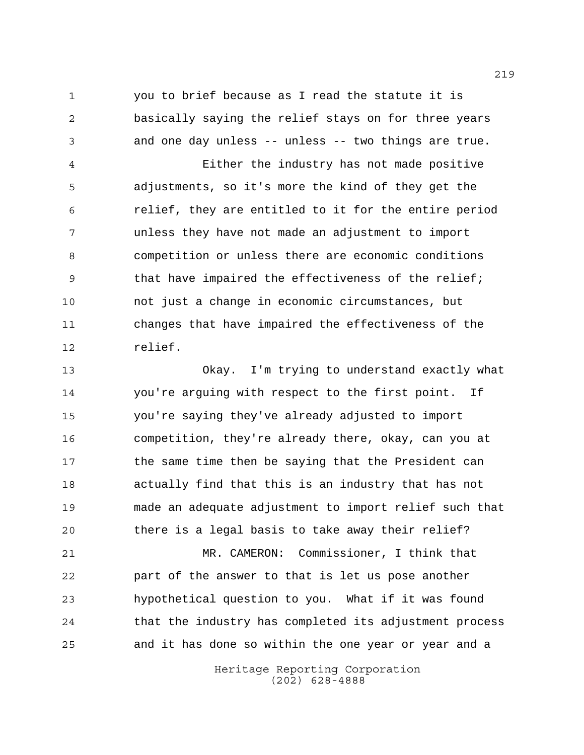you to brief because as I read the statute it is basically saying the relief stays on for three years and one day unless -- unless -- two things are true.

 Either the industry has not made positive adjustments, so it's more the kind of they get the relief, they are entitled to it for the entire period unless they have not made an adjustment to import competition or unless there are economic conditions 9 that have impaired the effectiveness of the relief; not just a change in economic circumstances, but changes that have impaired the effectiveness of the relief.

 Okay. I'm trying to understand exactly what you're arguing with respect to the first point. If you're saying they've already adjusted to import competition, they're already there, okay, can you at the same time then be saying that the President can actually find that this is an industry that has not made an adequate adjustment to import relief such that there is a legal basis to take away their relief?

 MR. CAMERON: Commissioner, I think that part of the answer to that is let us pose another hypothetical question to you. What if it was found that the industry has completed its adjustment process and it has done so within the one year or year and a

> Heritage Reporting Corporation (202) 628-4888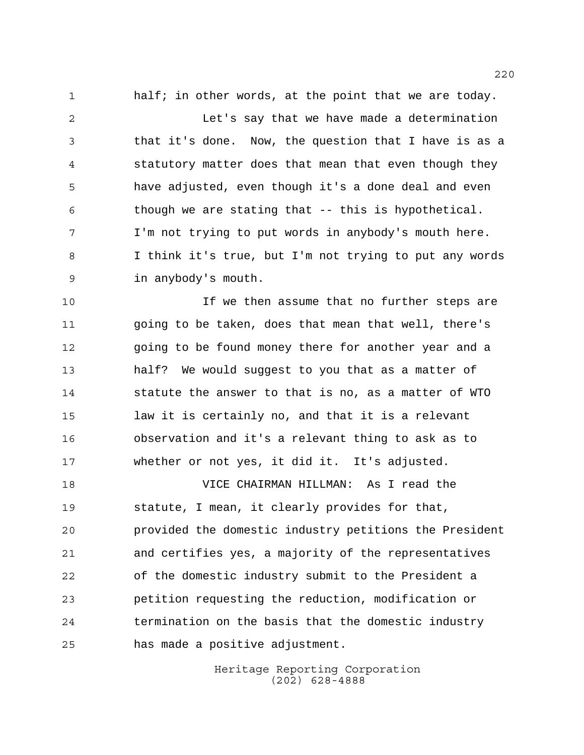1 half; in other words, at the point that we are today.

 Let's say that we have made a determination that it's done. Now, the question that I have is as a statutory matter does that mean that even though they have adjusted, even though it's a done deal and even though we are stating that -- this is hypothetical. I'm not trying to put words in anybody's mouth here. I think it's true, but I'm not trying to put any words in anybody's mouth.

 If we then assume that no further steps are going to be taken, does that mean that well, there's going to be found money there for another year and a half? We would suggest to you that as a matter of statute the answer to that is no, as a matter of WTO law it is certainly no, and that it is a relevant observation and it's a relevant thing to ask as to whether or not yes, it did it. It's adjusted.

 VICE CHAIRMAN HILLMAN: As I read the statute, I mean, it clearly provides for that, provided the domestic industry petitions the President and certifies yes, a majority of the representatives of the domestic industry submit to the President a petition requesting the reduction, modification or termination on the basis that the domestic industry has made a positive adjustment.

> Heritage Reporting Corporation (202) 628-4888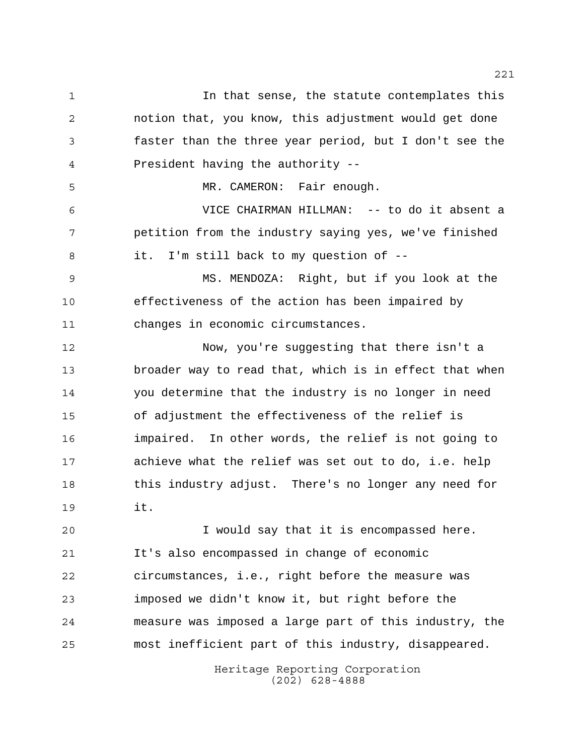In that sense, the statute contemplates this notion that, you know, this adjustment would get done faster than the three year period, but I don't see the President having the authority -- 5 MR. CAMERON: Fair enough. VICE CHAIRMAN HILLMAN: -- to do it absent a petition from the industry saying yes, we've finished it. I'm still back to my question of -- MS. MENDOZA: Right, but if you look at the effectiveness of the action has been impaired by changes in economic circumstances. Now, you're suggesting that there isn't a broader way to read that, which is in effect that when you determine that the industry is no longer in need of adjustment the effectiveness of the relief is impaired. In other words, the relief is not going to achieve what the relief was set out to do, i.e. help this industry adjust. There's no longer any need for it. I would say that it is encompassed here. It's also encompassed in change of economic circumstances, i.e., right before the measure was imposed we didn't know it, but right before the measure was imposed a large part of this industry, the most inefficient part of this industry, disappeared.

> Heritage Reporting Corporation (202) 628-4888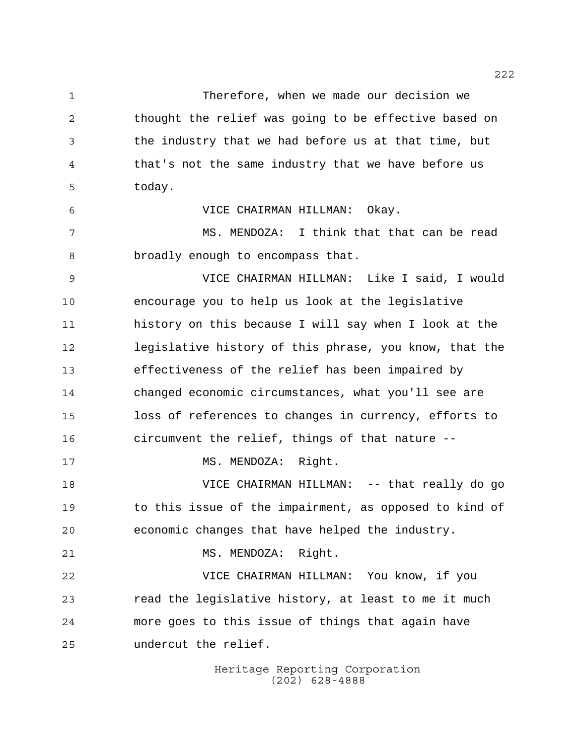Therefore, when we made our decision we thought the relief was going to be effective based on the industry that we had before us at that time, but that's not the same industry that we have before us today. VICE CHAIRMAN HILLMAN: Okay. 7 MS. MENDOZA: I think that that can be read broadly enough to encompass that. VICE CHAIRMAN HILLMAN: Like I said, I would encourage you to help us look at the legislative history on this because I will say when I look at the legislative history of this phrase, you know, that the effectiveness of the relief has been impaired by changed economic circumstances, what you'll see are loss of references to changes in currency, efforts to circumvent the relief, things of that nature -- 17 MS. MENDOZA: Right. VICE CHAIRMAN HILLMAN: -- that really do go to this issue of the impairment, as opposed to kind of economic changes that have helped the industry. 21 MS. MENDOZA: Right. VICE CHAIRMAN HILLMAN: You know, if you read the legislative history, at least to me it much more goes to this issue of things that again have undercut the relief.

> Heritage Reporting Corporation (202) 628-4888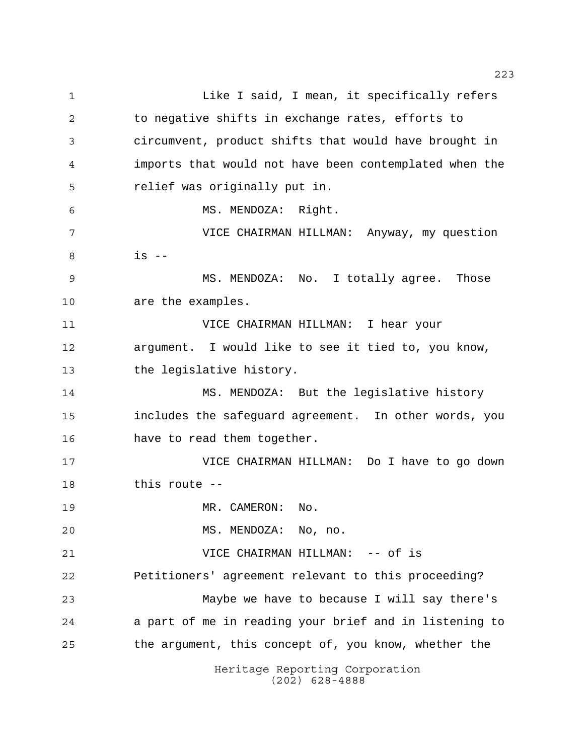Heritage Reporting Corporation (202) 628-4888 1 Like I said, I mean, it specifically refers 2 to negative shifts in exchange rates, efforts to circumvent, product shifts that would have brought in imports that would not have been contemplated when the relief was originally put in. MS. MENDOZA: Right. VICE CHAIRMAN HILLMAN: Anyway, my question is -- MS. MENDOZA: No. I totally agree. Those are the examples. VICE CHAIRMAN HILLMAN: I hear your argument. I would like to see it tied to, you know, the legislative history. MS. MENDOZA: But the legislative history includes the safeguard agreement. In other words, you have to read them together. VICE CHAIRMAN HILLMAN: Do I have to go down this route -- 19 MR. CAMERON: No. MS. MENDOZA: No, no. VICE CHAIRMAN HILLMAN: -- of is Petitioners' agreement relevant to this proceeding? Maybe we have to because I will say there's a part of me in reading your brief and in listening to the argument, this concept of, you know, whether the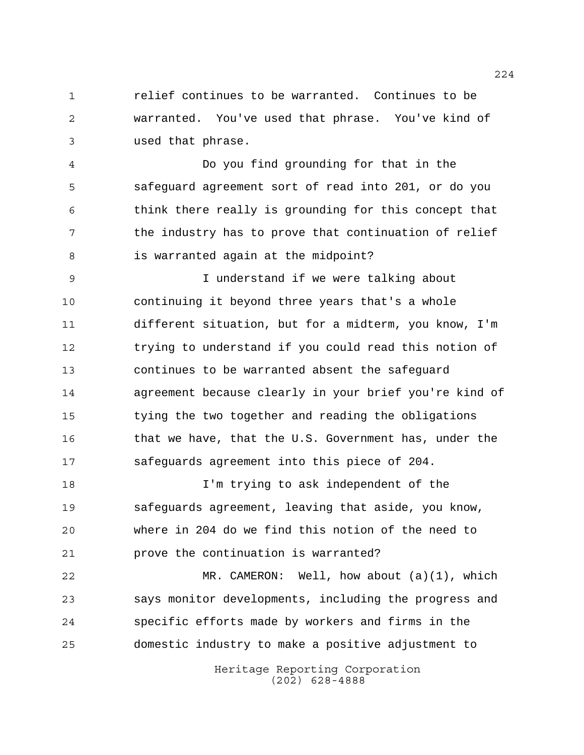relief continues to be warranted. Continues to be warranted. You've used that phrase. You've kind of used that phrase.

 Do you find grounding for that in the safeguard agreement sort of read into 201, or do you think there really is grounding for this concept that 7 the industry has to prove that continuation of relief is warranted again at the midpoint?

 I understand if we were talking about continuing it beyond three years that's a whole different situation, but for a midterm, you know, I'm trying to understand if you could read this notion of continues to be warranted absent the safeguard agreement because clearly in your brief you're kind of tying the two together and reading the obligations that we have, that the U.S. Government has, under the safeguards agreement into this piece of 204.

 I'm trying to ask independent of the safeguards agreement, leaving that aside, you know, where in 204 do we find this notion of the need to prove the continuation is warranted?

 MR. CAMERON: Well, how about (a)(1), which says monitor developments, including the progress and specific efforts made by workers and firms in the domestic industry to make a positive adjustment to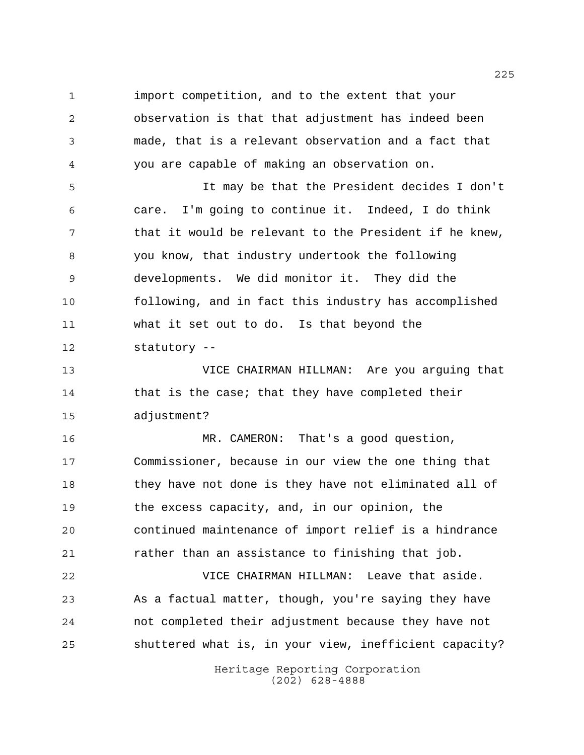import competition, and to the extent that your observation is that that adjustment has indeed been made, that is a relevant observation and a fact that you are capable of making an observation on.

 It may be that the President decides I don't care. I'm going to continue it. Indeed, I do think 7 that it would be relevant to the President if he knew, you know, that industry undertook the following developments. We did monitor it. They did the following, and in fact this industry has accomplished what it set out to do. Is that beyond the statutory --

 VICE CHAIRMAN HILLMAN: Are you arguing that that is the case; that they have completed their adjustment?

 MR. CAMERON: That's a good question, Commissioner, because in our view the one thing that they have not done is they have not eliminated all of the excess capacity, and, in our opinion, the continued maintenance of import relief is a hindrance rather than an assistance to finishing that job.

 VICE CHAIRMAN HILLMAN: Leave that aside. As a factual matter, though, you're saying they have not completed their adjustment because they have not shuttered what is, in your view, inefficient capacity?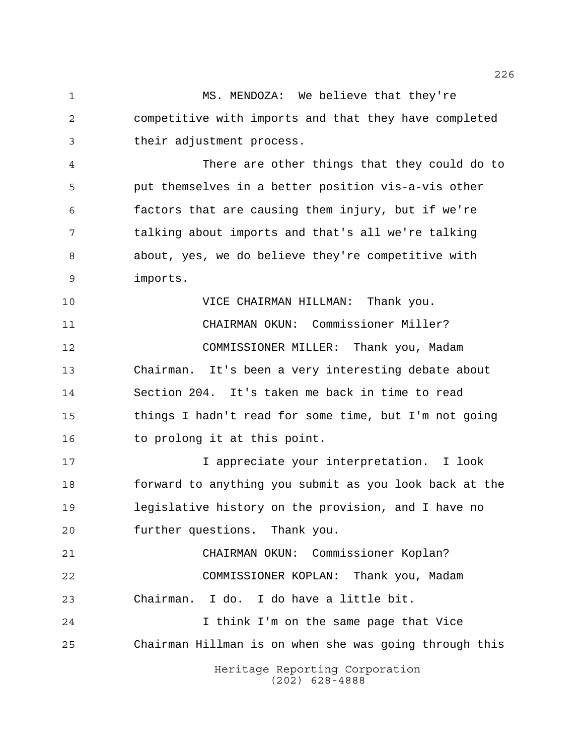MS. MENDOZA: We believe that they're competitive with imports and that they have completed their adjustment process.

 There are other things that they could do to put themselves in a better position vis-a-vis other factors that are causing them injury, but if we're talking about imports and that's all we're talking about, yes, we do believe they're competitive with imports.

 VICE CHAIRMAN HILLMAN: Thank you. CHAIRMAN OKUN: Commissioner Miller? COMMISSIONER MILLER: Thank you, Madam Chairman. It's been a very interesting debate about Section 204. It's taken me back in time to read things I hadn't read for some time, but I'm not going 16 to prolong it at this point.

 I appreciate your interpretation. I look forward to anything you submit as you look back at the legislative history on the provision, and I have no further questions. Thank you.

 CHAIRMAN OKUN: Commissioner Koplan? COMMISSIONER KOPLAN: Thank you, Madam Chairman. I do. I do have a little bit. I think I'm on the same page that Vice

Chairman Hillman is on when she was going through this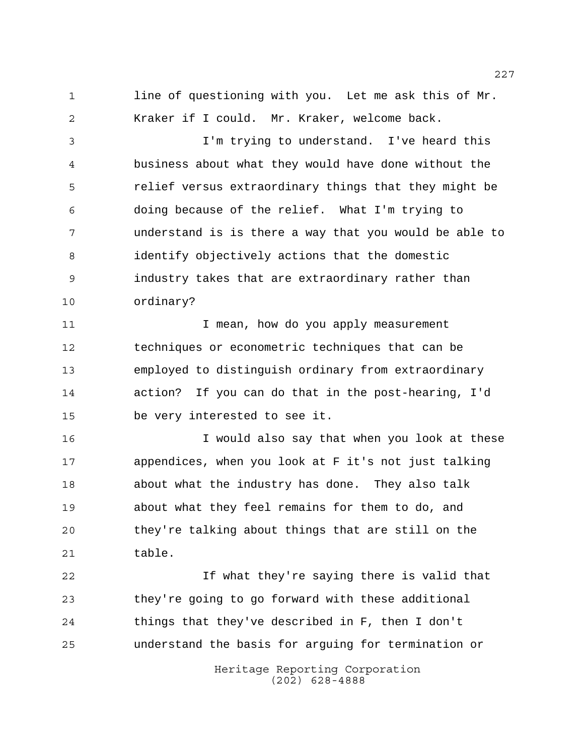1 line of questioning with you. Let me ask this of Mr. Kraker if I could. Mr. Kraker, welcome back.

 I'm trying to understand. I've heard this business about what they would have done without the relief versus extraordinary things that they might be doing because of the relief. What I'm trying to understand is is there a way that you would be able to identify objectively actions that the domestic industry takes that are extraordinary rather than ordinary?

11 11 I mean, how do you apply measurement techniques or econometric techniques that can be employed to distinguish ordinary from extraordinary action? If you can do that in the post-hearing, I'd be very interested to see it.

 I would also say that when you look at these appendices, when you look at F it's not just talking about what the industry has done. They also talk about what they feel remains for them to do, and they're talking about things that are still on the table.

 If what they're saying there is valid that they're going to go forward with these additional things that they've described in F, then I don't understand the basis for arguing for termination or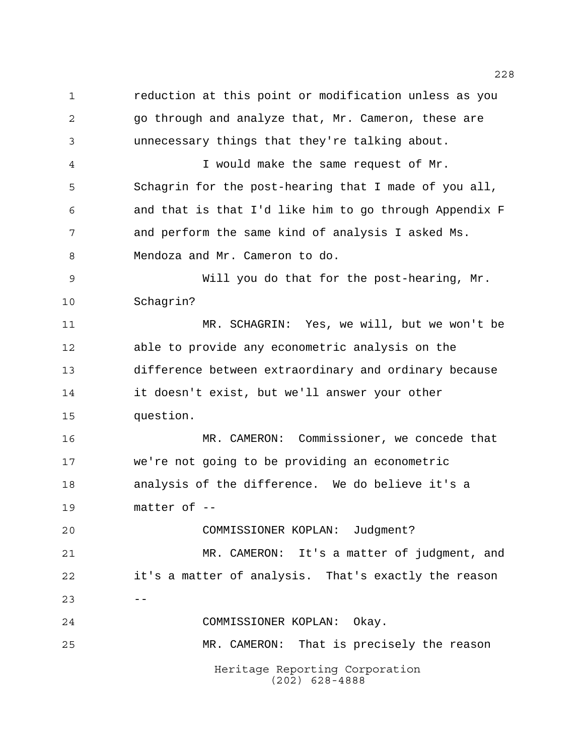Heritage Reporting Corporation reduction at this point or modification unless as you go through and analyze that, Mr. Cameron, these are unnecessary things that they're talking about. I would make the same request of Mr. Schagrin for the post-hearing that I made of you all, and that is that I'd like him to go through Appendix F and perform the same kind of analysis I asked Ms. Mendoza and Mr. Cameron to do. Will you do that for the post-hearing, Mr. Schagrin? MR. SCHAGRIN: Yes, we will, but we won't be able to provide any econometric analysis on the difference between extraordinary and ordinary because it doesn't exist, but we'll answer your other question. MR. CAMERON: Commissioner, we concede that we're not going to be providing an econometric analysis of the difference. We do believe it's a matter of -- COMMISSIONER KOPLAN: Judgment? MR. CAMERON: It's a matter of judgment, and it's a matter of analysis. That's exactly the reason  $23 - - -$  COMMISSIONER KOPLAN: Okay. MR. CAMERON: That is precisely the reason

(202) 628-4888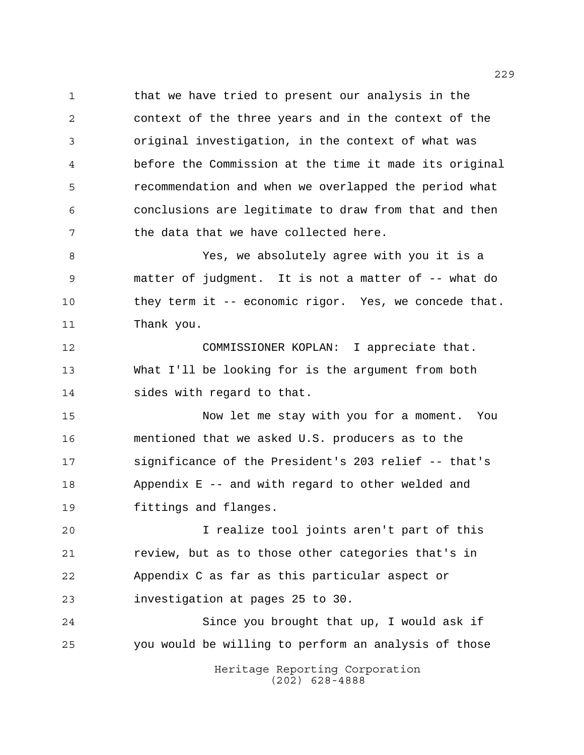1 that we have tried to present our analysis in the context of the three years and in the context of the original investigation, in the context of what was before the Commission at the time it made its original recommendation and when we overlapped the period what conclusions are legitimate to draw from that and then the data that we have collected here.

 Yes, we absolutely agree with you it is a matter of judgment. It is not a matter of -- what do they term it -- economic rigor. Yes, we concede that. Thank you.

 COMMISSIONER KOPLAN: I appreciate that. What I'll be looking for is the argument from both sides with regard to that.

 Now let me stay with you for a moment. You mentioned that we asked U.S. producers as to the significance of the President's 203 relief -- that's Appendix E -- and with regard to other welded and fittings and flanges.

 I realize tool joints aren't part of this review, but as to those other categories that's in Appendix C as far as this particular aspect or investigation at pages 25 to 30.

 Since you brought that up, I would ask if you would be willing to perform an analysis of those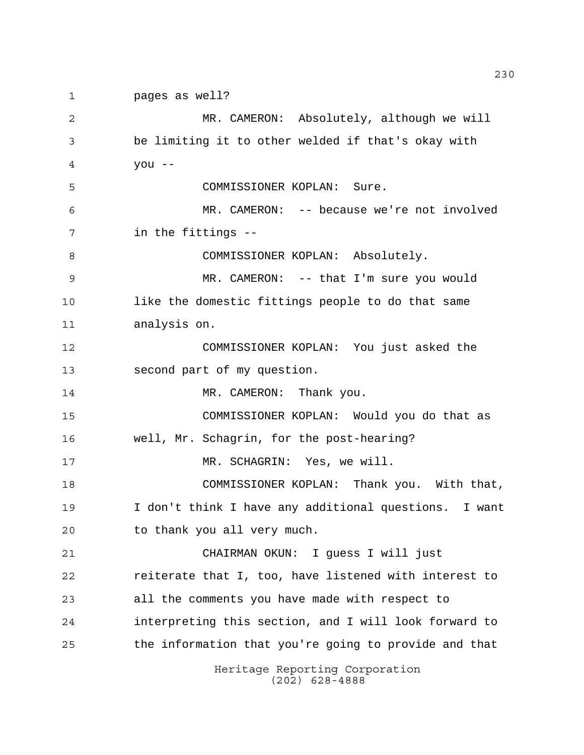Heritage Reporting Corporation pages as well? MR. CAMERON: Absolutely, although we will be limiting it to other welded if that's okay with you -- COMMISSIONER KOPLAN: Sure. MR. CAMERON: -- because we're not involved in the fittings -- COMMISSIONER KOPLAN: Absolutely. MR. CAMERON: -- that I'm sure you would like the domestic fittings people to do that same analysis on. COMMISSIONER KOPLAN: You just asked the second part of my question. 14 MR. CAMERON: Thank you. COMMISSIONER KOPLAN: Would you do that as well, Mr. Schagrin, for the post-hearing? 17 MR. SCHAGRIN: Yes, we will. COMMISSIONER KOPLAN: Thank you. With that, I don't think I have any additional questions. I want to thank you all very much. CHAIRMAN OKUN: I guess I will just reiterate that I, too, have listened with interest to all the comments you have made with respect to interpreting this section, and I will look forward to the information that you're going to provide and that

(202) 628-4888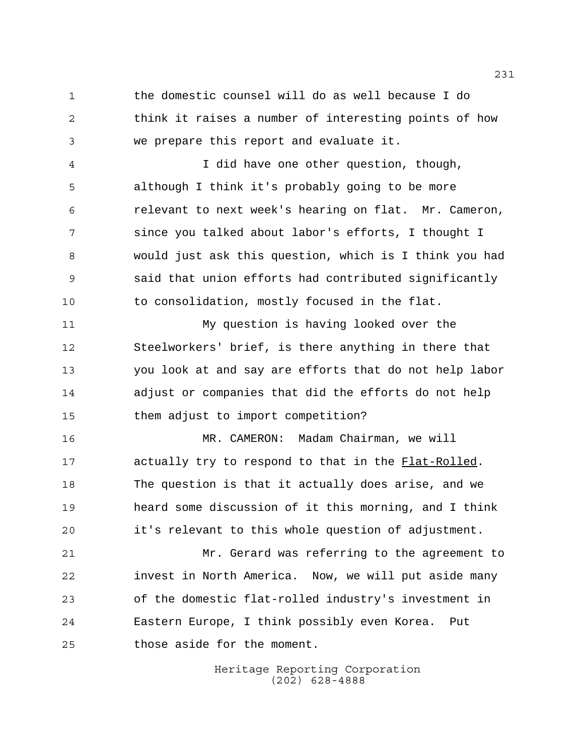the domestic counsel will do as well because I do think it raises a number of interesting points of how we prepare this report and evaluate it.

 I did have one other question, though, although I think it's probably going to be more relevant to next week's hearing on flat. Mr. Cameron, since you talked about labor's efforts, I thought I would just ask this question, which is I think you had said that union efforts had contributed significantly to consolidation, mostly focused in the flat.

 My question is having looked over the Steelworkers' brief, is there anything in there that you look at and say are efforts that do not help labor adjust or companies that did the efforts do not help them adjust to import competition?

 MR. CAMERON: Madam Chairman, we will 17 actually try to respond to that in the Flat-Rolled. The question is that it actually does arise, and we heard some discussion of it this morning, and I think it's relevant to this whole question of adjustment.

 Mr. Gerard was referring to the agreement to invest in North America. Now, we will put aside many of the domestic flat-rolled industry's investment in Eastern Europe, I think possibly even Korea. Put those aside for the moment.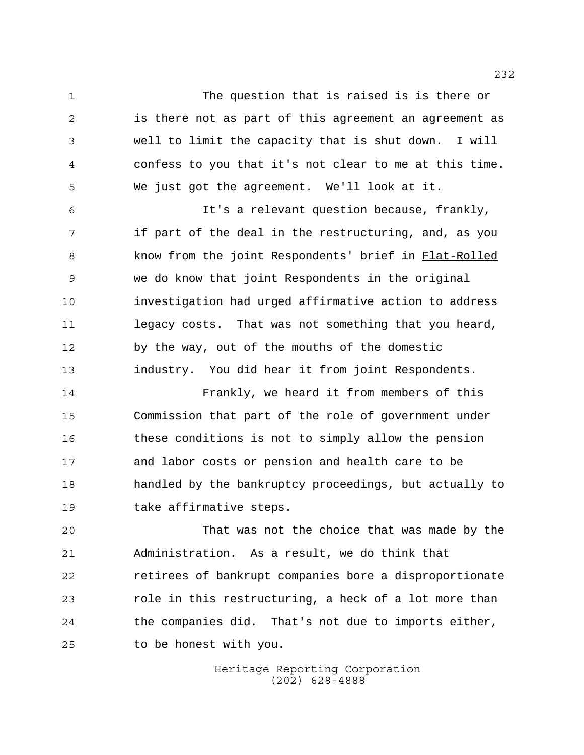The question that is raised is is there or is there not as part of this agreement an agreement as well to limit the capacity that is shut down. I will confess to you that it's not clear to me at this time. We just got the agreement. We'll look at it.

 It's a relevant question because, frankly, 7 if part of the deal in the restructuring, and, as you 8 know from the joint Respondents' brief in Flat-Rolled we do know that joint Respondents in the original investigation had urged affirmative action to address legacy costs. That was not something that you heard, by the way, out of the mouths of the domestic industry. You did hear it from joint Respondents.

 Frankly, we heard it from members of this Commission that part of the role of government under these conditions is not to simply allow the pension and labor costs or pension and health care to be handled by the bankruptcy proceedings, but actually to take affirmative steps.

 That was not the choice that was made by the Administration. As a result, we do think that retirees of bankrupt companies bore a disproportionate role in this restructuring, a heck of a lot more than the companies did. That's not due to imports either, to be honest with you.

> Heritage Reporting Corporation (202) 628-4888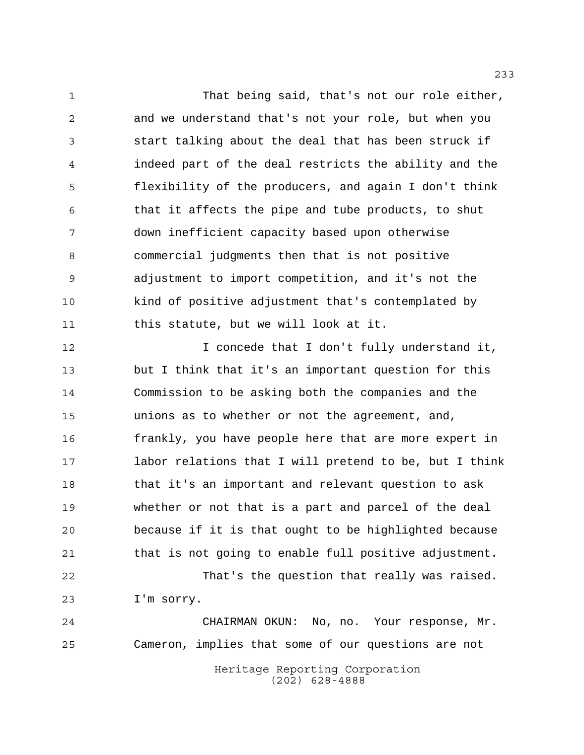1 That being said, that's not our role either, and we understand that's not your role, but when you start talking about the deal that has been struck if indeed part of the deal restricts the ability and the flexibility of the producers, and again I don't think that it affects the pipe and tube products, to shut down inefficient capacity based upon otherwise commercial judgments then that is not positive adjustment to import competition, and it's not the kind of positive adjustment that's contemplated by this statute, but we will look at it.

**I** concede that I don't fully understand it, but I think that it's an important question for this Commission to be asking both the companies and the unions as to whether or not the agreement, and, frankly, you have people here that are more expert in labor relations that I will pretend to be, but I think that it's an important and relevant question to ask whether or not that is a part and parcel of the deal because if it is that ought to be highlighted because that is not going to enable full positive adjustment. That's the question that really was raised.

I'm sorry.

 CHAIRMAN OKUN: No, no. Your response, Mr. Cameron, implies that some of our questions are not

> Heritage Reporting Corporation (202) 628-4888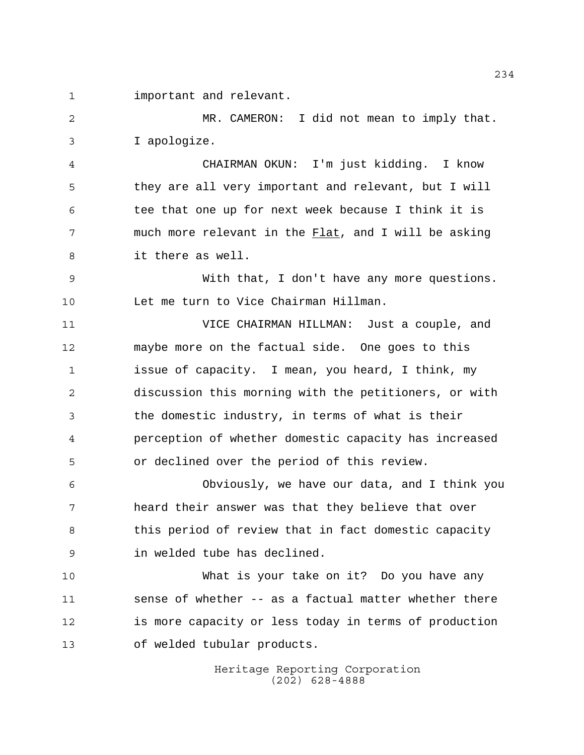important and relevant.

 MR. CAMERON: I did not mean to imply that. I apologize.

 CHAIRMAN OKUN: I'm just kidding. I know they are all very important and relevant, but I will tee that one up for next week because I think it is much more relevant in the Flat, and I will be asking it there as well.

 With that, I don't have any more questions. Let me turn to Vice Chairman Hillman.

 VICE CHAIRMAN HILLMAN: Just a couple, and maybe more on the factual side. One goes to this issue of capacity. I mean, you heard, I think, my discussion this morning with the petitioners, or with the domestic industry, in terms of what is their perception of whether domestic capacity has increased or declined over the period of this review.

 Obviously, we have our data, and I think you heard their answer was that they believe that over 8 this period of review that in fact domestic capacity in welded tube has declined.

 What is your take on it? Do you have any sense of whether -- as a factual matter whether there is more capacity or less today in terms of production of welded tubular products.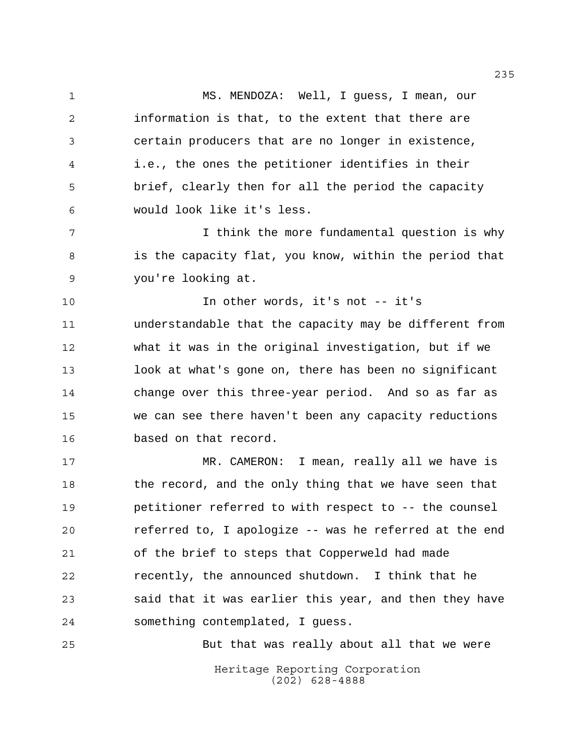MS. MENDOZA: Well, I guess, I mean, our information is that, to the extent that there are certain producers that are no longer in existence, i.e., the ones the petitioner identifies in their brief, clearly then for all the period the capacity would look like it's less.

 I think the more fundamental question is why 8 is the capacity flat, you know, within the period that you're looking at.

 In other words, it's not -- it's understandable that the capacity may be different from what it was in the original investigation, but if we look at what's gone on, there has been no significant change over this three-year period. And so as far as we can see there haven't been any capacity reductions based on that record.

 MR. CAMERON: I mean, really all we have is the record, and the only thing that we have seen that petitioner referred to with respect to -- the counsel referred to, I apologize -- was he referred at the end of the brief to steps that Copperweld had made recently, the announced shutdown. I think that he said that it was earlier this year, and then they have something contemplated, I guess.

But that was really about all that we were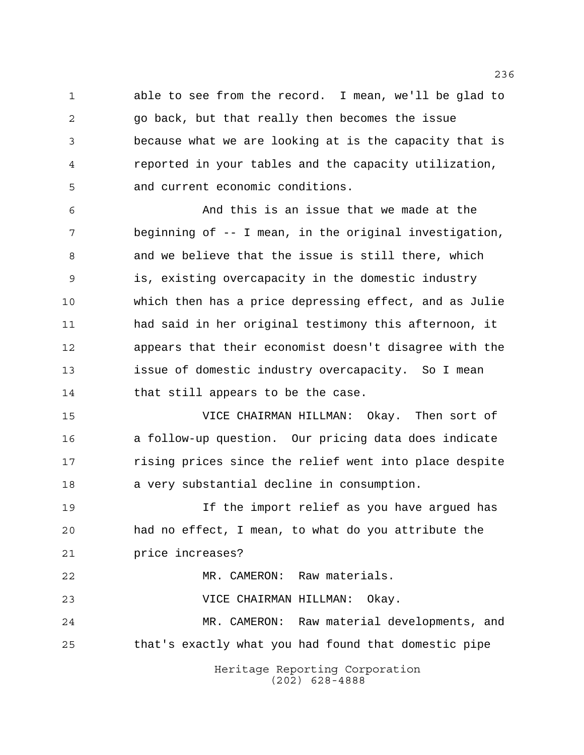able to see from the record. I mean, we'll be glad to go back, but that really then becomes the issue because what we are looking at is the capacity that is reported in your tables and the capacity utilization, and current economic conditions.

 And this is an issue that we made at the beginning of -- I mean, in the original investigation, and we believe that the issue is still there, which is, existing overcapacity in the domestic industry which then has a price depressing effect, and as Julie had said in her original testimony this afternoon, it appears that their economist doesn't disagree with the issue of domestic industry overcapacity. So I mean 14 that still appears to be the case.

 VICE CHAIRMAN HILLMAN: Okay. Then sort of a follow-up question. Our pricing data does indicate **rising prices since the relief went into place despite** a very substantial decline in consumption.

 If the import relief as you have argued has had no effect, I mean, to what do you attribute the price increases?

 MR. CAMERON: Raw materials. VICE CHAIRMAN HILLMAN: Okay. MR. CAMERON: Raw material developments, and that's exactly what you had found that domestic pipe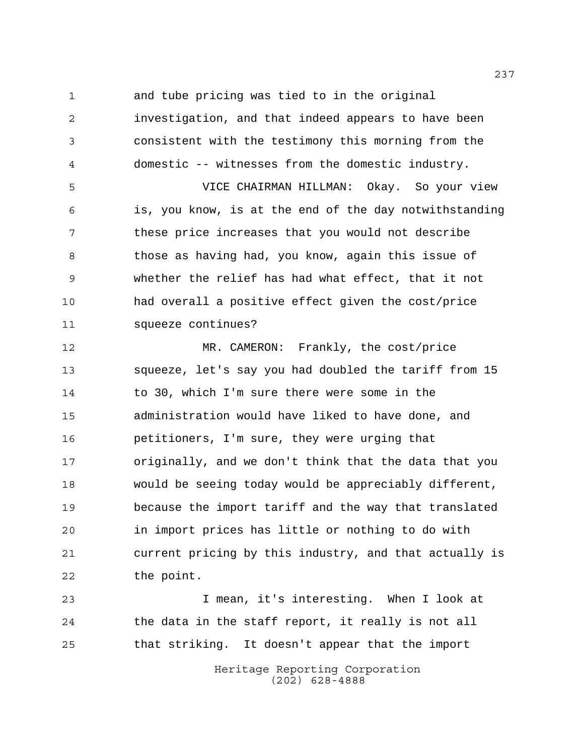and tube pricing was tied to in the original

 investigation, and that indeed appears to have been consistent with the testimony this morning from the domestic -- witnesses from the domestic industry. VICE CHAIRMAN HILLMAN: Okay. So your view is, you know, is at the end of the day notwithstanding these price increases that you would not describe 8 those as having had, you know, again this issue of whether the relief has had what effect, that it not had overall a positive effect given the cost/price squeeze continues?

 MR. CAMERON: Frankly, the cost/price squeeze, let's say you had doubled the tariff from 15 to 30, which I'm sure there were some in the administration would have liked to have done, and petitioners, I'm sure, they were urging that originally, and we don't think that the data that you would be seeing today would be appreciably different, because the import tariff and the way that translated in import prices has little or nothing to do with current pricing by this industry, and that actually is the point.

 I mean, it's interesting. When I look at the data in the staff report, it really is not all that striking. It doesn't appear that the import

> Heritage Reporting Corporation (202) 628-4888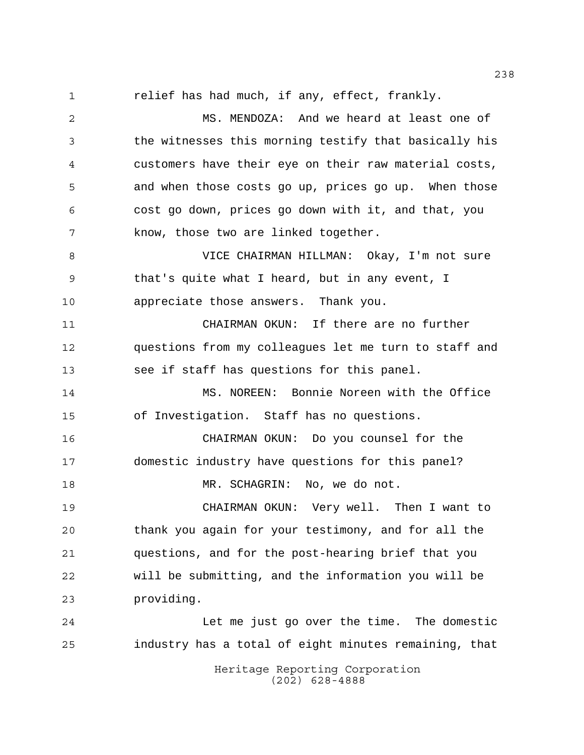relief has had much, if any, effect, frankly.

 MS. MENDOZA: And we heard at least one of the witnesses this morning testify that basically his customers have their eye on their raw material costs, and when those costs go up, prices go up. When those cost go down, prices go down with it, and that, you know, those two are linked together.

 VICE CHAIRMAN HILLMAN: Okay, I'm not sure that's quite what I heard, but in any event, I appreciate those answers. Thank you.

 CHAIRMAN OKUN: If there are no further questions from my colleagues let me turn to staff and see if staff has questions for this panel.

 MS. NOREEN: Bonnie Noreen with the Office of Investigation. Staff has no questions.

 CHAIRMAN OKUN: Do you counsel for the domestic industry have questions for this panel? MR. SCHAGRIN: No, we do not.

CHAIRMAN OKUN: Very well. Then I want to

 thank you again for your testimony, and for all the questions, and for the post-hearing brief that you will be submitting, and the information you will be providing.

 Let me just go over the time. The domestic industry has a total of eight minutes remaining, that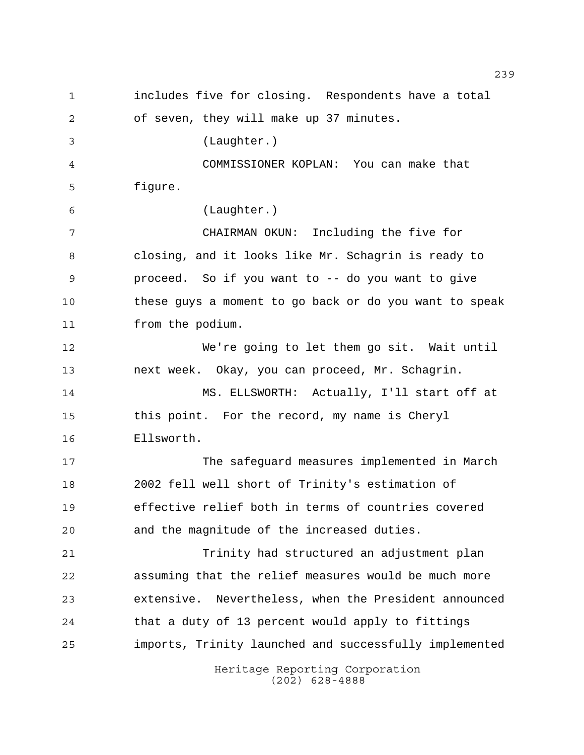Heritage Reporting Corporation (202) 628-4888 includes five for closing. Respondents have a total of seven, they will make up 37 minutes. (Laughter.) COMMISSIONER KOPLAN: You can make that figure. (Laughter.) CHAIRMAN OKUN: Including the five for closing, and it looks like Mr. Schagrin is ready to proceed. So if you want to -- do you want to give these guys a moment to go back or do you want to speak from the podium. We're going to let them go sit. Wait until next week. Okay, you can proceed, Mr. Schagrin. MS. ELLSWORTH: Actually, I'll start off at this point. For the record, my name is Cheryl Ellsworth. The safeguard measures implemented in March 2002 fell well short of Trinity's estimation of effective relief both in terms of countries covered and the magnitude of the increased duties. Trinity had structured an adjustment plan assuming that the relief measures would be much more extensive. Nevertheless, when the President announced that a duty of 13 percent would apply to fittings imports, Trinity launched and successfully implemented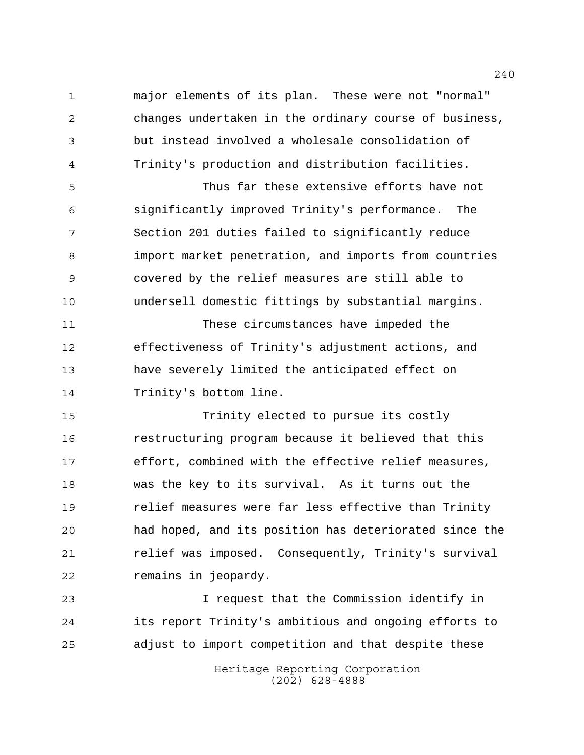major elements of its plan. These were not "normal" changes undertaken in the ordinary course of business, but instead involved a wholesale consolidation of Trinity's production and distribution facilities.

 Thus far these extensive efforts have not significantly improved Trinity's performance. The Section 201 duties failed to significantly reduce import market penetration, and imports from countries covered by the relief measures are still able to undersell domestic fittings by substantial margins.

 These circumstances have impeded the effectiveness of Trinity's adjustment actions, and have severely limited the anticipated effect on Trinity's bottom line.

 Trinity elected to pursue its costly restructuring program because it believed that this effort, combined with the effective relief measures, was the key to its survival. As it turns out the relief measures were far less effective than Trinity had hoped, and its position has deteriorated since the relief was imposed. Consequently, Trinity's survival remains in jeopardy.

 I request that the Commission identify in its report Trinity's ambitious and ongoing efforts to adjust to import competition and that despite these

> Heritage Reporting Corporation (202) 628-4888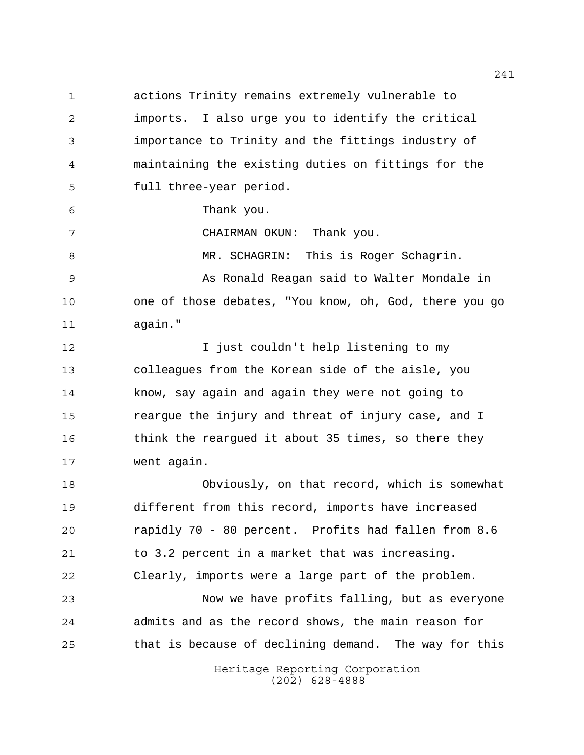actions Trinity remains extremely vulnerable to imports. I also urge you to identify the critical importance to Trinity and the fittings industry of maintaining the existing duties on fittings for the full three-year period.

Thank you.

CHAIRMAN OKUN: Thank you.

MR. SCHAGRIN: This is Roger Schagrin.

9 As Ronald Reagan said to Walter Mondale in one of those debates, "You know, oh, God, there you go again."

**I** just couldn't help listening to my colleagues from the Korean side of the aisle, you know, say again and again they were not going to reargue the injury and threat of injury case, and I 16 think the reargued it about 35 times, so there they went again.

 Obviously, on that record, which is somewhat different from this record, imports have increased rapidly 70 - 80 percent. Profits had fallen from 8.6 to 3.2 percent in a market that was increasing. Clearly, imports were a large part of the problem.

 Now we have profits falling, but as everyone admits and as the record shows, the main reason for that is because of declining demand. The way for this

> Heritage Reporting Corporation (202) 628-4888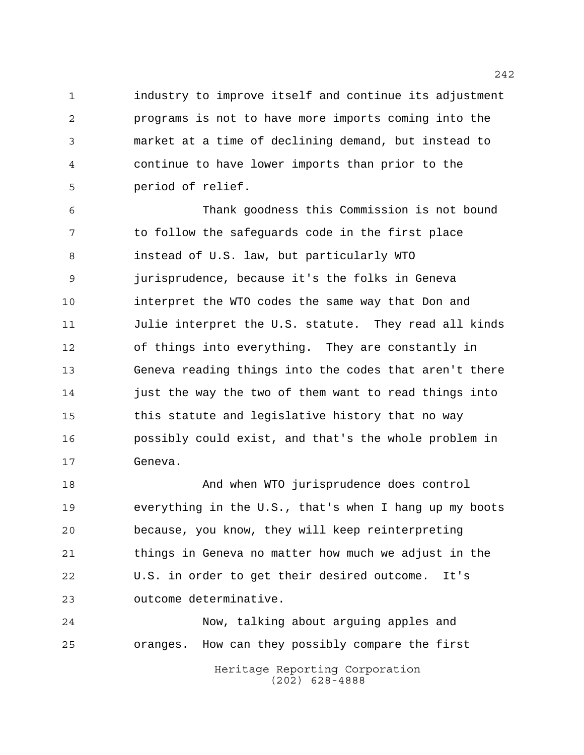industry to improve itself and continue its adjustment programs is not to have more imports coming into the market at a time of declining demand, but instead to continue to have lower imports than prior to the period of relief.

 Thank goodness this Commission is not bound 7 to follow the safeguards code in the first place instead of U.S. law, but particularly WTO jurisprudence, because it's the folks in Geneva interpret the WTO codes the same way that Don and Julie interpret the U.S. statute. They read all kinds of things into everything. They are constantly in Geneva reading things into the codes that aren't there just the way the two of them want to read things into this statute and legislative history that no way possibly could exist, and that's the whole problem in Geneva.

 And when WTO jurisprudence does control everything in the U.S., that's when I hang up my boots because, you know, they will keep reinterpreting things in Geneva no matter how much we adjust in the U.S. in order to get their desired outcome. It's outcome determinative.

Heritage Reporting Corporation Now, talking about arguing apples and oranges. How can they possibly compare the first

(202) 628-4888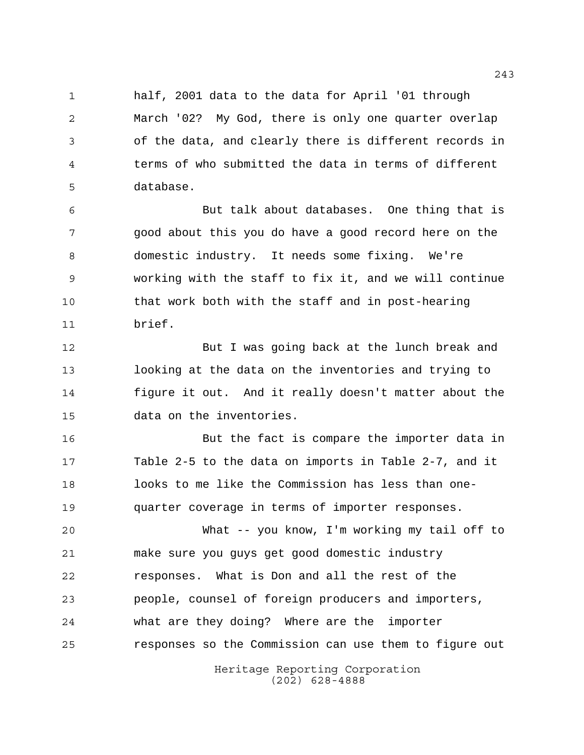half, 2001 data to the data for April '01 through March '02? My God, there is only one quarter overlap of the data, and clearly there is different records in terms of who submitted the data in terms of different database.

 But talk about databases. One thing that is good about this you do have a good record here on the domestic industry. It needs some fixing. We're working with the staff to fix it, and we will continue that work both with the staff and in post-hearing brief.

 But I was going back at the lunch break and looking at the data on the inventories and trying to figure it out. And it really doesn't matter about the data on the inventories.

 But the fact is compare the importer data in Table 2-5 to the data on imports in Table 2-7, and it looks to me like the Commission has less than one-quarter coverage in terms of importer responses.

 What -- you know, I'm working my tail off to make sure you guys get good domestic industry responses. What is Don and all the rest of the people, counsel of foreign producers and importers, what are they doing? Where are the importer responses so the Commission can use them to figure out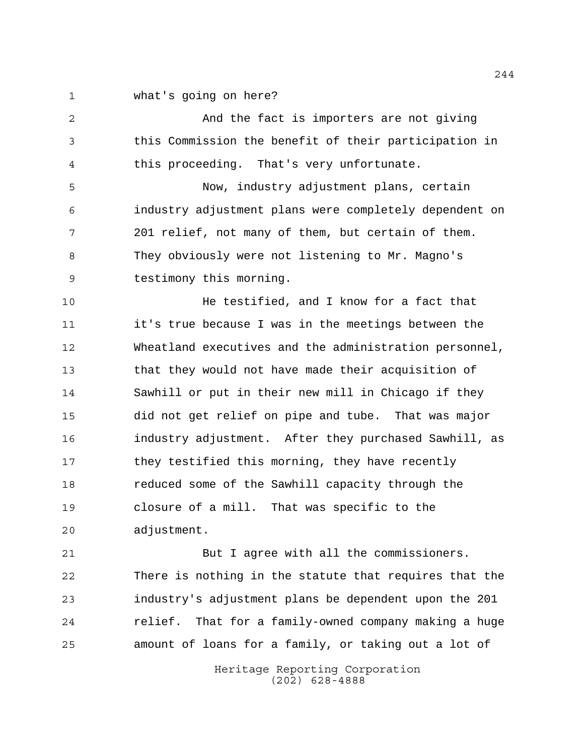what's going on here?

 And the fact is importers are not giving this Commission the benefit of their participation in this proceeding. That's very unfortunate.

 Now, industry adjustment plans, certain industry adjustment plans were completely dependent on 201 relief, not many of them, but certain of them. They obviously were not listening to Mr. Magno's testimony this morning.

 He testified, and I know for a fact that it's true because I was in the meetings between the Wheatland executives and the administration personnel, that they would not have made their acquisition of Sawhill or put in their new mill in Chicago if they did not get relief on pipe and tube. That was major industry adjustment. After they purchased Sawhill, as they testified this morning, they have recently reduced some of the Sawhill capacity through the closure of a mill. That was specific to the adjustment.

 But I agree with all the commissioners. There is nothing in the statute that requires that the industry's adjustment plans be dependent upon the 201 relief. That for a family-owned company making a huge amount of loans for a family, or taking out a lot of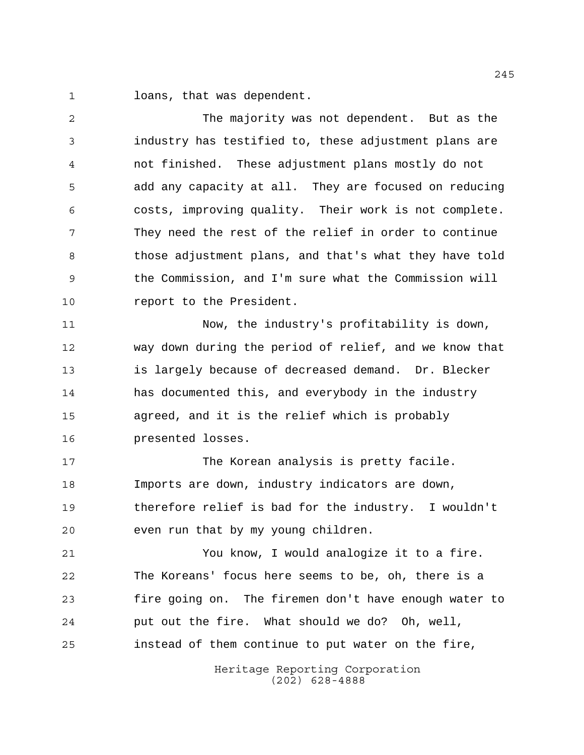loans, that was dependent.

 The majority was not dependent. But as the industry has testified to, these adjustment plans are not finished. These adjustment plans mostly do not add any capacity at all. They are focused on reducing costs, improving quality. Their work is not complete. They need the rest of the relief in order to continue 8 those adjustment plans, and that's what they have told the Commission, and I'm sure what the Commission will **report** to the President.

 Now, the industry's profitability is down, way down during the period of relief, and we know that is largely because of decreased demand. Dr. Blecker has documented this, and everybody in the industry agreed, and it is the relief which is probably presented losses.

17 The Korean analysis is pretty facile. Imports are down, industry indicators are down, therefore relief is bad for the industry. I wouldn't even run that by my young children.

 You know, I would analogize it to a fire. The Koreans' focus here seems to be, oh, there is a fire going on. The firemen don't have enough water to put out the fire. What should we do? Oh, well, instead of them continue to put water on the fire,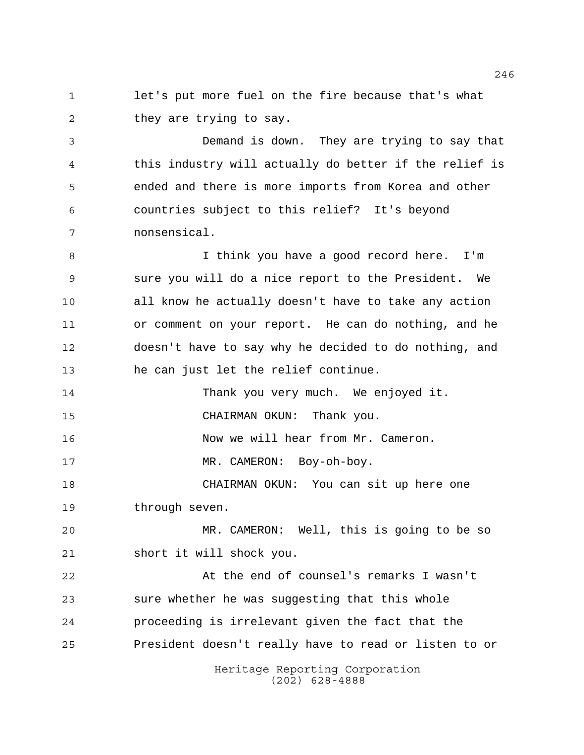let's put more fuel on the fire because that's what 2 they are trying to say.

 Demand is down. They are trying to say that this industry will actually do better if the relief is ended and there is more imports from Korea and other countries subject to this relief? It's beyond nonsensical.

8 I think you have a good record here. I'm sure you will do a nice report to the President. We all know he actually doesn't have to take any action or comment on your report. He can do nothing, and he doesn't have to say why he decided to do nothing, and he can just let the relief continue.

 Thank you very much. We enjoyed it. CHAIRMAN OKUN: Thank you.

Now we will hear from Mr. Cameron.

17 MR. CAMERON: Boy-oh-boy.

 CHAIRMAN OKUN: You can sit up here one through seven.

 MR. CAMERON: Well, this is going to be so short it will shock you.

 At the end of counsel's remarks I wasn't sure whether he was suggesting that this whole proceeding is irrelevant given the fact that the President doesn't really have to read or listen to or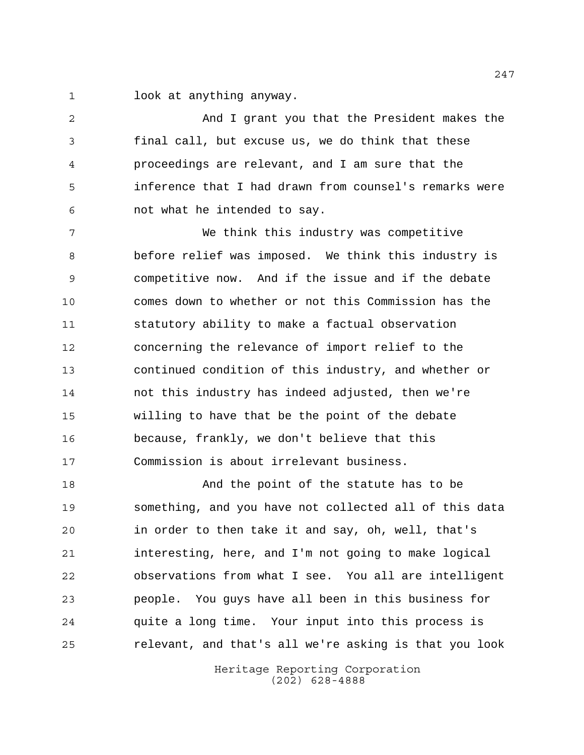look at anything anyway.

 And I grant you that the President makes the final call, but excuse us, we do think that these proceedings are relevant, and I am sure that the inference that I had drawn from counsel's remarks were not what he intended to say.

 We think this industry was competitive before relief was imposed. We think this industry is competitive now. And if the issue and if the debate comes down to whether or not this Commission has the statutory ability to make a factual observation concerning the relevance of import relief to the continued condition of this industry, and whether or not this industry has indeed adjusted, then we're willing to have that be the point of the debate because, frankly, we don't believe that this Commission is about irrelevant business.

 And the point of the statute has to be something, and you have not collected all of this data in order to then take it and say, oh, well, that's interesting, here, and I'm not going to make logical observations from what I see. You all are intelligent people. You guys have all been in this business for quite a long time. Your input into this process is relevant, and that's all we're asking is that you look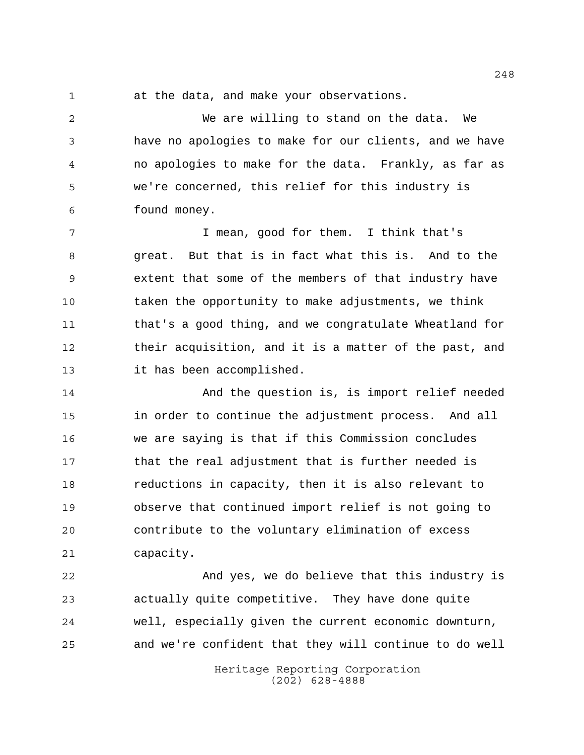at the data, and make your observations.

 We are willing to stand on the data. We have no apologies to make for our clients, and we have no apologies to make for the data. Frankly, as far as we're concerned, this relief for this industry is found money.

7 T mean, good for them. I think that's great. But that is in fact what this is. And to the extent that some of the members of that industry have taken the opportunity to make adjustments, we think that's a good thing, and we congratulate Wheatland for their acquisition, and it is a matter of the past, and it has been accomplished.

 And the question is, is import relief needed in order to continue the adjustment process. And all we are saying is that if this Commission concludes that the real adjustment that is further needed is reductions in capacity, then it is also relevant to observe that continued import relief is not going to contribute to the voluntary elimination of excess capacity.

 And yes, we do believe that this industry is actually quite competitive. They have done quite well, especially given the current economic downturn, and we're confident that they will continue to do well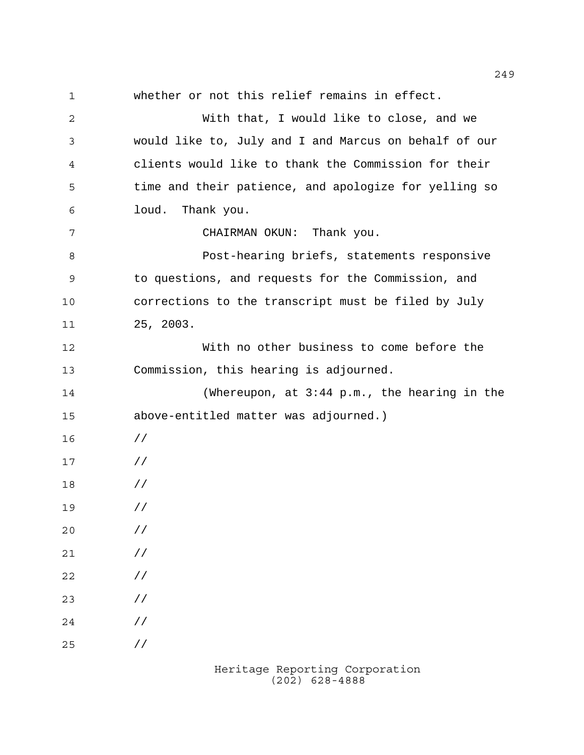whether or not this relief remains in effect. With that, I would like to close, and we would like to, July and I and Marcus on behalf of our clients would like to thank the Commission for their time and their patience, and apologize for yelling so loud. Thank you. CHAIRMAN OKUN: Thank you. Post-hearing briefs, statements responsive to questions, and requests for the Commission, and corrections to the transcript must be filed by July 25, 2003. With no other business to come before the Commission, this hearing is adjourned. (Whereupon, at 3:44 p.m., the hearing in the above-entitled matter was adjourned.) // // // // // // // // // //